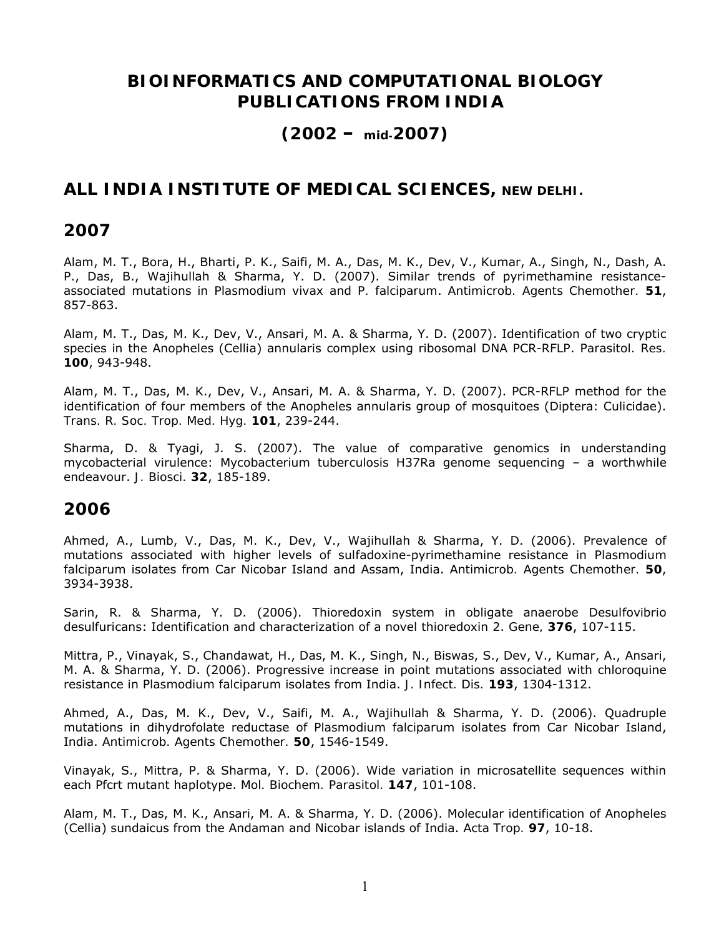# **BIOINFORMATICS AND COMPUTATIONAL BIOLOGY PUBLICATIONS FROM INDIA**

# **(2002 – mid-2007)**

# **ALL INDIA INSTITUTE OF MEDICAL SCIENCES, NEW DELHI.**

### **2007**

Alam, M. T., Bora, H., Bharti, P. K., Saifi, M. A., Das, M. K., Dev, V., Kumar, A., Singh, N., Dash, A. P., Das, B., Wajihullah & Sharma, Y. D. (2007). Similar trends of pyrimethamine resistanceassociated mutations in *Plasmodium vivax* and *P. falciparum*. *Antimicrob. Agents Chemother.* **51**, 857-863.

Alam, M. T., Das, M. K., Dev, V., Ansari, M. A. & Sharma, Y. D. (2007). Identification of two cryptic species in the Anopheles (Cellia) annularis complex using ribosomal DNA PCR-RFLP. *Parasitol. Res.* **100**, 943-948.

Alam, M. T., Das, M. K., Dev, V., Ansari, M. A. & Sharma, Y. D. (2007). PCR-RFLP method for the identification of four members of the Anopheles annularis group of mosquitoes (Diptera: Culicidae). *Trans. R. Soc. Trop. Med. Hyg.* **101**, 239-244.

Sharma, D. & Tyagi, J. S. (2007). The value of comparative genomics in understanding mycobacterial virulence: *Mycobacterium tuberculosis* H37Ra genome sequencing – a worthwhile endeavour. *J. Biosci.* **32**, 185-189.

### **2006**

Ahmed, A., Lumb, V., Das, M. K., Dev, V., Wajihullah & Sharma, Y. D. (2006). Prevalence of mutations associated with higher levels of sulfadoxine-pyrimethamine resistance in *Plasmodium falciparum* isolates from Car Nicobar Island and Assam, India. *Antimicrob. Agents Chemother.* **50**, 3934-3938.

Sarin, R. & Sharma, Y. D. (2006). Thioredoxin system in obligate anaerobe Desulfovibrio desulfuricans: Identification and characterization of a novel thioredoxin 2. *Gene,* **376**, 107-115.

Mittra, P., Vinayak, S., Chandawat, H., Das, M. K., Singh, N., Biswas, S., Dev, V., Kumar, A., Ansari, M. A. & Sharma, Y. D. (2006). Progressive increase in point mutations associated with chloroquine resistance in *Plasmodium falciparum* isolates from India. *J. Infect. Dis.* **193**, 1304-1312.

Ahmed, A., Das, M. K., Dev, V., Saifi, M. A., Wajihullah & Sharma, Y. D. (2006). Quadruple mutations in dihydrofolate reductase of *Plasmodium falciparum* isolates from Car Nicobar Island, India. *Antimicrob. Agents Chemother.* **50**, 1546-1549.

Vinayak, S., Mittra, P. & Sharma, Y. D. (2006). Wide variation in microsatellite sequences within each Pfcrt mutant haplotype. *Mol. Biochem. Parasitol.* **147**, 101-108.

Alam, M. T., Das, M. K., Ansari, M. A. & Sharma, Y. D. (2006). Molecular identification of Anopheles (Cellia) sundaicus from the Andaman and Nicobar islands of India. *Acta Trop.* **97**, 10-18.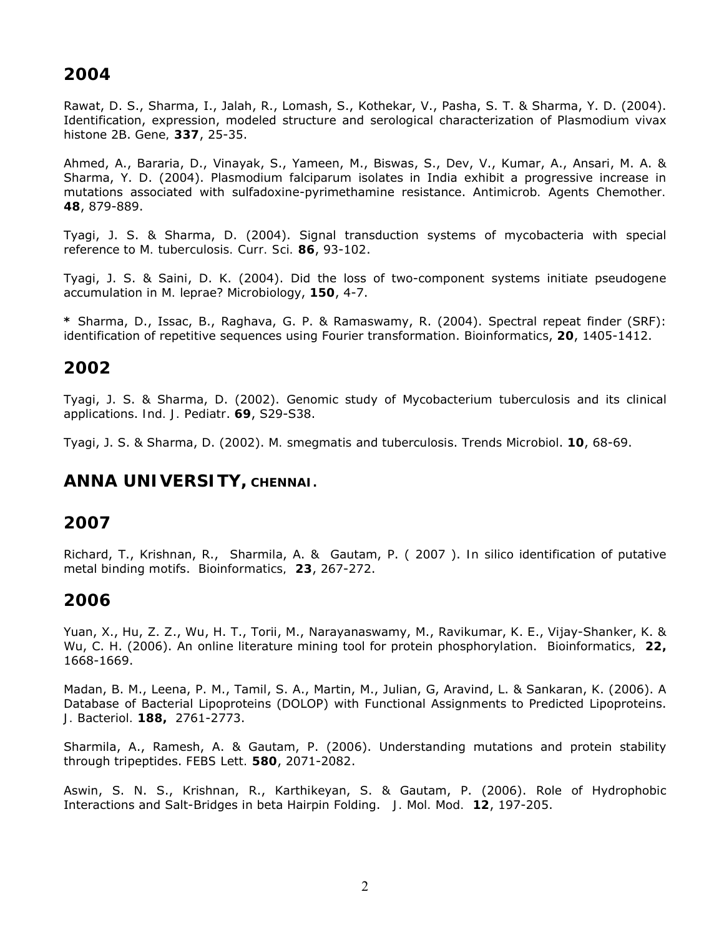Rawat, D. S., Sharma, I., Jalah, R., Lomash, S., Kothekar, V., Pasha, S. T. & Sharma, Y. D. (2004). Identification, expression, modeled structure and serological characterization of *Plasmodium vivax* histone 2B. *Gene,* **337**, 25-35.

Ahmed, A., Bararia, D., Vinayak, S., Yameen, M., Biswas, S., Dev, V., Kumar, A., Ansari, M. A. & Sharma, Y. D. (2004). *Plasmodium falciparum* isolates in India exhibit a progressive increase in mutations associated with sulfadoxine-pyrimethamine resistance. *Antimicrob. Agents Chemother.* **48**, 879-889.

Tyagi, J. S. & Sharma, D. (2004). Signal transduction systems of mycobacteria with special reference to *M. tuberculosis. Curr. Sci.* **86**, 93-102.

Tyagi, J. S. & Saini, D. K. (2004). Did the loss of two-component systems initiate pseudogene accumulation in *M. leprae*? *Microbiology*, **150**, 4-7.

**\*** Sharma, D., Issac, B., Raghava, G. P. & Ramaswamy, R. (2004). Spectral repeat finder (SRF): identification of repetitive sequences using Fourier transformation. *Bioinformatics*, **20**, 1405-1412.

#### **2002**

Tyagi, J. S. & Sharma, D. (2002). Genomic study of *Mycobacterium tuberculosis* and its clinical applications. *Ind. J. Pediatr*. **69**, S29-S38.

Tyagi, J. S. & Sharma, D. (2002). *M. smegmatis* and tuberculosis. *Trends Microbiol*. **10**, 68-69.

### **ANNA UNIVERSITY, CHENNAI.**

#### **2007**

Richard, T., Krishnan, R., Sharmila, A. & Gautam, P. ( 2007 ). *In silico* identification of putative metal binding motifs. *Bioinformatics,* **23**, 267-272.

### **2006**

Yuan, X., Hu, Z. Z., Wu, H. T., Torii, M., Narayanaswamy, M., Ravikumar, K. E., Vijay-Shanker, K. & Wu, C. H. (2006). An online literature mining tool for protein phosphorylation. *Bioinformatics,* **22,** 1668-1669.

Madan, B. M., Leena, P. M., Tamil, S. A., Martin, M., Julian, G, Aravind, L. & Sankaran, K. (2006). A Database of Bacterial Lipoproteins (DOLOP) with Functional Assignments to Predicted Lipoproteins. *J. Bacteriol.* **188,** 2761-2773.

Sharmila, A., Ramesh, A. & Gautam, P. (2006). Understanding mutations and protein stability through tripeptides. *FEBS Lett.* **580**, 2071-2082.

Aswin, S. N. S., Krishnan, R., Karthikeyan, S. & Gautam, P. (2006). Role of Hydrophobic Interactions and Salt-Bridges in beta Hairpin Folding. *J. Mol. Mod.* **12**, 197-205.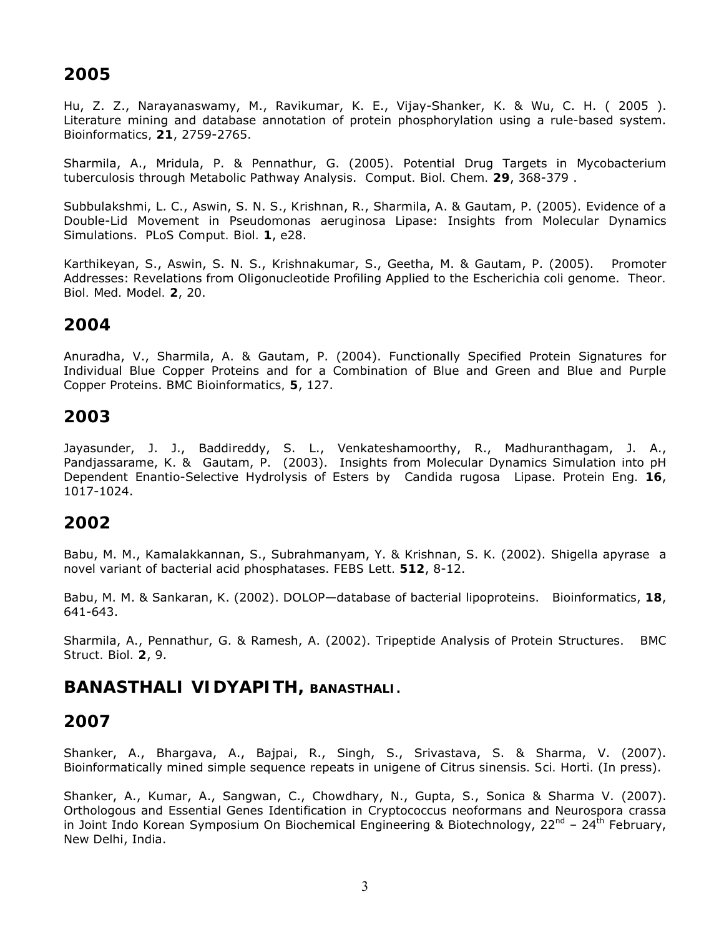Hu, Z. Z., Narayanaswamy, M., Ravikumar, K. E., Vijay-Shanker, K. & Wu, C. H. ( 2005 ). Literature mining and database annotation of protein phosphorylation using a rule-based system. *Bioinformatics,* **21**, 2759-2765.

Sharmila, A., Mridula, P. & Pennathur, G. (2005). Potential Drug Targets in *Mycobacterium tuberculosis* through Metabolic Pathway Analysis. *Comput. Biol. Chem.* **29**, 368-379 .

Subbulakshmi, L. C., Aswin, S. N. S., Krishnan, R., Sharmila, A. & Gautam, P. (2005). Evidence of a Double-Lid Movement in *Pseudomonas aeruginosa* Lipase: Insights from Molecular Dynamics Simulations. *PLoS Comput. Biol.* **1**, e28.

Karthikeyan, S., Aswin, S. N. S., Krishnakumar, S., Geetha, M. & Gautam, P. (2005). Promoter Addresses: Revelations from Oligonucleotide Profiling Applied to the *Escherichia coli* genome. *Theor. Biol. Med. Model.* **2**, 20.

### **2004**

Anuradha, V., Sharmila, A. & Gautam, P. (2004). Functionally Specified Protein Signatures for Individual Blue Copper Proteins and for a Combination of Blue and Green and Blue and Purple Copper Proteins. *BMC Bioinformatics,* **5**, 127.

### **2003**

Jayasunder, J. J., Baddireddy, S. L., Venkateshamoorthy, R., Madhuranthagam, J. A., Pandjassarame, K. & Gautam, P. (2003). Insights from Molecular Dynamics Simulation into pH Dependent Enantio-Selective Hydrolysis of Esters by Candida rugosa Lipase. *Protein Eng.* **16**, 1017-1024.

### **2002**

Babu, M. M., Kamalakkannan, S., Subrahmanyam, Y. & Krishnan, S. K. (2002). Shigella apyrase a novel variant of bacterial acid phosphatases. *FEBS Lett.* **512**, 8-12.

Babu, M. M. & Sankaran, K. (2002). DOLOP—database of bacterial lipoproteins. *Bioinformatics*, **18**, 641-643.

Sharmila, A., Pennathur, G. & Ramesh, A. (2002). Tripeptide Analysis of Protein Structures. *BMC Struct. Biol.* **2**, 9.

**BANASTHALI VIDYAPITH, BANASTHALI.**

### **2007**

Shanker, A., Bhargava, A., Bajpai, R., Singh, S., Srivastava, S. & Sharma, V. (2007). Bioinformatically mined simple sequence repeats in unigene of *Citrus sinensis. Sci. Horti.* (In press).

Shanker, A., Kumar, A., Sangwan, C., Chowdhary, N., Gupta, S., Sonica & Sharma V. (2007). Orthologous and Essential Genes Identification in *Cryptococcus neoformans* and *Neurospora crassa* in Joint Indo Korean Symposium On Biochemical Engineering & Biotechnology,  $22^{nd}$  –  $24^{th}$  February, New Delhi, India.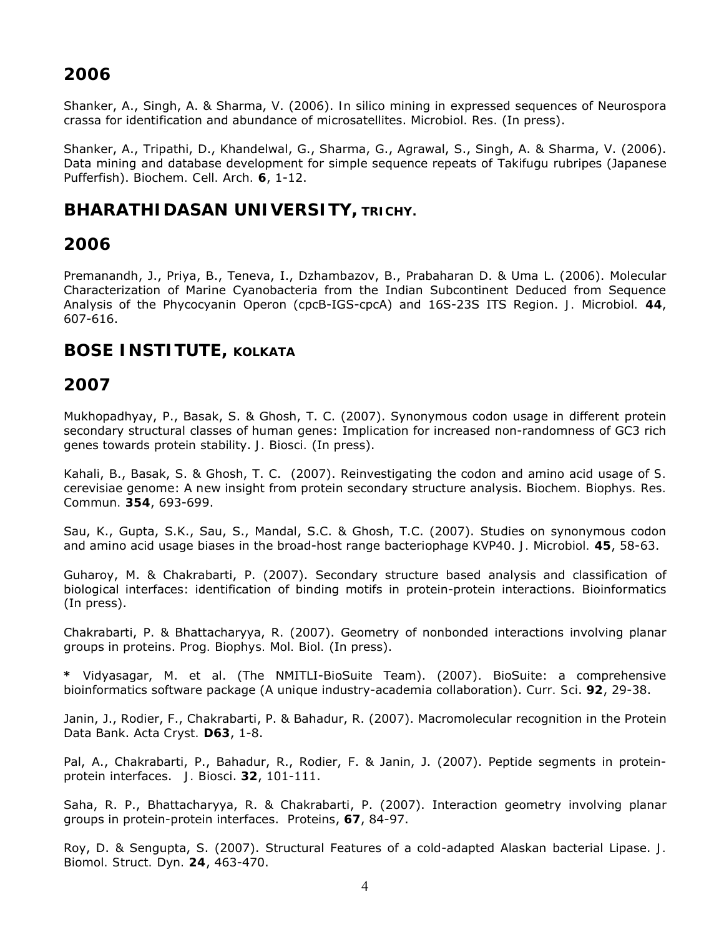Shanker, A., Singh, A. & Sharma, V. (2006). *In silico* mining in expressed sequences of *Neurospora crassa* for identification and abundance of microsatellites. *Microbiol. Res.* (In press).

Shanker, A., Tripathi, D., Khandelwal, G., Sharma, G., Agrawal, S., Singh, A. & Sharma, V. (2006). Data mining and database development for simple sequence repeats of *Takifugu rubripes* (Japanese Pufferfish). *Biochem. Cell. Arch.* **6**, 1-12.

## **BHARATHIDASAN UNIVERSITY, TRICHY.**

## **2006**

Premanandh, J., Priya, B., Teneva, I., Dzhambazov, B., Prabaharan D. & Uma L. (2006). Molecular Characterization of Marine Cyanobacteria from the Indian Subcontinent Deduced from Sequence Analysis of the Phycocyanin Operon (cpcB-IGS-cpcA) and 16S-23S ITS Region. *J. Microbiol.* **44**, 607-616.

### **BOSE INSTITUTE, KOLKATA**

## **2007**

Mukhopadhyay, P., Basak, S. & Ghosh, T. C. (2007). Synonymous codon usage in different protein secondary structural classes of human genes: Implication for increased non-randomness of GC3 rich genes towards protein stability. *J. Biosci.* (In press).

Kahali, B., Basak, S. & Ghosh, T. C.(2007). Reinvestigating the codon and amino acid usage of *S. cerevisiae* genome: A new insight from protein secondary structure analysis. *Biochem. Biophys. Res. Commun.* **354**, 693-699.

Sau, K., Gupta, S.K., Sau, S., Mandal, S.C. & Ghosh, T.C. (2007). Studies on synonymous codon and amino acid usage biases in the broad-host range bacteriophage KVP40. *J. Microbiol.* **45**, 58-63.

Guharoy, M. & Chakrabarti, P. (2007). Secondary structure based analysis and classification of biological interfaces: identification of binding motifs in protein-protein interactions. *Bioinformatics* (In press).

Chakrabarti, P. & Bhattacharyya, R. (2007). Geometry of nonbonded interactions involving planar groups in proteins. *Prog. Biophys. Mol. Biol.* (In press).

**\*** Vidyasagar, M. *et al*. (The NMITLI-BioSuite Team). (2007). BioSuite: a comprehensive bioinformatics software package (A unique industry-academia collaboration). *Curr. Sci*. **92**, 29-38.

Janin, J., Rodier, F., Chakrabarti, P. & Bahadur, R. (2007). Macromolecular recognition in the Protein Data Bank. *Acta Cryst.* **D63**, 1-8.

Pal, A., Chakrabarti, P., Bahadur, R., Rodier, F. & Janin, J. (2007). Peptide segments in proteinprotein interfaces. *J. Biosci*. **32**, 101-111.

Saha, R. P., Bhattacharyya, R. & Chakrabarti, P. (2007). Interaction geometry involving planar groups in protein-protein interfaces. *Proteins*, **67**, 84-97.

Roy, D. & Sengupta, S. (2007). Structural Features of a cold-adapted Alaskan bacterial Lipase. *J. Biomol. Struct. Dyn.* **24**, 463-470.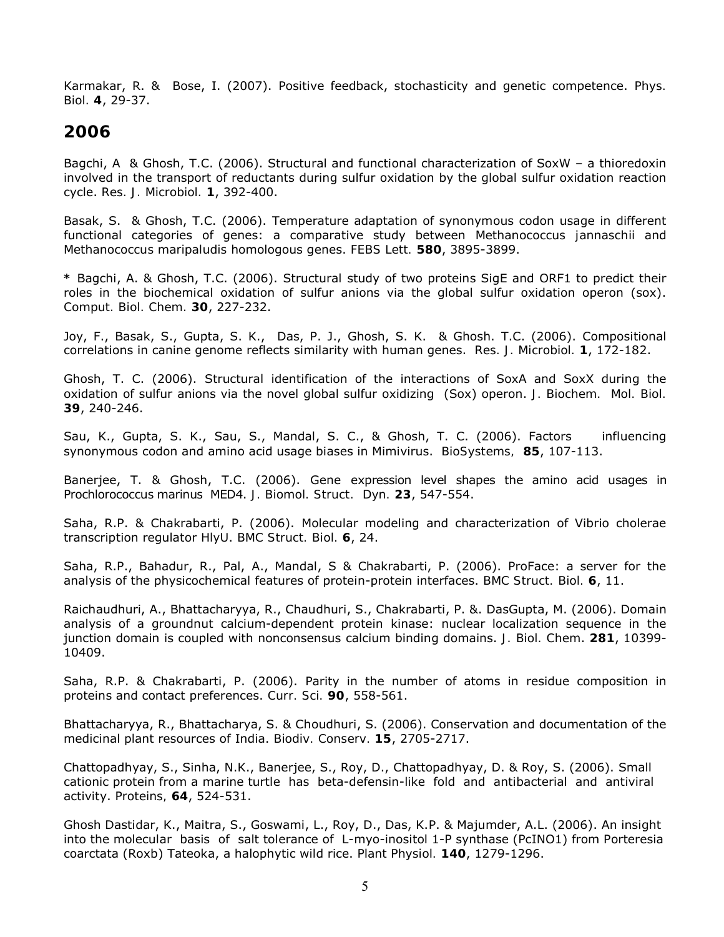Karmakar, R. & Bose, I. (2007). Positive feedback, stochasticity and genetic competence. *Phys. Biol.* **4**, 29-37.

## **2006**

Bagchi, A & Ghosh, T.C. (2006). Structural and functional characterization of SoxW – a thioredoxin involved in the transport of reductants during sulfur oxidation by the global sulfur oxidation reaction cycle. *Res. J. Microbiol.* **1**, 392-400.

Basak, S. & Ghosh, T.C. (2006). Temperature adaptation of synonymous codon usage in different functional categories of genes: a comparative study between *Methanococcus jannaschii* and *Methanococcus maripaludis* homologous genes. *FEBS Lett.* **580**, 3895-3899.

**\*** Bagchi, A. & Ghosh, T.C. (2006). Structural study of two proteins SigE and ORF1 to predict their roles in the biochemical oxidation of sulfur anions via the global sulfur oxidation operon (sox). *Comput. Biol. Chem.* **30**, 227-232.

Joy, F., Basak, S., Gupta, S. K., Das, P. J., Ghosh, S. K. & Ghosh. T.C. (2006). Compositional correlations in canine genome reflects similarity with human genes. *Res. J. Microbiol.* **1**, 172-182.

Ghosh, T. C. (2006). Structural identification of the interactions of SoxA and SoxX during the oxidation of sulfur anions via the novel global sulfur oxidizing (Sox) operon. *J. Biochem. Mol. Biol.* **39**, 240-246.

Sau, K., Gupta, S. K., Sau, S., Mandal, S. C., & Ghosh, T. C. (2006). Factors influencing synonymous codon and amino acid usage biases in Mimivirus. *BioSystems,* **85**, 107-113.

Banerjee, T. & Ghosh, T.C. (2006). Gene expression level shapes the amino acid usages in *Prochlorococcus marinus* MED4. *J. Biomol. Struct. Dyn.* **23**, 547-554.

Saha, R.P. & Chakrabarti, P. (2006). Molecular modeling and characterization of Vibrio cholerae transcription regulator HlyU. *BMC Struct. Biol.* **6**, 24.

Saha, R.P., Bahadur, R., Pal, A., Mandal, S & Chakrabarti, P. (2006). ProFace: a server for the analysis of the physicochemical features of protein-protein interfaces. *BMC Struct. Biol.* **6**, 11.

Raichaudhuri, A., Bhattacharyya, R., Chaudhuri, S., Chakrabarti, P. &. DasGupta, M. (2006). Domain analysis of a groundnut calcium-dependent protein kinase: nuclear localization sequence in the junction domain is coupled with nonconsensus calcium binding domains. *J. Biol. Chem*. **281**, 10399- 10409.

Saha, R.P. & Chakrabarti, P. (2006). Parity in the number of atoms in residue composition in proteins and contact preferences. *Curr. Sci.* **90**, 558-561.

Bhattacharyya, R., Bhattacharya, S. & Choudhuri, S. (2006). Conservation and documentation of the medicinal plant resources of India. *Biodiv. Conserv.* **15**, 2705-2717.

Chattopadhyay, S., Sinha, N.K., Banerjee, S., Roy, D., Chattopadhyay, D. & Roy, S. (2006). Small cationic protein from a marine turtle has beta-defensin-like fold and antibacterial and antiviral activity. *Proteins,* **64**, 524-531.

Ghosh Dastidar, K., Maitra, S., Goswami, L., Roy, D., Das, K.P. & Majumder, A.L. (2006). An insight into the molecular basis of salt tolerance of L-myo-inositol 1-P synthase (PcINO1) from Porteresia coarctata (Roxb) Tateoka, a halophytic wild rice. *Plant Physiol.* **140**, 1279-1296.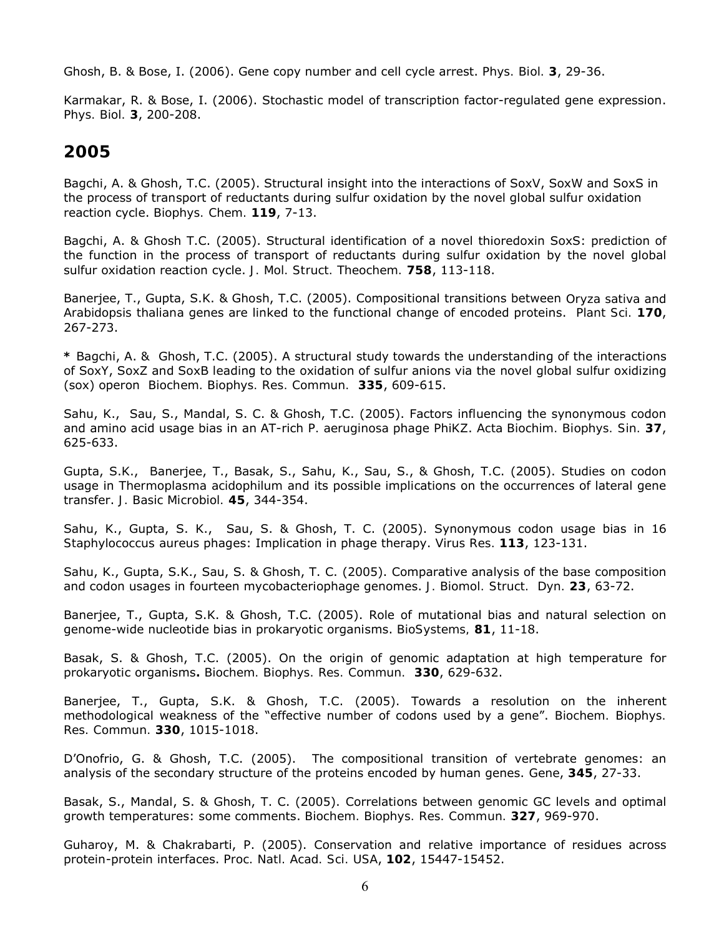Ghosh, B. & Bose, I. (2006). Gene copy number and cell cycle arrest. *Phys. Biol.* **3**, 29-36.

Karmakar, R. & Bose, I. (2006). Stochastic model of transcription factor-regulated gene expression. *Phys. Biol.* **3**, 200-208.

### **2005**

Bagchi, A. & Ghosh, T.C. (2005). Structural insight into the interactions of SoxV, SoxW and SoxS in the process of transport of reductants during sulfur oxidation by the novel global sulfur oxidation reaction cycle. *Biophys. Chem.* **119**, 7-13.

Bagchi, A. & Ghosh T.C. (2005). Structural identification of a novel thioredoxin SoxS: prediction of the function in the process of transport of reductants during sulfur oxidation by the novel global sulfur oxidation reaction cycle. *J. Mol. Struct. Theochem.* **758**, 113-118.

Banerjee, T., Gupta, S.K. & Ghosh, T.C. (2005). Compositional transitions between *Oryza sativa* and *Arabidopsis thaliana* genes are linked to the functional change of encoded proteins. *Plant Sci.* **170**, 267-273.

**\*** Bagchi, A. & Ghosh, T.C. (2005). A structural study towards the understanding of the interactions of SoxY, SoxZ and SoxB leading to the oxidation of sulfur anions via the novel global sulfur oxidizing (sox) operon *Biochem. Biophys. Res. Commun.* **335**, 609-615.

Sahu, K., Sau, S., Mandal, S. C. & Ghosh, T.C. (2005). Factors influencing the synonymous codon and amino acid usage bias in an AT-rich *P. aeruginosa* phage PhiKZ. *Acta Biochim. Biophys. Sin.* **37**, 625-633.

Gupta, S.K., Banerjee, T., Basak, S., Sahu, K., Sau, S., & Ghosh, T.C. (2005). Studies on codon usage in *Thermoplasma acidophilum* and its possible implications on the occurrences of lateral gene transfer. *J. Basic Microbiol.* **45**, 344-354.

Sahu, K., Gupta, S. K., Sau, S. & Ghosh, T. C. (2005). Synonymous codon usage bias in 16 *Staphylococcus aureus* phages: Implication in phage therapy. *Virus Res.* **113**, 123-131.

Sahu, K., Gupta, S.K., Sau, S. & Ghosh, T. C. (2005). Comparative analysis of the base composition and codon usages in fourteen mycobacteriophage genomes. *J. Biomol. Struct. Dyn.* **23**, 63-72.

Banerjee, T., Gupta, S.K. & Ghosh, T.C. (2005). Role of mutational bias and natural selection on genome-wide nucleotide bias in prokaryotic organisms. *BioSystems,* **81**, 11-18.

Basak, S. & Ghosh, T.C. (2005). On the origin of genomic adaptation at high temperature for prokaryotic organisms**.** *Biochem. Biophys. Res. Commun.* **330**, 629-632.

Banerjee, T., Gupta, S.K. & Ghosh, T.C. (2005). Towards a resolution on the inherent methodological weakness of the "effective number of codons used by a gene". *Biochem. Biophys. Res. Commun.* **330**, 1015-1018.

D'Onofrio, G. & Ghosh, T.C. (2005).The compositional transition of vertebrate genomes: an analysis of the secondary structure of the proteins encoded by human genes. *Gene*, **345**, 27-33.

Basak, S., Mandal, S. & Ghosh, T. C. (2005). Correlations between genomic GC levels and optimal growth temperatures: some comments. *Biochem. Biophys. Res. Commun.* **327**, 969-970.

Guharoy, M. & Chakrabarti, P. (2005). Conservation and relative importance of residues across protein-protein interfaces. *Proc. Natl. Acad. Sci. USA*, **102**, 15447-15452.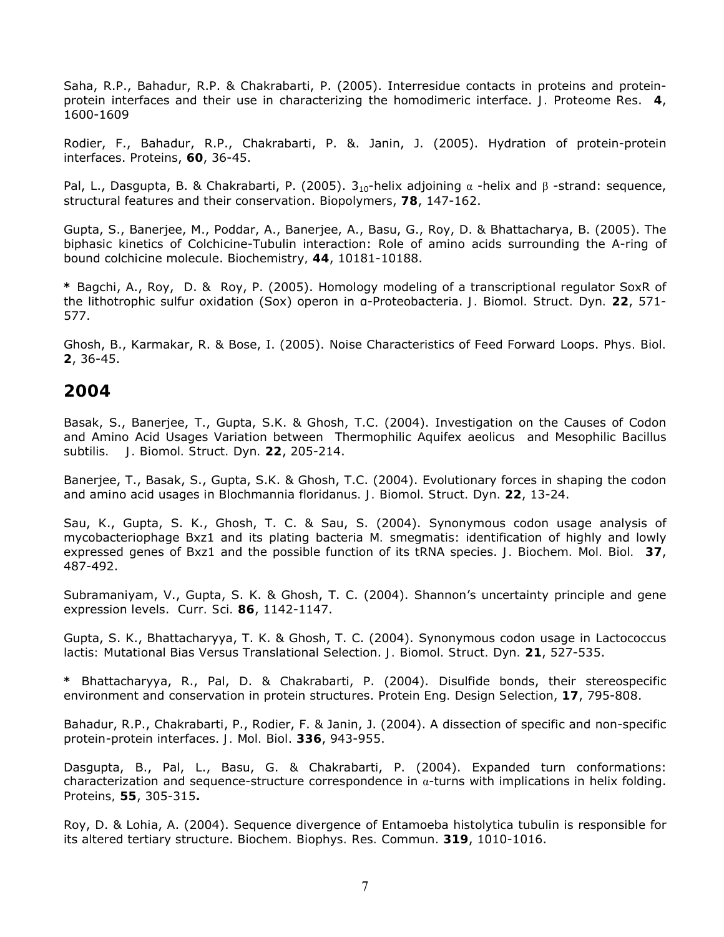Saha, R.P., Bahadur, R.P. & Chakrabarti, P. (2005). Interresidue contacts in proteins and proteinprotein interfaces and their use in characterizing the homodimeric interface. *J. Proteome Res*. **4**, 1600-1609

Rodier, F., Bahadur, R.P., Chakrabarti, P. &. Janin, J. (2005). Hydration of protein-protein interfaces. *Proteins*, **60**, 36-45.

Pal, L., Dasgupta, B. & Chakrabarti, P. (2005).  $3_{10}$ -helix adjoining  $\alpha$  -helix and  $\beta$  -strand: sequence, structural features and their conservation. *Biopolymers*, **78**, 147-162.

Gupta, S., Banerjee, M., Poddar, A., Banerjee, A., Basu, G., Roy, D. & Bhattacharya, B. (2005). The biphasic kinetics of Colchicine-Tubulin interaction: Role of amino acids surrounding the A-ring of bound colchicine molecule. *Biochemistry,* **44**, 10181-10188.

**\*** Bagchi, A., Roy, D. & Roy, P. (2005). Homology modeling of a transcriptional regulator SoxR of the lithotrophic sulfur oxidation (Sox) operon in α-Proteobacteria. *J. Biomol. Struct. Dyn.* **22**, 571- 577.

Ghosh, B., Karmakar, R. & Bose, I. (2005). Noise Characteristics of Feed Forward Loops. *Phys. Biol.* **2**, 36-45.

#### **2004**

Basak, S., Banerjee, T., Gupta, S.K. & Ghosh, T.C. (2004). Investigation on the Causes of Codon and Amino Acid Usages Variation between Thermophilic *Aquifex aeolicus* and Mesophilic *Bacillus subtilis. J. Biomol. Struct. Dyn.* **22**, 205-214.

Banerjee, T., Basak, S., Gupta, S.K. & Ghosh, T.C. (2004). Evolutionary forces in shaping the codon and amino acid usages in *Blochmannia floridanus. J. Biomol. Struct. Dyn.* **22**, 13-24.

Sau, K., Gupta, S. K., Ghosh, T. C. & Sau, S. (2004). Synonymous codon usage analysis of mycobacteriophage Bxz1 and its plating bacteria *M. smegmatis*: identification of highly and lowly expressed genes of Bxz1 and the possible function of its tRNA species. *J. Biochem. Mol. Biol.* **37**, 487-492.

Subramaniyam, V., Gupta, S. K. & Ghosh, T. C. (2004). Shannon's uncertainty principle and gene expression levels. *Curr. Sci.* **86**, 1142-1147.

Gupta, S. K., Bhattacharyya, T. K. & Ghosh, T. C. (2004). Synonymous codon usage in *Lactococcus lactis:* Mutational Bias Versus Translational Selection. *J. Biomol. Struct. Dyn.* **21**, 527-535.

**\*** Bhattacharyya, R., Pal, D. & Chakrabarti, P. (2004). Disulfide bonds, their stereospecific environment and conservation in protein structures. *Protein Eng. Design Selection*, **17**, 795-808.

Bahadur, R.P., Chakrabarti, P., Rodier, F. & Janin, J. (2004). A dissection of specific and non-specific protein-protein interfaces. *J. Mol. Biol*. **336**, 943-955.

Dasgupta, B., Pal, L., Basu, G. & Chakrabarti, P. (2004). Expanded turn conformations: characterization and sequence-structure correspondence in  $\alpha$ -turns with implications in helix folding. *Proteins,* **55**, 305-315*.*

Roy, D. & Lohia, A. (2004). Sequence divergence of *Entamoeba histolytica* tubulin is responsible for its altered tertiary structure. *Biochem. Biophys. Res. Commun.* **319**, 1010-1016.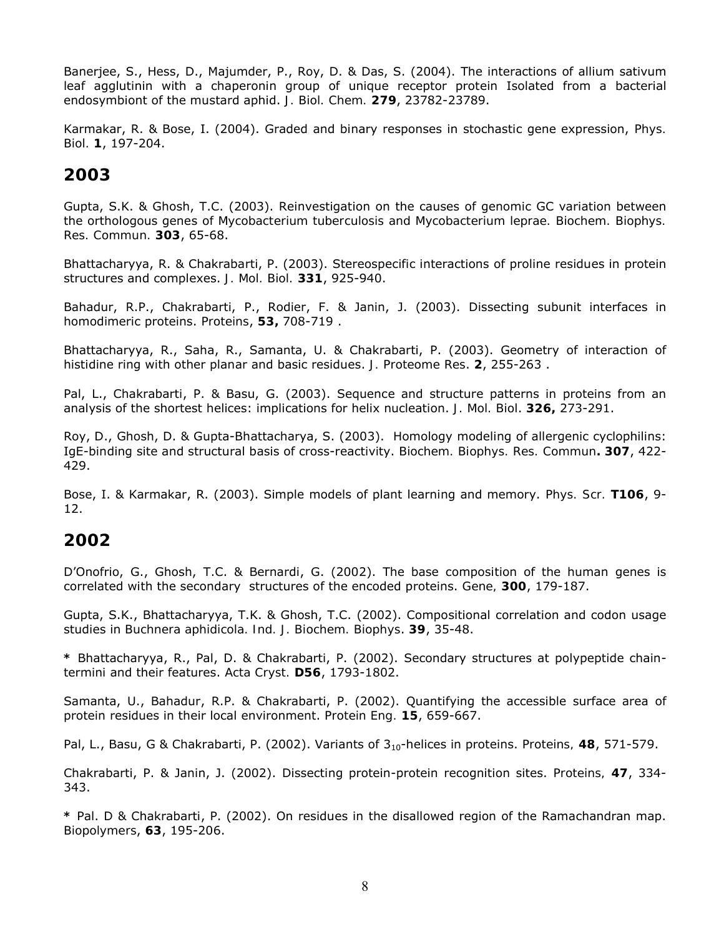Banerjee, S., Hess, D., Majumder, P., Roy, D. & Das, S. (2004). The interactions of allium sativum leaf agglutinin with a chaperonin group of unique receptor protein Isolated from a bacterial endosymbiont of the mustard aphid. *J. Biol. Chem.* **279**, 23782-23789.

Karmakar, R. & Bose, I. (2004). Graded and binary responses in stochastic gene expression, *Phys. Biol.* **1**, 197-204.

### **2003**

Gupta, S.K. & Ghosh, T.C. (2003). Reinvestigation on the causes of genomic GC variation between the orthologous genes *of Mycobacterium tuberculosis and Mycobacterium leprae. Biochem. Biophys. Res. Commun.* **303**, 65-68.

Bhattacharyya, R. & Chakrabarti, P. (2003). Stereospecific interactions of proline residues in protein structures and complexes. *J. Mol. Biol.* **331**, 925-940.

Bahadur, R.P., Chakrabarti, P., Rodier, F. & Janin, J. (2003). Dissecting subunit interfaces in homodimeric proteins. *Proteins*, **53,** 708-719 .

Bhattacharyya, R., Saha, R., Samanta, U. & Chakrabarti, P. (2003). Geometry of interaction of histidine ring with other planar and basic residues. *J. Proteome Res*. **2**, 255-263 .

Pal, L., Chakrabarti, P. & Basu, G. (2003). Sequence and structure patterns in proteins from an analysis of the shortest helices: implications for helix nucleation. *J. Mol. Biol*. **326,** 273-291.

Roy, D., Ghosh, D. & Gupta-Bhattacharya, S. (2003). Homology modeling of allergenic cyclophilins: IgE-binding site and structural basis of cross-reactivity. *Biochem. Biophys. Res. Commun.* **307**, 422- 429.

Bose, I. & Karmakar, R. (2003). Simple models of plant learning and memory. *Phys. Scr.* **T106**, 9- 12.

### **2002**

D'Onofrio, G., Ghosh, T.C. & Bernardi, G. (2002). The base composition of the human genes is correlated with the secondary structures of the encoded proteins. *Gene,* **300**, 179-187.

Gupta, S.K., Bhattacharyya, T.K. & Ghosh, T.C. (2002). Compositional correlation and codon usage studies in *Buchnera aphidicola. Ind. J. Biochem. Biophys*. **39**, 35-48.

**\*** Bhattacharyya, R., Pal, D. & Chakrabarti, P. (2002). Secondary structures at polypeptide chaintermini and their features. *Acta Cryst.* **D56**, 1793-1802.

Samanta, U., Bahadur, R.P. & Chakrabarti, P. (2002). Quantifying the accessible surface area of protein residues in their local environment. *Protein Eng.* **15**, 659-667.

Pal, L., Basu, G & Chakrabarti, P. (2002). Variants of 310-helices in proteins. *Proteins,* **48**, 571-579.

Chakrabarti, P. & Janin, J. (2002). Dissecting protein-protein recognition sites. *Proteins,* **47**, 334- 343.

**\*** Pal. D & Chakrabarti, P. (2002). On residues in the disallowed region of the Ramachandran map. *Biopolymers*, **63**, 195-206.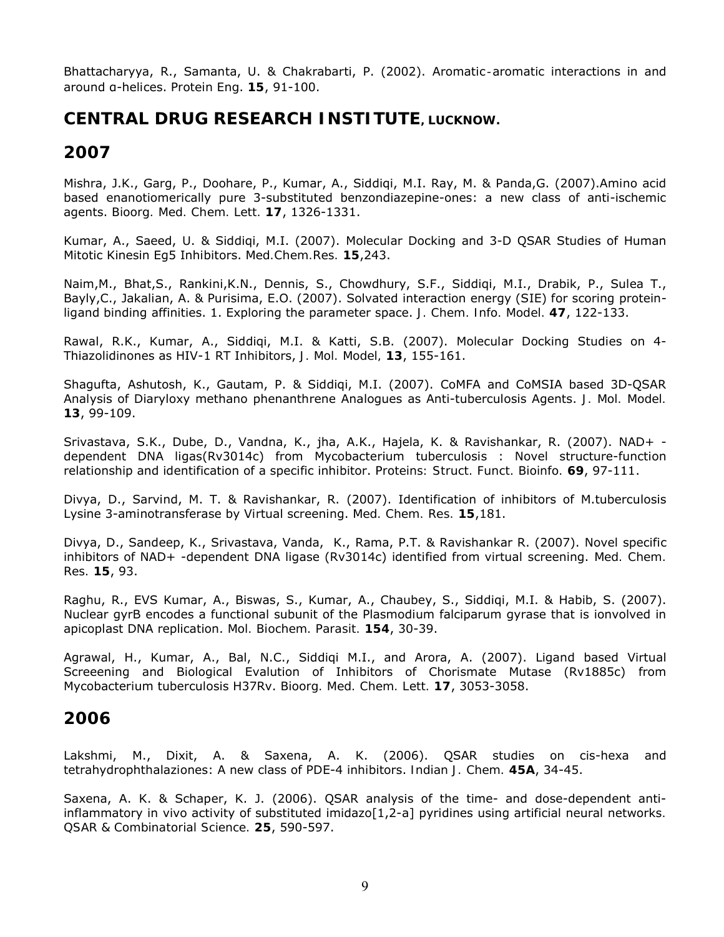Bhattacharyya, R., Samanta, U. & Chakrabarti, P. (2002). Aromatic-aromatic interactions in and around α-helices. *Protein Eng*. **15**, 91-100.

# **CENTRAL DRUG RESEARCH INSTITUTE, LUCKNOW.**

**2007**

Mishra, J.K., Garg, P., Doohare, P., Kumar, A., Siddiqi, M.I. Ray, M. & Panda,G. (2007).Amino acid based enanotiomerically pure 3-substituted benzondiazepine-ones: a new class of anti-ischemic agents. *Bioorg. Med. Chem. Lett.* **17**, 1326-1331.

Kumar, A., Saeed, U. & Siddiqi, M.I. (2007). Molecular Docking and 3-D QSAR Studies of Human Mitotic Kinesin Eg5 Inhibitors. *Med.Chem.Res.* **15**,243.

Naim,M., Bhat,S., Rankini,K.N., Dennis, S., Chowdhury, S.F., Siddiqi, M.I., Drabik, P., Sulea T., Bayly,C., Jakalian, A. & Purisima, E.O. (2007). Solvated interaction energy (SIE) for scoring proteinligand binding affinities. 1. Exploring the parameter space. *J. Chem. Info. Model.* **47**, 122-133.

Rawal, R.K., Kumar, A., Siddiqi, M.I. & Katti, S.B. (2007). Molecular Docking Studies on 4- Thiazolidinones as HIV-1 RT Inhibitors, *J. Mol. Model,* **13**, 155-161.

Shagufta, Ashutosh, K., Gautam, P. & Siddiqi, M.I. (2007). CoMFA and CoMSIA based 3D-QSAR Analysis of Diaryloxy methano phenanthrene Analogues as Anti-tuberculosis Agents. *J. Mol. Model.*  **13**, 99-109.

Srivastava, S.K., Dube, D., Vandna, K., jha, A.K., Hajela, K. & Ravishankar, R. (2007). NAD+ dependent DNA ligas(Rv3014c) from Mycobacterium tuberculosis : Novel structure-function relationship and identification of a specific inhibitor. *Proteins: Struct. Funct. Bioinfo.* **69**, 97-111.

Divya, D., Sarvind, M. T. & Ravishankar, R. (2007). Identification of inhibitors of M.tuberculosis Lysine 3-aminotransferase by Virtual screening. *Med. Chem. Res.* **15**,181.

Divya, D., Sandeep, K., Srivastava, Vanda, K., Rama, P.T. & Ravishankar R. (2007). Novel specific inhibitors of NAD+ -dependent DNA ligase (Rv3014c) identified from virtual screening. *Med. Chem. Res.* **15**, 93.

Raghu, R., EVS Kumar, A., Biswas, S., Kumar, A., Chaubey, S., Siddiqi, M.I. & Habib, S. (2007). Nuclear gyrB encodes a functional subunit of the Plasmodium falciparum gyrase that is ionvolved in apicoplast DNA replication. *Mol. Biochem. Parasit.* **154**, 30-39.

Agrawal, H., Kumar, A., Bal, N.C., Siddiqi M.I., and Arora, A. (2007). Ligand based Virtual Screeening and Biological Evalution of Inhibitors of Chorismate Mutase (Rv1885c) from Mycobacterium tuberculosis H37Rv. *Bioorg. Med. Chem. Lett.* **17**, 3053-3058.

**2006**

Lakshmi, M., Dixit, A. & Saxena, A. K. (2006). QSAR studies on cis-hexa and tetrahydrophthalaziones: A new class of PDE-4 inhibitors. *Indian J. Chem.* **45A**, 34-45.

Saxena, A. K. & Schaper, K. J. (2006). QSAR analysis of the time- and dose-dependent antiinflammatory in vivo activity of substituted imidazo[1,2-a] pyridines using artificial neural networks*. QSAR & Combinatorial Science.* **25**, 590-597.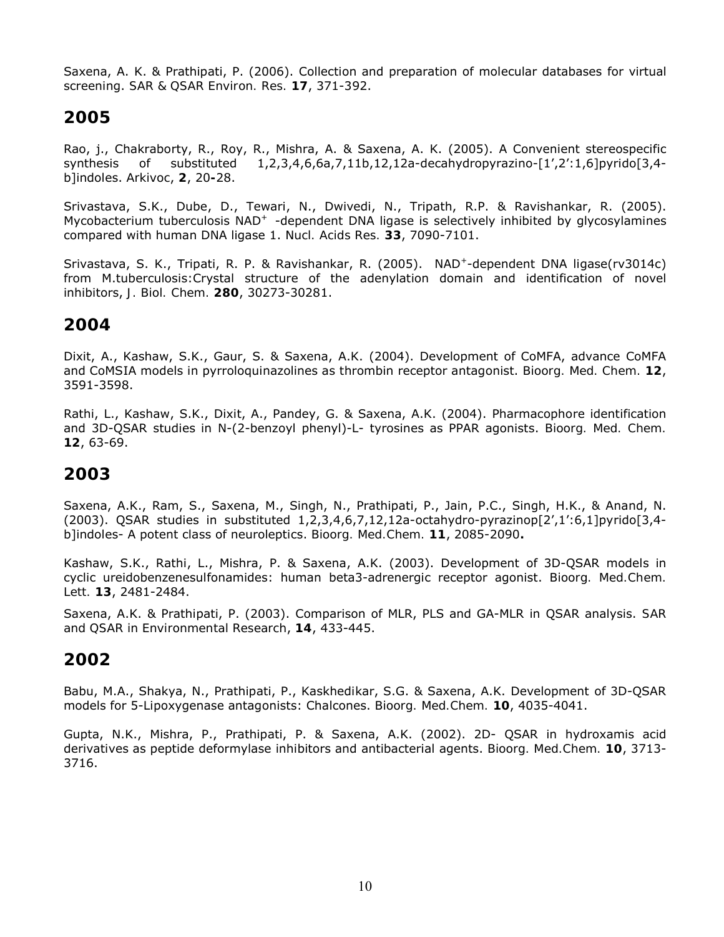Saxena, A. K. & Prathipati, P. (2006). Collection and preparation of molecular databases for virtual screening. *SAR & QSAR Environ. Res.* **17**, 371-392.

### **2005**

Rao, j., Chakraborty, R., Roy, R., Mishra, A. & Saxena, A. K. (2005). A Convenient stereospecific synthesis of substituted 1,2,3,4,6,6a,7,11b,12,12a-decahydropyrazino-[1',2':1,6]pyrido[3,4 b]indoles. *Arkivoc*, **2**, 20**-**28.

Srivastava, S.K., Dube, D., Tewari, N., Dwivedi, N., Tripath, R.P. & Ravishankar, R. (2005). Mycobacterium tuberculosis  $NAD<sup>+</sup>$  -dependent DNA ligase is selectively inhibited by glycosylamines compared with human DNA ligase 1. *Nucl. Acids Res.* **33**, 7090-7101.

Srivastava, S. K., Tripati, R. P. & Ravishankar, R. (2005). NAD<sup>+</sup>-dependent DNA ligase(rv3014c) from M.tuberculosis:Crystal structure of the adenylation domain and identification of novel inhibitors, *J. Biol. Chem.* **280**, 30273-30281.

### **2004**

Dixit, A., Kashaw, S.K., Gaur, S. & Saxena, A.K. (2004). Development of CoMFA, advance CoMFA and CoMSIA models in pyrroloquinazolines as thrombin receptor antagonist. *Bioorg. Med. Chem.* **12**, 3591-3598.

Rathi, L., Kashaw, S.K., Dixit, A., Pandey, G. & Saxena, A.K. (2004). Pharmacophore identification and 3D-QSAR studies in N-(2-benzoyl phenyl)-L- tyrosines as PPAR agonists. *Bioorg. Med. Chem.*  **12**, 63-69.

### **2003**

Saxena, A.K., Ram, S., Saxena, M., Singh, N., Prathipati, P., Jain, P.C., Singh, H.K., & Anand, N. (2003). QSAR studies in substituted 1,2,3,4,6,7,12,12a-octahydro-pyrazinop[2',1':6,1]pyrido[3,4 b]indoles- A potent class of neuroleptics. *Bioorg. Med.Chem.* **11**, 2085-2090**.**

Kashaw, S.K., Rathi, L., Mishra, P. & Saxena, A.K. (2003). Development of 3D-QSAR models in cyclic ureidobenzenesulfonamides: human beta3-adrenergic receptor agonist. *Bioorg. Med.Chem. Lett.* **13**, 2481-2484.

Saxena, A.K. & Prathipati, P. (2003). Comparison of MLR, PLS and GA-MLR in QSAR analysis. *SAR and QSAR in Environmental Research*, **14**, 433-445.

### **2002**

Babu, M.A., Shakya, N., Prathipati, P., Kaskhedikar, S.G. & Saxena, A.K. Development of 3D-QSAR models for 5-Lipoxygenase antagonists: Chalcones. *Bioorg. Med.Chem.* **10**, 4035-4041.

Gupta, N.K., Mishra, P., Prathipati, P. & Saxena, A.K. (2002). 2D- QSAR in hydroxamis acid derivatives as peptide deformylase inhibitors and antibacterial agents. *Bioorg. Med.Chem.* **10**, 3713- 3716.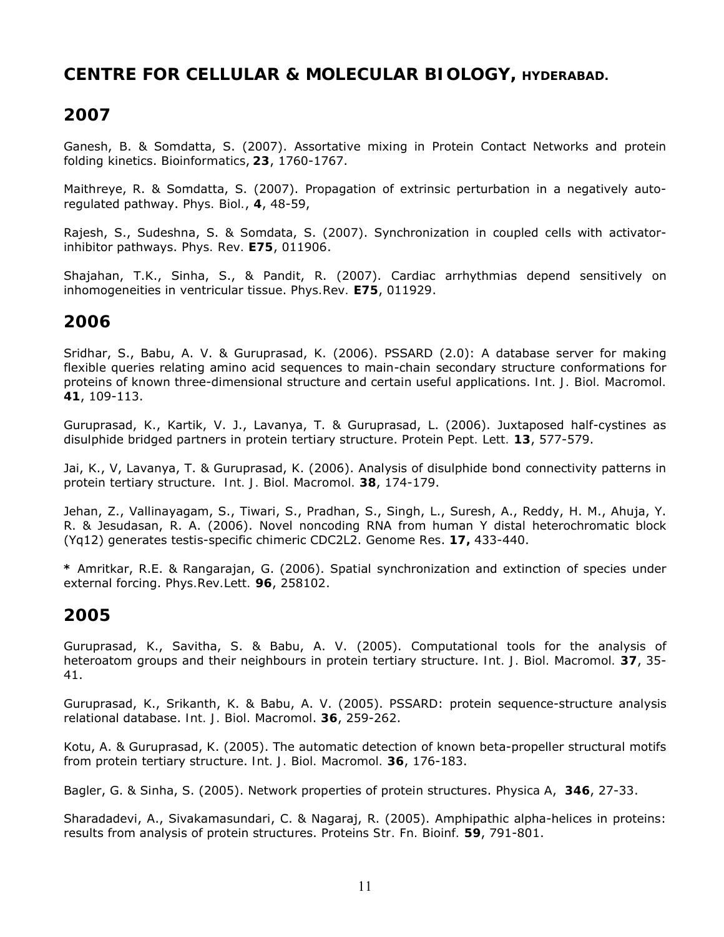# **CENTRE FOR CELLULAR & MOLECULAR BIOLOGY, HYDERABAD.**

# **2007**

Ganesh, B. & Somdatta, S. (2007). Assortative mixing in Protein Contact Networks and protein folding kinetics. *Bioinformatics*, **23**, 1760-1767.

Maithreye, R. & Somdatta, S. (2007). Propagation of extrinsic perturbation in a negatively autoregulated pathway. *Phys. Biol.*, **4**, 48-59,

Rajesh, S., Sudeshna, S. & Somdata, S. (2007). Synchronization in coupled cells with activatorinhibitor pathways. *Phys. Rev.* **E75**, 011906.

Shajahan, T.K., Sinha, S., & Pandit, R. (2007). Cardiac arrhythmias depend sensitively on inhomogeneities in ventricular tissue. *Phys.Rev.* **E75**, 011929.

#### **2006**

Sridhar, S., Babu, A. V. & Guruprasad, K. (2006). PSSARD (2.0): A database server for making flexible queries relating amino acid sequences to main-chain secondary structure conformations for proteins of known three-dimensional structure and certain useful applications. *Int. J. Biol. Macromol.*  **41**, 109-113.

Guruprasad, K., Kartik, V. J., Lavanya, T. & Guruprasad, L. (2006). Juxtaposed half-cystines as disulphide bridged partners in protein tertiary structure. *Protein Pept. Lett.* **13**, 577-579.

Jai, K., V, Lavanya, T. & Guruprasad, K. (2006). Analysis of disulphide bond connectivity patterns in protein tertiary structure. *Int. J. Biol. Macromol.* **38**, 174-179.

Jehan, Z., Vallinayagam, S., Tiwari, S., Pradhan, S., Singh, L., Suresh, A., Reddy, H. M., Ahuja, Y. R. & Jesudasan, R. A. (2006). Novel noncoding RNA from human Y distal heterochromatic block (Yq12) generates testis-specific chimeric CDC2L2. *Genome Res*. **17,** 433-440.

**\*** Amritkar, R.E. & Rangarajan, G. (2006). Spatial synchronization and extinction of species under external forcing. *Phys.Rev.Lett.* **96**, 258102.

### **2005**

Guruprasad, K., Savitha, S. & Babu, A. V. (2005). Computational tools for the analysis of heteroatom groups and their neighbours in protein tertiary structure. *Int. J. Biol. Macromol.* **37**, 35- 41.

Guruprasad, K., Srikanth, K. & Babu, A. V. (2005). PSSARD: protein sequence-structure analysis relational database. *Int. J. Biol. Macromol*. **36**, 259-262.

Kotu, A. & Guruprasad, K. (2005). The automatic detection of known beta-propeller structural motifs from protein tertiary structure. *Int. J. Biol. Macromol.* **36**, 176-183.

Bagler, G. & Sinha, S. (2005). Network properties of protein structures. *Physica A*, **346**, 27-33.

Sharadadevi, A., Sivakamasundari, C. & Nagaraj, R. (2005). Amphipathic alpha-helices in proteins: results from analysis of protein structures. *Proteins Str. Fn. Bioinf.* **59**, 791-801.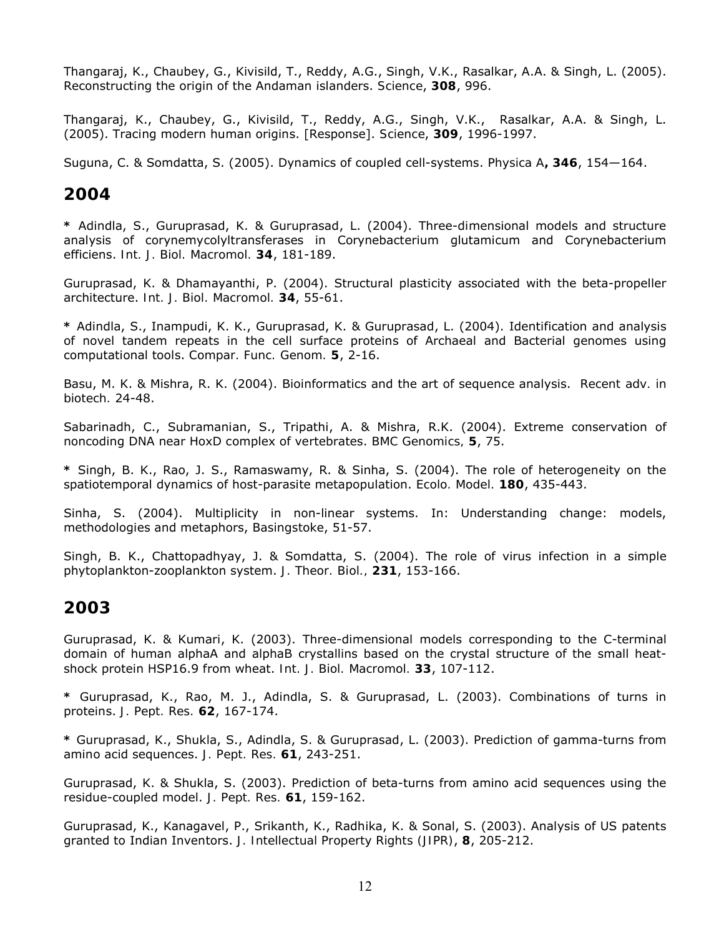Thangaraj, K., Chaubey, G., Kivisild, T., Reddy, A.G., Singh, V.K., Rasalkar, A.A. & Singh, L. (2005). Reconstructing the origin of the Andaman islanders. *Science*, **308**, 996.

Thangaraj, K., Chaubey, G., Kivisild, T., Reddy, A.G., Singh, V.K., Rasalkar, A.A. & Singh, L. (2005). Tracing modern human origins. [Response]. *Science*, **309**, 1996-1997.

Suguna, C. & Somdatta, S. (2005). Dynamics of coupled cell-systems. *Physica A***, 346**, 154—164.

#### **2004**

**\*** Adindla, S., Guruprasad, K. & Guruprasad, L. (2004). Three-dimensional models and structure analysis of corynemycolyltransferases in Corynebacterium glutamicum and Corynebacterium efficiens. *Int. J. Biol. Macromol.* **34**, 181-189.

Guruprasad, K. & Dhamayanthi, P. (2004). Structural plasticity associated with the beta-propeller architecture. *Int. J. Biol. Macromol.* **34**, 55-61.

**\*** Adindla, S., Inampudi, K. K., Guruprasad, K. & Guruprasad, L. (2004). Identification and analysis of novel tandem repeats in the cell surface proteins of Archaeal and Bacterial genomes using computational tools. *Compar. Func. Genom.* **5**, 2-16.

Basu, M. K. & Mishra, R. K. (2004). Bioinformatics and the art of sequence analysis. *Recent adv. in biotech.* 24-48.

Sabarinadh, C., Subramanian, S., Tripathi, A. & Mishra, R.K. (2004). Extreme conservation of noncoding DNA near HoxD complex of vertebrates. *BMC Genomics,* **5**, 75.

**\*** Singh, B. K., Rao, J. S., Ramaswamy, R. & Sinha, S. (2004). The role of heterogeneity on the spatiotemporal dynamics of host-parasite metapopulation. *Ecolo. Model.* **180**, 435-443.

Sinha, S. (2004). Multiplicity in non-linear systems. In: Understanding change: models, methodologies and metaphors, *Basingstoke*, 51-57.

Singh, B. K., Chattopadhyay, J. & Somdatta, S. (2004). The role of virus infection in a simple phytoplankton-zooplankton system. *J. Theor. Biol.,* **231**, 153-166.

### **2003**

Guruprasad, K. & Kumari, K. (2003). Three-dimensional models corresponding to the C-terminal domain of human alphaA and alphaB crystallins based on the crystal structure of the small heatshock protein HSP16.9 from wheat. *Int. J. Biol. Macromol.* **33**, 107-112.

**\*** Guruprasad, K., Rao, M. J., Adindla, S. & Guruprasad, L. (2003). Combinations of turns in proteins. *J. Pept. Res.* **62**, 167-174.

**\*** Guruprasad, K., Shukla, S., Adindla, S. & Guruprasad, L. (2003). Prediction of gamma-turns from amino acid sequences. *J. Pept. Res.* **61**, 243-251.

Guruprasad, K. & Shukla, S. (2003). Prediction of beta-turns from amino acid sequences using the residue-coupled model. *J. Pept. Res.* **61**, 159-162.

Guruprasad, K., Kanagavel, P., Srikanth, K., Radhika, K. & Sonal, S. (2003). Analysis of US patents granted to Indian Inventors. *J. Intellectual Property Rights (JIPR)*, **8**, 205-212.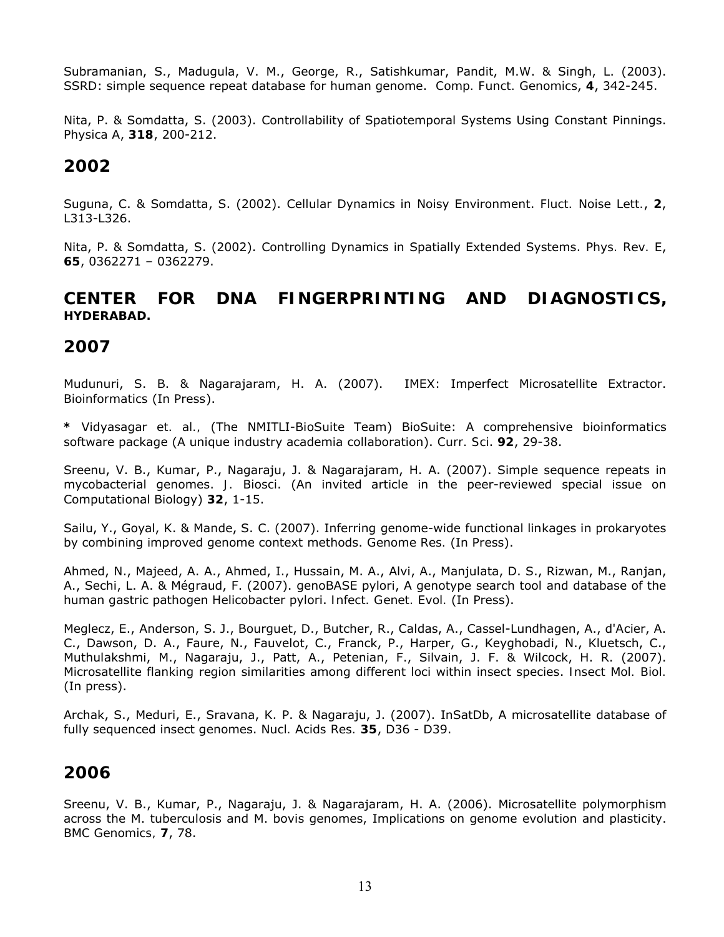Subramanian, S., Madugula, V. M., George, R., Satishkumar, Pandit, M.W. & Singh, L. (2003). SSRD: simple sequence repeat database for human genome. *Comp. Funct. Genomics*, **4**, 342-245.

Nita, P. & Somdatta, S. (2003). Controllability of Spatiotemporal Systems Using Constant Pinnings. *Physica A*, **318**, 200-212.

#### **2002**

Suguna, C. & Somdatta, S. (2002). Cellular Dynamics in Noisy Environment. *Fluct. Noise Lett.*, **2**, L313-L326.

Nita, P. & Somdatta, S. (2002). Controlling Dynamics in Spatially Extended Systems. *Phys. Rev. E*, **65**, 0362271 – 0362279.

**CENTER FOR DNA FINGERPRINTING AND DIAGNOSTICS, HYDERABAD.**

#### **2007**

Mudunuri, S. B. & Nagarajaram, H. A. (2007). IMEX: Imperfect Microsatellite Extractor. *Bioinformatics* (In Press).

**\*** Vidyasagar *et. al.,* (The NMITLI-BioSuite Team) BioSuite: A comprehensive bioinformatics software package (A unique industry academia collaboration). *Curr. Sci*. **92**, 29-38.

Sreenu, V. B., Kumar, P., Nagaraju, J. & Nagarajaram, H. A. (2007). Simple sequence repeats in mycobacterial genomes. *J. Biosci*. (An invited article in the peer-reviewed special issue on Computational Biology) **32**, 1-15.

Sailu, Y., Goyal, K. & Mande, S. C. (2007). Inferring genome-wide functional linkages in prokaryotes by combining improved genome context methods. *Genome Res.* (In Press).

Ahmed, N., Majeed, A. A., Ahmed, I., Hussain, M. A., Alvi, A., Manjulata, D. S., Rizwan, M., Ranjan, A., Sechi, L. A. & Mégraud, F. (2007). genoBASE pylori, A genotype search tool and database of the human gastric pathogen Helicobacter pylori. *Infect. Genet. Evol.* (In Press).

Meglecz, E., Anderson, S. J., Bourguet, D., Butcher, R., Caldas, A., Cassel-Lundhagen, A., d'Acier, A. C., Dawson, D. A., Faure, N., Fauvelot, C., Franck, P., Harper, G., Keyghobadi, N., Kluetsch, C., Muthulakshmi, M., Nagaraju, J., Patt, A., Petenian, F., Silvain, J. F. & Wilcock, H. R. (2007). Microsatellite flanking region similarities among different loci within insect species. *Insect Mol. Biol.* (In press).

Archak, S., Meduri, E., Sravana, K. P. & Nagaraju, J. (2007). InSatDb, A microsatellite database of fully sequenced insect genomes. *Nucl. Acids Res.* **35**, D36 - D39.

### **2006**

Sreenu, V. B., Kumar, P., Nagaraju, J. & Nagarajaram, H. A. (2006). Microsatellite polymorphism across the M. tuberculosis and M. bovis genomes, Implications on genome evolution and plasticity. *BMC Genomics,* **7**, 78.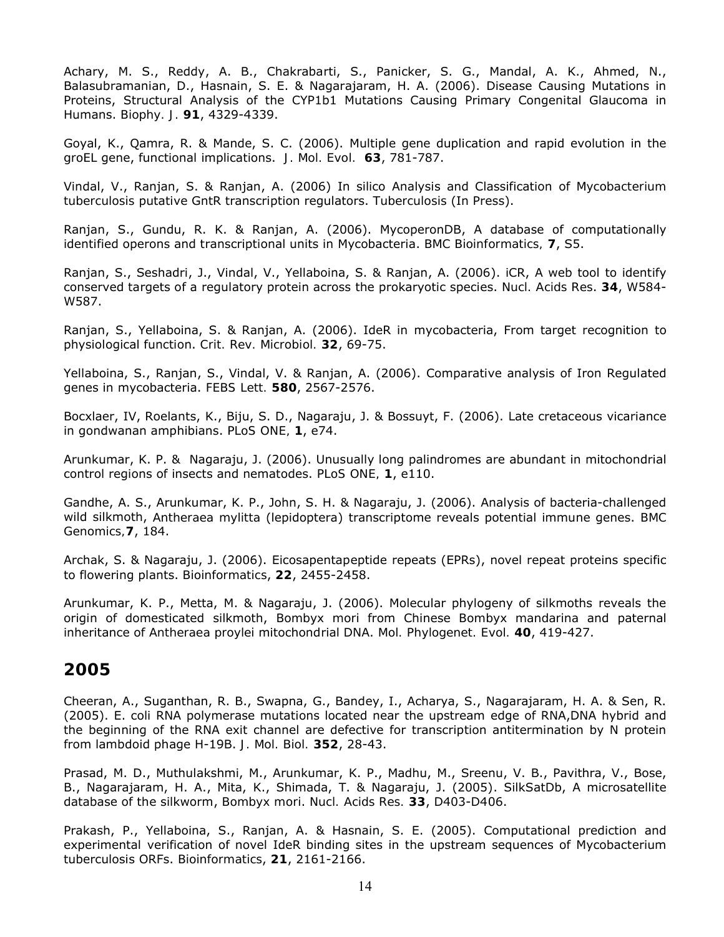Achary, M. S., Reddy, A. B., Chakrabarti, S., Panicker, S. G., Mandal, A. K., Ahmed, N., Balasubramanian, D., Hasnain, S. E. & Nagarajaram, H. A. (2006). Disease Causing Mutations in Proteins, Structural Analysis of the CYP1b1 Mutations Causing Primary Congenital Glaucoma in Humans. *Biophy. J.* **91**, 4329-4339.

Goyal, K., Qamra, R. & Mande, S. C. (2006). Multiple gene duplication and rapid evolution in the *groEL* gene, functional implications. *J. Mol. Evol.* **63**, 781-787.

Vindal, V., Ranjan, S. & Ranjan, A. (2006) In silico Analysis and Classification of *Mycobacterium tuberculosis* putative GntR transcription regulators. *Tuberculosis* (In Press).

Ranjan, S., Gundu, R. K. & Ranjan, A. (2006). MycoperonDB, A database of computationally identified operons and transcriptional units in Mycobacteria. *BMC Bioinformatics,* **7**, S5.

Ranjan, S., Seshadri, J., Vindal, V., Yellaboina, S. & Ranjan, A. (2006). iCR, A web tool to identify conserved targets of a regulatory protein across the prokaryotic species. *Nucl. Acids Res*. **34**, W584- W587.

Ranjan, S., Yellaboina, S. & Ranjan, A. (2006). IdeR in mycobacteria, From target recognition to physiological function. *Crit. Rev. Microbiol.* **32**, 69-75.

Yellaboina, S., Ranjan, S., Vindal, V. & Ranjan, A. (2006). Comparative analysis of Iron Regulated genes in mycobacteria. *FEBS Lett.* **580**, 2567-2576.

Bocxlaer, IV, Roelants, K., Biju, S. D., Nagaraju, J. & Bossuyt, F. (2006). Late cretaceous vicariance in gondwanan amphibians. *PLoS ONE,* **1**, e74.

Arunkumar, K. P. & Nagaraju, J. (2006). Unusually long palindromes are abundant in mitochondrial control regions of insects and nematodes. *PLoS ONE,* **1**, e110.

Gandhe, A. S., Arunkumar, K. P., John, S. H. & Nagaraju, J. (2006). Analysis of bacteria-challenged wild silkmoth, *Antheraea mylitta* (lepidoptera) transcriptome reveals potential immune genes. *BMC Genomics,***7**, 184.

Archak, S. & Nagaraju, J. (2006). Eicosapentapeptide repeats (EPRs), novel repeat proteins specific to flowering plants. *Bioinformatics*, **22**, 2455-2458.

Arunkumar, K. P., Metta, M. & Nagaraju, J. (2006). Molecular phylogeny of silkmoths reveals the origin of domesticated silkmoth, *Bombyx mori* from Chinese *Bombyx mandarina* and paternal inheritance of *Antheraea proylei* mitochondrial DNA. *Mol. Phylogenet. Evol.* **40**, 419-427.

### **2005**

Cheeran, A., Suganthan, R. B., Swapna, G., Bandey, I., Acharya, S., Nagarajaram, H. A. & Sen, R. (2005). E. coli RNA polymerase mutations located near the upstream edge of RNA,DNA hybrid and the beginning of the RNA exit channel are defective for transcription antitermination by N protein from lambdoid phage H-19B. *J. Mol. Biol.* **352**, 28-43.

Prasad, M. D., Muthulakshmi, M., Arunkumar, K. P., Madhu, M., Sreenu, V. B., Pavithra, V., Bose, B., Nagarajaram, H. A., Mita, K., Shimada, T. & Nagaraju, J. (2005). SilkSatDb, A microsatellite database of the silkworm, *Bombyx mori*. *Nucl. Acids Res.* **33**, D403-D406.

Prakash, P., Yellaboina, S., Ranjan, A. & Hasnain, S. E. (2005). Computational prediction and experimental verification of novel IdeR binding sites in the upstream sequences of Mycobacterium tuberculosis ORFs. *Bioinformatics*, **21**, 2161-2166.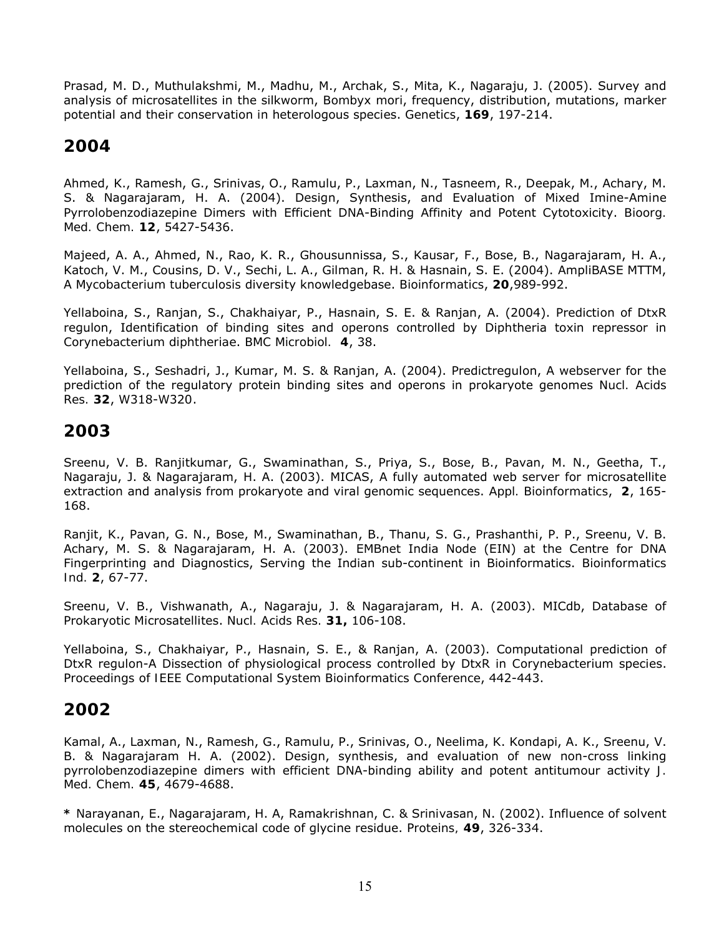Prasad, M. D., Muthulakshmi, M., Madhu, M., Archak, S., Mita, K., Nagaraju, J. (2005). Survey and analysis of microsatellites in the silkworm, *Bombyx mori*, frequency, distribution, mutations, marker potential and their conservation in heterologous species. *Genetics*, **169**, 197-214.

### **2004**

Ahmed, K., Ramesh, G., Srinivas, O., Ramulu, P., Laxman, N., Tasneem, R., Deepak, M., Achary, M. S. & Nagarajaram, H. A. (2004). Design, Synthesis, and Evaluation of Mixed Imine-Amine Pyrrolobenzodiazepine Dimers with Efficient DNA-Binding Affinity and Potent Cytotoxicity. *Bioorg. Med. Chem.* **12**, 5427-5436.

Majeed, A. A., Ahmed, N., Rao, K. R., Ghousunnissa, S., Kausar, F., Bose, B., Nagarajaram, H. A., Katoch, V. M., Cousins, D. V., Sechi, L. A., Gilman, R. H. & Hasnain, S. E. (2004). AmpliBASE MTTM, A *Mycobacterium tuberculosis* diversity knowledgebase. *Bioinformatics*, **20**,989-992.

Yellaboina, S., Ranjan, S., Chakhaiyar, P., Hasnain, S. E. & Ranjan, A. (2004). Prediction of DtxR regulon, Identification of binding sites and operons controlled by Diphtheria toxin repressor in *Corynebacterium diphtheriae*. *BMC Microbiol.* **4**, 38.

Yellaboina, S., Seshadri, J., Kumar, M. S. & Ranjan, A. (2004). Predictregulon, A webserver for the prediction of the regulatory protein binding sites and operons in prokaryote genomes *Nucl. Acids Res.* **32**, W318-W320.

### **2003**

Sreenu, V. B. Ranjitkumar, G., Swaminathan, S., Priya, S., Bose, B., Pavan, M. N., Geetha, T., Nagaraju, J. & Nagarajaram, H. A. (2003). MICAS, A fully automated web server for microsatellite extraction and analysis from prokaryote and viral genomic sequences. *Appl. Bioinformatics*, **2**, 165- 168.

Ranjit, K., Pavan, G. N., Bose, M., Swaminathan, B., Thanu, S. G., Prashanthi, P. P., Sreenu, V. B. Achary, M. S. & Nagarajaram, H. A. (2003). EMBnet India Node (EIN) at the Centre for DNA Fingerprinting and Diagnostics, Serving the Indian sub-continent in Bioinformatics. *Bioinformatics Ind.* **2**, 67-77.

Sreenu, V. B., Vishwanath, A., Nagaraju, J. & Nagarajaram, H. A. (2003). MICdb, Database of Prokaryotic Microsatellites. *Nucl. Acids Res.* **31,** 106-108.

Yellaboina, S., Chakhaiyar, P., Hasnain, S. E., & Ranjan, A. (2003). Computational prediction of DtxR regulon-A Dissection of physiological process controlled by DtxR in *Corynebacterium* species. *Proceedings of IEEE Computational System Bioinformatics Conference*, 442-443.

## **2002**

Kamal, A., Laxman, N., Ramesh, G., Ramulu, P., Srinivas, O., Neelima, K. Kondapi, A. K., Sreenu, V. B. & Nagarajaram H. A. (2002). Design, synthesis, and evaluation of new non-cross linking pyrrolobenzodiazepine dimers with efficient DNA-binding ability and potent antitumour activity *J. Med. Chem.* **45**, 4679-4688.

**\*** Narayanan, E., Nagarajaram, H. A, Ramakrishnan, C. & Srinivasan, N. (2002). Influence of solvent molecules on the stereochemical code of glycine residue. *Proteins,* **49**, 326-334.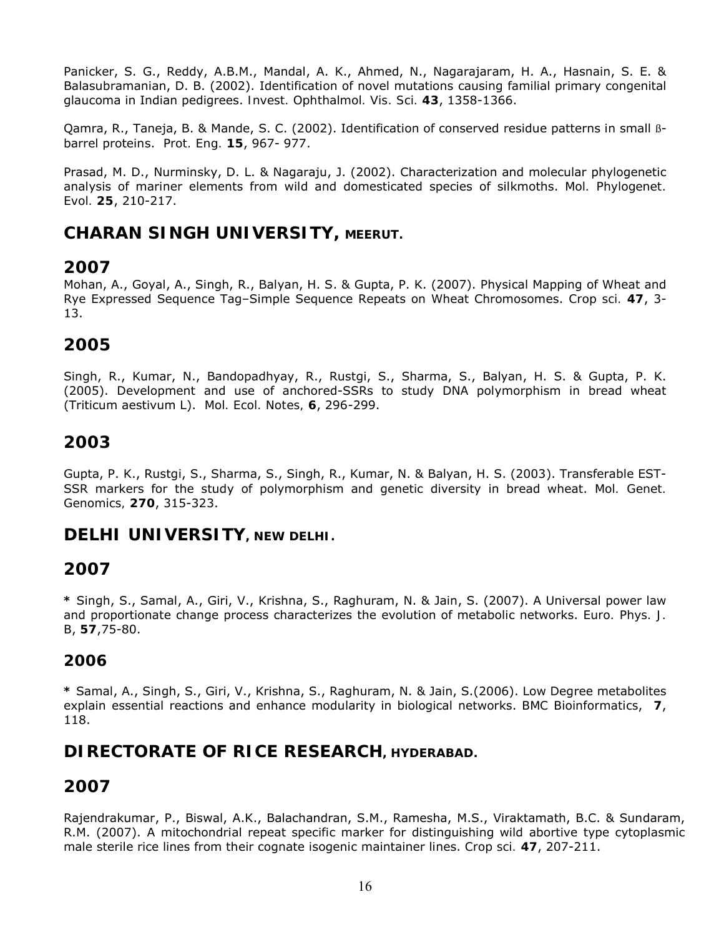Panicker, S. G., Reddy, A.B.M., Mandal, A. K., Ahmed, N., Nagarajaram, H. A., Hasnain, S. E. & Balasubramanian, D. B. (2002). Identification of novel mutations causing familial primary congenital glaucoma in Indian pedigrees. *Invest. Ophthalmol. Vis. Sci.* **43**, 1358-1366.

Qamra, R., Taneja, B. & Mande, S. C. (2002). Identification of conserved residue patterns in small ßbarrel proteins. *Prot. Eng.* **15**, 967- 977.

Prasad, M. D., Nurminsky, D. L. & Nagaraju, J. (2002). Characterization and molecular phylogenetic analysis of mariner elements from wild and domesticated species of silkmoths. *Mol. Phylogenet. Evol.* **25**, 210-217.

**CHARAN SINGH UNIVERSITY, MEERUT.**

## **2007**

Mohan, A., Goyal, A., Singh, R., Balyan, H. S. & Gupta, P. K. (2007). Physical Mapping of Wheat and Rye Expressed Sequence Tag–Simple Sequence Repeats on Wheat Chromosomes. *Crop sci.* **47**, 3- 13.

## **2005**

Singh, R., Kumar, N., Bandopadhyay, R., Rustgi, S., Sharma, S., Balyan, H. S. & Gupta, P. K. (2005). Development and use of anchored-SSRs to study DNA polymorphism in bread wheat (Triticum aestivum L). *Mol. Ecol. Notes,* **6**, 296-299.

## **2003**

Gupta, P. K., Rustgi, S., Sharma, S., Singh, R., Kumar, N. & Balyan, H. S. (2003). Transferable EST-SSR markers for the study of polymorphism and genetic diversity in bread wheat. *Mol. Genet. Genomics,* **270**, 315-323.

**DELHI UNIVERSITY, NEW DELHI.**

## **2007**

**\*** Singh, S., Samal, A., Giri, V., Krishna, S., Raghuram, N. & Jain, S. (2007). A Universal power law and proportionate change process characterizes the evolution of metabolic networks. *Euro. Phys. J. B*, **57**,75-80.

### **2006**

**\*** Samal, A., Singh, S., Giri, V., Krishna, S., Raghuram, N. & Jain, S.(2006). Low Degree metabolites explain essential reactions and enhance modularity in biological networks. *BMC Bioinformatics*, **7**, 118.

# **DIRECTORATE OF RICE RESEARCH, HYDERABAD.**

# **2007**

Rajendrakumar, P., Biswal, A.K., Balachandran, S.M., Ramesha, M.S., Viraktamath, B.C. & Sundaram, R.M. (2007). A mitochondrial repeat specific marker for distinguishing wild abortive type cytoplasmic male sterile rice lines from their cognate isogenic maintainer lines. *Crop sci.* **47**, 207-211.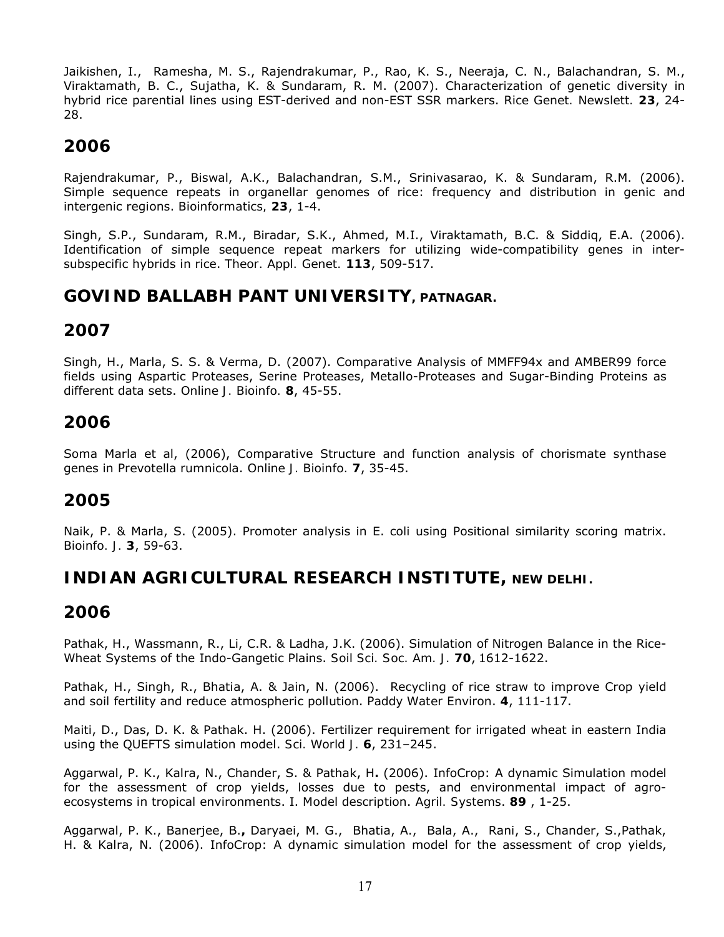Jaikishen, I., Ramesha, M. S., Rajendrakumar, P., Rao, K. S., Neeraja, C. N., Balachandran, S. M., Viraktamath, B. C., Sujatha, K. & Sundaram, R. M. (2007). Characterization of genetic diversity in hybrid rice parential lines using EST-derived and non-EST SSR markers. *Rice Genet. Newslett.* **23**, 24- 28.

### **2006**

Rajendrakumar, P., Biswal, A.K., Balachandran, S.M., Srinivasarao, K. & Sundaram, R.M. (2006). Simple sequence repeats in organellar genomes of rice: frequency and distribution in genic and intergenic regions. *Bioinformatics,* **23**, 1-4.

Singh, S.P., Sundaram, R.M., Biradar, S.K., Ahmed, M.I., Viraktamath, B.C. & Siddiq, E.A. (2006). Identification of simple sequence repeat markers for utilizing wide-compatibility genes in intersubspecific hybrids in rice. *Theor. Appl. Genet.* **113**, 509-517.

## **GOVIND BALLABH PANT UNIVERSITY, PATNAGAR.**

## **2007**

Singh, H., Marla, S. S. & Verma, D. (2007). Comparative Analysis of MMFF94x and AMBER99 force fields using Aspartic Proteases, Serine Proteases, Metallo-Proteases and Sugar-Binding Proteins as different data sets. *Online J. Bioinfo.* **8**, 45-55.

## **2006**

Soma Marla et al, (2006), Comparative Structure and function analysis of chorismate synthase genes in *Prevotella rumnicola*. *Online J. Bioinfo.* **7**, 35-45.

## **2005**

Naik, P. & Marla, S. (2005). Promoter analysis in E. coli using Positional similarity scoring matrix. *Bioinfo. J.* **3**, 59-63.

**INDIAN AGRICULTURAL RESEARCH INSTITUTE, NEW DELHI.**

# **2006**

Pathak, H., Wassmann, R., Li, C.R. & Ladha, J.K. (2006). Simulation of Nitrogen Balance in the Rice-Wheat Systems of the Indo-Gangetic Plains. *Soil Sci. Soc. Am. J.* **70**, 1612-1622.

Pathak, H., Singh, R., Bhatia, A. & Jain, N. (2006). Recycling of rice straw to improve Crop yield and soil fertility and reduce atmospheric pollution. *Paddy Water Environ*. **4**, 111-117.

Maiti, D., Das, D. K. & Pathak. H. (2006). Fertilizer requirement for irrigated wheat in eastern India using the QUEFTS simulation model. *Sci. World J.* **6**, 231–245.

Aggarwal, P. K., Kalra, N., Chander, S. & Pathak, H**.** (2006). InfoCrop: A dynamic Simulation model for the assessment of crop yields, losses due to pests, and environmental impact of agroecosystems in tropical environments. I. Model description. *Agril. Systems*. **89** , 1-25.

Aggarwal, P. K., Banerjee, B.**,** Daryaei, M. G., Bhatia, A., Bala, A., Rani, S., Chander, S.,Pathak, H. & Kalra, N. (2006). InfoCrop: A dynamic simulation model for the assessment of crop yields,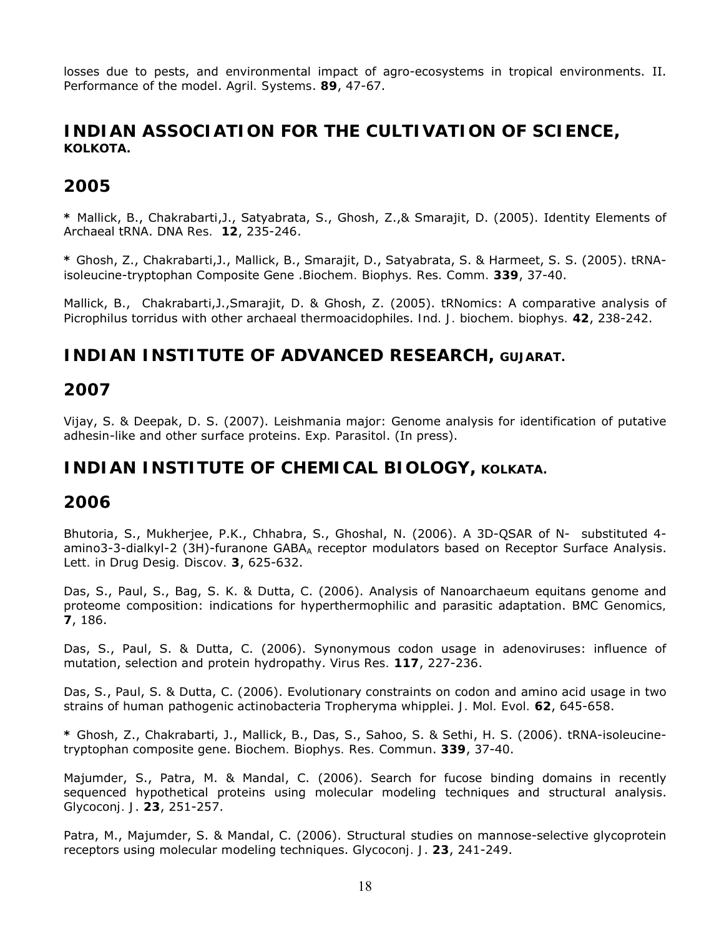losses due to pests, and environmental impact of agro-ecosystems in tropical environments. II. Performance of the model. *Agril. Systems*. **89**, 47-67.

### **INDIAN ASSOCIATION FOR THE CULTIVATION OF SCIENCE, KOLKOTA.**

### **2005**

**\*** Mallick, B., Chakrabarti,J., Satyabrata, S., Ghosh, Z.,& Smarajit, D. (2005). Identity Elements of Archaeal tRNA. *DNA Res.* **12**, 235-246.

**\*** Ghosh, Z., Chakrabarti,J., Mallick, B., Smarajit, D., Satyabrata, S. & Harmeet, S. S. (2005). tRNAisoleucine-tryptophan Composite Gene .*Biochem. Biophys. Res. Comm.* **339**, 37-40.

Mallick, B., Chakrabarti,J.,Smarajit, D. & Ghosh, Z. (2005). tRNomics: A comparative analysis of Picrophilus torridus with other archaeal thermoacidophiles. *Ind. J. biochem. biophys.* **42**, 238-242.

## **INDIAN INSTITUTE OF ADVANCED RESEARCH, GUJARAT.**

### **2007**

Vijay, S. & Deepak, D. S. (2007). Leishmania major: Genome analysis for identification of putative adhesin-like and other surface proteins. *Exp. Parasitol*. (In press).

### **INDIAN INSTITUTE OF CHEMICAL BIOLOGY, KOLKATA.**

## **2006**

Bhutoria, S., Mukherjee, P.K., Chhabra, S., Ghoshal, N. (2006). A 3D-QSAR of N- substituted 4 amino3-3-dialkyl-2 (3H)-furanone GABA<sub>A</sub> receptor modulators based on Receptor Surface Analysis. *Lett. in Drug Desig. Discov.* **3**, 625-632.

Das, S., Paul, S., Bag, S. K. & Dutta, C. (2006). Analysis of Nanoarchaeum equitans genome and proteome composition: indications for hyperthermophilic and parasitic adaptation. *BMC Genomics,* **7**, 186.

Das, S., Paul, S. & Dutta, C. (2006). Synonymous codon usage in adenoviruses: influence of mutation, selection and protein hydropathy. *Virus Res.* **117**, 227-236.

Das, S., Paul, S. & Dutta, C. (2006). Evolutionary constraints on codon and amino acid usage in two strains of human pathogenic actinobacteria Tropheryma whipplei. *J. Mol. Evol.* **62**, 645-658.

**\*** Ghosh, Z., Chakrabarti, J., Mallick, B., Das, S., Sahoo, S. & Sethi, H. S. (2006). tRNA-isoleucinetryptophan composite gene. *Biochem. Biophys. Res. Commun*. **339**, 37-40.

Majumder, S., Patra, M. & Mandal, C. (2006). Search for fucose binding domains in recently sequenced hypothetical proteins using molecular modeling techniques and structural analysis. *Glycoconj. J*. **23**, 251-257.

Patra, M., Majumder, S. & Mandal, C. (2006). Structural studies on mannose-selective glycoprotein receptors using molecular modeling techniques. *Glycoconj. J*. **23**, 241-249.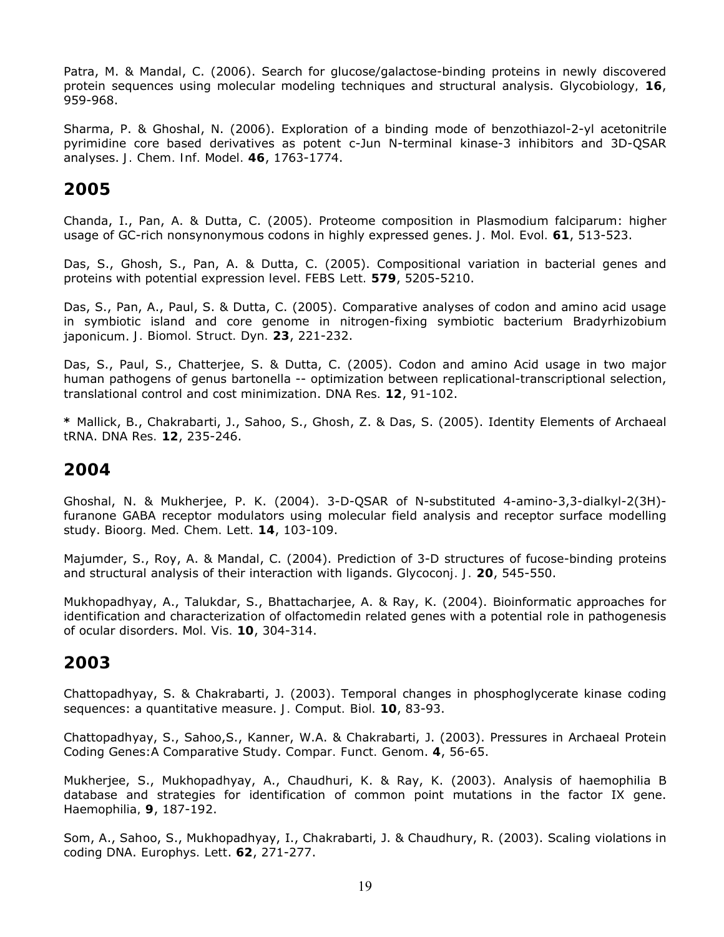Patra, M. & Mandal, C. (2006). Search for glucose/galactose-binding proteins in newly discovered protein sequences using molecular modeling techniques and structural analysis. *Glycobiology,* **16**, 959-968.

Sharma, P. & Ghoshal, N. (2006). Exploration of a binding mode of benzothiazol-2-yl acetonitrile pyrimidine core based derivatives as potent c-Jun N-terminal kinase-3 inhibitors and 3D-QSAR analyses. *J. Chem. Inf. Model.* **46**, 1763-1774.

#### **2005**

Chanda, I., Pan, A. & Dutta, C. (2005). Proteome composition in Plasmodium falciparum: higher usage of GC-rich nonsynonymous codons in highly expressed genes. *J. Mol. Evol.* **61**, 513-523.

Das, S., Ghosh, S., Pan, A. & Dutta, C. (2005). Compositional variation in bacterial genes and proteins with potential expression level. *FEBS Lett.* **579**, 5205-5210.

Das, S., Pan, A., Paul, S. & Dutta, C. (2005). Comparative analyses of codon and amino acid usage in symbiotic island and core genome in nitrogen-fixing symbiotic bacterium Bradyrhizobium japonicum. *J. Biomol. Struct. Dyn.* **23**, 221-232.

Das, S., Paul, S., Chatterjee, S. & Dutta, C. (2005). Codon and amino Acid usage in two major human pathogens of genus bartonella -- optimization between replicational-transcriptional selection, translational control and cost minimization. *DNA Res.* **12**, 91-102.

**\*** Mallick, B., Chakrabarti, J., Sahoo, S., Ghosh, Z. & Das, S. (2005). Identity Elements of Archaeal tRNA. *DNA Res.* **12**, 235-246.

#### **2004**

Ghoshal, N. & Mukherjee, P. K. (2004). 3-D-QSAR of N-substituted 4-amino-3,3-dialkyl-2(3H) furanone GABA receptor modulators using molecular field analysis and receptor surface modelling study. *Bioorg. Med. Chem. Lett.* **14**, 103-109.

Majumder, S., Roy, A. & Mandal, C. (2004). Prediction of 3-D structures of fucose-binding proteins and structural analysis of their interaction with ligands. *Glycoconj. J.* **20**, 545-550.

Mukhopadhyay, A., Talukdar, S., Bhattacharjee, A. & Ray, K. (2004). Bioinformatic approaches for identification and characterization of olfactomedin related genes with a potential role in pathogenesis of ocular disorders. *Mol. Vis.* **10**, 304-314.

### **2003**

Chattopadhyay, S. & Chakrabarti, J. (2003). Temporal changes in phosphoglycerate kinase coding sequences: a quantitative measure. *J. Comput. Biol.* **10**, 83-93.

Chattopadhyay, S., Sahoo,S., Kanner, W.A. & Chakrabarti, J. (2003). Pressures in Archaeal Protein Coding Genes:A Comparative Study. *Compar. Funct. Genom*. **4**, 56-65.

Mukherjee, S., Mukhopadhyay, A., Chaudhuri, K. & Ray, K. (2003). Analysis of haemophilia B database and strategies for identification of common point mutations in the factor IX gene. *Haemophilia,* **9**, 187-192.

Som, A., Sahoo, S., Mukhopadhyay, I., Chakrabarti, J. & Chaudhury, R. (2003). Scaling violations in coding DNA. *Europhys. Lett*. **62**, 271-277.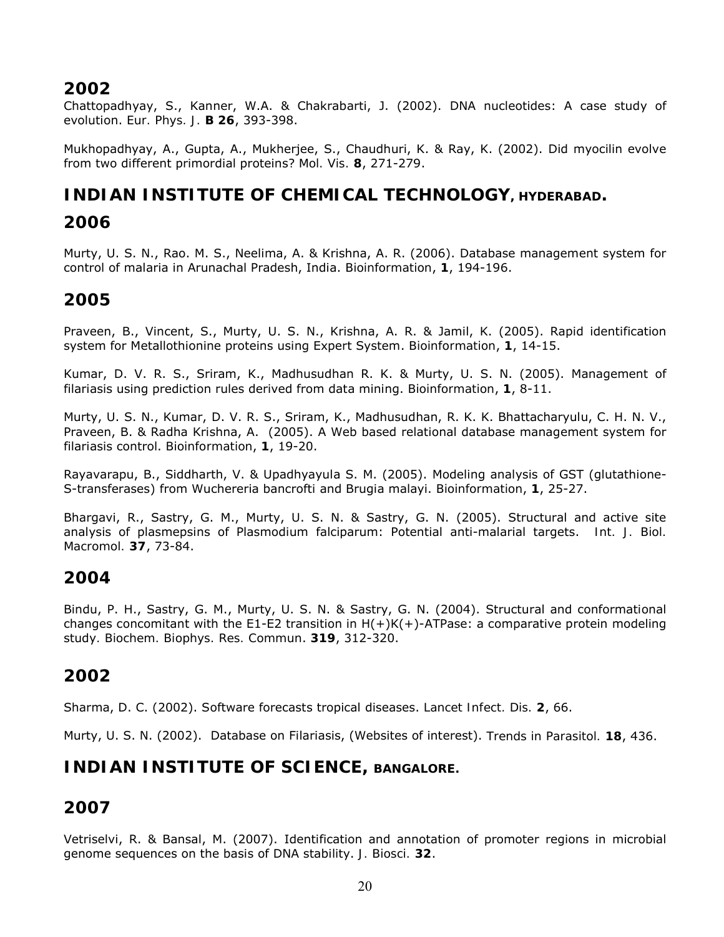Chattopadhyay, S., Kanner, W.A. & Chakrabarti, J. (2002). DNA nucleotides: A case study of evolution. *Eur. Phys. J.* **B 26**, 393-398.

Mukhopadhyay, A., Gupta, A., Mukherjee, S., Chaudhuri, K. & Ray, K. (2002). Did myocilin evolve from two different primordial proteins? *Mol. Vis.* **8**, 271-279.

# **INDIAN INSTITUTE OF CHEMICAL TECHNOLOGY, HYDERABAD.**

### **2006**

Murty, U. S. N., Rao. M. S., Neelima, A. & Krishna, A. R. (2006). Database management system for control of malaria in Arunachal Pradesh, India. *Bioinformation*, **1**, 194-196.

### **2005**

Praveen, B., Vincent, S., Murty, U. S. N., Krishna, A. R. & Jamil, K. (2005). Rapid identification system for Metallothionine proteins using Expert System. *Bioinformation*, **1**, 14-15.

Kumar, D. V. R. S., Sriram, K., Madhusudhan R. K. & Murty, U. S. N. (2005). Management of filariasis using prediction rules derived from data mining. *Bioinformation*, **1**, 8-11.

Murty, U. S. N., Kumar, D. V. R. S., Sriram, K., Madhusudhan, R. K. K. Bhattacharyulu, C. H. N. V., Praveen, B. & Radha Krishna, A. (2005). A Web based relational database management system for filariasis control. *Bioinformation*, **1**, 19-20.

Rayavarapu, B., Siddharth, V. & Upadhyayula S. M. (2005). Modeling analysis of GST (glutathione-S-transferases) from Wuchereria bancrofti and Brugia malayi. *Bioinformation*, **1**, 25-27.

Bhargavi, R., Sastry, G. M., Murty, U. S. N. & Sastry, G. N. (2005). Structural and active site analysis of plasmepsins of Plasmodium falciparum: Potential anti-malarial targets. *Int. J. Biol. Macromol.* **37**, 73-84.

### **2004**

Bindu, P. H., Sastry, G. M., Murty, U. S. N. & Sastry, G. N. (2004). Structural and conformational changes concomitant with the E1-E2 transition in  $H(+)K(+)$ -ATPase: a comparative protein modeling study*. Biochem. Biophys. Res. Commun*. **319**, 312-320.

## **2002**

Sharma, D. C. (2002). Software forecasts tropical diseases. *Lancet Infect. Dis.* **2**, 66.

Murty, U. S. N. (2002). Database on Filariasis, (Websites of interest). *Trends in Parasitol.* **18**, 436.

**INDIAN INSTITUTE OF SCIENCE, BANGALORE.**

# **2007**

Vetriselvi, R. & Bansal, M. (2007). Identification and annotation of promoter regions in microbial genome sequences on the basis of DNA stability. *J. Biosci.* **32**.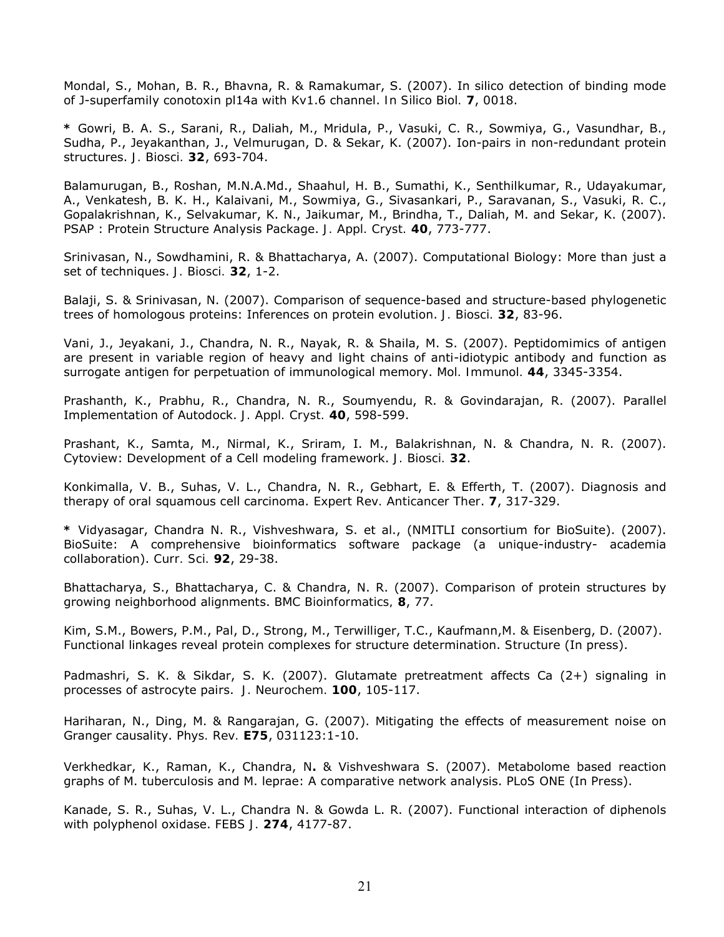Mondal, S., Mohan, B. R., Bhavna, R. & Ramakumar, S. (2007). In silico detection of binding mode of J-superfamily conotoxin pl14a with Kv1.6 channel. *In Silico Biol.* **7**, 0018.

**\*** Gowri, B. A. S., Sarani, R., Daliah, M., Mridula, P., Vasuki, C. R., Sowmiya, G., Vasundhar, B., Sudha, P., Jeyakanthan, J., Velmurugan, D. & Sekar, K. (2007). Ion-pairs in non-redundant protein structures. *J. Biosci.* **32**, 693-704.

Balamurugan, B., Roshan, M.N.A.Md., Shaahul, H. B., Sumathi, K., Senthilkumar, R., Udayakumar, A., Venkatesh, B. K. H., Kalaivani, M., Sowmiya, G., Sivasankari, P., Saravanan, S., Vasuki, R. C., Gopalakrishnan, K., Selvakumar, K. N., Jaikumar, M., Brindha, T., Daliah, M. and Sekar, K. (2007). PSAP : Protein Structure Analysis Package. *J. Appl. Cryst.* **40**, 773-777.

Srinivasan, N., Sowdhamini, R. & Bhattacharya, A. (2007). Computational Biology: More than just a set of techniques. *J. Biosci.* **32**, 1-2.

Balaji, S. & Srinivasan, N. (2007). Comparison of sequence-based and structure-based phylogenetic trees of homologous proteins: Inferences on protein evolution. *J. Biosci.* **32**, 83-96.

Vani, J., Jeyakani, J., Chandra, N. R., Nayak, R. & Shaila, M. S. (2007). Peptidomimics of antigen are present in variable region of heavy and light chains of anti-idiotypic antibody and function as surrogate antigen for perpetuation of immunological memory. *Mol. Immunol.* **44**, 3345-3354.

Prashanth, K., Prabhu, R., Chandra, N. R., Soumyendu, R. & Govindarajan, R. (2007). Parallel Implementation of Autodock. *J. Appl. Cryst.* **40**, 598-599.

Prashant, K., Samta, M., Nirmal, K., Sriram, I. M., Balakrishnan, N. & Chandra, N. R. (2007). Cytoview: Development of a Cell modeling framework. *J. Biosci.* **32**.

Konkimalla, V. B., Suhas, V. L., Chandra, N. R., Gebhart, E. & Efferth, T. (2007). Diagnosis and therapy of oral squamous cell carcinoma. *Expert Rev. Anticancer Ther*. **7**, 317-329.

**\*** Vidyasagar, Chandra N. R., Vishveshwara, S. et al., (NMITLI consortium for BioSuite). (2007). BioSuite: A comprehensive bioinformatics software package (a unique-industry- academia collaboration). *Curr. Sci.* **92**, 29-38.

Bhattacharya, S., Bhattacharya, C. & Chandra, N. R. (2007). Comparison of protein structures by growing neighborhood alignments. *BMC Bioinformatics,* **8**, 77.

Kim, S.M., Bowers, P.M., Pal, D., Strong, M., Terwilliger, T.C., Kaufmann,M. & Eisenberg, D. (2007). Functional linkages reveal protein complexes for structure determination. *Structure* (In press).

Padmashri, S. K. & Sikdar, S. K. (2007). Glutamate pretreatment affects Ca (2+) signaling in processes of astrocyte pairs.*J. Neurochem.* **100**, 105-117.

Hariharan, N., Ding, M. & Rangarajan, G. (2007). Mitigating the effects of measurement noise on Granger causality. *Phys. Rev.* **E75**, 031123:1-10.

Verkhedkar, K., Raman, K., Chandra, N**.** & Vishveshwara S. (2007). Metabolome based reaction graphs of M. tuberculosis and M. leprae: A comparative network analysis. *PLoS ONE* (In Press).

Kanade, S. R., Suhas, V. L., Chandra N. & Gowda L. R. (2007). Functional interaction of diphenols with polyphenol oxidase. *FEBS J.* **274**, 4177-87.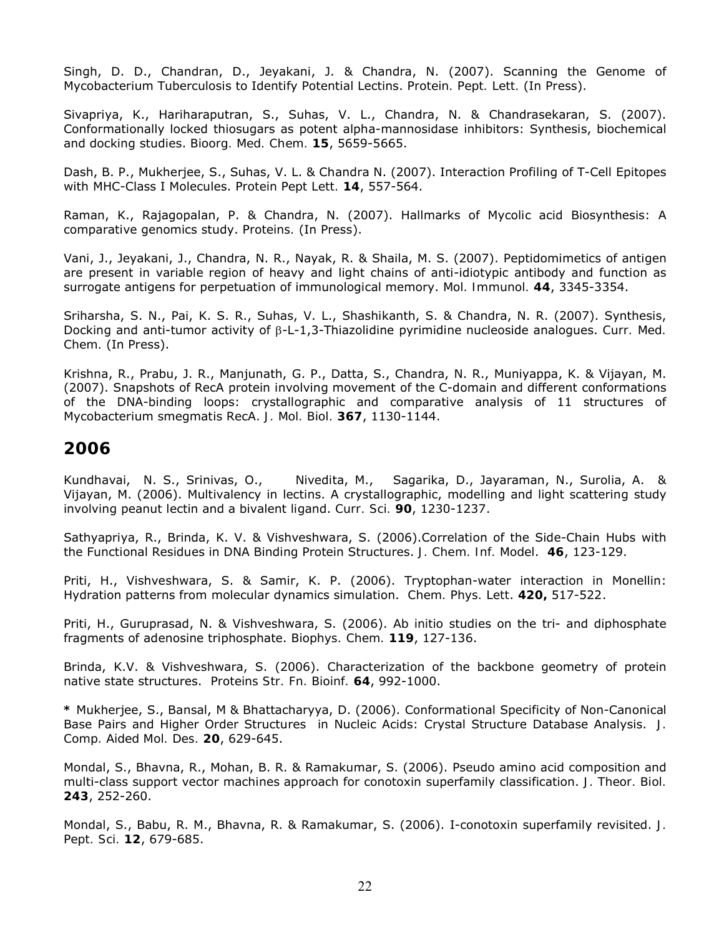Singh, D. D., Chandran, D., Jeyakani, J. & Chandra, N. (2007). Scanning the Genome of Mycobacterium Tuberculosis to Identify Potential Lectins. *Protein. Pept. Lett.* (In Press).

Sivapriya, K., Hariharaputran, S., Suhas, V. L., Chandra, N. & Chandrasekaran, S. (2007). Conformationally locked thiosugars as potent alpha-mannosidase inhibitors: Synthesis, biochemical and docking studies. *Bioorg. Med. Chem.* **15**, 5659-5665.

Dash, B. P., Mukherjee, S., Suhas, V. L. & Chandra N. (2007). Interaction Profiling of T-Cell Epitopes with MHC-Class I Molecules. *Protein Pept Lett.* **14**, 557-564.

Raman, K., Rajagopalan, P. & Chandra, N. (2007). Hallmarks of Mycolic acid Biosynthesis: A comparative genomics study. *Proteins.* (In Press).

Vani, J., Jeyakani, J., Chandra, N. R., Nayak, R. & Shaila, M. S. (2007). Peptidomimetics of antigen are present in variable region of heavy and light chains of anti-idiotypic antibody and function as surrogate antigens for perpetuation of immunological memory. *Mol. Immunol.* **44**, 3345-3354.

Sriharsha, S. N., Pai, K. S. R., Suhas, V. L., Shashikanth, S. & Chandra, N. R. (2007). Synthesis, Docking and anti-tumor activity of β-L-1,3-Thiazolidine pyrimidine nucleoside analogues. Curr. Med. *Chem.* (In Press).

Krishna, R., Prabu, J. R., Manjunath, G. P., Datta, S., Chandra, N. R., Muniyappa, K. & Vijayan, M. (2007). Snapshots of RecA protein involving movement of the C-domain and different conformations of the DNA-binding loops: crystallographic and comparative analysis of 11 structures of Mycobacterium smegmatis RecA. *J. Mol. Biol.* **367**, 1130-1144.

#### **2006**

Kundhavai, N. S., Srinivas, O., Nivedita, M., Sagarika, D., Jayaraman, N., Surolia, A. & Vijayan, M. (2006). Multivalency in lectins. A crystallographic, modelling and light scattering study involving peanut lectin and a bivalent ligand. *Curr. Sci.* **90**, 1230-1237.

Sathyapriya, R., Brinda, K. V. & Vishveshwara, S. (2006).Correlation of the Side-Chain Hubs with the Functional Residues in DNA Binding Protein Structures. *J. Chem. Inf. Model*. **46**, 123-129.

Priti, H., Vishveshwara, S. & Samir, K. P. (2006). Tryptophan-water interaction in Monellin: Hydration patterns from molecular dynamics simulation. *Chem. Phys. Lett*. **420,** 517-522.

Priti, H., Guruprasad, N. & Vishveshwara, S. (2006). *Ab initio* studies on the tri- and diphosphate fragments of adenosine triphosphate. *Biophys. Chem.* **119**, 127-136.

Brinda, K.V. & Vishveshwara, S. (2006). Characterization of the backbone geometry of protein native state structures. *Proteins Str. Fn. Bioinf.* **64**, 992-1000.

**\*** Mukherjee, S., Bansal, M & Bhattacharyya, D. (2006). Conformational Specificity of Non-Canonical Base Pairs and Higher Order Structures in Nucleic Acids: Crystal Structure Database Analysis. *J. Comp. Aided Mol. Des.* **20**, 629-645.

Mondal, S., Bhavna, R., Mohan, B. R. & Ramakumar, S. (2006). Pseudo amino acid composition and multi-class support vector machines approach for conotoxin superfamily classification. *J. Theor. Biol.* **243**, 252-260.

Mondal, S., Babu, R. M., Bhavna, R. & Ramakumar, S. (2006). I-conotoxin superfamily revisited. *J. Pept. Sci.* **12**, 679-685.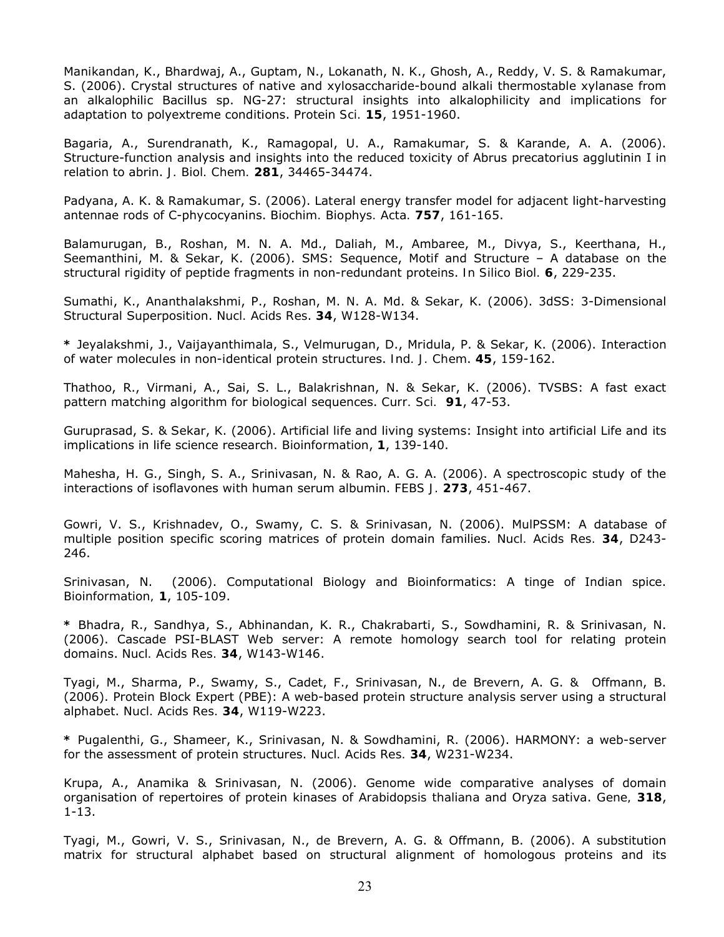Manikandan, K., Bhardwaj, A., Guptam, N., Lokanath, N. K., Ghosh, A., Reddy, V. S. & Ramakumar, S. (2006). Crystal structures of native and xylosaccharide-bound alkali thermostable xylanase from an alkalophilic Bacillus sp. NG-27: structural insights into alkalophilicity and implications for adaptation to polyextreme conditions. *Protein Sci.* **15**, 1951-1960.

Bagaria, A., Surendranath, K., Ramagopal, U. A., Ramakumar, S. & Karande, A. A. (2006). Structure-function analysis and insights into the reduced toxicity of Abrus precatorius agglutinin I in relation to abrin. *J. Biol. Chem.* **281**, 34465-34474.

Padyana, A. K. & Ramakumar, S. (2006). Lateral energy transfer model for adjacent light-harvesting antennae rods of C-phycocyanins. *Biochim. Biophys. Acta.* **757**, 161-165.

Balamurugan, B., Roshan, M. N. A. Md., Daliah, M., Ambaree, M., Divya, S., Keerthana, H., Seemanthini, M. & Sekar, K. (2006). SMS: Sequence, Motif and Structure – A database on the structural rigidity of peptide fragments in non-redundant proteins. *In Silico Biol.* **6**, 229-235.

Sumathi, K., Ananthalakshmi, P., Roshan, M. N. A. Md. & Sekar, K. (2006). 3dSS: 3-Dimensional Structural Superposition. *Nucl. Acids Res*. **34**, W128-W134.

**\*** Jeyalakshmi, J., Vaijayanthimala, S., Velmurugan, D., Mridula, P. & Sekar, K. (2006). Interaction of water molecules in non-identical protein structures. *Ind. J. Chem*. **45**, 159-162.

Thathoo, R., Virmani, A., Sai, S. L., Balakrishnan, N. & Sekar, K. (2006). TVSBS: A fast exact pattern matching algorithm for biological sequences. *Curr. Sci.* **91**, 47-53.

Guruprasad, S. & Sekar, K. (2006). Artificial life and living systems: Insight into artificial Life and its implications in life science research. *Bioinformation*, **1**, 139-140.

Mahesha, H. G., Singh, S. A., Srinivasan, N. & Rao, A. G. A. (2006). A spectroscopic study of the interactions of isoflavones with human serum albumin. *FEBS J.* **273**, 451-467.

Gowri, V. S., Krishnadev, O., Swamy, C. S. & Srinivasan, N. (2006). MulPSSM: A database of multiple position specific scoring matrices of protein domain families. *Nucl. Acids Res.* **34**, D243- 246.

Srinivasan, N. (2006). Computational Biology and Bioinformatics: A tinge of Indian spice. *Bioinformation,* **1**, 105-109.

**\*** Bhadra, R., Sandhya, S., Abhinandan, K. R., Chakrabarti, S., Sowdhamini, R. & Srinivasan, N. (2006). Cascade PSI-BLAST Web server: A remote homology search tool for relating protein domains. *Nucl. Acids Res.* **34**, W143-W146.

Tyagi, M., Sharma, P., Swamy, S., Cadet, F., Srinivasan, N., de Brevern, A. G. & Offmann, B. (2006). Protein Block Expert (PBE): A web-based protein structure analysis server using a structural alphabet. *Nucl. Acids Res.* **34**, W119-W223.

**\*** Pugalenthi, G., Shameer, K., Srinivasan, N. & Sowdhamini, R. (2006). HARMONY: a web-server for the assessment of protein structures. *Nucl. Acids Res.* **34**, W231-W234.

Krupa, A., Anamika & Srinivasan, N. (2006). Genome wide comparative analyses of domain organisation of repertoires of protein kinases of *Arabidopsis thaliana* and *Oryza sativa*. *Gene,* **318**, 1-13.

Tyagi, M., Gowri, V. S., Srinivasan, N., de Brevern, A. G. & Offmann, B. (2006). A substitution matrix for structural alphabet based on structural alignment of homologous proteins and its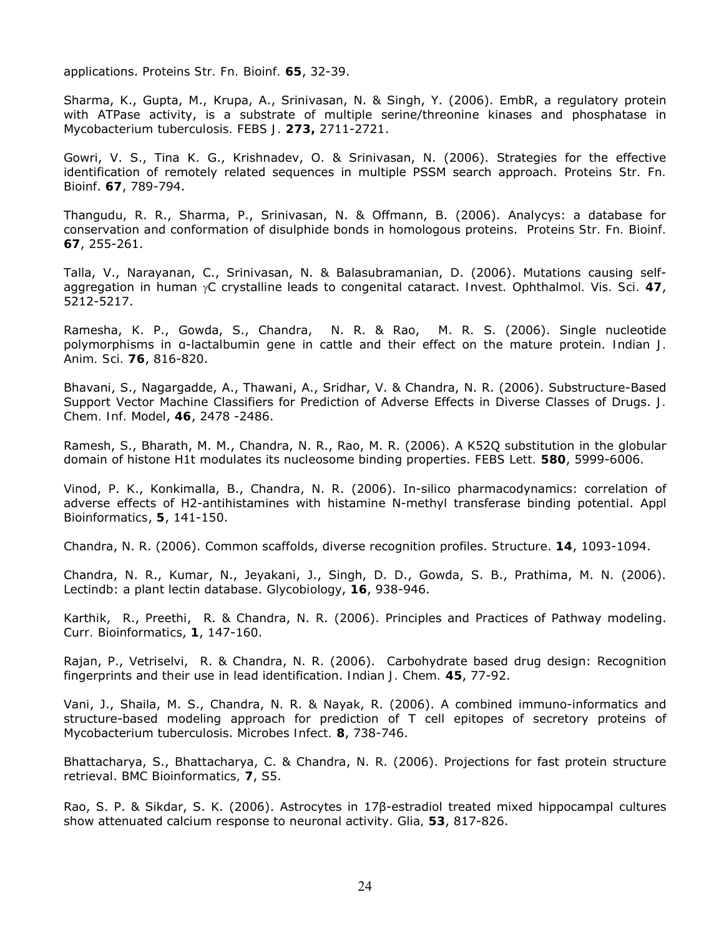applications. *Proteins Str. Fn. Bioinf.* **65**, 32-39.

Sharma, K., Gupta, M., Krupa, A., Srinivasan, N. & Singh, Y. (2006). EmbR, a regulatory protein with ATPase activity, is a substrate of multiple serine/threonine kinases and phosphatase in *Mycobacterium tuberculosis. FEBS J.* **273,** 2711-2721.

Gowri, V. S., Tina K. G., Krishnadev, O. & Srinivasan, N. (2006). Strategies for the effective identification of remotely related sequences in multiple PSSM search approach. *Proteins Str. Fn. Bioinf*. **67**, 789-794.

Thangudu, R. R., Sharma, P., Srinivasan, N. & Offmann, B. (2006). Analycys: a database for conservation and conformation of disulphide bonds in homologous proteins. *Proteins Str. Fn. Bioinf.* **67**, 255-261.

Talla, V., Narayanan, C., Srinivasan, N. & Balasubramanian, D. (2006). Mutations causing selfaggregation in human <sub>Y</sub>C crystalline leads to congenital cataract. Invest. Ophthalmol. Vis. Sci. 47, 5212-5217.

Ramesha, K. P., Gowda, S., Chandra, N. R. & Rao, M. R. S. (2006). Single nucleotide polymorphisms in α-lactalbumin gene in cattle and their effect on the mature protein. *Indian J. Anim. Sci.* **76**, 816-820.

Bhavani, S., Nagargadde, A., Thawani, A., Sridhar, V. & Chandra, N. R. (2006). Substructure-Based Support Vector Machine Classifiers for Prediction of Adverse Effects in Diverse Classes of Drugs. *J. Chem. Inf. Model*, **46**, 2478 -2486.

Ramesh, S., Bharath, M. M., Chandra, N. R., Rao, M. R. (2006). A K52Q substitution in the globular domain of histone H1t modulates its nucleosome binding properties. *FEBS Lett.* **580**, 5999-6006.

Vinod, P. K., Konkimalla, B., Chandra, N. R. (2006). In-silico pharmacodynamics: correlation of adverse effects of H2-antihistamines with histamine N-methyl transferase binding potential. *Appl Bioinformatics*, **5**, 141-150.

Chandra, N. R. (2006). Common scaffolds, diverse recognition profiles. *Structure*. **14**, 1093-1094.

Chandra, N. R., Kumar, N., Jeyakani, J., Singh, D. D., Gowda, S. B., Prathima, M. N. (2006). Lectindb: a plant lectin database. *Glycobiology*, **16**, 938-946.

Karthik, R., Preethi, R. & Chandra, N. R. (2006). Principles and Practices of Pathway modeling. *Curr. Bioinformatics*, **1**, 147-160.

Rajan, P., Vetriselvi, R. & Chandra, N. R. (2006). Carbohydrate based drug design: Recognition fingerprints and their use in lead identification. *Indian J. Chem.* **45**, 77-92.

Vani, J., Shaila, M. S., Chandra, N. R. & Nayak, R. (2006). A combined immuno-informatics and structure-based modeling approach for prediction of T cell epitopes of secretory proteins of Mycobacterium tuberculosis. *Microbes Infect.* **8**, 738-746.

Bhattacharya, S., Bhattacharya, C. & Chandra, N. R. (2006). Projections for fast protein structure retrieval. *BMC Bioinformatics,* **7**, S5.

Rao, S. P. & Sikdar, S. K. (2006). Astrocytes in 17β-estradiol treated mixed hippocampal cultures show attenuated calcium response to neuronal activity. *Glia,* **53**, 817-826.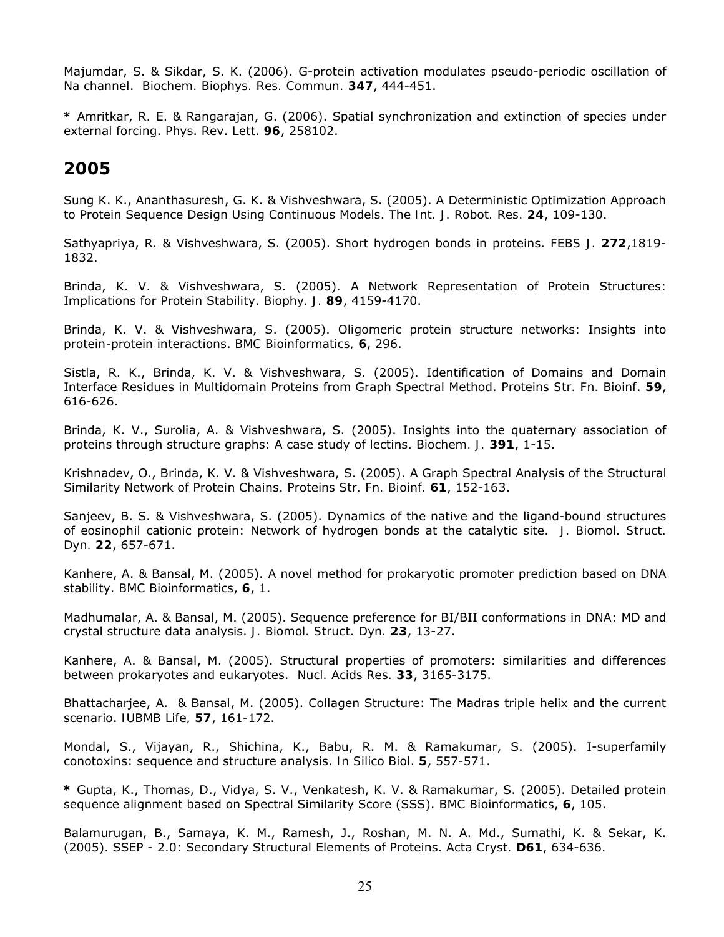Majumdar, S. & Sikdar, S. K. (2006). G-protein activation modulates pseudo-periodic oscillation of Na channel. *Biochem. Biophys. Res. Commun.* **347**, 444-451.

**\*** Amritkar, R. E. & Rangarajan, G. (2006). Spatial synchronization and extinction of species under external forcing. Phys. Rev. Lett. **96**, 258102.

#### **2005**

Sung K. K., Ananthasuresh, G. K. & Vishveshwara, S. (2005). A Deterministic Optimization Approach to Protein Sequence Design Using Continuous Models. *The Int. J. Robot. Res.* **24**, 109-130.

Sathyapriya, R. & Vishveshwara, S. (2005). Short hydrogen bonds in proteins. *FEBS J.* **272**,1819- 1832.

Brinda, K. V. & Vishveshwara, S. (2005). A Network Representation of Protein Structures: Implications for Protein Stability. *Biophy. J.* **89**, 4159-4170.

Brinda, K. V. & Vishveshwara, S. (2005). Oligomeric protein structure networks: Insights into protein-protein interactions. *BMC Bioinformatics,* **6**, 296.

Sistla, R. K., Brinda, K. V. & Vishveshwara, S. (2005). Identification of Domains and Domain Interface Residues in Multidomain Proteins from Graph Spectral Method. *Proteins Str. Fn. Bioinf*. **59**, 616-626.

Brinda, K. V., Surolia, A. & Vishveshwara, S. (2005). Insights into the quaternary association of proteins through structure graphs: A case study of lectins. *Biochem. J.* **391**, 1-15.

Krishnadev, O., Brinda, K. V. & Vishveshwara, S. (2005). A Graph Spectral Analysis of the Structural Similarity Network of Protein Chains. *Proteins Str. Fn. Bioinf*. **61**, 152-163.

Sanjeev, B. S. & Vishveshwara, S. (2005). Dynamics of the native and the ligand-bound structures of eosinophil cationic protein: Network of hydrogen bonds at the catalytic site. *J. Biomol. Struct. Dyn.* **22**, 657-671.

Kanhere, A. & Bansal, M. (2005). A novel method for prokaryotic promoter prediction based on DNA stability. *BMC Bioinformatics*, **6**, 1.

Madhumalar, A. & Bansal, M. (2005). Sequence preference for BI/BII conformations in DNA: MD and crystal structure data analysis. *J. Biomol. Struct. Dyn.* **23**, 13-27.

Kanhere, A. & Bansal, M. (2005). Structural properties of promoters: similarities and differences between prokaryotes and eukaryotes. *Nucl. Acids Res.* **33**, 3165-3175.

Bhattacharjee, A. & Bansal, M. (2005). Collagen Structure: The Madras triple helix and the current scenario. *IUBMB Life,* **57**, 161-172.

Mondal, S., Vijayan, R., Shichina, K., Babu, R. M. & Ramakumar, S. (2005). I-superfamily conotoxins: sequence and structure analysis. *In Silico Biol*. **5**, 557-571.

**\*** Gupta, K., Thomas, D., Vidya, S. V., Venkatesh, K. V. & Ramakumar, S. (2005). Detailed protein sequence alignment based on Spectral Similarity Score (SSS). *BMC Bioinformatics*, **6**, 105.

Balamurugan, B., Samaya, K. M., Ramesh, J., Roshan, M. N. A. Md., Sumathi, K. & Sekar, K. (2005). SSEP - 2.0: Secondary Structural Elements of Proteins. *Acta Cryst.* **D61**, 634-636.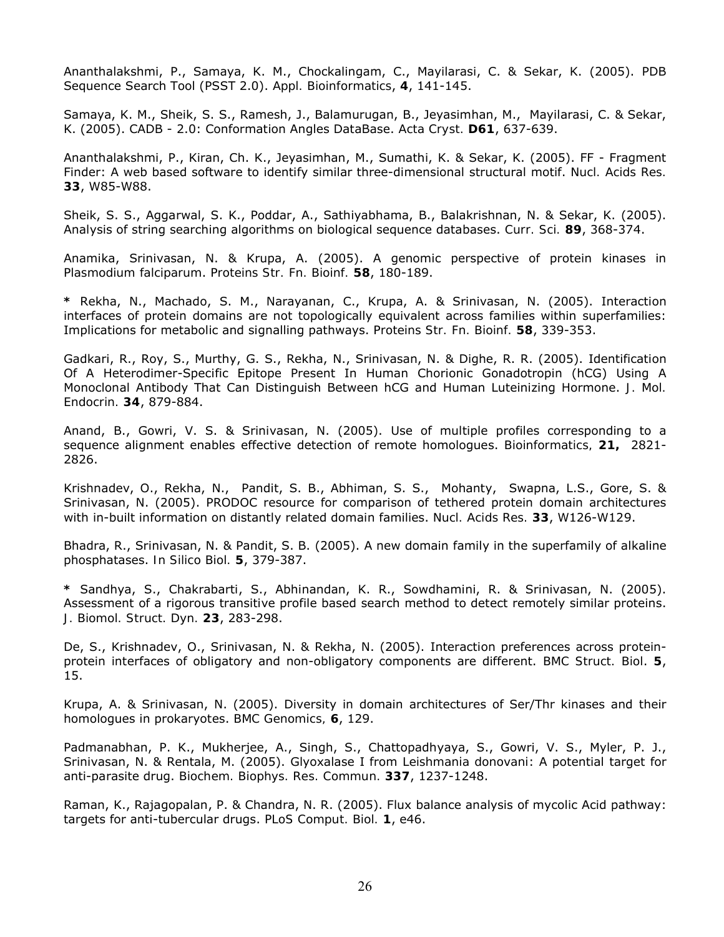Ananthalakshmi, P., Samaya, K. M., Chockalingam, C., Mayilarasi, C. & Sekar, K. (2005). PDB Sequence Search Tool (PSST 2.0). *Appl. Bioinformatics*, **4**, 141-145.

Samaya, K. M., Sheik, S. S., Ramesh, J., Balamurugan, B., Jeyasimhan, M., Mayilarasi, C. & Sekar, K. (2005). CADB - 2.0: Conformation Angles DataBase. *Acta Cryst.* **D61**, 637-639.

Ananthalakshmi, P., Kiran, Ch. K., Jeyasimhan, M., Sumathi, K. & Sekar, K. (2005). FF - Fragment Finder: A web based software to identify similar three-dimensional structural motif. *Nucl. Acids Res.* **33**, W85-W88.

Sheik, S. S., Aggarwal, S. K., Poddar, A., Sathiyabhama, B., Balakrishnan, N. & Sekar, K. (2005). Analysis of string searching algorithms on biological sequence databases. *Curr. Sci.* **89**, 368-374.

Anamika, Srinivasan, N. & Krupa, A. (2005). A genomic perspective of protein kinases in *Plasmodium falciparum*. *Proteins Str. Fn. Bioinf.* **58**, 180-189.

**\*** Rekha, N., Machado, S. M., Narayanan, C., Krupa, A. & Srinivasan, N. (2005). Interaction interfaces of protein domains are not topologically equivalent across families within superfamilies: Implications for metabolic and signalling pathways. *Proteins Str. Fn. Bioinf.* **58**, 339-353.

Gadkari, R., Roy, S., Murthy, G. S., Rekha, N., Srinivasan, N. & Dighe, R. R. (2005). Identification Of A Heterodimer-Specific Epitope Present In Human Chorionic Gonadotropin (hCG) Using A Monoclonal Antibody That Can Distinguish Between hCG and Human Luteinizing Hormone. *J. Mol. Endocrin.* **34**, 879-884.

Anand, B., Gowri, V. S. & Srinivasan, N. (2005). Use of multiple profiles corresponding to a sequence alignment enables effective detection of remote homologues. *Bioinformatics,* **21,** 2821- 2826.

Krishnadev, O., Rekha, N., Pandit, S. B., Abhiman, S. S., Mohanty, Swapna, L.S., Gore, S. & Srinivasan, N. (2005). PRODOC resource for comparison of tethered protein domain architectures with in-built information on distantly related domain families. *Nucl. Acids Res.* **33**, W126-W129.

Bhadra, R., Srinivasan, N. & Pandit, S. B. (2005). A new domain family in the superfamily of alkaline phosphatases. *In Silico Biol.* **5**, 379-387.

**\*** Sandhya, S., Chakrabarti, S., Abhinandan, K. R., Sowdhamini, R. & Srinivasan, N. (2005). Assessment of a rigorous transitive profile based search method to detect remotely similar proteins. *J. Biomol. Struct. Dyn.* **23**, 283-298.

De, S., Krishnadev, O., Srinivasan, N. & Rekha, N. (2005). Interaction preferences across proteinprotein interfaces of obligatory and non-obligatory components are different. *BMC Struct. Biol*. **5**, 15.

Krupa, A. & Srinivasan, N. (2005). Diversity in domain architectures of Ser/Thr kinases and their homologues in prokaryotes. *BMC Genomics,* **6**, 129.

Padmanabhan, P. K., Mukherjee, A., Singh, S., Chattopadhyaya, S., Gowri, V. S., Myler, P. J., Srinivasan, N. & Rentala, M. (2005). Glyoxalase I from *Leishmania donovani*: A potential target for anti-parasite drug. *Biochem. Biophys. Res. Commun.* **337**, 1237-1248.

Raman, K., Rajagopalan, P. & Chandra, N. R. (2005). Flux balance analysis of mycolic Acid pathway: targets for anti-tubercular drugs. *PLoS Comput. Biol.* **1**, e46.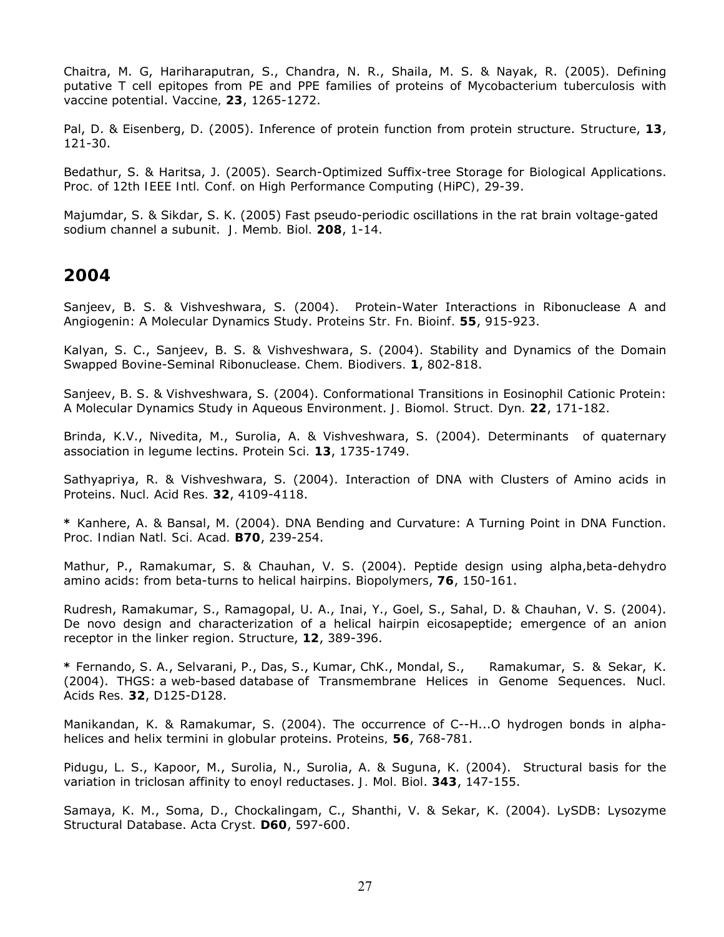Chaitra, M. G, Hariharaputran, S., Chandra, N. R., Shaila, M. S. & Nayak, R. (2005). Defining putative T cell epitopes from PE and PPE families of proteins of *Mycobacterium tuberculosis* with vaccine potential. *Vaccine,* **23**, 1265-1272.

Pal, D. & Eisenberg, D. (2005). Inference of protein function from protein structure. *Structure*, **13**, 121-30.

Bedathur, S. & Haritsa, J. (2005). Search-Optimized Suffix-tree Storage for Biological Applications. *Proc. of 12th IEEE Intl. Conf. on High Performance Computing (HiPC),* 29-39.

Majumdar, S. & Sikdar, S. K. (2005) Fast pseudo-periodic oscillations in the rat brain voltage-gated sodium channel a subunit. *J. Memb. Biol.* **208**, 1-14.

### **2004**

Sanjeev, B. S. & Vishveshwara, S. (2004). Protein-Water Interactions in Ribonuclease A and Angiogenin: A Molecular Dynamics Study. *Proteins Str. Fn. Bioinf.* **55**, 915-923.

Kalyan, S. C., Sanjeev, B. S. & Vishveshwara, S. (2004). Stability and Dynamics of the Domain Swapped Bovine-Seminal Ribonuclease. *Chem. Biodivers.* **1**, 802-818.

Sanjeev, B. S. & Vishveshwara, S. (2004). Conformational Transitions in Eosinophil Cationic Protein: A Molecular Dynamics Study in Aqueous Environment. *J. Biomol. Struct. Dyn.* **22**, 171-182.

Brinda, K.V., Nivedita, M., Surolia, A. & Vishveshwara, S. (2004). Determinants of quaternary association in legume lectins. *Protein Sci.* **13**, 1735-1749.

Sathyapriya, R. & Vishveshwara, S. (2004). Interaction of DNA with Clusters of Amino acids in Proteins. *Nucl. Acid Res.* **32**, 4109-4118.

**\*** Kanhere, A. & Bansal, M. (2004). DNA Bending and Curvature: A Turning Point in DNA Function. *Proc. Indian Natl. Sci. Acad.* **B70**, 239-254.

Mathur, P., Ramakumar, S. & Chauhan, V. S. (2004). Peptide design using alpha,beta-dehydro amino acids: from beta-turns to helical hairpins. *Biopolymers*, **76**, 150-161.

Rudresh, Ramakumar, S., Ramagopal, U. A., Inai, Y., Goel, S., Sahal, D. & Chauhan, V. S. (2004). De novo design and characterization of a helical hairpin eicosapeptide; emergence of an anion receptor in the linker region. *Structure*, **12**, 389-396.

**\*** Fernando, S. A., Selvarani, P., Das, S., Kumar, ChK., Mondal, S., Ramakumar, S. & Sekar, K. (2004). THGS: a web-based database of Transmembrane Helices in Genome Sequences. *Nucl. Acids Res.* **32**, D125-D128.

Manikandan, K. & Ramakumar, S. (2004). The occurrence of C--H...O hydrogen bonds in alphahelices and helix termini in globular proteins. *Proteins,* **56**, 768-781.

Pidugu, L. S., Kapoor, M., Surolia, N., Surolia, A. & Suguna, K. (2004). Structural basis for the variation in triclosan affinity to enoyl reductases. *J. Mol. Biol*. **343**, 147-155.

Samaya, K. M., Soma, D., Chockalingam, C., Shanthi, V. & Sekar, K. (2004). LySDB: Lysozyme Structural Database. *Acta Cryst.* **D60**, 597-600.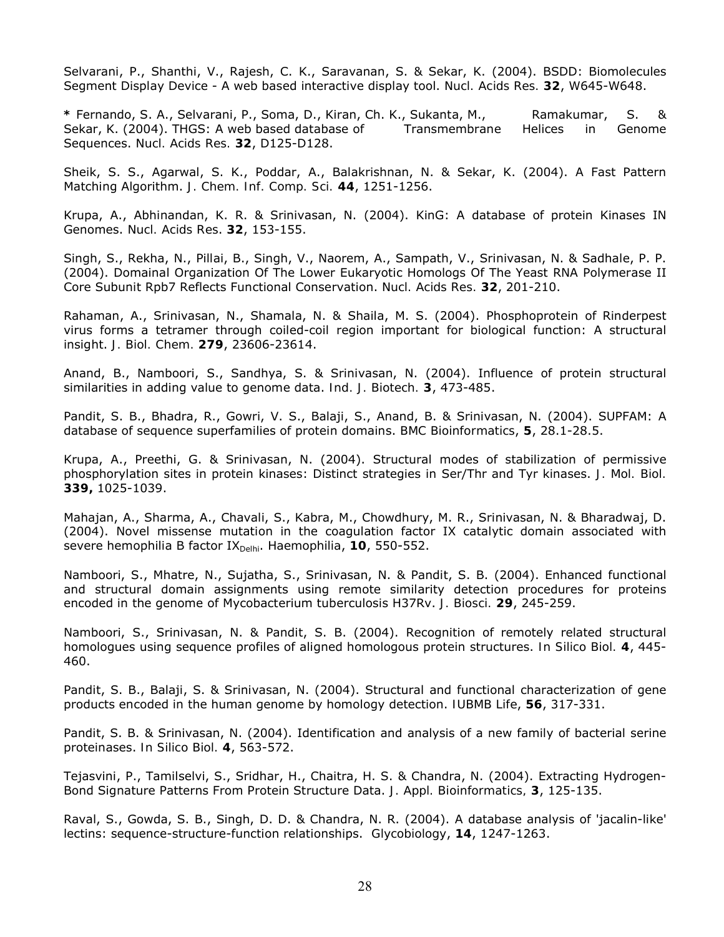Selvarani, P., Shanthi, V., Rajesh, C. K., Saravanan, S. & Sekar, K. (2004). BSDD: Biomolecules Segment Display Device - A web based interactive display tool. *Nucl. Acids Res.* **32**, W645-W648.

**\*** Fernando, S. A., Selvarani, P., Soma, D., Kiran, Ch. K., Sukanta, M., Ramakumar, S. & Sekar, K. (2004). THGS: A web based database of Transmembrane Helices in Genome Sequences. *Nucl. Acids Res.* **32**, D125-D128.

Sheik, S. S., Agarwal, S. K., Poddar, A., Balakrishnan, N. & Sekar, K. (2004). A Fast Pattern Matching Algorithm. *J. Chem. Inf. Comp. Sci.* **44**, 1251-1256.

Krupa, A., Abhinandan, K. R. & Srinivasan, N. (2004). KinG: A database of protein Kinases IN Genomes. *Nucl. Acids Res*. **32**, 153-155.

Singh, S., Rekha, N., Pillai, B., Singh, V., Naorem, A., Sampath, V., Srinivasan, N. & Sadhale, P. P. (2004). Domainal Organization Of The Lower Eukaryotic Homologs Of The Yeast RNA Polymerase II Core Subunit Rpb7 Reflects Functional Conservation. *Nucl. Acids Res.* **32**, 201-210.

Rahaman, A., Srinivasan, N., Shamala, N. & Shaila, M. S. (2004). Phosphoprotein of Rinderpest virus forms a tetramer through coiled-coil region important for biological function: A structural insight. *J. Biol. Chem.* **279**, 23606-23614.

Anand, B., Namboori, S., Sandhya, S. & Srinivasan, N. (2004). Influence of protein structural similarities in adding value to genome data. *Ind. J. Biotech.* **3**, 473-485.

Pandit, S. B., Bhadra, R., Gowri, V. S., Balaji, S., Anand, B. & Srinivasan, N. (2004). SUPFAM: A database of sequence superfamilies of protein domains. *BMC Bioinformatics*, **5**, 28.1-28.5.

Krupa, A., Preethi, G. & Srinivasan, N. (2004). Structural modes of stabilization of permissive phosphorylation sites in protein kinases: Distinct strategies in Ser/Thr and Tyr kinases. *J. Mol. Biol.* **339,** 1025-1039.

Mahajan, A., Sharma, A., Chavali, S., Kabra, M., Chowdhury, M. R., Srinivasan, N. & Bharadwaj, D. (2004). Novel missense mutation in the coagulation factor IX catalytic domain associated with severe hemophilia B factor IX<sub>Delhi</sub>. Haemophilia, 10, 550-552.

Namboori, S., Mhatre, N., Sujatha, S., Srinivasan, N. & Pandit, S. B. (2004). Enhanced functional and structural domain assignments using remote similarity detection procedures for proteins encoded in the genome of Mycobacterium tuberculosis H37Rv. *J. Biosci.* **29**, 245-259.

Namboori, S., Srinivasan, N. & Pandit, S. B. (2004). Recognition of remotely related structural homologues using sequence profiles of aligned homologous protein structures. *In Silico Biol.* **4**, 445- 460.

Pandit, S. B., Balaji, S. & Srinivasan, N. (2004). Structural and functional characterization of gene products encoded in the human genome by homology detection. *IUBMB Life*, **56**, 317-331.

Pandit, S. B. & Srinivasan, N. (2004). Identification and analysis of a new family of bacterial serine proteinases. *In Silico Biol.* **4**, 563-572.

Tejasvini, P., Tamilselvi, S., Sridhar, H., Chaitra, H. S. & Chandra, N. (2004). Extracting Hydrogen-Bond Signature Patterns From Protein Structure Data. *J. Appl. Bioinformatics,* **3**, 125-135.

Raval, S., Gowda, S. B., Singh, D. D. & Chandra, N. R. (2004). A database analysis of 'jacalin-like' lectins: sequence-structure-function relationships. *Glycobiology*, **14**, 1247-1263.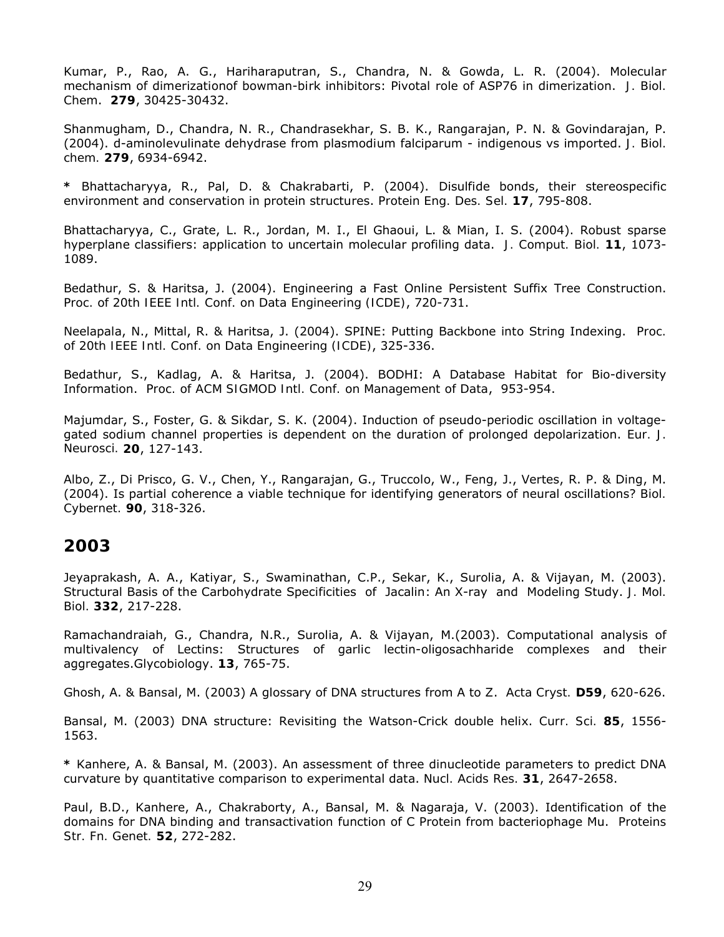Kumar, P., Rao, A. G., Hariharaputran, S., Chandra, N. & Gowda, L. R. (2004). Molecular mechanism of dimerizationof bowman-birk inhibitors: Pivotal role of ASP76 in dimerization. *J. Biol. Chem*. **279**, 30425-30432.

Shanmugham, D., Chandra, N. R., Chandrasekhar, S. B. K., Rangarajan, P. N. & Govindarajan, P. (2004). d-aminolevulinate dehydrase from plasmodium falciparum - indigenous vs imported. *J. Biol. chem.* **279**, 6934-6942.

**\*** Bhattacharyya, R., Pal, D. & Chakrabarti, P. (2004). Disulfide bonds, their stereospecific environment and conservation in protein structures. *Protein Eng. Des. Sel.* **17**, 795-808.

Bhattacharyya, C., Grate, L. R., Jordan, M. I., El Ghaoui, L. & Mian, I. S. (2004). Robust sparse hyperplane classifiers: application to uncertain molecular profiling data. *J. Comput. Biol.* **11**, 1073- 1089.

Bedathur, S. & Haritsa, J. (2004). Engineering a Fast Online Persistent Suffix Tree Construction. *Proc. of 20th IEEE Intl. Conf. on Data Engineering (ICDE)*, 720-731.

Neelapala, N., Mittal, R. & Haritsa, J. (2004). SPINE: Putting Backbone into String Indexing. *Proc. of 20th IEEE Intl. Conf. on Data Engineering (ICDE)*, 325-336.

Bedathur, S., Kadlag, A. & Haritsa, J. (2004). BODHI: A Database Habitat for Bio-diversity Information. *Proc. of ACM SIGMOD Intl. Conf. on Management of Data*, 953-954.

Majumdar, S., Foster, G. & Sikdar, S. K. (2004). Induction of pseudo-periodic oscillation in voltagegated sodium channel properties is dependent on the duration of prolonged depolarization. *Eur. J. Neurosci.* **20**, 127-143.

Albo, Z., Di Prisco, G. V., Chen, Y., Rangarajan, G., Truccolo, W., Feng, J., Vertes, R. P. & Ding, M. (2004). Is partial coherence a viable technique for identifying generators of neural oscillations? *Biol. Cybernet.* **90**, 318-326.

### **2003**

Jeyaprakash, A. A., Katiyar, S., Swaminathan, C.P., Sekar, K., Surolia, A. & Vijayan, M. (2003). Structural Basis of the Carbohydrate Specificities of Jacalin: An X-ray and Modeling Study. *J. Mol. Biol.* **332**, 217-228.

Ramachandraiah, G., Chandra, N.R., Surolia, A. & Vijayan, M.(2003). Computational analysis of multivalency of Lectins: Structures of garlic lectin-oligosachharide complexes and their aggregates.Glycobiology. **13**, 765-75.

Ghosh, A. & Bansal, M. (2003) A glossary of DNA structures from A to Z. *Acta Cryst.* **D59**, 620-626.

Bansal, M. (2003) DNA structure: Revisiting the Watson-Crick double helix. *Curr. Sci.* **85**, 1556- 1563.

**\*** Kanhere, A. & Bansal, M. (2003). An assessment of three dinucleotide parameters to predict DNA curvature by quantitative comparison to experimental data. *Nucl. Acids Res.* **31**, 2647-2658.

Paul, B.D., Kanhere, A., Chakraborty, A., Bansal, M. & Nagaraja, V. (2003). Identification of the domains for DNA binding and transactivation function of C Protein from bacteriophage Mu. *Proteins Str. Fn. Genet.* **52**, 272-282.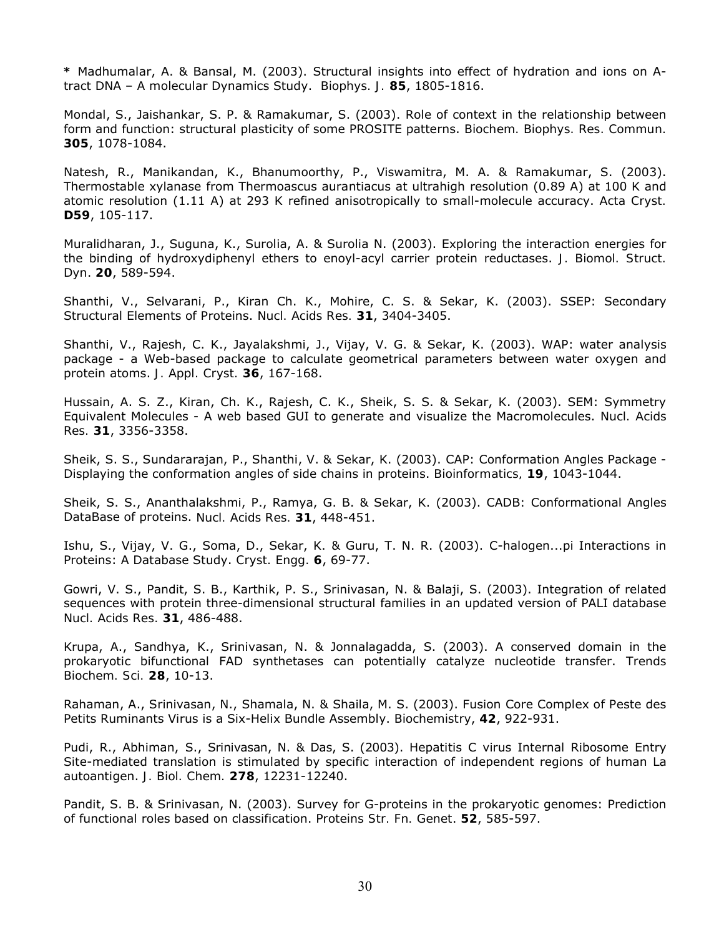**\*** Madhumalar, A. & Bansal, M. (2003). Structural insights into effect of hydration and ions on Atract DNA – A molecular Dynamics Study. *Biophys. J.* **85**, 1805-1816.

Mondal, S., Jaishankar, S. P. & Ramakumar, S. (2003). Role of context in the relationship between form and function: structural plasticity of some PROSITE patterns. *Biochem. Biophys. Res. Commun.* **305**, 1078-1084.

Natesh, R., Manikandan, K., Bhanumoorthy, P., Viswamitra, M. A. & Ramakumar, S. (2003). Thermostable xylanase from Thermoascus aurantiacus at ultrahigh resolution (0.89 A) at 100 K and atomic resolution (1.11 A) at 293 K refined anisotropically to small-molecule accuracy. *Acta Cryst.* **D59**, 105-117.

Muralidharan, J., Suguna, K., Surolia, A. & Surolia N. (2003). Exploring the interaction energies for the binding of hydroxydiphenyl ethers to enoyl-acyl carrier protein reductases. *J. Biomol. Struct. Dyn*. **20**, 589-594.

Shanthi, V., Selvarani, P., Kiran Ch. K., Mohire, C. S. & Sekar, K. (2003). SSEP: Secondary Structural Elements of Proteins. *Nucl. Acids Res.* **31**, 3404-3405.

Shanthi, V., Rajesh, C. K., Jayalakshmi, J., Vijay, V. G. & Sekar, K. (2003). WAP: water analysis package - a Web-based package to calculate geometrical parameters between water oxygen and protein atoms. *J. Appl. Cryst.* **36**, 167-168.

Hussain, A. S. Z., Kiran, Ch. K., Rajesh, C. K., Sheik, S. S. & Sekar, K. (2003). SEM: Symmetry Equivalent Molecules - A web based GUI to generate and visualize the Macromolecules. *Nucl. Acids Res.* **31**, 3356-3358.

Sheik, S. S., Sundararajan, P., Shanthi, V. & Sekar, K. (2003). CAP: Conformation Angles Package - Displaying the conformation angles of side chains in proteins. *Bioinformatics,* **19**, 1043-1044.

Sheik, S. S., Ananthalakshmi, P., Ramya, G. B. & Sekar, K. (2003). CADB: Conformational Angles DataBase of proteins. *Nucl. Acids Res.* **31**, 448-451.

Ishu, S., Vijay, V. G., Soma, D., Sekar, K. & Guru, T. N. R. (2003). C-halogen...pi Interactions in Proteins: A Database Study. *Cryst. Engg.* **6**, 69-77.

Gowri, V. S., Pandit, S. B., Karthik, P. S., Srinivasan, N. & Balaji, S. (2003). Integration of related sequences with protein three-dimensional structural families in an updated version of PALI database *Nucl. Acids Res.* **31**, 486-488.

Krupa, A., Sandhya, K., Srinivasan, N. & Jonnalagadda, S. (2003). A conserved domain in the prokaryotic bifunctional FAD synthetases can potentially catalyze nucleotide transfer. *Trends Biochem. Sci.* **28**, 10-13.

Rahaman, A., Srinivasan, N., Shamala, N. & Shaila, M. S. (2003). Fusion Core Complex of Peste des Petits Ruminants Virus is a Six-Helix Bundle Assembly. *Biochemistry*, **42**, 922-931.

Pudi, R., Abhiman, S., Srinivasan, N. & Das, S. (2003). Hepatitis C virus Internal Ribosome Entry Site-mediated translation is stimulated by specific interaction of independent regions of human La autoantigen. *J. Biol. Chem.* **278**, 12231-12240.

Pandit, S. B. & Srinivasan, N. (2003). Survey for G-proteins in the prokaryotic genomes: Prediction of functional roles based on classification. *Proteins Str. Fn. Genet*. **52**, 585-597.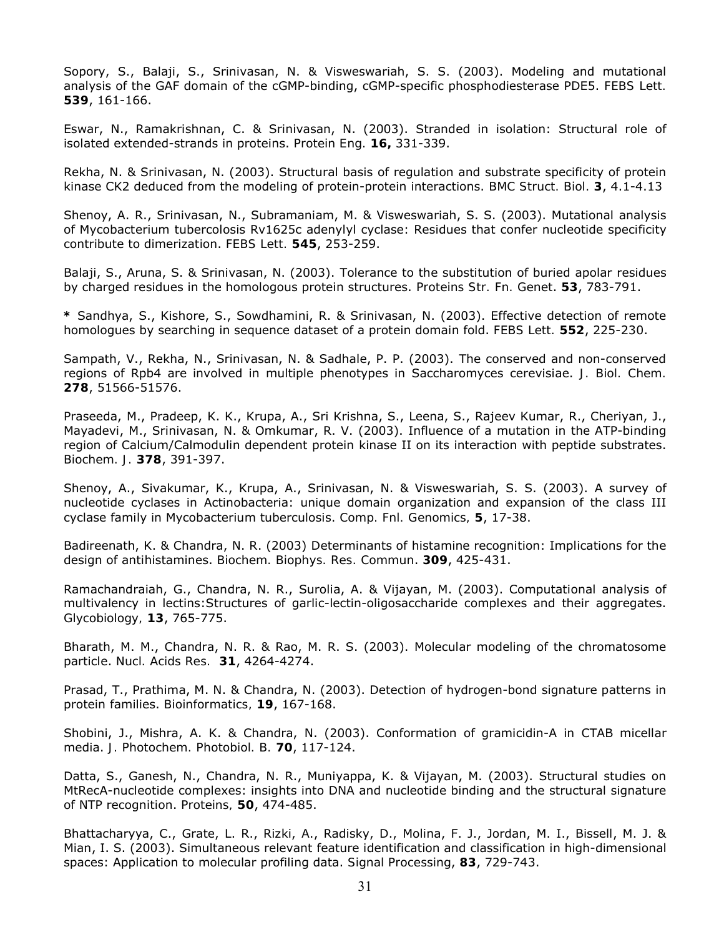Sopory, S., Balaji, S., Srinivasan, N. & Visweswariah, S. S. (2003). Modeling and mutational analysis of the GAF domain of the cGMP-binding, cGMP-specific phosphodiesterase PDE5. *FEBS Lett.*  **539**, 161-166.

Eswar, N., Ramakrishnan, C. & Srinivasan, N. (2003). Stranded in isolation: Structural role of isolated extended-strands in proteins. *Protein Eng.* **16,** 331-339.

Rekha, N. & Srinivasan, N. (2003). Structural basis of regulation and substrate specificity of protein kinase CK2 deduced from the modeling of protein-protein interactions. *BMC Struct. Biol.* **3**, 4.1-4.13

Shenoy, A. R., Srinivasan, N., Subramaniam, M. & Visweswariah, S. S. (2003). Mutational analysis of Mycobacterium tubercolosis Rv1625c adenylyl cyclase: Residues that confer nucleotide specificity contribute to dimerization. *FEBS Lett.* **545**, 253-259.

Balaji, S., Aruna, S. & Srinivasan, N. (2003). Tolerance to the substitution of buried apolar residues by charged residues in the homologous protein structures. *Proteins Str. Fn. Genet*. **53**, 783-791.

**\*** Sandhya, S., Kishore, S., Sowdhamini, R. & Srinivasan, N. (2003). Effective detection of remote homologues by searching in sequence dataset of a protein domain fold. *FEBS Lett.* **552**, 225-230.

Sampath, V., Rekha, N., Srinivasan, N. & Sadhale, P. P. (2003). The conserved and non-conserved regions of Rpb4 are involved in multiple phenotypes in Saccharomyces cerevisiae. *J. Biol. Chem.* **278**, 51566-51576.

Praseeda, M., Pradeep, K. K., Krupa, A., Sri Krishna, S., Leena, S., Rajeev Kumar, R., Cheriyan, J., Mayadevi, M., Srinivasan, N. & Omkumar, R. V. (2003). Influence of a mutation in the ATP-binding region of Calcium/Calmodulin dependent protein kinase II on its interaction with peptide substrates. *Biochem. J.* **378**, 391-397.

Shenoy, A., Sivakumar, K., Krupa, A., Srinivasan, N. & Visweswariah, S. S. (2003). A survey of nucleotide cyclases in Actinobacteria: unique domain organization and expansion of the class III cyclase family in Mycobacterium tuberculosis. *Comp. Fnl. Genomics,* **5**, 17-38.

Badireenath, K. & Chandra, N. R. (2003) Determinants of histamine recognition: Implications for the design of antihistamines. *Biochem. Biophys. Res. Commun*. **309**, 425-431.

Ramachandraiah, G., Chandra, N. R., Surolia, A. & Vijayan, M. (2003). Computational analysis of multivalency in lectins:Structures of garlic-lectin-oligosaccharide complexes and their aggregates. *Glycobiology,* **13**, 765-775.

Bharath, M. M., Chandra, N. R. & Rao, M. R. S. (2003). Molecular modeling of the chromatosome particle. *Nucl. Acids Res.* **31**, 4264-4274.

Prasad, T., Prathima, M. N. & Chandra, N. (2003). Detection of hydrogen-bond signature patterns in protein families. *Bioinformatics,* **19**, 167-168.

Shobini, J., Mishra, A. K. & Chandra, N. (2003). Conformation of gramicidin-A in CTAB micellar media. *J. Photochem. Photobiol. B.* **70**, 117-124.

Datta, S., Ganesh, N., Chandra, N. R., Muniyappa, K. & Vijayan, M. (2003). Structural studies on MtRecA-nucleotide complexes: insights into DNA and nucleotide binding and the structural signature of NTP recognition. *Proteins,* **50**, 474-485.

Bhattacharyya, C., Grate, L. R., Rizki, A., Radisky, D., Molina, F. J., Jordan, M. I., Bissell, M. J. & Mian, I. S. (2003). Simultaneous relevant feature identification and classification in high-dimensional spaces: Application to molecular profiling data. *Signal Processing*, **83**, 729-743.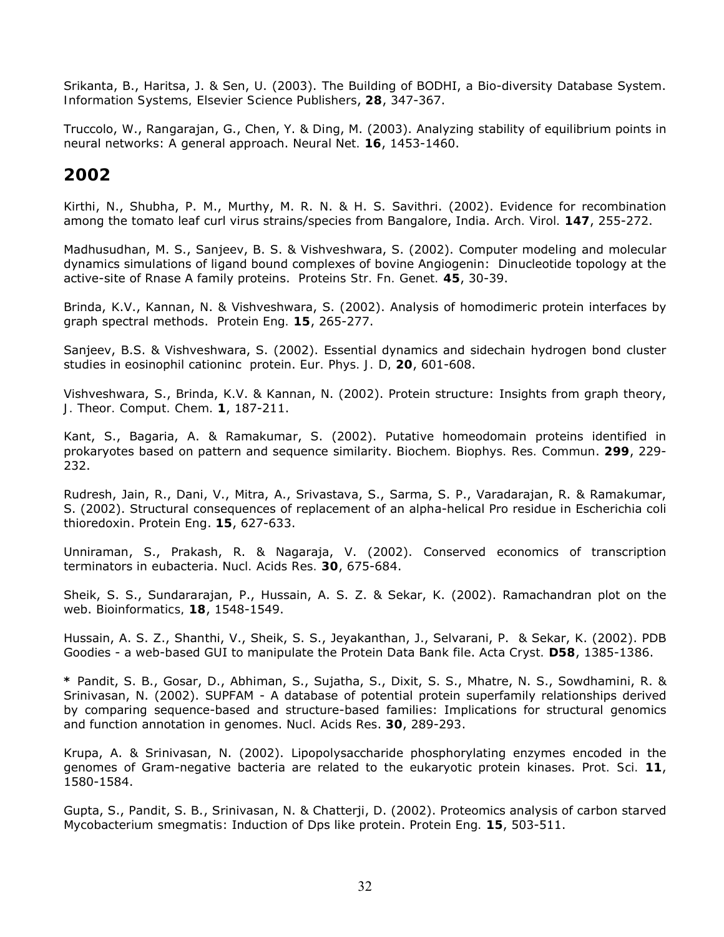Srikanta, B., Haritsa, J. & Sen, U. (2003). The Building of BODHI, a Bio-diversity Database System. *Information Systems, Elsevier Science Publishers*, **28**, 347-367.

Truccolo, W., Rangarajan, G., Chen, Y. & Ding, M. (2003). Analyzing stability of equilibrium points in neural networks: A general approach. *Neural Net.* **16**, 1453-1460.

### **2002**

Kirthi, N., Shubha, P. M., Murthy, M. R. N. & H. S. Savithri. (2002). Evidence for recombination among the tomato leaf curl virus strains/species from Bangalore, India. *Arch. Virol.* **147**, 255-272.

Madhusudhan, M. S., Sanjeev, B. S. & Vishveshwara, S. (2002). Computer modeling and molecular dynamics simulations of ligand bound complexes of bovine Angiogenin: Dinucleotide topology at the active-site of Rnase A family proteins. *Proteins Str. Fn. Genet.* **45**, 30-39.

Brinda, K.V., Kannan, N. & Vishveshwara, S. (2002). Analysis of homodimeric protein interfaces by graph spectral methods. *Protein Eng.* **15**, 265-277.

Sanjeev, B.S. & Vishveshwara, S. (2002). Essential dynamics and sidechain hydrogen bond cluster studies in eosinophil cationinc protein. *Eur. Phys. J. D,* **20**, 601-608.

Vishveshwara, S., Brinda, K.V. & Kannan, N. (2002). Protein structure: Insights from graph theory, *J. Theor. Comput. Chem.* **1**, 187-211.

Kant, S., Bagaria, A. & Ramakumar, S. (2002). Putative homeodomain proteins identified in prokaryotes based on pattern and sequence similarity. *Biochem. Biophys. Res. Commun*. **299**, 229- 232.

Rudresh, Jain, R., Dani, V., Mitra, A., Srivastava, S., Sarma, S. P., Varadarajan, R. & Ramakumar, S. (2002). Structural consequences of replacement of an alpha-helical Pro residue in Escherichia coli thioredoxin. *Protein Eng*. **15**, 627-633.

Unniraman, S., Prakash, R. & Nagaraja, V. (2002). Conserved economics of transcription terminators in eubacteria. *Nucl. Acids Res.* **30**, 675-684.

Sheik, S. S., Sundararajan, P., Hussain, A. S. Z. & Sekar, K. (2002). Ramachandran plot on the web. *Bioinformatics,* **18**, 1548-1549.

Hussain, A. S. Z., Shanthi, V., Sheik, S. S., Jeyakanthan, J., Selvarani, P. & Sekar, K. (2002). PDB Goodies - a web-based GUI to manipulate the Protein Data Bank file. *Acta Cryst.* **D58**, 1385-1386.

**\*** Pandit, S. B., Gosar, D., Abhiman, S., Sujatha, S., Dixit, S. S., Mhatre, N. S., Sowdhamini, R. & Srinivasan, N. (2002). SUPFAM - A database of potential protein superfamily relationships derived by comparing sequence-based and structure-based families: Implications for structural genomics and function annotation in genomes. *Nucl. Acids Res*. **30**, 289-293.

Krupa, A. & Srinivasan, N. (2002). Lipopolysaccharide phosphorylating enzymes encoded in the genomes of Gram-negative bacteria are related to the eukaryotic protein kinases. *Prot. Sci.* **11**, 1580-1584.

Gupta, S., Pandit, S. B., Srinivasan, N. & Chatterji, D. (2002). Proteomics analysis of carbon starved *Mycobacterium smegmatis*: Induction of Dps like protein. *Protein Eng.* **15**, 503-511.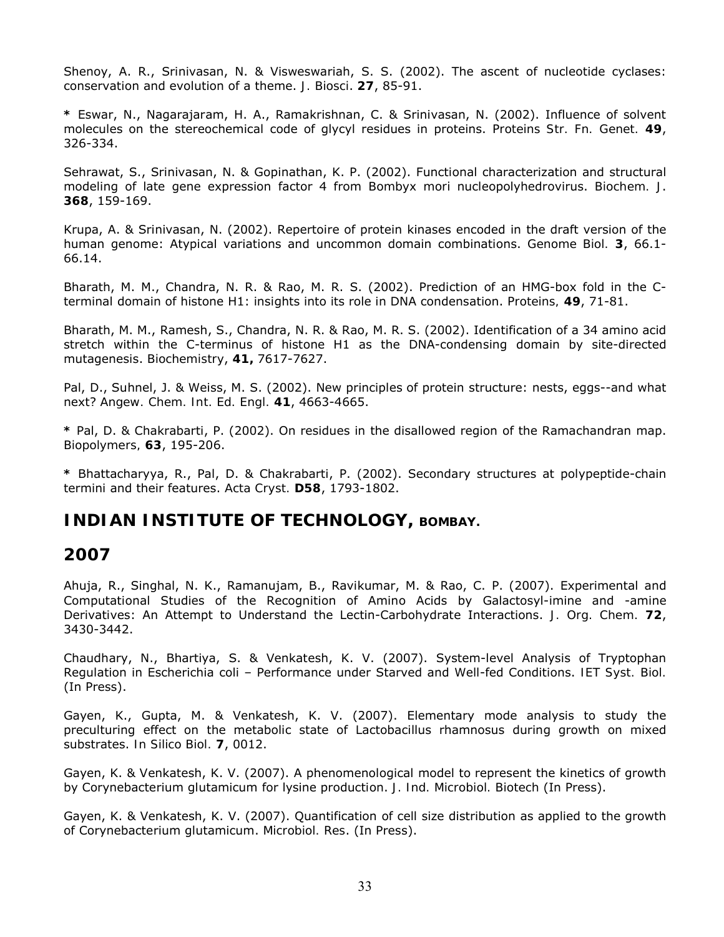Shenoy, A. R., Srinivasan, N. & Visweswariah, S. S. (2002). The ascent of nucleotide cyclases: conservation and evolution of a theme. *J. Biosci*. **27**, 85-91.

**\*** Eswar, N., Nagarajaram, H. A., Ramakrishnan, C. & Srinivasan, N. (2002). Influence of solvent molecules on the stereochemical code of glycyl residues in proteins. *Proteins Str. Fn. Genet.* **49**, 326-334.

Sehrawat, S., Srinivasan, N. & Gopinathan, K. P. (2002). Functional characterization and structural modeling of late gene expression factor 4 from *Bombyx mori* nucleopolyhedrovirus. *Biochem. J*. **368**, 159-169.

Krupa, A. & Srinivasan, N. (2002). Repertoire of protein kinases encoded in the draft version of the human genome: Atypical variations and uncommon domain combinations. *Genome Biol.* **3**, 66.1- 66.14.

Bharath, M. M., Chandra, N. R. & Rao, M. R. S. (2002). Prediction of an HMG-box fold in the Cterminal domain of histone H1: insights into its role in DNA condensation. *Proteins,* **49**, 71-81.

Bharath, M. M., Ramesh, S., Chandra, N. R. & Rao, M. R. S. (2002). Identification of a 34 amino acid stretch within the C-terminus of histone H1 as the DNA-condensing domain by site-directed mutagenesis. *Biochemistry*, **41,** 7617-7627.

Pal, D., Suhnel, J. & Weiss, M. S. (2002). New principles of protein structure: nests, eggs--and what next? *Angew. Chem. Int. Ed. Engl.* **41**, 4663-4665.

**\*** Pal, D. & Chakrabarti, P. (2002). On residues in the disallowed region of the Ramachandran map. *Biopolymers,* **63**, 195-206.

**\*** Bhattacharyya, R., Pal, D. & Chakrabarti, P. (2002). Secondary structures at polypeptide-chain termini and their features. *Acta Cryst.* **D58**, 1793-1802.

**INDIAN INSTITUTE OF TECHNOLOGY, BOMBAY.**

#### **2007**

Ahuja, R., Singhal, N. K., Ramanujam, B., Ravikumar, M. & Rao, C. P. (2007). Experimental and Computational Studies of the Recognition of Amino Acids by Galactosyl-imine and -amine Derivatives: An Attempt to Understand the Lectin-Carbohydrate Interactions. *J. Org. Chem.* **72**, 3430-3442.

Chaudhary, N., Bhartiya, S. & Venkatesh, K. V. (2007). System-level Analysis of Tryptophan Regulation in Escherichia coli – Performance under Starved and Well-fed Conditions. *IET Syst. Biol.*  (In Press).

Gayen, K., Gupta, M. & Venkatesh, K. V. (2007). Elementary mode analysis to study the preculturing effect on the metabolic state of Lactobacillus rhamnosus during growth on mixed substrates. *In Silico Biol.* **7**, 0012.

Gayen, K. & Venkatesh, K. V. (2007). A phenomenological model to represent the kinetics of growth by Corynebacterium glutamicum for lysine production. *J. Ind. Microbiol. Biotech* (In Press).

Gayen, K. & Venkatesh, K. V. (2007). Quantification of cell size distribution as applied to the growth of Corynebacterium glutamicum. *Microbiol. Res*. (In Press).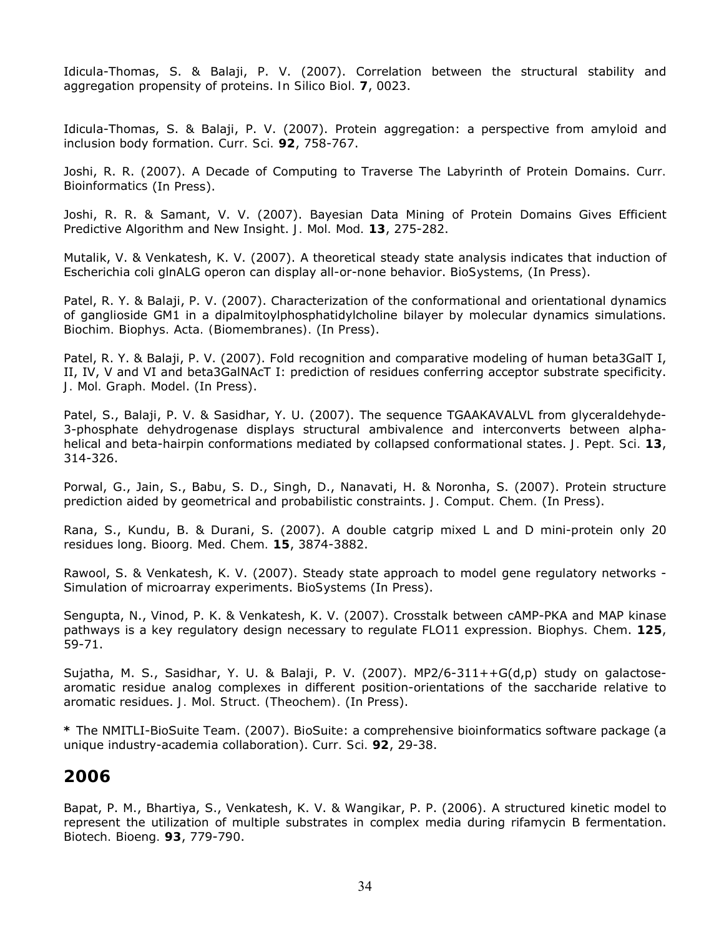Idicula-Thomas, S. & Balaji, P. V. (2007). Correlation between the structural stability and aggregation propensity of proteins. *In Silico Biol.* **7**, 0023.

Idicula-Thomas, S. & Balaji, P. V. (2007). Protein aggregation: a perspective from amyloid and inclusion body formation. *Curr. Sci.* **92**, 758-767.

Joshi, R. R. (2007). A Decade of Computing to Traverse The Labyrinth of Protein Domains. *Curr. Bioinformatics* (In Press).

Joshi, R. R. & Samant, V. V. (2007). Bayesian Data Mining of Protein Domains Gives Efficient Predictive Algorithm and New Insight. *J. Mol. Mod.* **13**, 275-282.

Mutalik, V. & Venkatesh, K. V. (2007). A theoretical steady state analysis indicates that induction of Escherichia coli glnALG operon can display all-or-none behavior. *BioSystems,* (In Press).

Patel, R. Y. & Balaji, P. V. (2007). Characterization of the conformational and orientational dynamics of ganglioside GM1 in a dipalmitoylphosphatidylcholine bilayer by molecular dynamics simulations. *Biochim. Biophys. Acta. (Biomembranes).* (In Press).

Patel, R. Y. & Balaji, P. V. (2007). Fold recognition and comparative modeling of human beta3GalT I, II, IV, V and VI and beta3GalNAcT I: prediction of residues conferring acceptor substrate specificity. *J. Mol. Graph. Model*. (In Press).

Patel, S., Balaji, P. V. & Sasidhar, Y. U. (2007). The sequence TGAAKAVALVL from glyceraldehyde-3-phosphate dehydrogenase displays structural ambivalence and interconverts between alphahelical and beta-hairpin conformations mediated by collapsed conformational states. *J. Pept. Sci.* **13**, 314-326.

Porwal, G., Jain, S., Babu, S. D., Singh, D., Nanavati, H. & Noronha, S. (2007). Protein structure prediction aided by geometrical and probabilistic constraints. *J. Comput. Chem.* (In Press).

Rana, S., Kundu, B. & Durani, S. (2007). A double catgrip mixed L and D mini-protein only 20 residues long. *Bioorg. Med. Chem.* **15**, 3874-3882.

Rawool, S. & Venkatesh, K. V. (2007). Steady state approach to model gene regulatory networks - Simulation of microarray experiments. *BioSystems* (In Press).

Sengupta, N., Vinod, P. K. & Venkatesh, K. V. (2007). Crosstalk between cAMP-PKA and MAP kinase pathways is a key regulatory design necessary to regulate FLO11 expression. *Biophys. Chem*. **125**, 59-71.

Sujatha, M. S., Sasidhar, Y. U. & Balaji, P. V. (2007). MP2/6-311++G(d,p) study on galactosearomatic residue analog complexes in different position-orientations of the saccharide relative to aromatic residues. *J. Mol. Struct. (Theochem).* (In Press).

**\*** The NMITLI-BioSuite Team. (2007). BioSuite: a comprehensive bioinformatics software package (a unique industry-academia collaboration). *Curr. Sci.* **92**, 29-38.

### **2006**

Bapat, P. M., Bhartiya, S., Venkatesh, K. V. & Wangikar, P. P. (2006). A structured kinetic model to represent the utilization of multiple substrates in complex media during rifamycin B fermentation. *Biotech. Bioeng.* **93**, 779-790.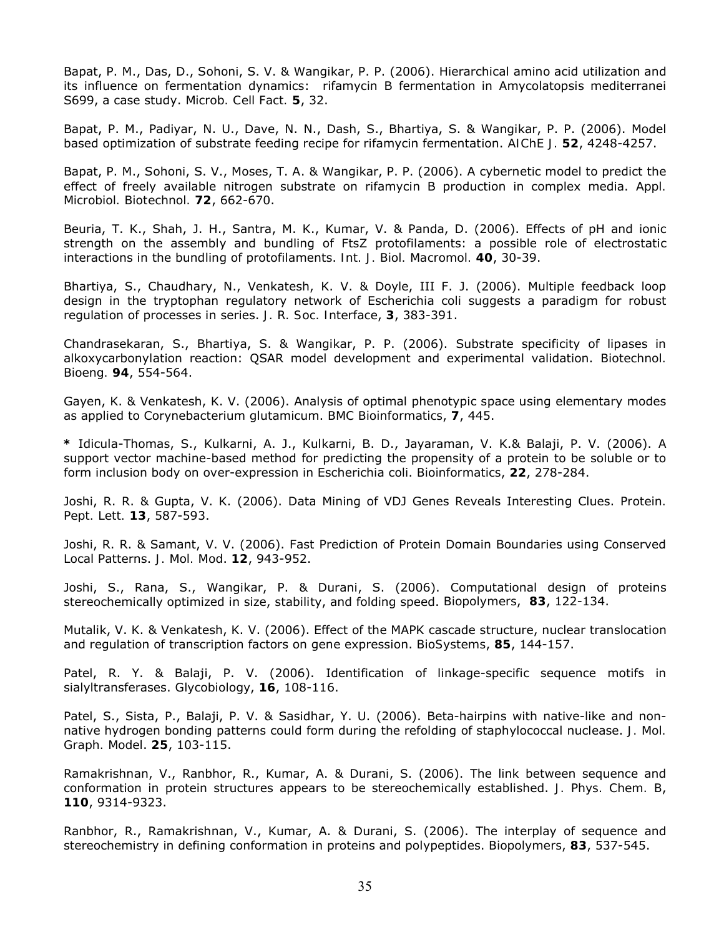Bapat, P. M., Das, D., Sohoni, S. V. & Wangikar, P. P. (2006). Hierarchical amino acid utilization and its influence on fermentation dynamics: rifamycin B fermentation in Amycolatopsis mediterranei S699, a case study. *Microb. Cell Fact.* **5**, 32.

Bapat, P. M., Padiyar, N. U., Dave, N. N., Dash, S., Bhartiya, S. & Wangikar, P. P. (2006). Model based optimization of substrate feeding recipe for rifamycin fermentation. *AIChE J.* **52**, 4248-4257.

Bapat, P. M., Sohoni, S. V., Moses, T. A. & Wangikar, P. P. (2006). A cybernetic model to predict the effect of freely available nitrogen substrate on rifamycin B production in complex media. *Appl. Microbiol. Biotechnol.* **72**, 662-670.

Beuria, T. K., Shah, J. H., Santra, M. K., Kumar, V. & Panda, D. (2006). Effects of pH and ionic strength on the assembly and bundling of FtsZ protofilaments: a possible role of electrostatic interactions in the bundling of protofilaments. *Int. J. Biol. Macromol.* **40**, 30-39.

Bhartiya, S., Chaudhary, N., Venkatesh, K. V. & Doyle, III F. J. (2006). Multiple feedback loop design in the tryptophan regulatory network of Escherichia coli suggests a paradigm for robust regulation of processes in series. *J. R. Soc. Interface*, **3**, 383-391.

Chandrasekaran, S., Bhartiya, S. & Wangikar, P. P. (2006). Substrate specificity of lipases in alkoxycarbonylation reaction: QSAR model development and experimental validation. *Biotechnol. Bioeng.* **94**, 554-564.

Gayen, K. & Venkatesh, K. V. (2006). Analysis of optimal phenotypic space using elementary modes as applied to Corynebacterium glutamicum. *BMC Bioinformatics*, **7**, 445.

**\*** Idicula-Thomas, S., Kulkarni, A. J., Kulkarni, B. D., Jayaraman, V. K.& Balaji, P. V. (2006). A support vector machine-based method for predicting the propensity of a protein to be soluble or to form inclusion body on over-expression in Escherichia coli. *Bioinformatics*, **22**, 278-284.

Joshi, R. R. & Gupta, V. K. (2006). Data Mining of VDJ Genes Reveals Interesting Clues. *Protein. Pept. Lett.* **13**, 587-593.

Joshi, R. R. & Samant, V. V. (2006). Fast Prediction of Protein Domain Boundaries using Conserved Local Patterns. *J. Mol. Mod*. **12**, 943-952.

Joshi, S., Rana, S., Wangikar, P. & Durani, S. (2006). Computational design of proteins stereochemically optimized in size, stability, and folding speed. *Biopolymers*, **83**, 122-134.

Mutalik, V. K. & Venkatesh, K. V. (2006). Effect of the MAPK cascade structure, nuclear translocation and regulation of transcription factors on gene expression. *BioSystems*, **85**, 144-157.

Patel, R. Y. & Balaji, P. V. (2006). Identification of linkage-specific sequence motifs in sialyltransferases. *Glycobiology*, **16**, 108-116.

Patel, S., Sista, P., Balaji, P. V. & Sasidhar, Y. U. (2006). Beta-hairpins with native-like and nonnative hydrogen bonding patterns could form during the refolding of staphylococcal nuclease. *J. Mol. Graph. Model*. **25**, 103-115.

Ramakrishnan, V., Ranbhor, R., Kumar, A. & Durani, S. (2006). The link between sequence and conformation in protein structures appears to be stereochemically established. *J. Phys. Chem. B*, **110**, 9314-9323.

Ranbhor, R., Ramakrishnan, V., Kumar, A. & Durani, S. (2006). The interplay of sequence and stereochemistry in defining conformation in proteins and polypeptides. *Biopolymers*, **83**, 537-545.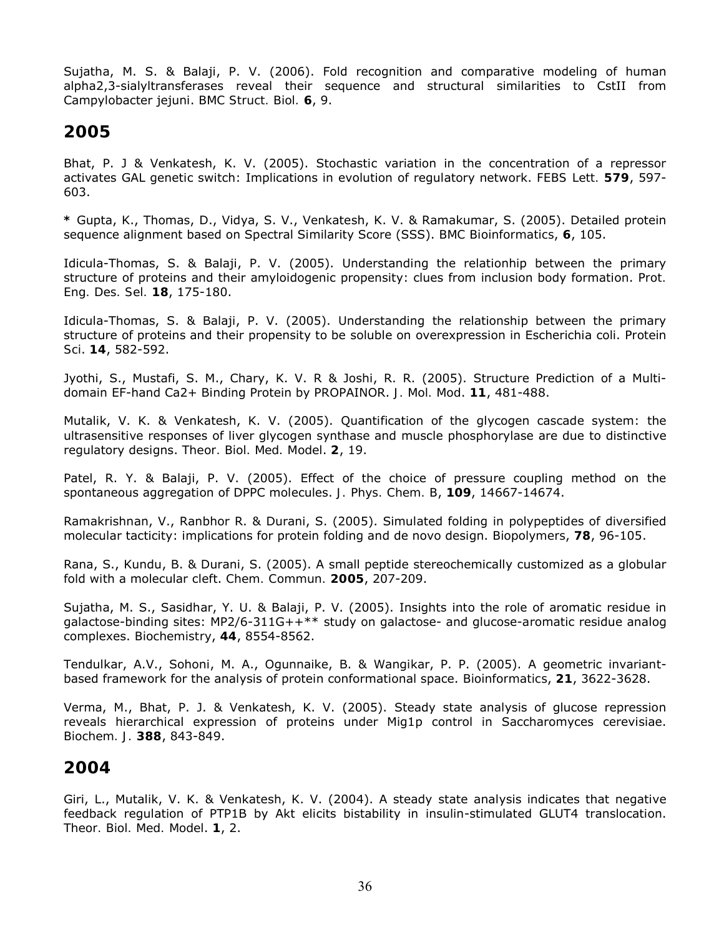Sujatha, M. S. & Balaji, P. V. (2006). Fold recognition and comparative modeling of human alpha2,3-sialyltransferases reveal their sequence and structural similarities to CstII from Campylobacter jejuni. *BMC Struct. Biol.* **6**, 9.

**2005**

Bhat, P. J & Venkatesh, K. V. (2005). Stochastic variation in the concentration of a repressor activates GAL genetic switch: Implications in evolution of regulatory network. *FEBS Lett.* **579**, 597- 603.

**\*** Gupta, K., Thomas, D., Vidya, S. V., Venkatesh, K. V. & Ramakumar, S. (2005). Detailed protein sequence alignment based on Spectral Similarity Score (SSS). *BMC Bioinformatics*, **6**, 105.

Idicula-Thomas, S. & Balaji, P. V. (2005). Understanding the relationhip between the primary structure of proteins and their amyloidogenic propensity: clues from inclusion body formation. *Prot. Eng. Des. Sel.* **18**, 175-180.

Idicula-Thomas, S. & Balaji, P. V. (2005). Understanding the relationship between the primary structure of proteins and their propensity to be soluble on overexpression in Escherichia coli. *Protein Sci*. **14**, 582-592.

Jyothi, S., Mustafi, S. M., Chary, K. V. R & Joshi, R. R. (2005). Structure Prediction of a Multidomain EF-hand Ca2+ Binding Protein by PROPAINOR. *J. Mol. Mod*. **11**, 481-488.

Mutalik, V. K. & Venkatesh, K. V. (2005). Quantification of the glycogen cascade system: the ultrasensitive responses of liver glycogen synthase and muscle phosphorylase are due to distinctive regulatory designs. *Theor. Biol. Med. Model*. **2**, 19.

Patel, R. Y. & Balaji, P. V. (2005). Effect of the choice of pressure coupling method on the spontaneous aggregation of DPPC molecules. *J. Phys. Chem. B*, **109**, 14667-14674.

Ramakrishnan, V., Ranbhor R. & Durani, S. (2005). Simulated folding in polypeptides of diversified molecular tacticity: implications for protein folding and de novo design. *Biopolymers*, **78**, 96-105.

Rana, S., Kundu, B. & Durani, S. (2005). A small peptide stereochemically customized as a globular fold with a molecular cleft. *Chem. Commun.* **2005**, 207-209.

Sujatha, M. S., Sasidhar, Y. U. & Balaji, P. V. (2005). Insights into the role of aromatic residue in galactose-binding sites: MP2/6-311G++\*\* study on galactose- and glucose-aromatic residue analog complexes. *Biochemistry*, **44**, 8554-8562.

Tendulkar, A.V., Sohoni, M. A., Ogunnaike, B. & Wangikar, P. P. (2005). A geometric invariantbased framework for the analysis of protein conformational space. *Bioinformatics*, **21**, 3622-3628.

Verma, M., Bhat, P. J. & Venkatesh, K. V. (2005). Steady state analysis of glucose repression reveals hierarchical expression of proteins under Mig1p control in Saccharomyces cerevisiae. *Biochem. J.* **388**, 843-849.

## **2004**

Giri, L., Mutalik, V. K. & Venkatesh, K. V. (2004). A steady state analysis indicates that negative feedback regulation of PTP1B by Akt elicits bistability in insulin-stimulated GLUT4 translocation. *Theor. Biol. Med. Model*. **1**, 2.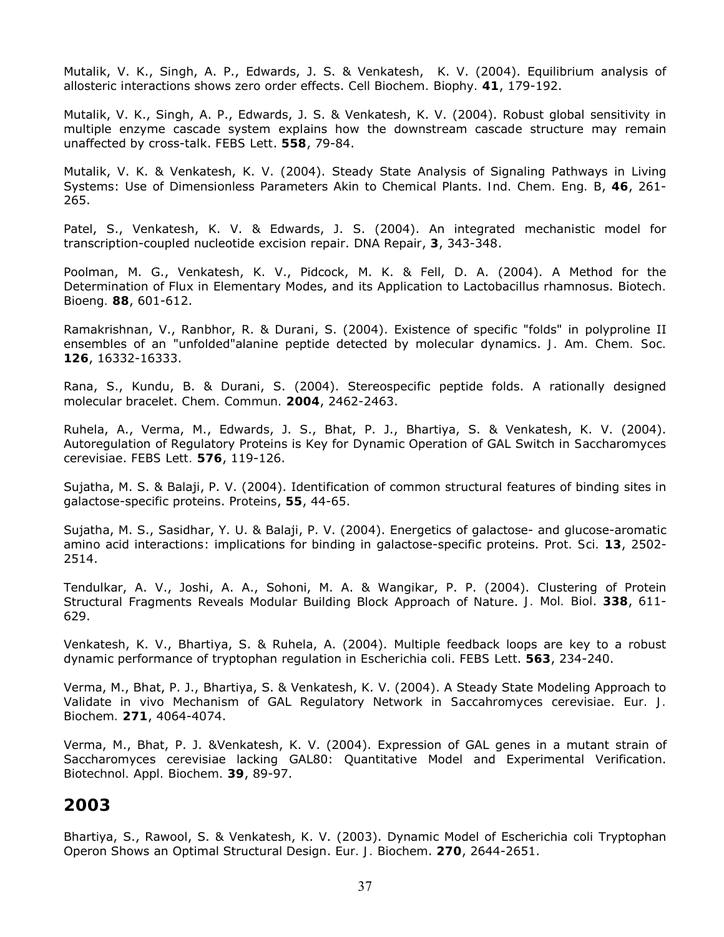Mutalik, V. K., Singh, A. P., Edwards, J. S. & Venkatesh, K. V. (2004). Equilibrium analysis of allosteric interactions shows zero order effects. *Cell Biochem. Biophy.* **41**, 179-192.

Mutalik, V. K., Singh, A. P., Edwards, J. S. & Venkatesh, K. V. (2004). Robust global sensitivity in multiple enzyme cascade system explains how the downstream cascade structure may remain unaffected by cross-talk. *FEBS Lett*. **558**, 79-84.

Mutalik, V. K. & Venkatesh, K. V. (2004). Steady State Analysis of Signaling Pathways in Living Systems: Use of Dimensionless Parameters Akin to Chemical Plants. *Ind. Chem. Eng. B*, **46**, 261- 265.

Patel, S., Venkatesh, K. V. & Edwards, J. S. (2004). An integrated mechanistic model for transcription-coupled nucleotide excision repair. *DNA Repair*, **3**, 343-348.

Poolman, M. G., Venkatesh, K. V., Pidcock, M. K. & Fell, D. A. (2004). A Method for the Determination of Flux in Elementary Modes, and its Application to Lactobacillus rhamnosus. *Biotech. Bioeng.* **88**, 601-612.

Ramakrishnan, V., Ranbhor, R. & Durani, S. (2004). Existence of specific "folds" in polyproline II ensembles of an "unfolded"alanine peptide detected by molecular dynamics. *J. Am. Chem. Soc.* **126**, 16332-16333.

Rana, S., Kundu, B. & Durani, S. (2004). Stereospecific peptide folds. A rationally designed molecular bracelet. *Chem. Commun.* **2004**, 2462-2463.

Ruhela, A., Verma, M., Edwards, J. S., Bhat, P. J., Bhartiya, S. & Venkatesh, K. V. (2004). Autoregulation of Regulatory Proteins is Key for Dynamic Operation of GAL Switch in *Saccharomyces cerevisiae*. *FEBS Lett.* **576**, 119-126.

Sujatha, M. S. & Balaji, P. V. (2004). Identification of common structural features of binding sites in galactose-specific proteins. *Proteins*, **55**, 44-65.

Sujatha, M. S., Sasidhar, Y. U. & Balaji, P. V. (2004). Energetics of galactose- and glucose-aromatic amino acid interactions: implications for binding in galactose-specific proteins. *Prot. Sci.* **13**, 2502- 2514.

Tendulkar, A. V., Joshi, A. A., Sohoni, M. A. & Wangikar, P. P. (2004). Clustering of Protein Structural Fragments Reveals Modular Building Block Approach of Nature. *J. Mol. Biol*. **338**, 611- 629.

Venkatesh, K. V., Bhartiya, S. & Ruhela, A. (2004). Multiple feedback loops are key to a robust dynamic performance of tryptophan regulation in *Escherichia coli*. *FEBS Lett*. **563**, 234-240.

Verma, M., Bhat, P. J., Bhartiya, S. & Venkatesh, K. V. (2004). A Steady State Modeling Approach to Validate in vivo Mechanism of GAL Regulatory Network in *Saccahromyces cerevisiae*. *Eur. J. Biochem.* **271**, 4064-4074.

Verma, M., Bhat, P. J. &Venkatesh, K. V. (2004). Expression of GAL genes in a mutant strain of Saccharomyces cerevisiae lacking GAL80: Quantitative Model and Experimental Verification. *Biotechnol. Appl. Biochem.* **39**, 89-97.

## **2003**

Bhartiya, S., Rawool, S. & Venkatesh, K. V. (2003). Dynamic Model of Escherichia coli Tryptophan Operon Shows an Optimal Structural Design. *Eur. J. Biochem*. **270**, 2644-2651.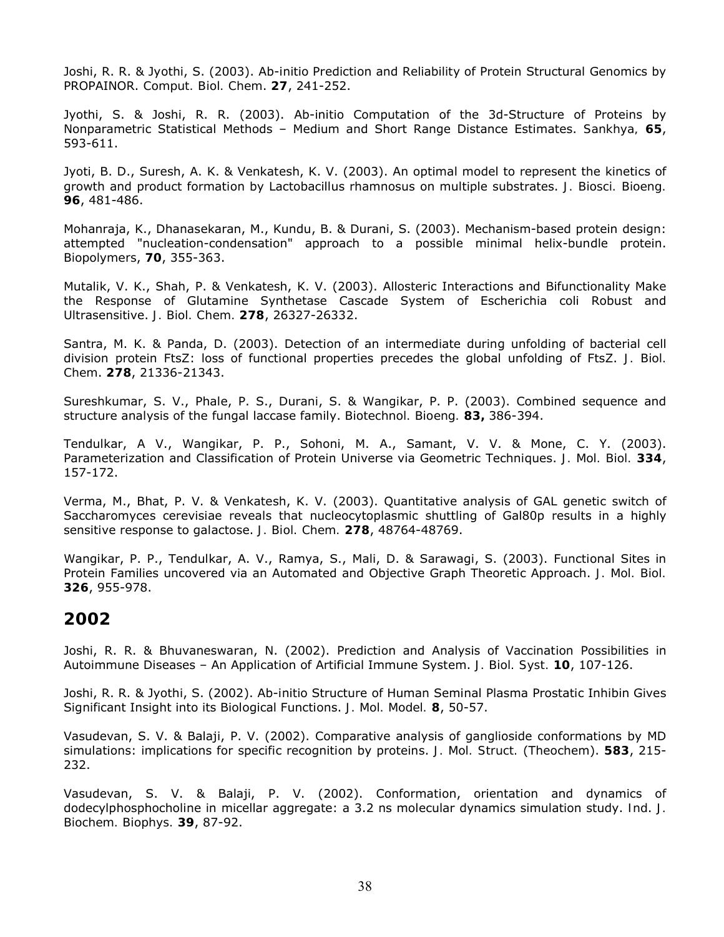Joshi, R. R. & Jyothi, S. (2003). Ab-initio Prediction and Reliability of Protein Structural Genomics by PROPAINOR. *Comput. Biol. Chem*. **27**, 241-252.

Jyothi, S. & Joshi, R. R. (2003). Ab-initio Computation of the 3d-Structure of Proteins by Nonparametric Statistical Methods – Medium and Short Range Distance Estimates. *Sankhya,* **65**, 593-611.

Jyoti, B. D., Suresh, A. K. & Venkatesh, K. V. (2003). An optimal model to represent the kinetics of growth and product formation by Lactobacillus rhamnosus on multiple substrates. *J. Biosci. Bioeng.* **96**, 481-486.

Mohanraja, K., Dhanasekaran, M., Kundu, B. & Durani, S. (2003). Mechanism-based protein design: attempted "nucleation-condensation" approach to a possible minimal helix-bundle protein. *Biopolymers*, **70**, 355-363.

Mutalik, V. K., Shah, P. & Venkatesh, K. V. (2003). Allosteric Interactions and Bifunctionality Make the Response of Glutamine Synthetase Cascade System of Escherichia coli Robust and Ultrasensitive. *J. Biol. Chem.* **278**, 26327-26332.

Santra, M. K. & Panda, D. (2003). Detection of an intermediate during unfolding of bacterial cell division protein FtsZ: loss of functional properties precedes the global unfolding of FtsZ. *J. Biol. Chem*. **278**, 21336-21343.

Sureshkumar, S. V., Phale, P. S., Durani, S. & Wangikar, P. P. (2003). Combined sequence and structure analysis of the fungal laccase family. *Biotechnol. Bioeng.* **83,** 386-394.

Tendulkar, A V., Wangikar, P. P., Sohoni, M. A., Samant, V. V. & Mone, C. Y. (2003). Parameterization and Classification of Protein Universe via Geometric Techniques. *J. Mol. Biol.* **334**, 157-172.

Verma, M., Bhat, P. V. & Venkatesh, K. V. (2003). Quantitative analysis of GAL genetic switch of Saccharomyces cerevisiae reveals that nucleocytoplasmic shuttling of Gal80p results in a highly sensitive response to galactose. *J. Biol. Chem.* **278**, 48764-48769.

Wangikar, P. P., Tendulkar, A. V., Ramya, S., Mali, D. & Sarawagi, S. (2003). Functional Sites in Protein Families uncovered via an Automated and Objective Graph Theoretic Approach. *J. Mol. Biol.* **326**, 955-978.

#### **2002**

Joshi, R. R. & Bhuvaneswaran, N. (2002). Prediction and Analysis of Vaccination Possibilities in Autoimmune Diseases – An Application of Artificial Immune System. *J. Biol. Syst.* **10**, 107-126.

Joshi, R. R. & Jyothi, S. (2002). Ab-initio Structure of Human Seminal Plasma Prostatic Inhibin Gives Significant Insight into its Biological Functions. *J. Mol. Model.* **8**, 50-57.

Vasudevan, S. V. & Balaji, P. V. (2002). Comparative analysis of ganglioside conformations by MD simulations: implications for specific recognition by proteins. *J. Mol. Struct.* (Theochem). **583**, 215- 232.

Vasudevan, S. V. & Balaji, P. V. (2002). Conformation, orientation and dynamics of dodecylphosphocholine in micellar aggregate: a 3.2 ns molecular dynamics simulation study. *Ind*. *J. Biochem. Biophys.* **39**, 87-92.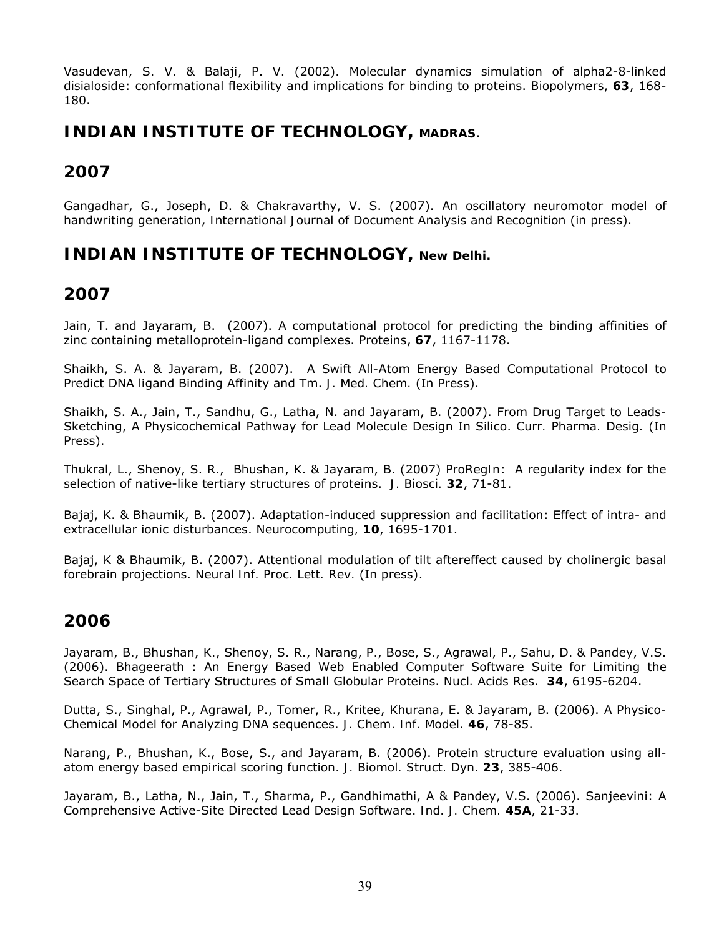Vasudevan, S. V. & Balaji, P. V. (2002). Molecular dynamics simulation of alpha2-8-linked disialoside: conformational flexibility and implications for binding to proteins. *Biopolymers*, **63**, 168- 180.

**INDIAN INSTITUTE OF TECHNOLOGY, MADRAS.**

## **2007**

Gangadhar, G., Joseph, D. & Chakravarthy, V. S. (2007). An oscillatory neuromotor model of handwriting generation, *International Journal of Document Analysis and Recognition* (in press).

**INDIAN INSTITUTE OF TECHNOLOGY, New Delhi.**

## **2007**

Jain, T. and Jayaram, B. (2007). A computational protocol for predicting the binding affinities of zinc containing metalloprotein-ligand complexes. *Proteins*, **67**, 1167-1178.

Shaikh, S. A. & Jayaram, B. (2007). A Swift All-Atom Energy Based Computational Protocol to Predict DNA ligand Binding Affinity and Tm. *J. Med. Chem.* (In Press).

Shaikh, S. A., Jain, T., Sandhu, G., Latha, N. and Jayaram, B. (2007). From Drug Target to Leads-Sketching, A Physicochemical Pathway for Lead Molecule Design In Silico. *Curr. Pharma. Desig.* (In Press).

Thukral, L., Shenoy, S. R., Bhushan, K. & Jayaram, B. (2007) *ProRegIn*:A regularity index for the selection of native-like tertiary structures of proteins. *J. Biosci.* **32**, 71-81.

Bajaj, K. & Bhaumik, B. (2007). Adaptation-induced suppression and facilitation: Effect of intra- and extracellular ionic disturbances. *Neurocomputing,* **10**, 1695-1701.

Bajaj, K & Bhaumik, B. (2007). Attentional modulation of tilt aftereffect caused by cholinergic basal forebrain projections. *Neural Inf. Proc. Lett. Rev.* (In press).

## **2006**

Jayaram, B., Bhushan, K., Shenoy, S. R., Narang, P., Bose, S., Agrawal, P., Sahu, D. & Pandey, V.S. (2006). Bhageerath : An Energy Based Web Enabled Computer Software Suite for Limiting the Search Space of Tertiary Structures of Small Globular Proteins. *Nucl. Acids Res*. **34**, 6195-6204.

Dutta, S., Singhal, P., Agrawal, P., Tomer, R., Kritee, Khurana, E. & Jayaram, B. (2006). A Physico-Chemical Model for Analyzing DNA sequences. *J. Chem. Inf. Model*. **46**, 78-85.

Narang, P., Bhushan, K., Bose, S., and Jayaram, B. (2006). Protein structure evaluation using allatom energy based empirical scoring function. *J. Biomol. Struct. Dyn*. **23**, 385-406.

Jayaram, B., Latha, N., Jain, T., Sharma, P., Gandhimathi, A & Pandey, V.S. (2006). Sanjeevini: A Comprehensive Active-Site Directed Lead Design Software. *Ind. J. Chem.* **45A**, 21-33.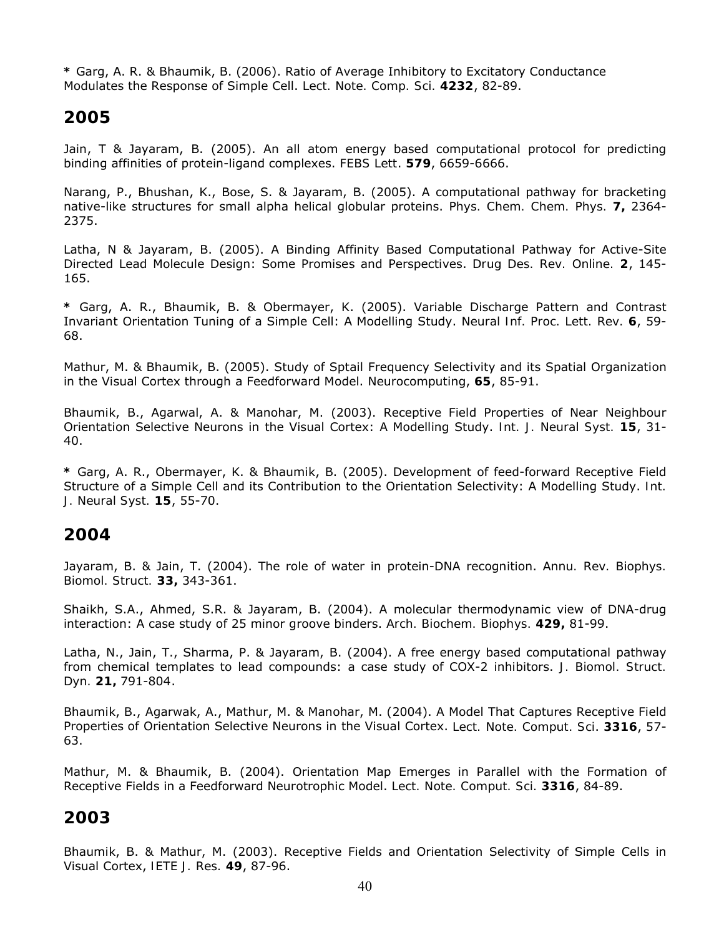**\*** Garg, A. R. & Bhaumik, B. (2006). Ratio of Average Inhibitory to Excitatory Conductance Modulates the Response of Simple Cell. *Lect. Note. Comp. Sci.* **4232**, 82-89.

#### **2005**

Jain, T & Jayaram, B. (2005). An all atom energy based computational protocol for predicting binding affinities of protein-ligand complexes. *FEBS Lett*. **579**, 6659-6666.

Narang, P., Bhushan, K., Bose, S. & Jayaram, B. (2005). A computational pathway for bracketing native-like structures for small alpha helical globular proteins. *Phys. Chem. Chem. Phys.* **7,** 2364- 2375.

Latha, N & Jayaram, B. (2005). A Binding Affinity Based Computational Pathway for Active-Site Directed Lead Molecule Design: Some Promises and Perspectives. *Drug Des. Rev. Online.* **2**, 145- 165.

**\*** Garg, A. R., Bhaumik, B. & Obermayer, K. (2005). Variable Discharge Pattern and Contrast Invariant Orientation Tuning of a Simple Cell: A Modelling Study. *Neural Inf. Proc. Lett. Rev.* **6**, 59- 68.

Mathur, M. & Bhaumik, B. (2005). Study of Sptail Frequency Selectivity and its Spatial Organization in the Visual Cortex through a Feedforward Model. *Neurocomputing*, **65**, 85-91.

Bhaumik, B., Agarwal, A. & Manohar, M. (2003). Receptive Field Properties of Near Neighbour Orientation Selective Neurons in the Visual Cortex: A Modelling Study. *Int. J. Neural Syst.* **15**, 31- 40.

**\*** Garg, A. R., Obermayer, K. & Bhaumik, B. (2005). Development of feed-forward Receptive Field Structure of a Simple Cell and its Contribution to the Orientation Selectivity: A Modelling Study. *Int. J. Neural Syst.* **15**, 55-70.

#### **2004**

Jayaram, B. & Jain, T. (2004). The role of water in protein-DNA recognition. *Annu. Rev. Biophys. Biomol. Struct.* **33,** 343-361.

Shaikh, S.A., Ahmed, S.R. & Jayaram, B. (2004). A molecular thermodynamic view of DNA-drug interaction: A case study of 25 minor groove binders. *Arch. Biochem. Biophys.* **429,** 81-99.

Latha, N., Jain, T., Sharma, P. & Jayaram, B. (2004). A free energy based computational pathway from chemical templates to lead compounds: a case study of COX-2 inhibitors. *J. Biomol. Struct. Dyn.* **21,** 791-804.

Bhaumik, B., Agarwak, A., Mathur, M. & Manohar, M. (2004). A Model That Captures Receptive Field Properties of Orientation Selective Neurons in the Visual Cortex. *Lect. Note. Comput. Sci*. **3316**, 57- 63.

Mathur, M. & Bhaumik, B. (2004). Orientation Map Emerges in Parallel with the Formation of Receptive Fields in a Feedforward Neurotrophic Model. *Lect. Note. Comput. Sci.* **3316**, 84-89.

#### **2003**

Bhaumik, B. & Mathur, M. (2003). Receptive Fields and Orientation Selectivity of Simple Cells in Visual Cortex, *IETE J. Res.* **49**, 87-96.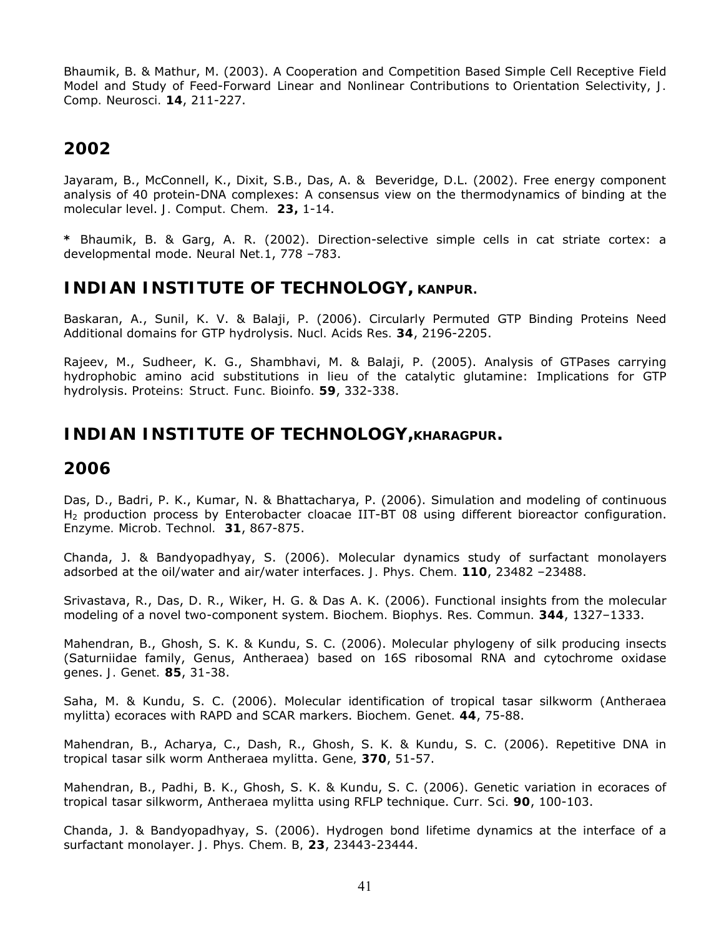Bhaumik, B. & Mathur, M. (2003). A Cooperation and Competition Based Simple Cell Receptive Field Model and Study of Feed-Forward Linear and Nonlinear Contributions to Orientation Selectivity, *J. Comp. Neurosci.* **14**, 211-227.

## **2002**

Jayaram, B., McConnell, K., Dixit, S.B., Das, A. & Beveridge, D.L. (2002). Free energy component analysis of 40 protein-DNA complexes: A consensus view on the thermodynamics of binding at the molecular level. *J. Comput. Chem.* **23,** 1-14.

**\*** Bhaumik, B. & Garg, A. R. (2002). Direction-selective simple cells in cat striate cortex: a developmental mode. *Neural Net.*1, 778 –783.

## **INDIAN INSTITUTE OF TECHNOLOGY, KANPUR.**

Baskaran, A., Sunil, K. V. & Balaji, P. (2006). Circularly Permuted GTP Binding Proteins Need Additional domains for GTP hydrolysis. *Nucl. Acids Res.* **34**, 2196-2205.

Rajeev, M., Sudheer, K. G., Shambhavi, M. & Balaji, P. (2005). Analysis of GTPases carrying hydrophobic amino acid substitutions in lieu of the catalytic glutamine: Implications for GTP hydrolysis. *Proteins: Struct. Func. Bioinfo.* **59**, 332-338.

## **INDIAN INSTITUTE OF TECHNOLOGY,KHARAGPUR.**

#### **2006**

Das, D., Badri, P. K., Kumar, N. & Bhattacharya, P. (2006). Simulation and modeling of continuous H2 production process by *Enterobacter cloacae* IIT-BT 08 using different bioreactor configuration. *Enzyme. Microb. Technol.* **31**, 867-875.

Chanda, J. & Bandyopadhyay, S. (2006). Molecular dynamics study of surfactant monolayers adsorbed at the oil/water and air/water interfaces. *J. Phys. Chem.* **110**, 23482 –23488.

Srivastava, R., Das, D. R., Wiker, H. G. & Das A. K. (2006). Functional insights from the molecular modeling of a novel two-component system. *Biochem. Biophys. Res. Commun.* **344**, 1327–1333.

Mahendran, B., Ghosh, S. K. & Kundu, S. C. (2006). Molecular phylogeny of silk producing insects (Saturniidae family, Genus, Antheraea) based on 16S ribosomal RNA and cytochrome oxidase genes. *J. Genet.* **85**, 31-38.

Saha, M. & Kundu, S. C. (2006). Molecular identification of tropical tasar silkworm (*Antheraea mylitta*) ecoraces with RAPD and SCAR markers. *Biochem. Genet.* **44**, 75-88.

Mahendran, B., Acharya, C., Dash, R., Ghosh, S. K. & Kundu, S. C. (2006). Repetitive DNA in tropical tasar silk worm *Antheraea mylitta*. *Gene,* **370**, 51-57.

Mahendran, B., Padhi, B. K., Ghosh, S. K. & Kundu, S. C. (2006). Genetic variation in ecoraces of tropical tasar silkworm, *Antheraea mylitta* using RFLP technique. *Curr. Sci.* **90**, 100-103.

Chanda, J. & Bandyopadhyay, S. (2006). Hydrogen bond lifetime dynamics at the interface of a surfactant monolayer. *J. Phys. Chem. B,* **23**, 23443-23444.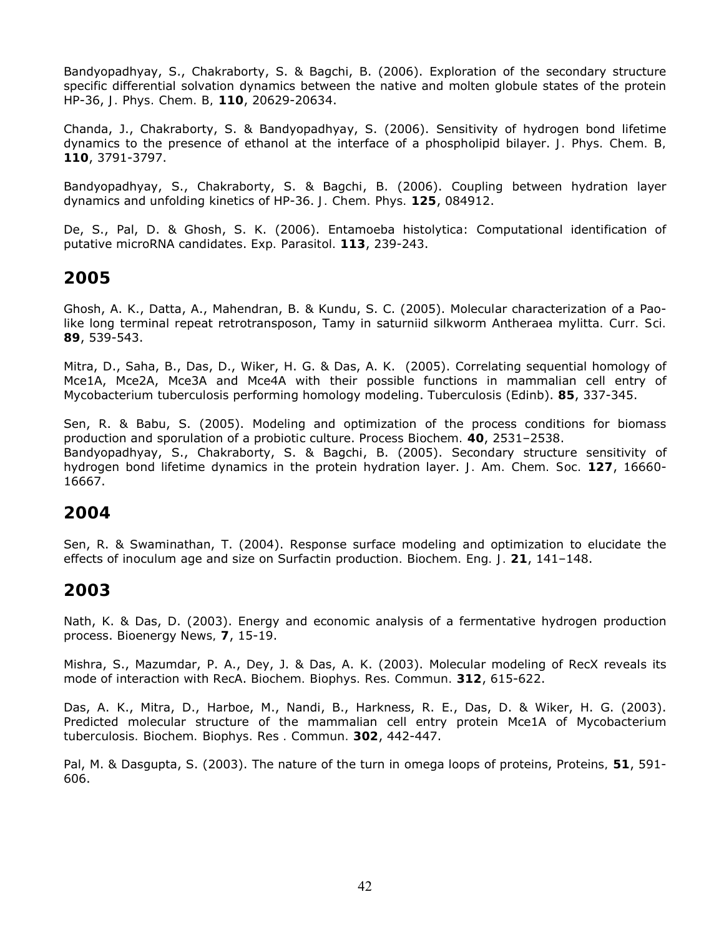Bandyopadhyay, S., Chakraborty, S. & Bagchi, B. (2006). Exploration of the secondary structure specific differential solvation dynamics between the native and molten globule states of the protein HP-36, *J. Phys. Chem. B,* **110**, 20629-20634.

Chanda, J., Chakraborty, S. & Bandyopadhyay, S. (2006). Sensitivity of hydrogen bond lifetime dynamics to the presence of ethanol at the interface of a phospholipid bilayer. *J. Phys. Chem. B,* **110**, 3791-3797.

Bandyopadhyay, S., Chakraborty, S. & Bagchi, B. (2006). Coupling between hydration layer dynamics and unfolding kinetics of HP-36. *J. Chem. Phys.* **125**, 084912.

De, S., Pal, D. & Ghosh, S. K. (2006). Entamoeba histolytica: Computational identification of putative microRNA candidates. *Exp. Parasitol.* **113**, 239-243.

## **2005**

Ghosh, A. K., Datta, A., Mahendran, B. & Kundu, S. C. (2005). Molecular characterization of a Paolike long terminal repeat retrotransposon, *Tamy* in saturniid silkworm *Antheraea mylitta. Curr. Sci.* **89**, 539-543.

Mitra, D., Saha, B., Das, D., Wiker, H. G. & Das, A. K. (2005). Correlating sequential homology of Mce1A, Mce2A, Mce3A and Mce4A with their possible functions in mammalian cell entry of *Mycobacterium tuberculosis* performing homology modeling. *Tuberculosis* (Edinb). **85**, 337-345.

Sen, R. & Babu, S. (2005). Modeling and optimization of the process conditions for biomass production and sporulation of a probiotic culture. *Process Biochem.* **40**, 2531–2538. Bandyopadhyay, S., Chakraborty, S. & Bagchi, B. (2005). Secondary structure sensitivity of hydrogen bond lifetime dynamics in the protein hydration layer. *J. Am. Chem. Soc.* **127**, 16660- 16667.

#### **2004**

Sen, R. & Swaminathan, T. (2004). Response surface modeling and optimization to elucidate the effects of inoculum age and size on Surfactin production*. Biochem. Eng. J.* **21**, 141–148.

## **2003**

Nath, K. & Das, D. (2003). Energy and economic analysis of a fermentative hydrogen production process. *Bioenergy News,* **7**, 15-19.

Mishra, S., Mazumdar, P. A., Dey, J. & Das, A. K. (2003). Molecular modeling of RecX reveals its mode of interaction with RecA. *Biochem. Biophys. Res. Commun.* **312**, 615-622.

Das, A. K., Mitra, D., Harboe, M., Nandi, B., Harkness, R. E., Das, D. & Wiker, H. G. (2003). Predicted molecular structure of the mammalian cell entry protein Mce1A of *Mycobacterium tuberculosis. Biochem. Biophys. Res . Commun.* **302**, 442-447.

Pal, M. & Dasgupta, S. (2003). The nature of the turn in omega loops of proteins, *Proteins,* **51**, 591- 606.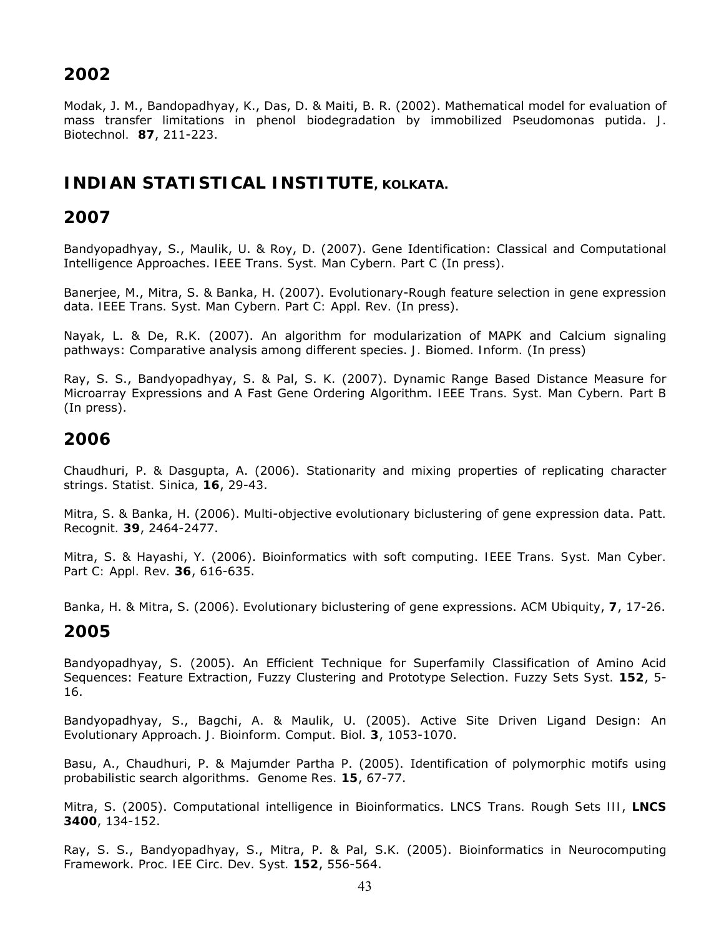Modak, J. M., Bandopadhyay, K., Das, D. & Maiti, B. R. (2002). Mathematical model for evaluation of mass transfer limitations in phenol biodegradation by immobilized *Pseudomonas putida*. *J. Biotechnol.* **87**, 211-223.

## **INDIAN STATISTICAL INSTITUTE, KOLKATA.**

### **2007**

Bandyopadhyay, S., Maulik, U. & Roy, D. (2007). Gene Identification: Classical and Computational Intelligence Approaches. *IEEE Trans. Syst. Man Cybern. Part C* (In press).

Banerjee, M., Mitra, S. & Banka, H. (2007). Evolutionary-Rough feature selection in gene expression data. *IEEE Trans. Syst. Man Cybern. Part C: Appl. Rev.* (In press).

Nayak, L. & De, R.K. (2007). An algorithm for modularization of MAPK and Calcium signaling pathways: Comparative analysis among different species. *J. Biomed. Inform.* (In press)

Ray, S. S., Bandyopadhyay, S. & Pal, S. K. (2007). Dynamic Range Based Distance Measure for Microarray Expressions and A Fast Gene Ordering Algorithm. *IEEE Trans. Syst. Man Cybern. Part B* (In press).

#### **2006**

Chaudhuri, P. & Dasgupta, A. (2006). Stationarity and mixing properties of replicating character strings. *Statist. Sinica,* **16**, 29-43.

Mitra, S. & Banka, H. (2006). Multi-objective evolutionary biclustering of gene expression data. *Patt. Recognit.* **39**, 2464-2477.

Mitra, S. & Hayashi, Y. (2006). Bioinformatics with soft computing. *IEEE Trans. Syst. Man Cyber. Part C: Appl. Rev.* **36**, 616-635.

Banka, H. & Mitra, S. (2006). Evolutionary biclustering of gene expressions. *ACM Ubiquity*, **7**, 17-26.

#### **2005**

Bandyopadhyay, S. (2005). An Efficient Technique for Superfamily Classification of Amino Acid Sequences: Feature Extraction, Fuzzy Clustering and Prototype Selection. *Fuzzy Sets Syst.* **152**, 5- 16.

Bandyopadhyay, S., Bagchi, A. & Maulik, U. (2005). Active Site Driven Ligand Design: An Evolutionary Approach. *J. Bioinform. Comput. Biol.* **3**, 1053-1070.

Basu, A., Chaudhuri, P. & Majumder Partha P. (2005). Identification of polymorphic motifs using probabilistic search algorithms. *Genome Res.* **15**, 67-77.

Mitra, S. (2005). Computational intelligence in Bioinformatics. *LNCS Trans. Rough Sets III*, **LNCS 3400**, 134-152.

Ray, S. S., Bandyopadhyay, S., Mitra, P. & Pal, S.K. (2005). Bioinformatics in Neurocomputing Framework. *Proc. IEE Circ. Dev. Syst.* **152**, 556-564.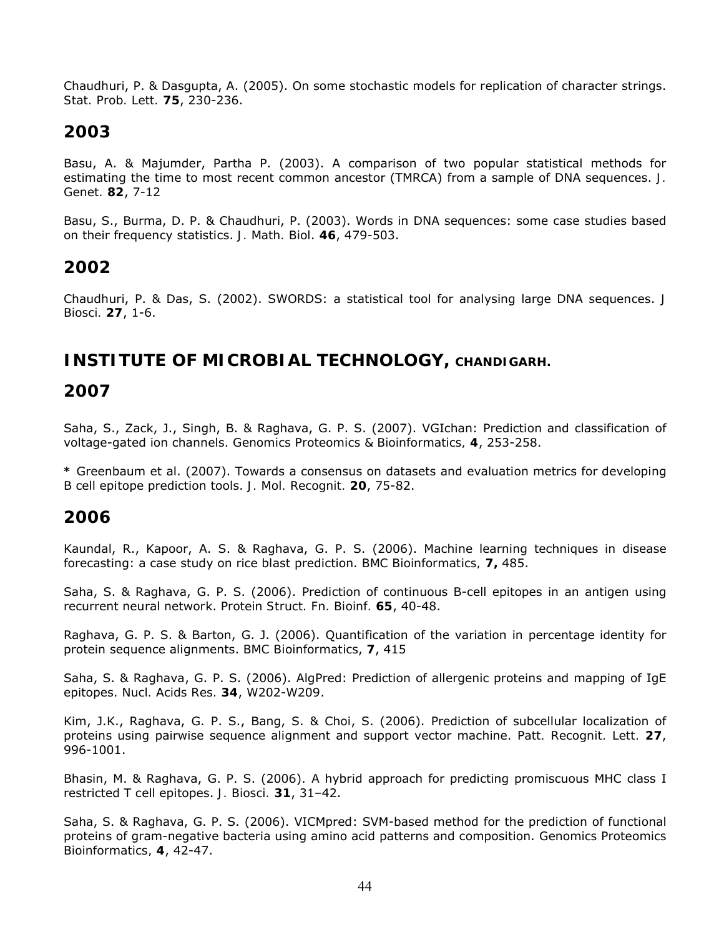Chaudhuri, P. & Dasgupta, A. (2005). On some stochastic models for replication of character strings. *Stat. Prob. Lett.* **75**, 230-236.

## **2003**

Basu, A. & Majumder, Partha P. (2003). A comparison of two popular statistical methods for estimating the time to most recent common ancestor (TMRCA) from a sample of DNA sequences. *J. Genet.* **82**, 7-12

Basu, S., Burma, D. P. & Chaudhuri, P. (2003). Words in DNA sequences: some case studies based on their frequency statistics. *J. Math. Biol*. **46**, 479-503.

## **2002**

Chaudhuri, P. & Das, S. (2002). SWORDS: a statistical tool for analysing large DNA sequences. *J Biosci.* **27**, 1-6.

## **INSTITUTE OF MICROBIAL TECHNOLOGY, CHANDIGARH.**

## **2007**

Saha, S., Zack, J., Singh, B. & Raghava, G. P. S. (2007). VGIchan: Prediction and classification of voltage-gated ion channels. *Genomics Proteomics & Bioinformatics,* **4**, 253-258.

**\*** Greenbaum et al. (2007). Towards a consensus on datasets and evaluation metrics for developing B cell epitope prediction tools. *J. Mol. Recognit.* **20**, 75-82.

#### **2006**

Kaundal, R., Kapoor, A. S. & Raghava, G. P. S. (2006). Machine learning techniques in disease forecasting: a case study on rice blast prediction. *BMC Bioinformatics,* **7,** 485.

Saha, S. & Raghava, G. P. S. (2006). Prediction of continuous B-cell epitopes in an antigen using recurrent neural network. *Protein Struct. Fn. Bioinf.* **65**, 40-48.

Raghava, G. P. S. & Barton, G. J. (2006). Quantification of the variation in percentage identity for protein sequence alignments. *BMC Bioinformatics*, **7**, 415

Saha, S. & Raghava, G. P. S. (2006). AlgPred: Prediction of allergenic proteins and mapping of IgE epitopes. *Nucl. Acids Res.* **34**, W202-W209.

Kim, J.K., Raghava, G. P. S., Bang, S. & Choi, S. (2006). Prediction of subcellular localization of proteins using pairwise sequence alignment and support vector machine. *Patt. Recognit. Lett.* **27**, 996-1001.

Bhasin, M. & Raghava, G. P. S. (2006). A hybrid approach for predicting promiscuous MHC class I restricted T cell epitopes. *J. Biosci.* **31**, 31–42.

Saha, S. & Raghava, G. P. S. (2006). VICMpred: SVM-based method for the prediction of functional proteins of gram-negative bacteria using amino acid patterns and composition. *Genomics Proteomics Bioinformatics,* **4**, 42-47.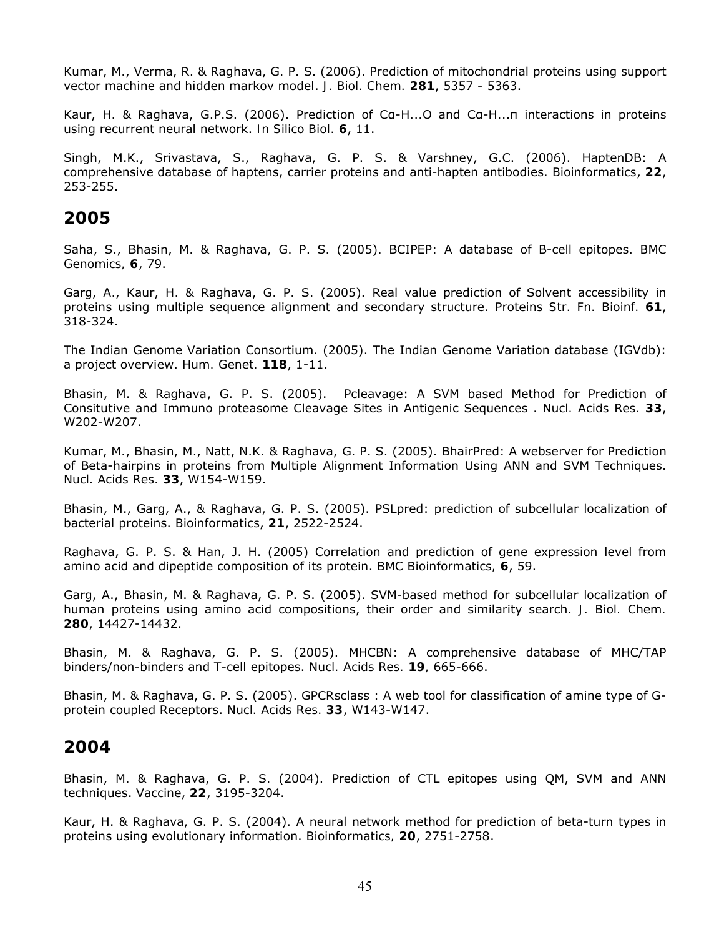Kumar, M., Verma, R. & Raghava, G. P. S. (2006). Prediction of mitochondrial proteins using support vector machine and hidden markov model. *J. Biol. Chem.* **281**, 5357 - 5363.

Kaur, H. & Raghava, G.P.S. (2006). Prediction of Cα-H...O and Cα-H...π interactions in proteins using recurrent neural network. *In Silico Biol.* **6**, 11.

Singh, M.K., Srivastava, S., Raghava, G. P. S. & Varshney, G.C. (2006). HaptenDB: A comprehensive database of haptens, carrier proteins and anti-hapten antibodies. *Bioinformatics*, **22**, 253-255.

#### **2005**

Saha, S., Bhasin, M. & Raghava, G. P. S. (2005). BCIPEP: A database of B-cell epitopes. *BMC Genomics,* **6**, 79.

Garg, A., Kaur, H. & Raghava, G. P. S. (2005). Real value prediction of Solvent accessibility in proteins using multiple sequence alignment and secondary structure. *Proteins Str. Fn. Bioinf.* **61**, 318-324.

The Indian Genome Variation Consortium. (2005). The Indian Genome Variation database (IGVdb): a project overview. *Hum. Genet.* **118**, 1-11.

Bhasin, M. & Raghava, G. P. S. (2005). Pcleavage: A SVM based Method for Prediction of Consitutive and Immuno proteasome Cleavage Sites in Antigenic Sequences . *Nucl. Acids Res.* **33**, W202-W207.

Kumar, M., Bhasin, M., Natt, N.K. & Raghava, G. P. S. (2005). BhairPred: A webserver for Prediction of Beta-hairpins in proteins from Multiple Alignment Information Using ANN and SVM Techniques. *Nucl. Acids Res.* **33**, W154-W159.

Bhasin, M., Garg, A., & Raghava, G. P. S. (2005). PSLpred: prediction of subcellular localization of bacterial proteins. *Bioinformatics*, **21**, 2522-2524.

Raghava, G. P. S. & Han, J. H. (2005) Correlation and prediction of gene expression level from amino acid and dipeptide composition of its protein. *BMC Bioinformatics,* **6**, 59.

Garg, A., Bhasin, M. & Raghava, G. P. S. (2005). SVM-based method for subcellular localization of human proteins using amino acid compositions, their order and similarity search. *J. Biol. Chem.*  **280**, 14427-14432.

Bhasin, M. & Raghava, G. P. S. (2005). MHCBN: A comprehensive database of MHC/TAP binders/non-binders and T-cell epitopes. *Nucl. Acids Res.* **19***,* 665-666.

Bhasin, M. & Raghava, G. P. S. (2005). GPCRsclass : A web tool for classification of amine type of Gprotein coupled Receptors. *Nucl. Acids Res.* **33**, W143-W147.

#### **2004**

Bhasin, M. & Raghava, G. P. S. (2004). Prediction of CTL epitopes using QM, SVM and ANN techniques. *Vaccine*, **22**, 3195-3204.

Kaur, H. & Raghava, G. P. S. (2004). A neural network method for prediction of beta-turn types in proteins using evolutionary information. *Bioinformatics,* **20**, 2751-2758.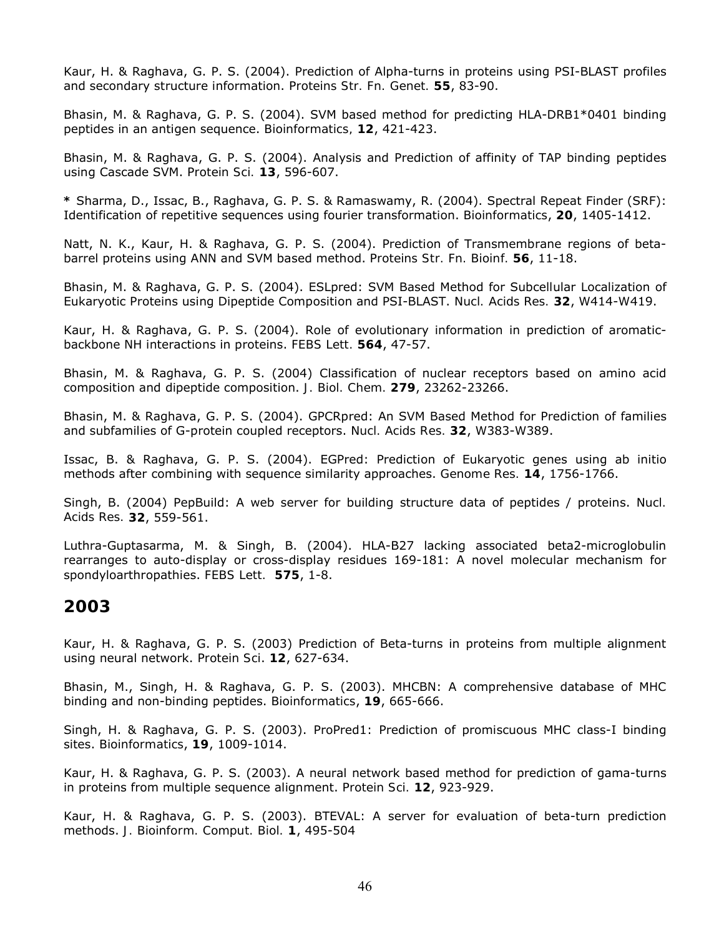Kaur, H. & Raghava, G. P. S. (2004). Prediction of Alpha-turns in proteins using PSI-BLAST profiles and secondary structure information. *Proteins Str. Fn. Genet.* **55**, 83-90.

Bhasin, M. & Raghava, G. P. S. (2004). SVM based method for predicting HLA-DRB1\*0401 binding peptides in an antigen sequence. *Bioinformatics,* **12**, 421-423.

Bhasin, M. & Raghava, G. P. S. (2004). Analysis and Prediction of affinity of TAP binding peptides using Cascade SVM. *Protein Sci.* **13**, 596-607.

**\*** Sharma, D., Issac, B., Raghava, G. P. S. & Ramaswamy, R. (2004). Spectral Repeat Finder (SRF): Identification of repetitive sequences using fourier transformation. *Bioinformatics*, **20**, 1405-1412.

Natt, N. K., Kaur, H. & Raghava, G. P. S. (2004). Prediction of Transmembrane regions of betabarrel proteins using ANN and SVM based method. *Proteins Str. Fn. Bioinf.* **56**, 11-18.

Bhasin, M. & Raghava, G. P. S. (2004). ESLpred: SVM Based Method for Subcellular Localization of Eukaryotic Proteins using Dipeptide Composition and PSI-BLAST. *Nucl. Acids Res.* **32**, W414-W419.

Kaur, H. & Raghava, G. P. S. (2004). Role of evolutionary information in prediction of aromaticbackbone NH interactions in proteins. *FEBS Lett.* **564**, 47-57.

Bhasin, M. & Raghava, G. P. S. (2004) Classification of nuclear receptors based on amino acid composition and dipeptide composition. *J. Biol. Chem.* **279**, 23262-23266.

Bhasin, M. & Raghava, G. P. S. (2004). GPCRpred: An SVM Based Method for Prediction of families and subfamilies of G-protein coupled receptors. *Nucl. Acids Res.* **32**, W383-W389.

Issac, B. & Raghava, G. P. S. (2004). EGPred: Prediction of Eukaryotic genes using ab initio methods after combining with sequence similarity approaches. *Genome Res.* **14**, 1756-1766.

Singh, B. (2004) PepBuild: A web server for building structure data of peptides / proteins. *Nucl. Acids Res.* **32**, 559-561.

Luthra-Guptasarma, M. & Singh, B. (2004). HLA-B27 lacking associated beta2-microglobulin rearranges to auto-display or cross-display residues 169-181: A novel molecular mechanism for spondyloarthropathies. *FEBS Lett.* **575**, 1-8.

#### **2003**

Kaur, H. & Raghava, G. P. S. (2003) Prediction of Beta-turns in proteins from multiple alignment using neural network. *Protein Sci*. **12**, 627-634.

Bhasin, M., Singh, H. & Raghava, G. P. S. (2003). MHCBN: A comprehensive database of MHC binding and non-binding peptides. *Bioinformatics*, **19**, 665-666.

Singh, H. & Raghava, G. P. S. (2003). ProPred1: Prediction of promiscuous MHC class-I binding sites. *Bioinformatics*, **19**, 1009-1014.

Kaur, H. & Raghava, G. P. S. (2003). A neural network based method for prediction of gama-turns in proteins from multiple sequence alignment. *Protein Sci.* **12**, 923-929.

Kaur, H. & Raghava, G. P. S. (2003). BTEVAL: A server for evaluation of beta-turn prediction methods. *J. Bioinform. Comput. Biol.* **1**, 495-504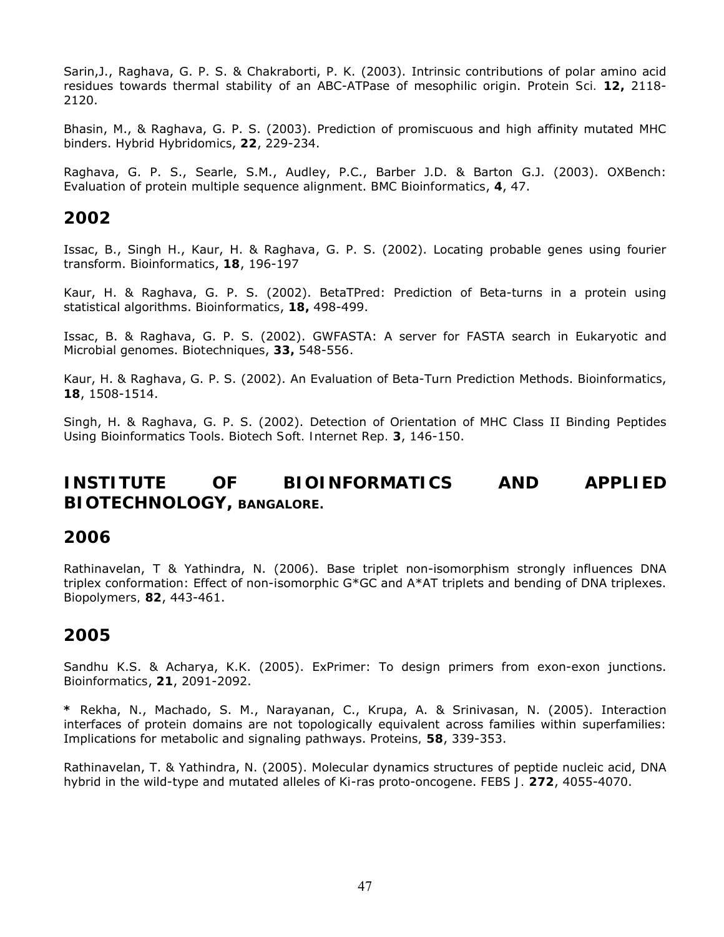Sarin,J., Raghava, G. P. S. & Chakraborti, P. K. (2003). Intrinsic contributions of polar amino acid residues towards thermal stability of an ABC-ATPase of mesophilic origin. *Protein Sci.* **12,** 2118- 2120.

Bhasin, M., & Raghava, G. P. S. (2003). Prediction of promiscuous and high affinity mutated MHC binders. *Hybrid Hybridomics*, **22**, 229-234.

Raghava, G. P. S., Searle, S.M., Audley, P.C., Barber J.D. & Barton G.J. (2003). OXBench: Evaluation of protein multiple sequence alignment. *BMC Bioinformatics*, **4**, 47.

#### **2002**

Issac, B., Singh H., Kaur, H. & Raghava, G. P. S. (2002). Locating probable genes using fourier transform. *Bioinformatics*, **18**, 196-197

Kaur, H. & Raghava, G. P. S. (2002). BetaTPred: Prediction of Beta-turns in a protein using statistical algorithms. *Bioinformatics*, **18,** 498-499.

Issac, B. & Raghava, G. P. S. (2002). GWFASTA: A server for FASTA search in Eukaryotic and Microbial genomes. *Biotechniques*, **33,** 548-556.

Kaur, H. & Raghava, G. P. S. (2002). An Evaluation of Beta-Turn Prediction Methods. *Bioinformatics*, **18**, 1508-1514.

Singh, H. & Raghava, G. P. S. (2002). Detection of Orientation of MHC Class II Binding Peptides Using Bioinformatics Tools. *Biotech Soft. Internet Rep.* **3**, 146-150.

**INSTITUTE OF BIOINFORMATICS AND APPLIED BIOTECHNOLOGY, BANGALORE.**

#### **2006**

Rathinavelan, T & Yathindra, N. (2006). Base triplet non-isomorphism strongly influences DNA triplex conformation: Effect of non-isomorphic G\*GC and A\*AT triplets and bending of DNA triplexes. *Biopolymers,* **82**, 443-461.

#### **2005**

Sandhu K.S. & Acharya, K.K. (2005). ExPrimer: To design primers from exon-exon junctions. *Bioinformatics*, **21**, 2091-2092.

**\*** Rekha, N., Machado, S. M., Narayanan, C., Krupa, A. & Srinivasan, N. (2005). Interaction interfaces of protein domains are not topologically equivalent across families within superfamilies: Implications for metabolic and signaling pathways. *Proteins,* **58**, 339-353.

Rathinavelan, T. & Yathindra, N. (2005). Molecular dynamics structures of peptide nucleic acid, DNA hybrid in the wild-type and mutated alleles of Ki-ras proto-oncogene. *FEBS J.* **272**, 4055-4070.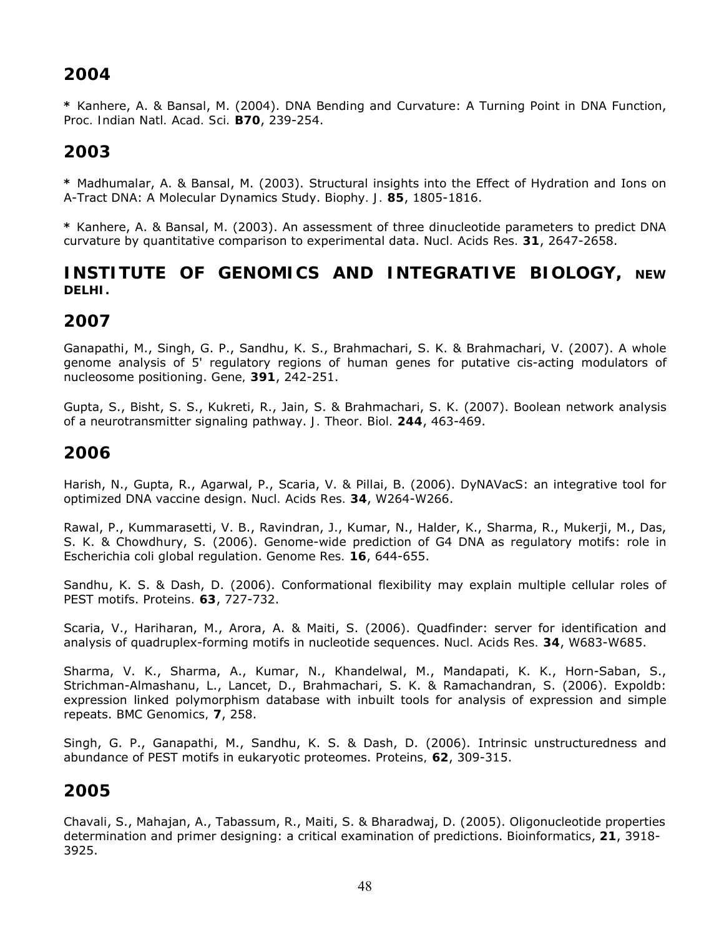**\*** Kanhere, A. & Bansal, M. (2004). DNA Bending and Curvature: A Turning Point in DNA Function, *Proc. Indian Natl. Acad. Sci.* **B70**, 239-254.

## **2003**

**\*** Madhumalar, A. & Bansal, M. (2003). Structural insights into the Effect of Hydration and Ions on A-Tract DNA: A Molecular Dynamics Study. *Biophy. J.* **85**, 1805-1816.

**\*** Kanhere, A. & Bansal, M. (2003). An assessment of three dinucleotide parameters to predict DNA curvature by quantitative comparison to experimental data. *Nucl. Acids Res.* **31**, 2647-2658.

**INSTITUTE OF GENOMICS AND INTEGRATIVE BIOLOGY, NEW DELHI.**

## **2007**

Ganapathi, M., Singh, G. P., Sandhu, K. S., Brahmachari, S. K. & Brahmachari, V. (2007). A whole genome analysis of 5' regulatory regions of human genes for putative cis-acting modulators of nucleosome positioning. *Gene,* **391**, 242-251.

Gupta, S., Bisht, S. S., Kukreti, R., Jain, S. & Brahmachari, S. K. (2007). Boolean network analysis of a neurotransmitter signaling pathway. *J. Theor. Biol.* **244**, 463-469.

## **2006**

Harish, N., Gupta, R., Agarwal, P., Scaria, V. & Pillai, B. (2006). DyNAVacS: an integrative tool for optimized DNA vaccine design. *Nucl. Acids Res.* **34**, W264-W266.

Rawal, P., Kummarasetti, V. B., Ravindran, J., Kumar, N., Halder, K., Sharma, R., Mukerji, M., Das, S. K. & Chowdhury, S. (2006). Genome-wide prediction of G4 DNA as regulatory motifs: role in Escherichia coli global regulation. *Genome Res.* **16**, 644-655.

Sandhu, K. S. & Dash, D. (2006). Conformational flexibility may explain multiple cellular roles of PEST motifs. *Proteins.* **63**, 727-732.

Scaria, V., Hariharan, M., Arora, A. & Maiti, S. (2006). Quadfinder: server for identification and analysis of quadruplex-forming motifs in nucleotide sequences. *Nucl. Acids Res.* **34**, W683-W685.

Sharma, V. K., Sharma, A., Kumar, N., Khandelwal, M., Mandapati, K. K., Horn-Saban, S., Strichman-Almashanu, L., Lancet, D., Brahmachari, S. K. & Ramachandran, S. (2006). Expoldb: expression linked polymorphism database with inbuilt tools for analysis of expression and simple repeats. *BMC Genomics,* **7**, 258.

Singh, G. P., Ganapathi, M., Sandhu, K. S. & Dash, D. (2006). Intrinsic unstructuredness and abundance of PEST motifs in eukaryotic proteomes. *Proteins,* **62**, 309-315.

## **2005**

Chavali, S., Mahajan, A., Tabassum, R., Maiti, S. & Bharadwaj, D. (2005). Oligonucleotide properties determination and primer designing: a critical examination of predictions. *Bioinformatics*, **21**, 3918- 3925.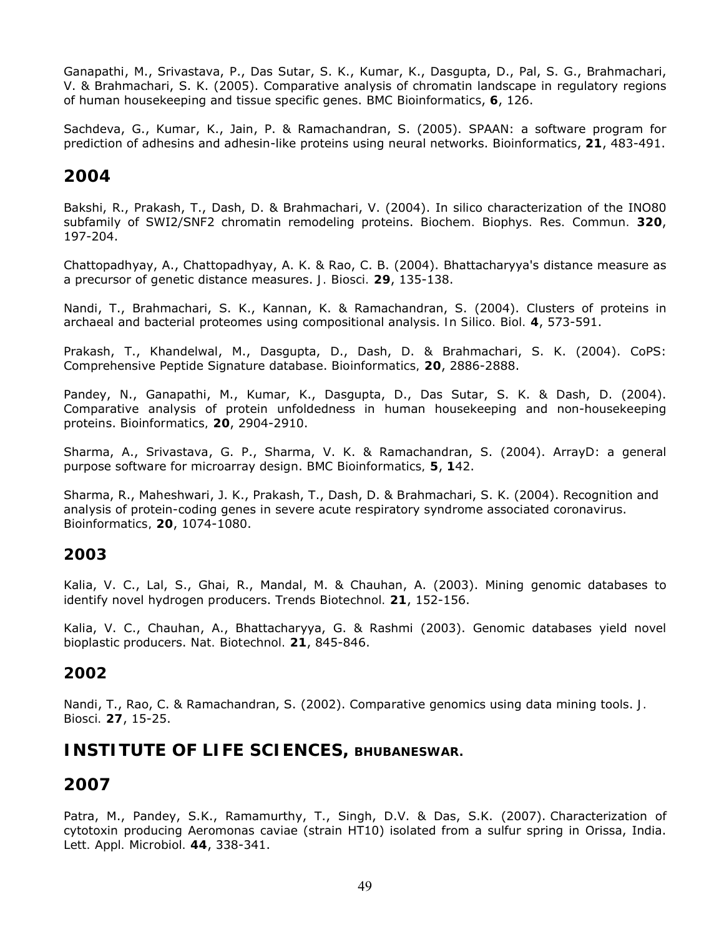Ganapathi, M., Srivastava, P., Das Sutar, S. K., Kumar, K., Dasgupta, D., Pal, S. G., Brahmachari, V. & Brahmachari, S. K. (2005). Comparative analysis of chromatin landscape in regulatory regions of human housekeeping and tissue specific genes. *BMC Bioinformatics*, **6**, 126.

Sachdeva, G., Kumar, K., Jain, P. & Ramachandran, S. (2005). SPAAN: a software program for prediction of adhesins and adhesin-like proteins using neural networks. *Bioinformatics*, **21**, 483-491.

#### **2004**

Bakshi, R., Prakash, T., Dash, D. & Brahmachari, V. (2004). In silico characterization of the INO80 subfamily of SWI2/SNF2 chromatin remodeling proteins. *Biochem. Biophys. Res. Commun.* **320**, 197-204.

Chattopadhyay, A., Chattopadhyay, A. K. & Rao, C. B. (2004). Bhattacharyya's distance measure as a precursor of genetic distance measures. *J. Biosci.* **29**, 135-138.

Nandi, T., Brahmachari, S. K., Kannan, K. & Ramachandran, S. (2004). Clusters of proteins in archaeal and bacterial proteomes using compositional analysis. *In Silico. Biol.* **4**, 573-591.

Prakash, T., Khandelwal, M., Dasgupta, D., Dash, D. & Brahmachari, S. K. (2004). CoPS: Comprehensive Peptide Signature database. *Bioinformatics,* **20**, 2886-2888.

Pandey, N., Ganapathi, M., Kumar, K., Dasgupta, D., Das Sutar, S. K. & Dash, D. (2004). Comparative analysis of protein unfoldedness in human housekeeping and non-housekeeping proteins. *Bioinformatics,* **20**, 2904-2910.

Sharma, A., Srivastava, G. P., Sharma, V. K. & Ramachandran, S. (2004). ArrayD: a general purpose software for microarray design. *BMC Bioinformatics,* **5**, **1**42.

Sharma, R., Maheshwari, J. K., Prakash, T., Dash, D. & Brahmachari, S. K. (2004). Recognition and analysis of protein-coding genes in severe acute respiratory syndrome associated coronavirus. *Bioinformatics,* **20**, 1074-1080.

#### **2003**

Kalia, V. C., Lal, S., Ghai, R., Mandal, M. & Chauhan, A. (2003). Mining genomic databases to identify novel hydrogen producers. *Trends Biotechnol.* **21**, 152-156.

Kalia, V. C., Chauhan, A., Bhattacharyya, G. & Rashmi (2003). Genomic databases yield novel bioplastic producers. *Nat. Biotechnol.* **21**, 845-846.

#### **2002**

Nandi, T., Rao, C. & Ramachandran, S. (2002). Comparative genomics using data mining tools. *J. Biosci.* **27**, 15-25.

## **INSTITUTE OF LIFE SCIENCES, BHUBANESWAR.**

## **2007**

Patra, M., Pandey, S.K., Ramamurthy, T., Singh, D.V. & Das, S.K. (2007). Characterization of cytotoxin producing *Aeromonas caviae* (strain HT10) isolated from a sulfur spring in Orissa, India. *Lett. Appl. Microbiol.* **44**, 338-341.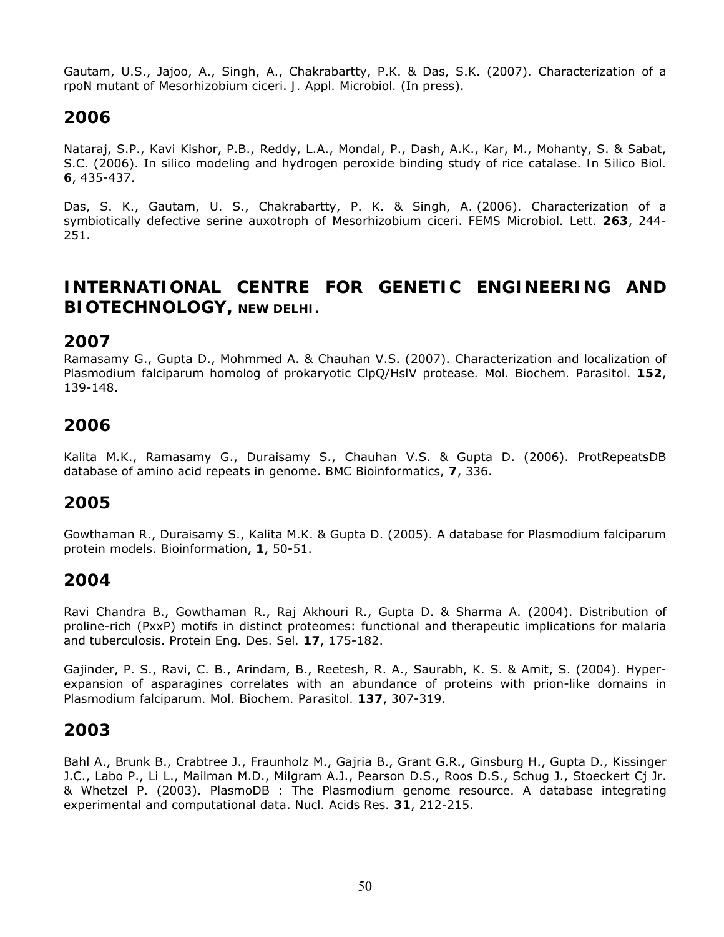Gautam, U.S., Jajoo, A., Singh, A., Chakrabartty, P.K. & Das, S.K. (2007). Characterization of a *rpoN* mutant of *Mesorhizobium ciceri*. *J. Appl. Microbiol.* (In press).

### **2006**

Nataraj, S.P., Kavi Kishor, P.B., Reddy, L.A., Mondal, P., Dash, A.K., Kar, M., Mohanty, S. & Sabat, S.C. (2006). In silico modeling and hydrogen peroxide binding study of rice catalase. *In Silico Biol.* **6**, 435-437.

Das, S. K., Gautam, U. S., Chakrabartty, P. K. & Singh, A. (2006). Characterization of a symbiotically defective serine auxotroph of *Mesorhizobium ciceri*. *FEMS Microbiol. Lett.* **263**, 244- 251.

**INTERNATIONAL CENTRE FOR GENETIC ENGINEERING AND BIOTECHNOLOGY, NEW DELHI.**

## **2007**

Ramasamy G., Gupta D., Mohmmed A. & Chauhan V.S. (2007). Characterization and localization of Plasmodium falciparum homolog of prokaryotic ClpQ/HslV protease*. Mol. Biochem. Parasitol.* **152**, 139-148.

#### **2006**

Kalita M.K., Ramasamy G., Duraisamy S., Chauhan V.S. & Gupta D. (2006). ProtRepeatsDB database of amino acid repeats in genome. *BMC Bioinformatics,* **7**, 336.

## **2005**

Gowthaman R., Duraisamy S., Kalita M.K. & Gupta D. (2005). A database for *Plasmodium falciparum* protein models. *Bioinformation*, **1**, 50-51.

#### **2004**

Ravi Chandra B., Gowthaman R., Raj Akhouri R., Gupta D. & Sharma A. (2004). Distribution of proline-rich (PxxP) motifs in distinct proteomes: functional and therapeutic implications for malaria and tuberculosis. *Protein Eng. Des. Sel.* **17**, 175-182.

Gajinder, P. S., Ravi, C. B., Arindam, B., Reetesh, R. A., Saurabh, K. S. & Amit, S. (2004). Hyperexpansion of asparagines correlates with an abundance of proteins with prion-like domains in *Plasmodium falciparum. Mol. Biochem. Parasitol.* **137**, 307-319.

## **2003**

Bahl A., Brunk B., Crabtree J., Fraunholz M., Gajria B., Grant G.R., Ginsburg H., Gupta D., Kissinger J.C., Labo P., Li L., Mailman M.D., Milgram A.J., Pearson D.S., Roos D.S., Schug J., Stoeckert Cj Jr. & Whetzel P. (2003). PlasmoDB : The Plasmodium genome resource. A database integrating experimental and computational data. *Nucl. Acids Res.* **31**, 212-215.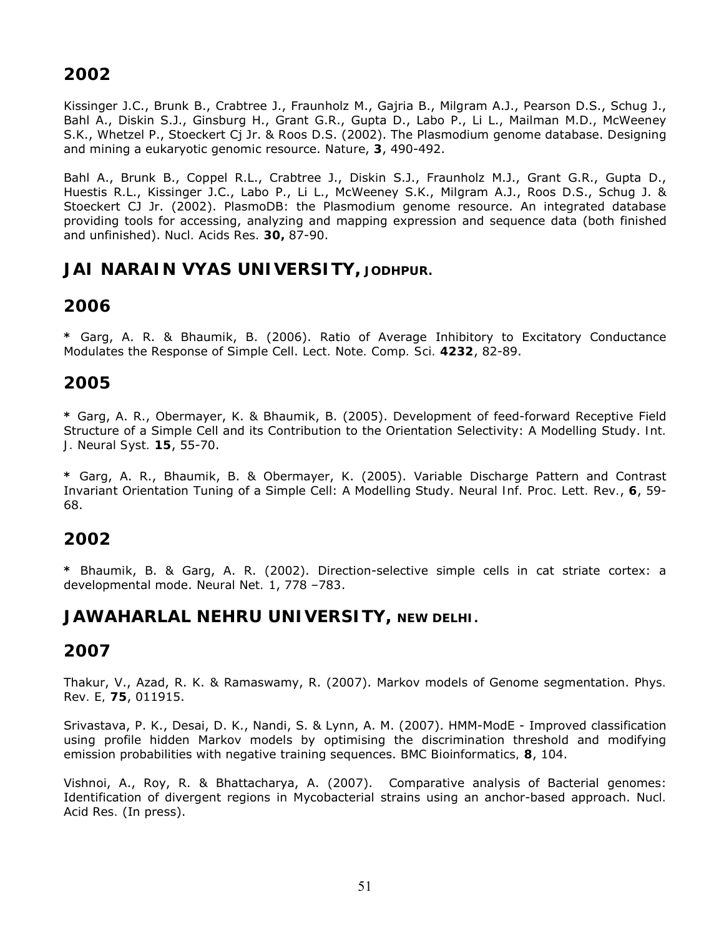Kissinger J.C., Brunk B., Crabtree J., Fraunholz M., Gajria B., Milgram A.J., Pearson D.S., Schug J., Bahl A., Diskin S.J., Ginsburg H., Grant G.R., Gupta D., Labo P., Li L., Mailman M.D., McWeeney S.K., Whetzel P., Stoeckert Cj Jr. & Roos D.S. (2002). The Plasmodium genome database. Designing and mining a eukaryotic genomic resource. *Nature*, **3**, 490-492.

Bahl A., Brunk B., Coppel R.L., Crabtree J., Diskin S.J., Fraunholz M.J., Grant G.R., Gupta D., Huestis R.L., Kissinger J.C., Labo P., Li L., McWeeney S.K., Milgram A.J., Roos D.S., Schug J. & Stoeckert CJ Jr. (2002). PlasmoDB: the Plasmodium genome resource. An integrated database providing tools for accessing, analyzing and mapping expression and sequence data (both finished and unfinished). *Nucl. Acids Res.* **30,** 87-90.

## **JAI NARAIN VYAS UNIVERSITY, JODHPUR.**

## **2006**

**\*** Garg, A. R. & Bhaumik, B. (2006). Ratio of Average Inhibitory to Excitatory Conductance Modulates the Response of Simple Cell. *Lect. Note. Comp. Sci.* **4232**, 82-89.

## **2005**

**\*** Garg, A. R., Obermayer, K. & Bhaumik, B. (2005). Development of feed-forward Receptive Field Structure of a Simple Cell and its Contribution to the Orientation Selectivity: A Modelling Study. *Int. J. Neural Syst.* **15**, 55-70.

**\*** Garg, A. R., Bhaumik, B. & Obermayer, K. (2005). Variable Discharge Pattern and Contrast Invariant Orientation Tuning of a Simple Cell: A Modelling Study. *Neural Inf. Proc. Lett. Rev.*, **6**, 59- 68.

## **2002**

**\*** Bhaumik, B. & Garg, A. R. (2002). Direction-selective simple cells in cat striate cortex: a developmental mode. *Neural Net.* 1, 778 –783.

## **JAWAHARLAL NEHRU UNIVERSITY, NEW DELHI.**

## **2007**

Thakur, V., Azad, R. K. & Ramaswamy, R. (2007). Markov models of Genome segmentation. *Phys. Rev. E,* **75**, 011915.

Srivastava, P. K., Desai, D. K., Nandi, S. & Lynn, A. M. (2007). HMM-ModE - Improved classification using profile hidden Markov models by optimising the discrimination threshold and modifying emission probabilities with negative training sequences. *BMC Bioinformatics,* **8**, 104.

Vishnoi, A., Roy, R. & Bhattacharya, A. (2007). Comparative analysis of Bacterial genomes: Identification of divergent regions in Mycobacterial strains using an anchor-based approach. *Nucl. Acid Res.* (In press).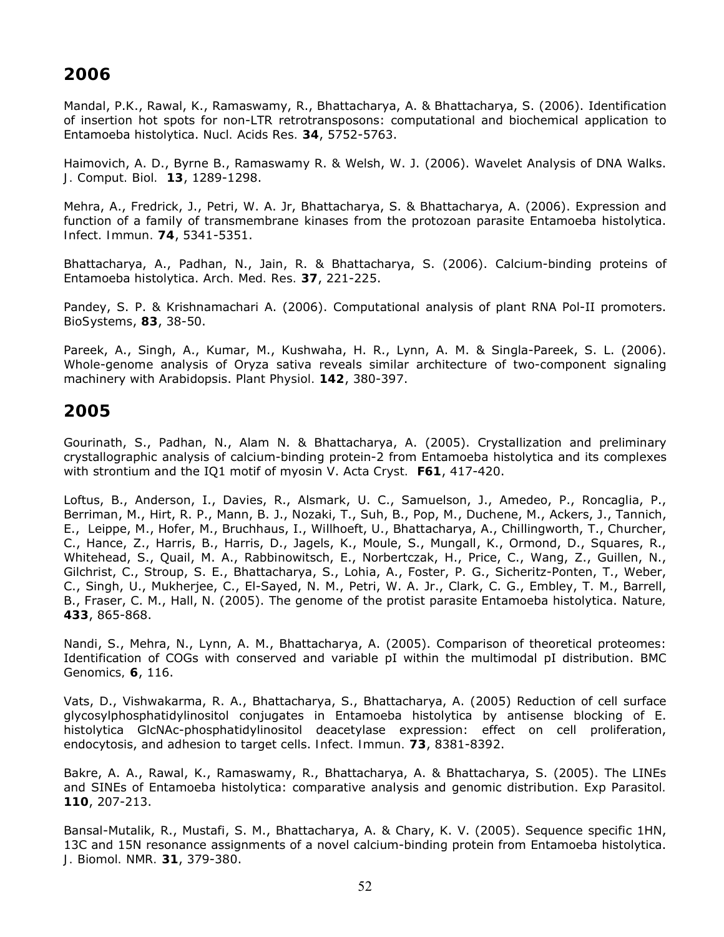Mandal, P.K., Rawal, K., Ramaswamy, R., Bhattacharya, A. & Bhattacharya, S. (2006). Identification of insertion hot spots for non-LTR retrotransposons: computational and biochemical application to Entamoeba histolytica. *Nucl. Acids Res.* **34**, 5752-5763.

Haimovich, A. D., Byrne B., Ramaswamy R. & Welsh, W. J. (2006). Wavelet Analysis of DNA Walks. *J. Comput. Biol.* **13**, 1289-1298.

Mehra, A., Fredrick, J., Petri, W. A. Jr, Bhattacharya, S. & Bhattacharya, A. (2006). Expression and function of a family of transmembrane kinases from the protozoan parasite Entamoeba histolytica. *Infect. Immun.* **74**, 5341-5351.

Bhattacharya, A., Padhan, N., Jain, R. & Bhattacharya, S. (2006). Calcium-binding proteins of Entamoeba histolytica. *Arch. Med. Res.* **37**, 221-225.

Pandey, S. P. & Krishnamachari A. (2006). Computational analysis of plant RNA Pol-II promoters. *BioSystems*, **83**, 38-50.

Pareek, A., Singh, A., Kumar, M., Kushwaha, H. R., Lynn, A. M. & Singla-Pareek, S. L. (2006). Whole-genome analysis of Oryza sativa reveals similar architecture of two-component signaling machinery with Arabidopsis. *Plant Physiol.* **142**, 380-397.

## **2005**

Gourinath, S., Padhan, N., Alam N. & Bhattacharya, A. (2005). Crystallization and preliminary crystallographic analysis of calcium-binding protein-2 from Entamoeba histolytica and its complexes with strontium and the IQ1 motif of myosin V. *Acta Cryst.* **F61**, 417-420.

Loftus, B., Anderson, I., Davies, R., Alsmark, U. C., Samuelson, J., Amedeo, P., Roncaglia, P., Berriman, M., Hirt, R. P., Mann, B. J., Nozaki, T., Suh, B., Pop, M., Duchene, M., Ackers, J., Tannich, E., Leippe, M., Hofer, M., Bruchhaus, I., Willhoeft, U., Bhattacharya, A., Chillingworth, T., Churcher, C., Hance, Z., Harris, B., Harris, D., Jagels, K., Moule, S., Mungall, K., Ormond, D., Squares, R., Whitehead, S., Quail, M. A., Rabbinowitsch, E., Norbertczak, H., Price, C., Wang, Z., Guillen, N., Gilchrist, C., Stroup, S. E., Bhattacharya, S., Lohia, A., Foster, P. G., Sicheritz-Ponten, T., Weber, C., Singh, U., Mukherjee, C., El-Sayed, N. M., Petri, W. A. Jr., Clark, C. G., Embley, T. M., Barrell, B., Fraser, C. M., Hall, N. (2005). The genome of the protist parasite Entamoeba histolytica. *Nature,* **433**, 865-868.

Nandi, S., Mehra, N., Lynn, A. M., Bhattacharya, A. (2005). Comparison of theoretical proteomes: Identification of COGs with conserved and variable pI within the multimodal pI distribution. *BMC Genomics,* **6**, 116.

Vats, D., Vishwakarma, R. A., Bhattacharya, S., Bhattacharya, A. (2005) Reduction of cell surface glycosylphosphatidylinositol conjugates in Entamoeba histolytica by antisense blocking of E. histolytica GlcNAc-phosphatidylinositol deacetylase expression: effect on cell proliferation, endocytosis, and adhesion to target cells. *Infect. Immun.* **73**, 8381-8392.

Bakre, A. A., Rawal, K., Ramaswamy, R., Bhattacharya, A. & Bhattacharya, S. (2005). The LINEs and SINEs of Entamoeba histolytica: comparative analysis and genomic distribution. *Exp Parasitol.* **110**, 207-213.

Bansal-Mutalik, R., Mustafi, S. M., Bhattacharya, A. & Chary, K. V. (2005). Sequence specific 1HN, 13C and 15N resonance assignments of a novel calcium-binding protein from Entamoeba histolytica. *J. Biomol. NMR.* **31**, 379-380.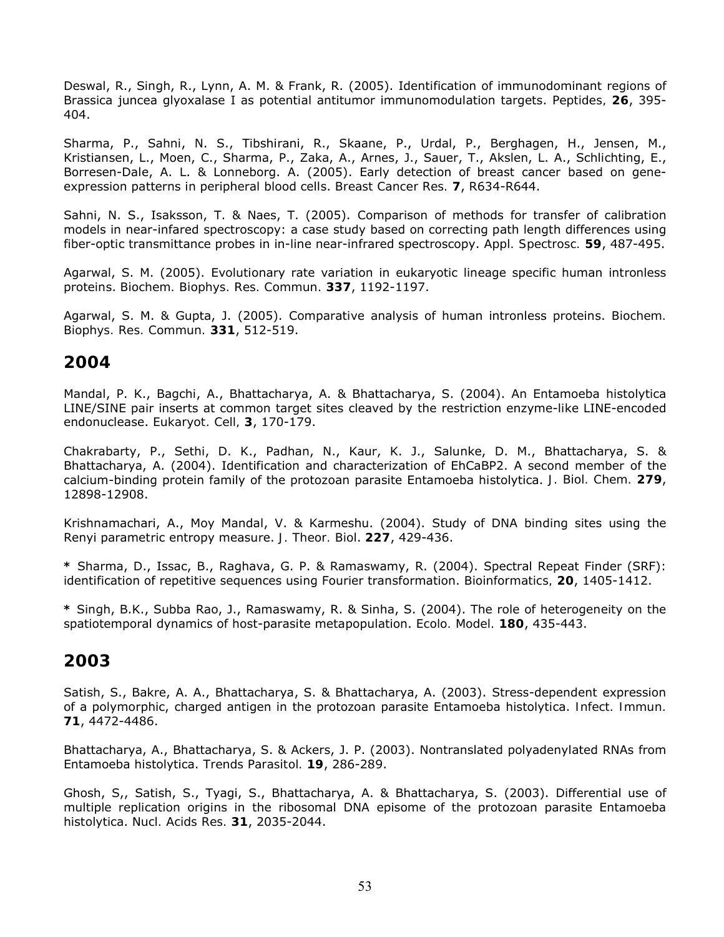Deswal, R., Singh, R., Lynn, A. M. & Frank, R. (2005). Identification of immunodominant regions of Brassica juncea glyoxalase I as potential antitumor immunomodulation targets. *Peptides,* **26**, 395- 404.

Sharma, P., Sahni, N. S., Tibshirani, R., Skaane, P., Urdal, P., Berghagen, H., Jensen, M., Kristiansen, L., Moen, C., Sharma, P., Zaka, A., Arnes, J., Sauer, T., Akslen, L. A., Schlichting, E., Borresen-Dale, A. L. & Lonneborg. A. (2005). Early detection of breast cancer based on geneexpression patterns in peripheral blood cells. *Breast Cancer Res.* **7**, R634-R644.

Sahni, N. S., Isaksson, T. & Naes, T. (2005). Comparison of methods for transfer of calibration models in near-infared spectroscopy: a case study based on correcting path length differences using fiber-optic transmittance probes in in-line near-infrared spectroscopy. *Appl. Spectrosc.* **59**, 487-495.

Agarwal, S. M. (2005). Evolutionary rate variation in eukaryotic lineage specific human intronless proteins. *Biochem. Biophys. Res. Commun.* **337**, 1192-1197.

Agarwal, S. M. & Gupta, J. (2005). Comparative analysis of human intronless proteins. *Biochem. Biophys. Res. Commun.* **331**, 512-519.

#### **2004**

Mandal, P. K., Bagchi, A., Bhattacharya, A. & Bhattacharya, S. (2004). An Entamoeba histolytica LINE/SINE pair inserts at common target sites cleaved by the restriction enzyme-like LINE-encoded endonuclease. *Eukaryot. Cell,* **3**, 170-179.

Chakrabarty, P., Sethi, D. K., Padhan, N., Kaur, K. J., Salunke, D. M., Bhattacharya, S. & Bhattacharya, A. (2004). Identification and characterization of EhCaBP2. A second member of the calcium-binding protein family of the protozoan parasite Entamoeba histolytica. *J. Biol. Chem.* **279**, 12898-12908.

Krishnamachari, A., Moy Mandal, V. & Karmeshu. (2004). Study of DNA binding sites using the Renyi parametric entropy measure. *J. Theor. Biol*. **227**, 429-436.

**\*** Sharma, D., Issac, B., Raghava, G. P. & Ramaswamy, R. (2004). Spectral Repeat Finder (SRF): identification of repetitive sequences using Fourier transformation. *Bioinformatics,* **20**, 1405-1412.

**\*** Singh, B.K., Subba Rao, J., Ramaswamy, R. & Sinha, S. (2004). The role of heterogeneity on the spatiotemporal dynamics of host-parasite metapopulation. *Ecolo. Model.* **180**, 435-443.

## **2003**

Satish, S., Bakre, A. A., Bhattacharya, S. & Bhattacharya, A. (2003). Stress-dependent expression of a polymorphic, charged antigen in the protozoan parasite Entamoeba histolytica. *Infect. Immun.* **71**, 4472-4486.

Bhattacharya, A., Bhattacharya, S. & Ackers, J. P. (2003). Nontranslated polyadenylated RNAs from Entamoeba histolytica. *Trends Parasitol.* **19**, 286-289.

Ghosh, S,, Satish, S., Tyagi, S., Bhattacharya, A. & Bhattacharya, S. (2003). Differential use of multiple replication origins in the ribosomal DNA episome of the protozoan parasite Entamoeba histolytica. *Nucl. Acids Res.* **31**, 2035-2044.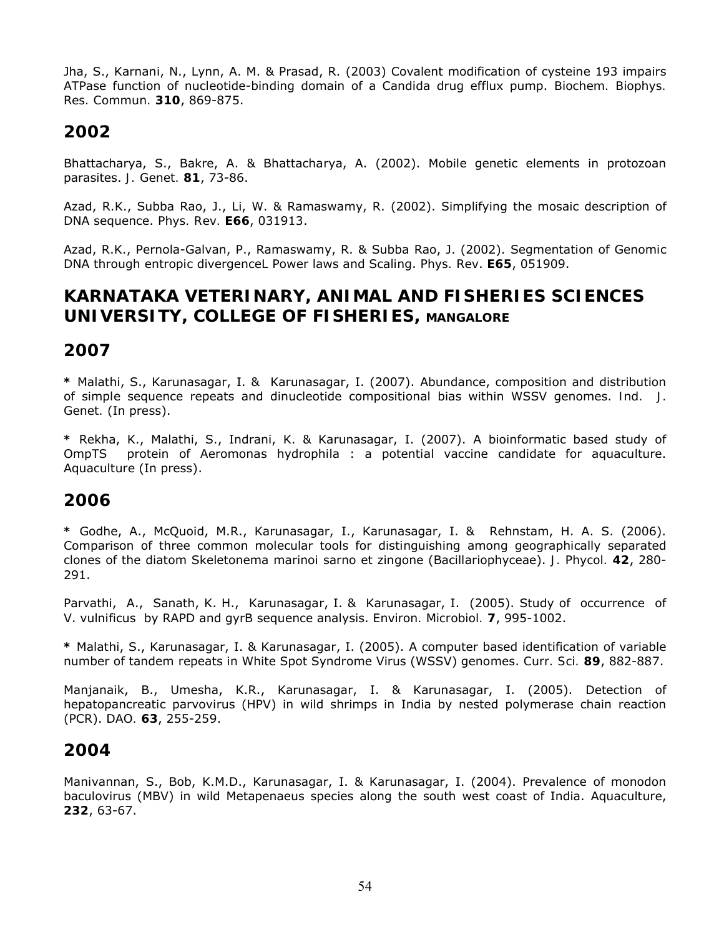Jha, S., Karnani, N., Lynn, A. M. & Prasad, R. (2003) Covalent modification of cysteine 193 impairs ATPase function of nucleotide-binding domain of a Candida drug efflux pump. *Biochem. Biophys. Res. Commun.* **310**, 869-875.

## **2002**

Bhattacharya, S., Bakre, A. & Bhattacharya, A. (2002). Mobile genetic elements in protozoan parasites. *J. Genet.* **81**, 73-86.

Azad, R.K., Subba Rao, J., Li, W. & Ramaswamy, R. (2002). Simplifying the mosaic description of DNA sequence. *Phys. Rev.* **E66**, 031913.

Azad, R.K., Pernola-Galvan, P., Ramaswamy, R. & Subba Rao, J. (2002). Segmentation of Genomic DNA through entropic divergenceL Power laws and Scaling. *Phys. Rev*. **E65**, 051909.

## **KARNATAKA VETERINARY, ANIMAL AND FISHERIES SCIENCES UNIVERSITY, COLLEGE OF FISHERIES, MANGALORE**

## **2007**

**\*** Malathi, S., Karunasagar, I. & Karunasagar, I. (2007). Abundance, composition and distribution of simple sequence repeats and dinucleotide compositional bias within WSSV genomes. *Ind. J. Genet.* (In press).

**\*** Rekha, K., Malathi, S., Indrani, K. & Karunasagar, I. (2007). A bioinformatic based study of OmpTS protein of Aeromonas hydrophila : a potential vaccine candidate for aquaculture. *Aquaculture* (In press).

## **2006**

**\*** Godhe, A., McQuoid, M.R., Karunasagar, I., Karunasagar, I. & Rehnstam, H. A. S. (2006). Comparison of three common molecular tools for distinguishing among geographically separated clones of the diatom Skeletonema marinoi sarno et zingone (Bacillariophyceae). *J. Phycol.* **42**, 280- 291.

Parvathi, A., Sanath, K. H., Karunasagar, I. & Karunasagar, I. (2005). Study of occurrence of V. vulnificus by RAPD and gyrB sequence analysis. *Environ. Microbiol.* **7**, 995-1002.

**\*** Malathi, S., Karunasagar, I. & Karunasagar, I. (2005). A computer based identification of variable number of tandem repeats in White Spot Syndrome Virus (WSSV) genomes. *Curr. Sci.* **89**, 882-887.

Manjanaik, B., Umesha, K.R., Karunasagar, I. & Karunasagar, I. (2005). Detection of hepatopancreatic parvovirus (HPV) in wild shrimps in India by nested polymerase chain reaction (PCR). *DAO.* **63**, 255-259.

#### **2004**

Manivannan, S., Bob, K.M.D., Karunasagar, I. & Karunasagar, I. (2004). Prevalence of monodon baculovirus (MBV) in wild Metapenaeus species along the south west coast of India. *Aquaculture*, **232**, 63-67.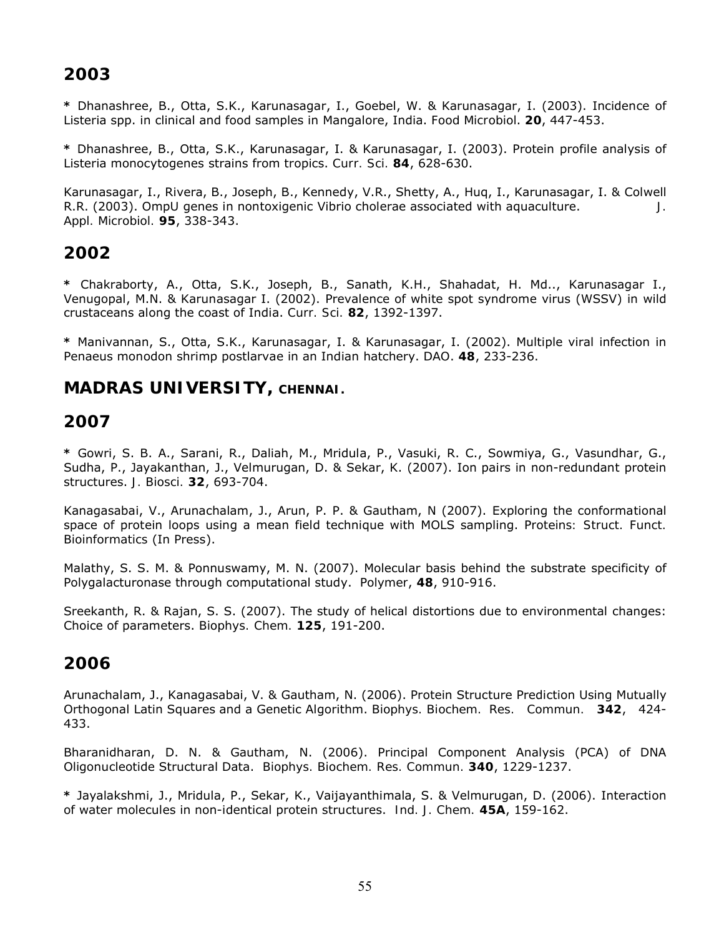**\*** Dhanashree, B., Otta, S.K., Karunasagar, I., Goebel, W. & Karunasagar, I. (2003). Incidence of Listeria spp. in clinical and food samples in Mangalore, India. *Food Microbiol*. **20**, 447-453.

**\*** Dhanashree, B., Otta, S.K., Karunasagar, I. & Karunasagar, I. (2003). Protein profile analysis of Listeria monocytogenes strains from tropics. *Curr. Sci.* **84**, 628-630.

Karunasagar, I., Rivera, B., Joseph, B., Kennedy, V.R., Shetty, A., Huq, I., Karunasagar, I. & Colwell R.R. (2003). OmpU genes in nontoxigenic Vibrio cholerae associated with aquaculture. *J. Appl. Microbiol.* **95**, 338-343.

## **2002**

**\*** Chakraborty, A., Otta, S.K., Joseph, B., Sanath, K.H., Shahadat, H. Md.., Karunasagar I., Venugopal, M.N. & Karunasagar I. (2002). Prevalence of white spot syndrome virus (WSSV) in wild crustaceans along the coast of India. *Curr. Sci.* **82**, 1392-1397.

**\*** Manivannan, S., Otta, S.K., Karunasagar, I. & Karunasagar, I. (2002). Multiple viral infection in Penaeus monodon shrimp postlarvae in an Indian hatchery. *DAO*. **48**, 233-236.

**MADRAS UNIVERSITY, CHENNAI.**

## **2007**

**\*** Gowri, S. B. A., Sarani, R., Daliah, M., Mridula, P., Vasuki, R. C., Sowmiya, G., Vasundhar, G., Sudha, P., Jayakanthan, J., Velmurugan, D. & Sekar, K. (2007). Ion pairs in non-redundant protein structures. *J. Biosci.* **32**, 693-704.

Kanagasabai, V., Arunachalam, J., Arun, P. P. & Gautham, N (2007). Exploring the conformational space of protein loops using a mean field technique with MOLS sampling. *Proteins: Struct. Funct. Bioinformatics* (In Press).

Malathy, S. S. M. & Ponnuswamy, M. N. (2007). Molecular basis behind the substrate specificity of Polygalacturonase through computational study. *Polymer*, **48**, 910-916.

Sreekanth, R. & Rajan, S. S. (2007). The study of helical distortions due to environmental changes: Choice of parameters. *Biophys. Chem.* **125**, 191-200.

## **2006**

Arunachalam, J., Kanagasabai, V. & Gautham, N. (2006). Protein Structure Prediction Using Mutually Orthogonal Latin Squares and a Genetic Algorithm. *Biophys. Biochem. Res. Commun.* **342**, 424- 433.

Bharanidharan, D. N. & Gautham, N. (2006). Principal Component Analysis (PCA) of DNA Oligonucleotide Structural Data. *Biophys. Biochem. Res. Commun.* **340**, 1229-1237.

**\*** Jayalakshmi, J., Mridula, P., Sekar, K., Vaijayanthimala, S. & Velmurugan, D. (2006). Interaction of water molecules in non-identical protein structures. *Ind. J. Chem.* **45A**, 159-162.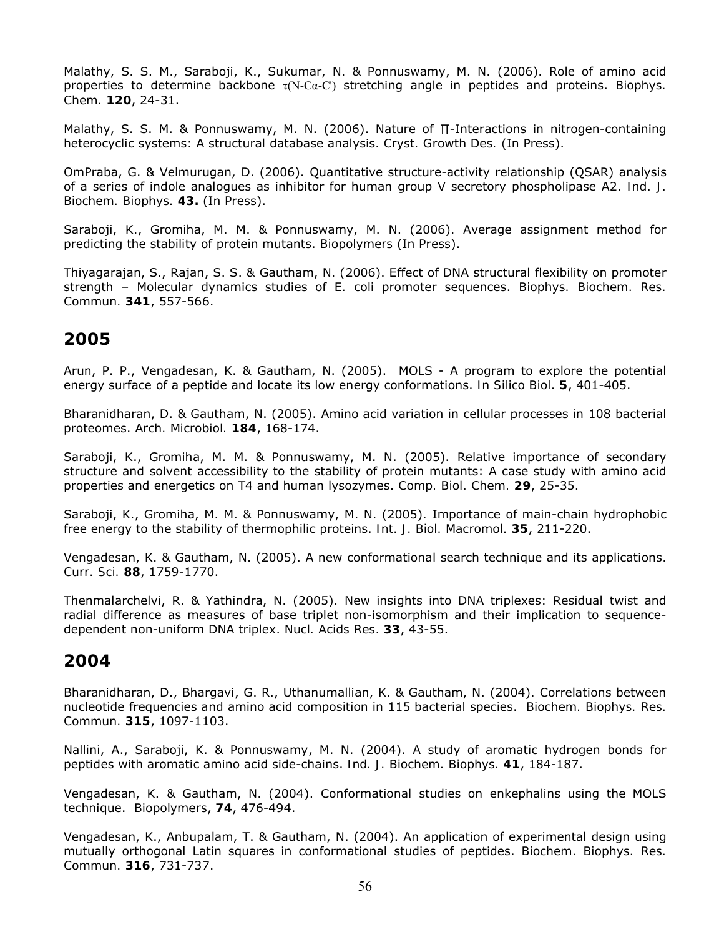Malathy, S. S. M., Saraboji, K., Sukumar, N. & Ponnuswamy, M. N. (2006). Role of amino acid properties to determine backbone τ(N-Cα-C') stretching angle in peptides and proteins. *Biophys. Chem.* **120**, 24-31.

Malathy, S. S. M. & Ponnuswamy, M. N. (2006). Nature of ∏-Interactions in nitrogen-containing heterocyclic systems: A structural database analysis. *Cryst. Growth Des.* (In Press).

OmPraba, G. & Velmurugan, D. (2006). Quantitative structure-activity relationship (QSAR) analysis of a series of indole analogues as inhibitor for human group V secretory phospholipase A2. *Ind. J. Biochem. Biophys.* **43.** (In Press).

Saraboji, K., Gromiha, M. M. & Ponnuswamy, M. N. (2006). Average assignment method for predicting the stability of protein mutants. *Biopolymers* (In Press).

Thiyagarajan, S., Rajan, S. S. & Gautham, N. (2006). Effect of DNA structural flexibility on promoter strength – Molecular dynamics studies of *E. coli* promoter sequences. *Biophys. Biochem. Res. Commun.* **341**, 557-566.

#### **2005**

Arun, P. P., Vengadesan, K. & Gautham, N. (2005). MOLS - A program to explore the potential energy surface of a peptide and locate its low energy conformations. *In Silico Biol*. **5**, 401-405.

Bharanidharan, D. & Gautham, N. (2005). Amino acid variation in cellular processes in 108 bacterial proteomes. *Arch. Microbiol.* **184**, 168-174.

Saraboji, K., Gromiha, M. M. & Ponnuswamy, M. N. (2005). Relative importance of secondary structure and solvent accessibility to the stability of protein mutants: A case study with amino acid properties and energetics on T4 and human lysozymes. *Comp. Biol. Chem.* **29**, 25-35.

Saraboji, K., Gromiha, M. M. & Ponnuswamy, M. N. (2005). Importance of main-chain hydrophobic free energy to the stability of thermophilic proteins. *Int. J. Biol. Macromol.* **35**, 211-220.

Vengadesan, K. & Gautham, N. (2005). A new conformational search technique and its applications. *Curr. Sci.* **88**, 1759-1770.

Thenmalarchelvi, R. & Yathindra, N. (2005). New insights into DNA triplexes: Residual twist and radial difference as measures of base triplet non-isomorphism and their implication to sequencedependent non-uniform DNA triplex. *Nucl. Acids Res*. **33**, 43-55.

#### **2004**

Bharanidharan, D., Bhargavi, G. R., Uthanumallian, K. & Gautham, N. (2004). Correlations between nucleotide frequencies and amino acid composition in 115 bacterial species. *Biochem. Biophys. Res. Commun.* **315**, 1097-1103.

Nallini, A., Saraboji, K. & Ponnuswamy, M. N. (2004). A study of aromatic hydrogen bonds for peptides with aromatic amino acid side-chains. *Ind. J. Biochem. Biophys.* **41**, 184-187.

Vengadesan, K. & Gautham, N. (2004). Conformational studies on enkephalins using the MOLS technique. *Biopolymers*, **74**, 476-494.

Vengadesan, K., Anbupalam, T. & Gautham, N. (2004). An application of experimental design using mutually orthogonal Latin squares in conformational studies of peptides. *Biochem. Biophys. Res. Commun.* **316**, 731-737.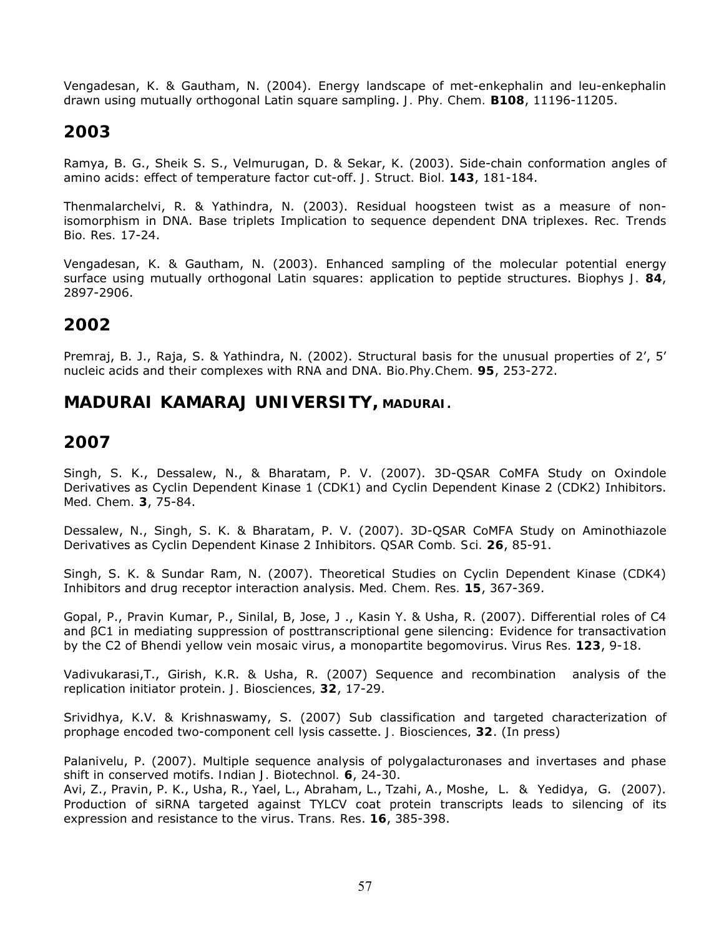Vengadesan, K. & Gautham, N. (2004). Energy landscape of met-enkephalin and leu-enkephalin drawn using mutually orthogonal Latin square sampling. *J. Phy. Chem.* **B108**, 11196-11205.

## **2003**

Ramya, B. G., Sheik S. S., Velmurugan, D. & Sekar, K. (2003). Side-chain conformation angles of amino acids: effect of temperature factor cut-off. *J. Struct. Biol.* **143**, 181-184.

Thenmalarchelvi, R. & Yathindra, N. (2003). Residual hoogsteen twist as a measure of nonisomorphism in DNA. Base triplets Implication to sequence dependent DNA triplexes. *Rec. Trends Bio. Res.* 17-24.

Vengadesan, K. & Gautham, N. (2003). Enhanced sampling of the molecular potential energy surface using mutually orthogonal Latin squares: application to peptide structures. *Biophys J.* **84**, 2897-2906.

## **2002**

Premraj, B. J., Raja, S. & Yathindra, N. (2002). Structural basis for the unusual properties of 2', 5' nucleic acids and their complexes with RNA and DNA. *Bio.Phy.Chem.* **95**, 253-272.

**MADURAI KAMARAJ UNIVERSITY, MADURAI.**

#### **2007**

Singh, S. K., Dessalew, N., & Bharatam, P. V. (2007). 3D-QSAR CoMFA Study on Oxindole Derivatives as Cyclin Dependent Kinase 1 (CDK1) and Cyclin Dependent Kinase 2 (CDK2) Inhibitors. *Med. Chem.* **3**, 75-84.

Dessalew, N., Singh, S. K. & Bharatam, P. V. (2007). 3D-QSAR CoMFA Study on Aminothiazole Derivatives as Cyclin Dependent Kinase 2 Inhibitors. *QSAR Comb. Sci.* **26**, 85-91.

Singh, S. K. & Sundar Ram, N. (2007). Theoretical Studies on Cyclin Dependent Kinase (CDK4) Inhibitors and drug receptor interaction analysis. *Med. Chem. Res.* **15**, 367-369.

Gopal, P., Pravin Kumar, P., Sinilal, B, Jose, J ., Kasin Y. & Usha, R. (2007). Differential roles of C4 and βC1 in mediating suppression of posttranscriptional gene silencing: Evidence for transactivation by the C2 of *Bhendi yellow vein mosaic virus*, a monopartite begomovirus. *Virus Res.* **123**, 9-18.

Vadivukarasi,T., Girish, K.R. & Usha, R. (2007) Sequence and recombination analysis of the replication initiator protein. *J. Biosciences,* **32**, 17-29.

Srividhya, K.V. & Krishnaswamy, S. (2007) Sub classification and targeted characterization of prophage encoded two-component cell lysis cassette. *J. Biosciences,* **32**. (In press)

Palanivelu, P. (2007). Multiple sequence analysis of polygalacturonases and invertases and phase shift in conserved motifs. *Indian J. Biotechnol.* **6**, 24-30.

Avi, Z., Pravin, P. K., Usha, R., Yael, L., Abraham, L., Tzahi, A., Moshe, L. & Yedidya, G. (2007). Production of siRNA targeted against TYLCV coat protein transcripts leads to silencing of its expression and resistance to the virus. *Trans. Res*. **16**, 385-398.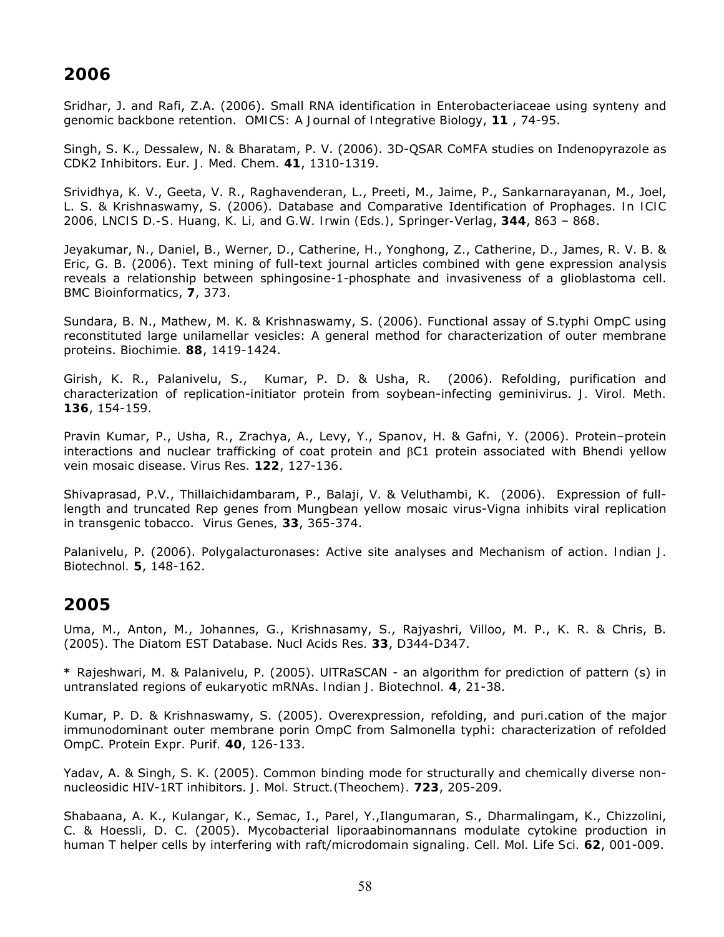Sridhar, J. and Rafi, Z.A. (2006). Small RNA identification in *Enterobacteriaceae* using synteny and genomic backbone retention. *OMICS: A Journal of Integrative Biology*, **11** , 74-95.

Singh, S. K., Dessalew, N. & Bharatam, P. V. (2006). 3D-QSAR CoMFA studies on Indenopyrazole as CDK2 Inhibitors. *Eur. J. Med. Chem.* **41**, 1310-1319.

Srividhya, K. V., Geeta, V. R., Raghavenderan, L., Preeti, M., Jaime, P., Sankarnarayanan, M., Joel, L. S. & Krishnaswamy, S. (2006). Database and Comparative Identification of Prophages. *In ICIC 2006, LNCIS D.-S. Huang, K. Li, and G.W. Irwin (Eds.), Springer-Verlag*, **344**, 863 – 868.

Jeyakumar, N., Daniel, B., Werner, D., Catherine, H., Yonghong, Z., Catherine, D., James, R. V. B. & Eric, G. B. (2006). Text mining of full-text journal articles combined with gene expression analysis reveals a relationship between sphingosine-1-phosphate and invasiveness of a glioblastoma cell. *BMC Bioinformatics*, **7**, 373.

Sundara, B. N., Mathew, M. K. & Krishnaswamy, S. (2006). Functional assay of S.typhi OmpC using reconstituted large unilamellar vesicles: A general method for characterization of outer membrane proteins. *Biochimie.* **88**, 1419-1424.

Girish, K. R., Palanivelu, S., Kumar, P. D. & Usha, R. (2006). Refolding, purification and characterization of replication-initiator protein from soybean-infecting geminivirus. *J. Virol. Meth.* **136**, 154-159.

Pravin Kumar, P., Usha, R., Zrachya, A., Levy, Y., Spanov, H. & Gafni, Y. (2006). Protein–protein interactions and nuclear trafficking of coat protein and  $BC1$  protein associated with Bhendi yellow vein mosaic disease. *Virus Res.* **122**, 127-136.

Shivaprasad, P.V., Thillaichidambaram, P., Balaji, V. & Veluthambi, K. (2006). Expression of fulllength and truncated Rep genes from Mungbean yellow mosaic virus-Vigna inhibits viral replication in transgenic tobacco. *Virus Genes,* **33**, 365-374.

Palanivelu, P. (2006). Polygalacturonases: Active site analyses and Mechanism of action. *Indian J. Biotechnol.* **5**, 148-162.

## **2005**

Uma, M., Anton, M., Johannes, G., Krishnasamy, S., Rajyashri, Villoo, M. P., K. R. & Chris, B. (2005). The Diatom EST Database. *Nucl Acids Res.* **33**, D344-D347.

**\*** Rajeshwari, M. & Palanivelu, P. (2005). UlTRaSCAN - an algorithm for prediction of pattern (s) in untranslated regions of eukaryotic mRNAs. *Indian J. Biotechnol.* **4**, 21-38.

Kumar, P. D. & Krishnaswamy, S. (2005). Overexpression, refolding, and puri.cation of the major immunodominant outer membrane porin OmpC from Salmonella typhi: characterization of refolded OmpC. *Protein Expr. Purif.* **40**, 126-133.

Yadav, A. & Singh, S. K. (2005). Common binding mode for structurally and chemically diverse nonnucleosidic HIV-1RT inhibitors. *J. Mol. Struct.(Theochem).* **723**, 205-209.

Shabaana, A. K., Kulangar, K., Semac, I., Parel, Y.,Ilangumaran, S., Dharmalingam, K., Chizzolini, C. & Hoessli, D. C. (2005). Mycobacterial liporaabinomannans modulate cytokine production in human T helper cells by interfering with raft/microdomain signaling. *Cell. Mol. Life Sci.* **62**, 001-009.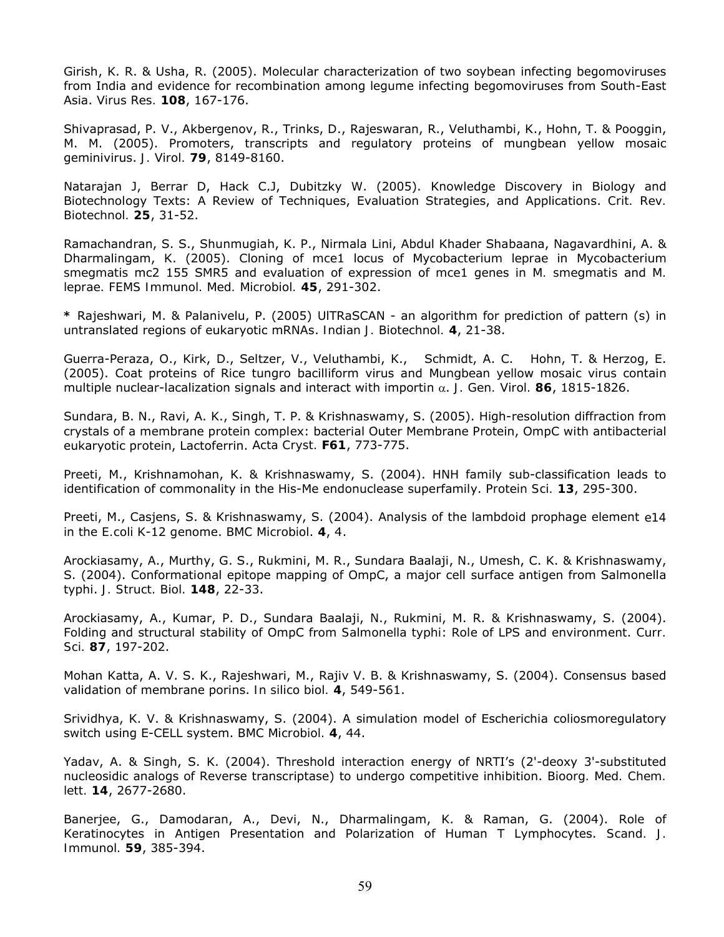Girish, K. R. & Usha, R. (2005). Molecular characterization of two soybean infecting begomoviruses from India and evidence for recombination among legume infecting begomoviruses from South-East Asia. *Virus Res.* **108**, 167-176.

Shivaprasad, P. V., Akbergenov, R., Trinks, D., Rajeswaran, R., Veluthambi, K., Hohn, T. & Pooggin, M. M. (2005). Promoters, transcripts and regulatory proteins of mungbean yellow mosaic geminivirus. *J. Virol.* **79**, 8149-8160.

Natarajan J, Berrar D, Hack C.J, Dubitzky W. (2005). Knowledge Discovery in Biology and Biotechnology Texts: A Review of Techniques, Evaluation Strategies, and Applications. *Crit. Rev. Biotechnol.* **25**, 31-52.

Ramachandran, S. S., Shunmugiah, K. P., Nirmala Lini, Abdul Khader Shabaana, Nagavardhini, A. & Dharmalingam, K. (2005). Cloning of *mce*1 locus of *Mycobacterium leprae* in *Mycobacterium smegmatis* mc2 155 SMR5 and evaluation of expression of *mce*1 genes in *M. smegmatis* and *M. leprae. FEMS Immunol. Med. Microbiol.* **45**, 291-302.

**\*** Rajeshwari, M. & Palanivelu, P. (2005) UlTRaSCAN - an algorithm for prediction of pattern (s) in untranslated regions of eukaryotic mRNAs. *Indian J. Biotechnol.* **4**, 21-38.

Guerra-Peraza, O., Kirk, D., Seltzer, V., Veluthambi, K., Schmidt, A. C. Hohn, T. & Herzog, E. (2005). Coat proteins of Rice tungro bacilliform virus and *Mungbean yellow mosaic virus* contain multiple nuclear-lacalization signals and interact with importin  $\alpha$ . J. Gen. Virol. 86, 1815-1826.

Sundara, B. N., Ravi, A. K., Singh, T. P. & Krishnaswamy, S. (2005). High-resolution diffraction from crystals of a membrane protein complex: bacterial Outer Membrane Protein, OmpC with antibacterial eukaryotic protein, Lactoferrin. *Acta Cryst.* **F61**, 773-775.

Preeti, M., Krishnamohan, K. & Krishnaswamy, S. (2004). HNH family sub-classification leads to identification of commonality in the His-Me endonuclease superfamily. *Protein Sci.* **13**, 295-300.

Preeti, M., Casjens, S. & Krishnaswamy, S. (2004). Analysis of the lambdoid prophage element *e14* in the *E.coli* K-12 genome. *BMC Microbiol*. **4**, 4.

Arockiasamy, A., Murthy, G. S., Rukmini, M. R., Sundara Baalaji, N., Umesh, C. K. & Krishnaswamy, S. (2004). Conformational epitope mapping of OmpC, a major cell surface antigen from Salmonella typhi. *J. Struct. Biol.* **148**, 22-33.

Arockiasamy, A., Kumar, P. D., Sundara Baalaji, N., Rukmini, M. R. & Krishnaswamy, S. (2004). Folding and structural stability of OmpC from *Salmonella typhi*: Role of LPS and environment. *Curr. Sci.* **87**, 197-202.

Mohan Katta, A. V. S. K., Rajeshwari, M., Rajiv V. B. & Krishnaswamy, S. (2004). Consensus based validation of membrane porins. *In silico biol.* **4**, 549-561.

Srividhya, K. V. & Krishnaswamy, S. (2004). A simulation model of Escherichia coliosmoregulatory switch using E-CELL system. *BMC Microbiol.* **4**, 44.

Yadav, A. & Singh, S. K. (2004). Threshold interaction energy of NRTI's (2'-deoxy 3'-substituted nucleosidic analogs of Reverse transcriptase) to undergo competitive inhibition. *Bioorg. Med. Chem. lett.* **14**, 2677-2680.

Banerjee, G., Damodaran, A., Devi, N., Dharmalingam, K. & Raman, G. (2004). Role of Keratinocytes in Antigen Presentation and Polarization of Human T Lymphocytes. *Scand. J. Immunol.* **59**, 385-394.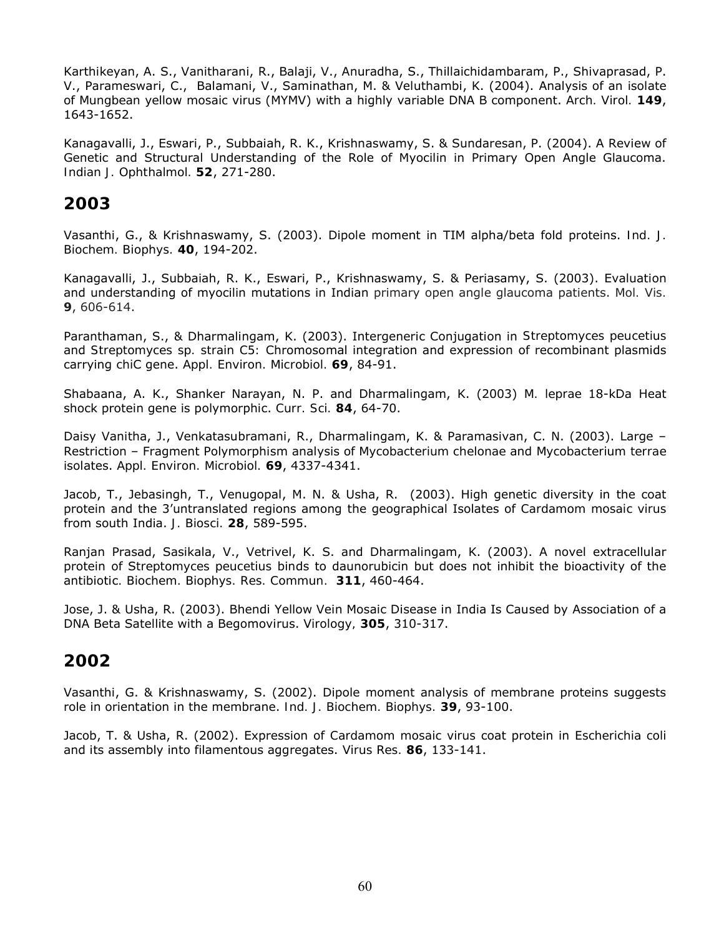Karthikeyan, A. S., Vanitharani, R., Balaji, V., Anuradha, S., Thillaichidambaram, P., Shivaprasad, P. V., Parameswari, C., Balamani, V., Saminathan, M. & Veluthambi, K. (2004). Analysis of an isolate of *Mungbean yellow mosaic virus* (MYMV) with a highly variable DNA B component. *Arch. Virol.* **149**, 1643-1652.

Kanagavalli, J., Eswari, P., Subbaiah, R. K., Krishnaswamy, S. & Sundaresan, P. (2004). A Review of Genetic and Structural Understanding of the Role of Myocilin in Primary Open Angle Glaucoma. *Indian J. Ophthalmol.* **52**, 271-280.

#### **2003**

Vasanthi, G., & Krishnaswamy, S. (2003). Dipole moment in TIM alpha/beta fold proteins. *Ind. J. Biochem. Biophys.* **40**, 194-202.

Kanagavalli, J., Subbaiah, R. K., Eswari, P., Krishnaswamy, S. & Periasamy, S. (2003). Evaluation and understanding of myocilin mutations in Indian primary open angle glaucoma patients. *Mol. Vis.* **9**, 606-614.

Paranthaman, S., & Dharmalingam, K. (2003). Intergeneric Conjugation in *Streptomyces peucetius*  and *Streptomyces sp. strain C5:* Chromosomal integration and expression of recombinant plasmids carrying *chi*C gene. *Appl. Environ. Microbiol.* **69**, 84-91.

Shabaana, A. K., Shanker Narayan, N. P. and Dharmalingam, K. (2003) *M. leprae* 18-kDa Heat shock protein gene is polymorphic. *Curr. Sci.* **84**, 64-70.

Daisy Vanitha, J., Venkatasubramani, R., Dharmalingam, K. & Paramasivan, C. N. (2003). Large – Restriction – Fragment Polymorphism analysis of *Mycobacterium chelonae* and *Mycobacterium terrae* isolates. *Appl. Environ. Microbiol.* **69**, 4337-4341.

Jacob, T., Jebasingh, T., Venugopal, M. N. & Usha, R. (2003). High genetic diversity in the coat protein and the 3'untranslated regions among the geographical Isolates of *Cardamom mosaic virus* from south India. *J. Biosci.* **28**, 589-595.

Ranjan Prasad, Sasikala, V., Vetrivel, K. S. and Dharmalingam, K. (2003). A novel extracellular protein of S*treptomyces peucetius* binds to daunorubicin but does not inhibit the bioactivity of the antibiotic*. Biochem. Biophys. Res. Commun.* **311**, 460-464.

Jose, J. & Usha, R. (2003). Bhendi Yellow Vein Mosaic Disease in India Is Caused by Association of a DNA Beta Satellite with a Begomovirus. *Virology,* **305**, 310-317.

## **2002**

Vasanthi, G. & Krishnaswamy, S. (2002). Dipole moment analysis of membrane proteins suggests role in orientation in the membrane. *Ind. J. Biochem. Biophys.* **39**, 93-100.

Jacob, T. & Usha, R. (2002). Expression of *Cardamom mosaic virus* coat protein in *Escherichia coli* and its assembly into filamentous aggregates. *Virus Res.* **86**, 133-141.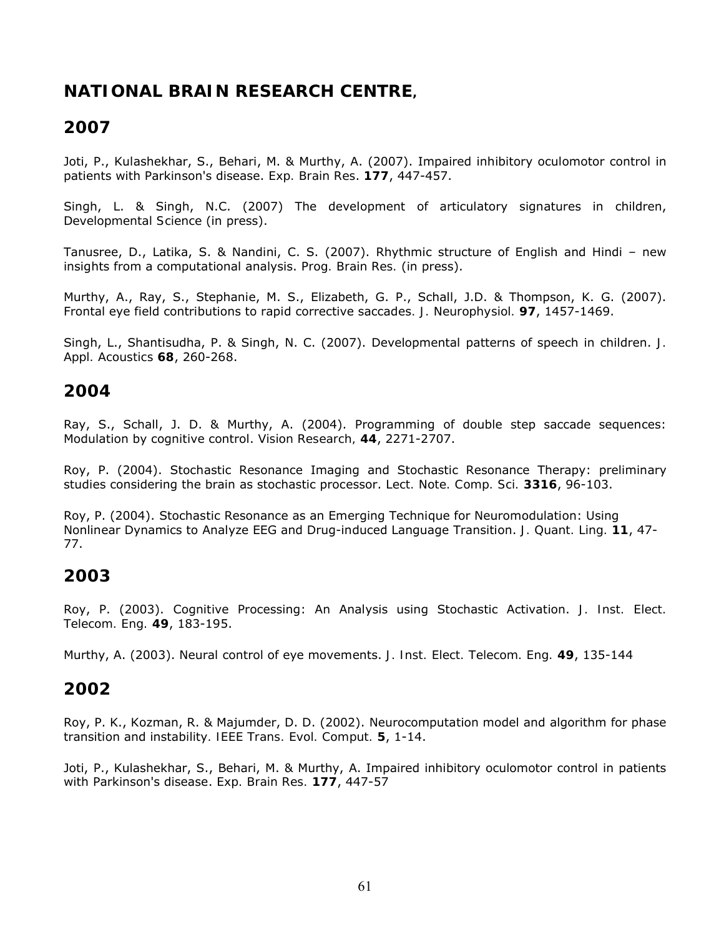## **NATIONAL BRAIN RESEARCH CENTRE.**

## **2007**

Joti, P., Kulashekhar, S., Behari, M. & Murthy, A. (2007). Impaired inhibitory oculomotor control in patients with Parkinson's disease. *Exp. Brain Res*. **177**, 447-457.

Singh, L. & Singh, N.C. (2007) The development of articulatory signatures in children, *Developmental Science* (in press).

Tanusree, D., Latika, S. & Nandini, C. S. (2007). Rhythmic structure of English and Hindi – new insights from a computational analysis. *Prog. Brain Res.* (in press).

Murthy, A., Ray, S., Stephanie, M. S., Elizabeth, G. P., Schall, J.D. & Thompson, K. G. (2007). Frontal eye field contributions to rapid corrective saccades*. J. Neurophysiol.* **97**, 1457-1469.

Singh, L., Shantisudha, P. & Singh, N. C. (2007). Developmental patterns of speech in children. *J. Appl. Acoustics* **68**, 260-268.

#### **2004**

Ray, S., Schall, J. D. & Murthy, A. (2004). Programming of double step saccade sequences: Modulation by cognitive control. *Vision Research,* **44**, 2271-2707.

Roy, P. (2004). Stochastic Resonance Imaging and Stochastic Resonance Therapy: preliminary studies considering the brain as stochastic processor. *Lect. Note. Comp. Sci.* **3316**, 96-103.

Roy, P. (2004). Stochastic Resonance as an Emerging Technique for Neuromodulation: Using Nonlinear Dynamics to Analyze EEG and Drug-induced Language Transition. *J. Quant. Ling.* **11**, 47- 77.

## **2003**

Roy, P. (2003). Cognitive Processing: An Analysis using Stochastic Activation. *J. Inst. Elect. Telecom. Eng.* **49**, 183-195.

Murthy, A. (2003). Neural control of eye movements. *J. Inst. Elect. Telecom. Eng.* **49**, 135-144

#### **2002**

Roy, P. K., Kozman, R. & Majumder, D. D. (2002). Neurocomputation model and algorithm for phase transition and instability*. IEEE Trans. Evol. Comput.* **5**, 1-14.

Joti, P., Kulashekhar, S., Behari, M. & Murthy, A. Impaired inhibitory oculomotor control in patients with Parkinson's disease. *Exp. Brain Res.* **177**, 447-57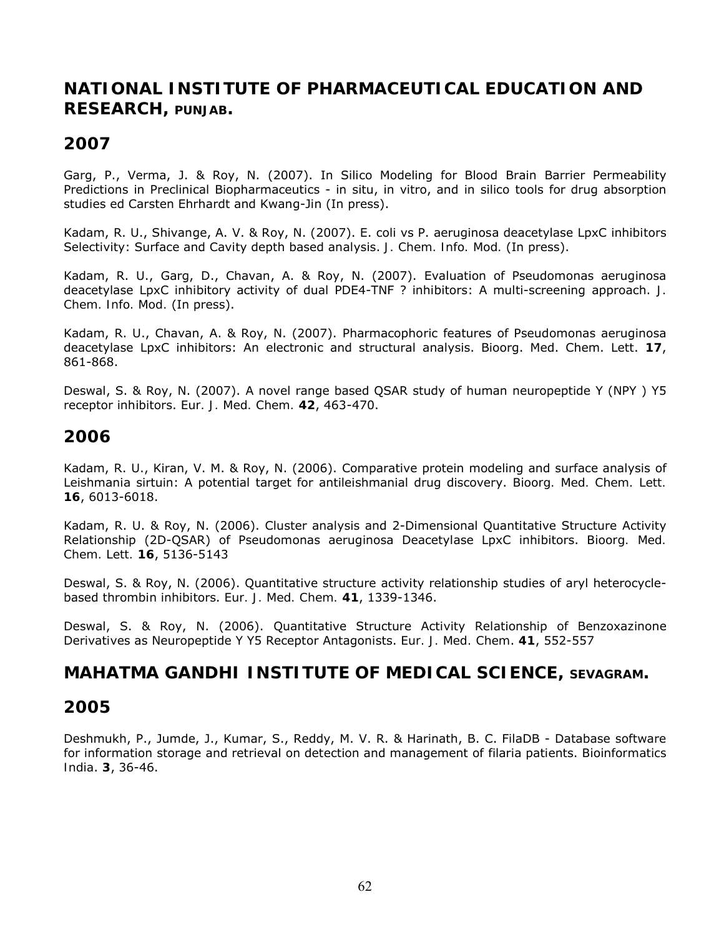## **NATIONAL INSTITUTE OF PHARMACEUTICAL EDUCATION AND RESEARCH, PUNJAB.**

### **2007**

Garg, P., Verma, J. & Roy, N. (2007). In Silico Modeling for Blood Brain Barrier Permeability Predictions in Preclinical Biopharmaceutics - in situ, in vitro, and in silico tools for drug absorption studies ed Carsten Ehrhardt and Kwang-Jin (In press).

Kadam, R. U., Shivange, A. V. & Roy, N. (2007). E. coli vs P. aeruginosa deacetylase LpxC inhibitors Selectivity: Surface and Cavity depth based analysis. *J. Chem. Info. Mod.* (In press).

Kadam, R. U., Garg, D., Chavan, A. & Roy, N. (2007). Evaluation of Pseudomonas aeruginosa deacetylase LpxC inhibitory activity of dual PDE4-TNF ? inhibitors: A multi-screening approach. *J. Chem. Info. Mod.* (In press).

Kadam, R. U., Chavan, A. & Roy, N. (2007). Pharmacophoric features of Pseudomonas aeruginosa deacetylase LpxC inhibitors: An electronic and structural analysis. Bioorg. Med. Chem. Lett. **17**, 861-868.

Deswal, S. & Roy, N. (2007). A novel range based QSAR study of human neuropeptide Y (NPY ) Y5 receptor inhibitors. *Eur. J. Med. Chem.* **42**, 463-470.

#### **2006**

Kadam, R. U., Kiran, V. M. & Roy, N. (2006). Comparative protein modeling and surface analysis of Leishmania sirtuin: A potential target for antileishmanial drug discovery. *Bioorg. Med. Chem. Lett.* **16**, 6013-6018.

Kadam, R. U. & Roy, N. (2006). Cluster analysis and 2-Dimensional Quantitative Structure Activity Relationship (2D-QSAR) of Pseudomonas aeruginosa Deacetylase LpxC inhibitors. *Bioorg. Med. Chem. Lett.* **16**, 5136-5143

Deswal, S. & Roy, N. (2006). Quantitative structure activity relationship studies of aryl heterocyclebased thrombin inhibitors. *Eur. J. Med. Chem.* **41**, 1339-1346.

Deswal, S. & Roy, N. (2006). Quantitative Structure Activity Relationship of Benzoxazinone Derivatives as Neuropeptide Y Y5 Receptor Antagonists. *Eur. J. Med. Chem*. **41**, 552-557

**MAHATMA GANDHI INSTITUTE OF MEDICAL SCIENCE, SEVAGRAM.**

## **2005**

Deshmukh, P., Jumde, J., Kumar, S., Reddy, M. V. R. & Harinath, B. C. FilaDB - Database software for information storage and retrieval on detection and management of filaria patients. *Bioinformatics India*. **3**, 36-46.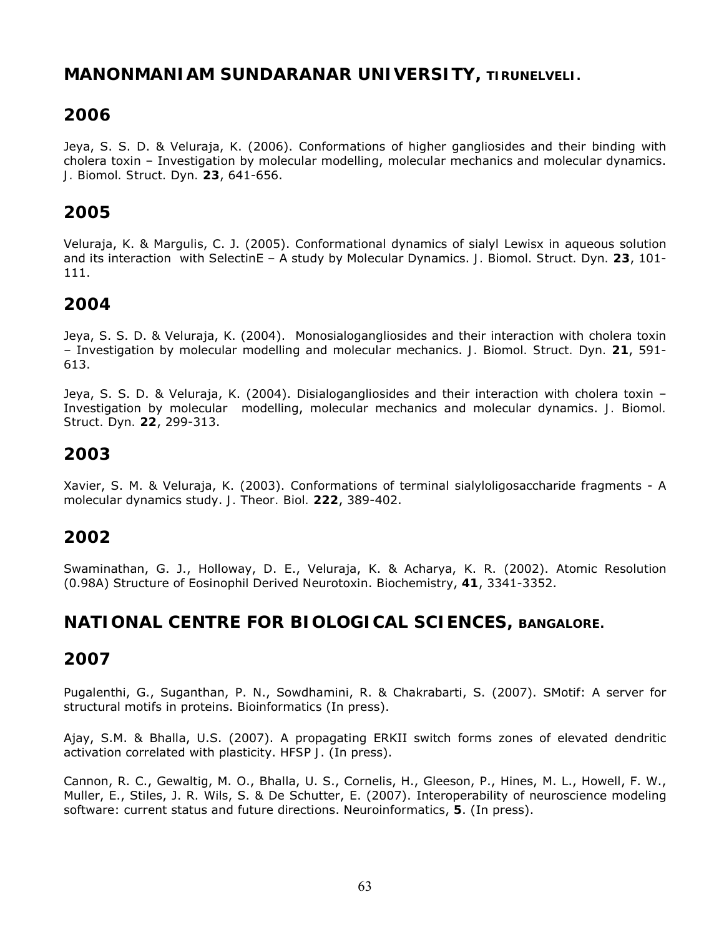## **MANONMANIAM SUNDARANAR UNIVERSITY, TIRUNELVELI.**

## **2006**

Jeya, S. S. D. & Veluraja, K. (2006). Conformations of higher gangliosides and their binding with cholera toxin – Investigation by molecular modelling, molecular mechanics and molecular dynamics. *J. Biomol. Struct. Dyn.* **23**, 641-656.

## **2005**

Veluraja, K. & Margulis, C. J. (2005). Conformational dynamics of sialyl Lewisx in aqueous solution and its interaction with SelectinE – A study by Molecular Dynamics. *J. Biomol. Struct. Dyn.* **23**, 101- 111.

#### **2004**

Jeya, S. S. D. & Veluraja, K. (2004). Monosialogangliosides and their interaction with cholera toxin – Investigation by molecular modelling and molecular mechanics. *J. Biomol. Struct. Dyn.* **21**, 591- 613.

Jeya, S. S. D. & Veluraja, K. (2004). Disialogangliosides and their interaction with cholera toxin – Investigation by molecular modelling, molecular mechanics and molecular dynamics. *J. Biomol. Struct. Dyn.* **22**, 299-313.

## **2003**

Xavier, S. M. & Veluraja, K. (2003). Conformations of terminal sialyloligosaccharide fragments - A molecular dynamics study. *J. Theor. Biol.* **222**, 389-402.

## **2002**

Swaminathan, G. J., Holloway, D. E., Veluraja, K. & Acharya, K. R. (2002). Atomic Resolution (0.98A) Structure of Eosinophil Derived Neurotoxin. *Biochemistry*, **41**, 3341-3352.

## **NATIONAL CENTRE FOR BIOLOGICAL SCIENCES, BANGALORE.**

#### **2007**

Pugalenthi, G., Suganthan, P. N., Sowdhamini, R. & Chakrabarti, S. (2007). SMotif: A server for structural motifs in proteins. *Bioinformatics* (In press).

Ajay, S.M. & Bhalla, U.S. (2007). A propagating ERKII switch forms zones of elevated dendritic activation correlated with plasticity. *HFSP J*. (In press).

Cannon, R. C., Gewaltig, M. O., Bhalla, U. S., Cornelis, H., Gleeson, P., Hines, M. L., Howell, F. W., Muller, E., Stiles, J. R. Wils, S. & De Schutter, E. (2007). Interoperability of neuroscience modeling software: current status and future directions. *Neuroinformatics*, **5**. (In press).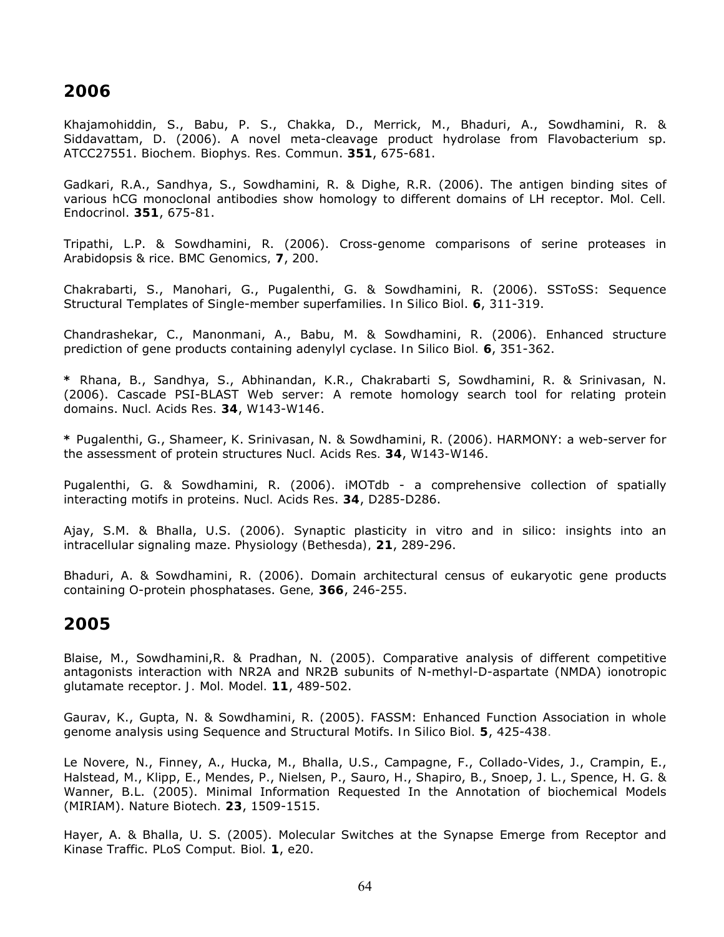Khajamohiddin, S., Babu, P. S., Chakka, D., Merrick, M., Bhaduri, A., Sowdhamini, R. & Siddavattam, D. (2006). A novel meta-cleavage product hydrolase from Flavobacterium sp. ATCC27551. *Biochem. Biophys. Res. Commun*. **351**, 675-681.

Gadkari, R.A., Sandhya, S., Sowdhamini, R. & Dighe, R.R. (2006). The antigen binding sites of various hCG monoclonal antibodies show homology to different domains of LH receptor. *Mol. Cell. Endocrinol*. **351**, 675-81.

Tripathi, L.P. & Sowdhamini, R. (2006). Cross-genome comparisons of serine proteases in Arabidopsis & rice. *BMC Genomics,* **7**, 200.

Chakrabarti, S., Manohari, G., Pugalenthi, G. & Sowdhamini, R. (2006). SSToSS: Sequence Structural Templates of Single-member superfamilies. *In Silico Biol*. **6**, 311-319.

Chandrashekar, C., Manonmani, A., Babu, M. & Sowdhamini, R. (2006). Enhanced structure prediction of gene products containing adenylyl cyclase. *In Silico Biol.* **6**, 351-362.

**\*** Rhana, B., Sandhya, S., Abhinandan, K.R., Chakrabarti S, Sowdhamini, R. & Srinivasan, N. (2006). Cascade PSI-BLAST Web server: A remote homology search tool for relating protein domains. *Nucl. Acids Res.* **34**, W143-W146.

**\*** Pugalenthi, G., Shameer, K. Srinivasan, N. & Sowdhamini, R. (2006). HARMONY: a web-server for the assessment of protein structures *Nucl. Acids Res.* **34**, W143-W146.

Pugalenthi, G. & Sowdhamini, R. (2006). iMOTdb - a comprehensive collection of spatially interacting motifs in proteins. *Nucl. Acids Res*. **34**, D285-D286.

Ajay, S.M. & Bhalla, U.S. (2006). Synaptic plasticity in vitro and in silico: insights into an intracellular signaling maze. *Physiology (Bethesda),* **21**, 289-296.

Bhaduri, A. & Sowdhamini, R. (2006). Domain architectural census of eukaryotic gene products containing O-protein phosphatases. *Gene,* **366**, 246-255.

#### **2005**

Blaise, M., Sowdhamini,R. & Pradhan, N. (2005). Comparative analysis of different competitive antagonists interaction with NR2A and NR2B subunits of N-methyl-D-aspartate (NMDA) ionotropic glutamate receptor. *J. Mol. Model.* **11**, 489-502.

Gaurav, K., Gupta, N. & Sowdhamini, R. (2005). FASSM: Enhanced Function Association in whole genome analysis using Sequence and Structural Motifs. *In Silico Biol.* **5**, 425-438.

Le Novere, N., Finney, A., Hucka, M., Bhalla, U.S., Campagne, F., Collado-Vides, J., Crampin, E., Halstead, M., Klipp, E., Mendes, P., Nielsen, P., Sauro, H., Shapiro, B., Snoep, J. L., Spence, H. G. & Wanner, B.L. (2005). Minimal Information Requested In the Annotation of biochemical Models (MIRIAM). *Nature Biotech.* **23**, 1509-1515.

Hayer, A. & Bhalla, U. S. (2005). Molecular Switches at the Synapse Emerge from Receptor and Kinase Traffic. *PLoS Comput. Biol.* **1**, e20.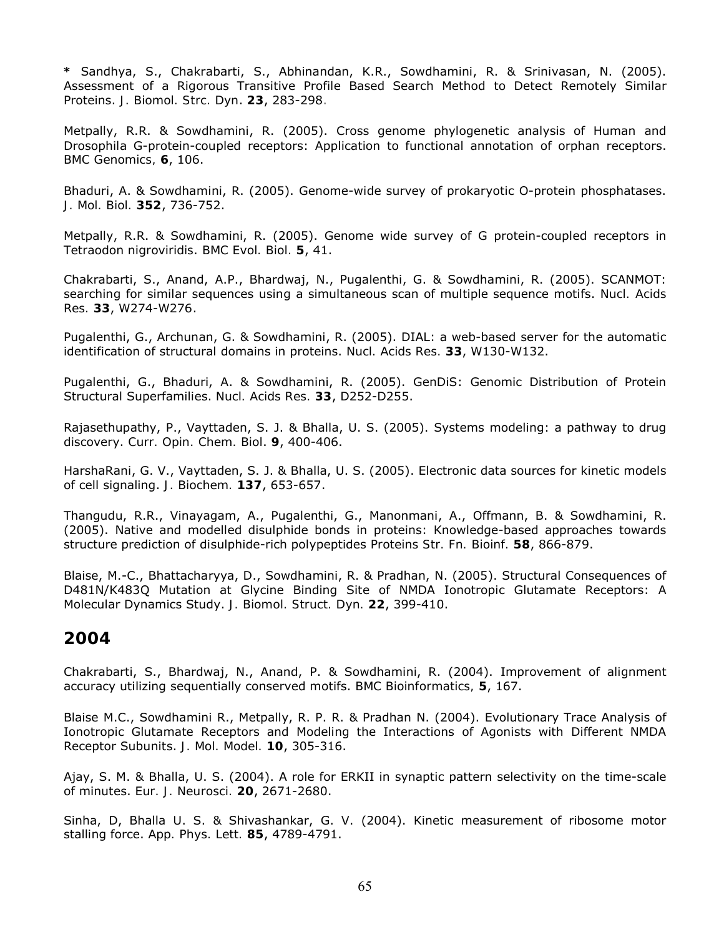**\*** Sandhya, S., Chakrabarti, S., Abhinandan, K.R., Sowdhamini, R. & Srinivasan, N. (2005). Assessment of a Rigorous Transitive Profile Based Search Method to Detect Remotely Similar Proteins. *J. Biomol. Strc. Dyn*. **23**, 283-298.

Metpally, R.R. & Sowdhamini, R. (2005). Cross genome phylogenetic analysis of Human and Drosophila G-protein-coupled receptors: Application to functional annotation of orphan receptors. *BMC Genomics,* **6**, 106.

Bhaduri, A. & Sowdhamini, R. (2005). Genome-wide survey of prokaryotic O-protein phosphatases. *J. Mol. Biol.* **352**, 736-752.

Metpally, R.R. & Sowdhamini, R. (2005). Genome wide survey of G protein-coupled receptors in *Tetraodon nigroviridis*. *BMC Evol. Biol.* **5**, 41.

Chakrabarti, S., Anand, A.P., Bhardwaj, N., Pugalenthi, G. & Sowdhamini, R. (2005). SCANMOT: searching for similar sequences using a simultaneous scan of multiple sequence motifs. *Nucl. Acids Res.* **33**, W274-W276.

Pugalenthi, G., Archunan, G. & Sowdhamini, R. (2005). DIAL: a web-based server for the automatic identification of structural domains in proteins. *Nucl. Acids Res.* **33**, W130-W132.

Pugalenthi, G., Bhaduri, A. & Sowdhamini, R. (2005). GenDiS: Genomic Distribution of Protein Structural Superfamilies. *Nucl. Acids Res.* **33**, D252-D255.

Rajasethupathy, P., Vayttaden, S. J. & Bhalla, U. S. (2005). Systems modeling: a pathway to drug discovery. *Curr. Opin. Chem. Biol*. **9**, 400-406.

HarshaRani, G. V., Vayttaden, S. J. & Bhalla, U. S. (2005). Electronic data sources for kinetic models of cell signaling. *J. Biochem.* **137**, 653-657.

Thangudu, R.R., Vinayagam, A., Pugalenthi, G., Manonmani, A., Offmann, B. & Sowdhamini, R. (2005). Native and modelled disulphide bonds in proteins: Knowledge-based approaches towards structure prediction of disulphide-rich polypeptides *Proteins Str. Fn. Bioinf.* **58**, 866-879.

Blaise, M.-C., Bhattacharyya, D., Sowdhamini, R. & Pradhan, N. (2005). Structural Consequences of D481N/K483Q Mutation at Glycine Binding Site of NMDA Ionotropic Glutamate Receptors: A Molecular Dynamics Study. *J. Biomol. Struct. Dyn.* **22**, 399-410.

**2004**

Chakrabarti, S., Bhardwaj, N., Anand, P. & Sowdhamini, R. (2004). Improvement of alignment accuracy utilizing sequentially conserved motifs. *BMC Bioinformatics,* **5**, 167.

Blaise M.C., Sowdhamini R., Metpally, R. P. R. & Pradhan N. (2004). Evolutionary Trace Analysis of Ionotropic Glutamate Receptors and Modeling the Interactions of Agonists with Different NMDA Receptor Subunits. *J. Mol. Model.* **10**, 305-316.

Ajay, S. M. & Bhalla, U. S. (2004). A role for ERKII in synaptic pattern selectivity on the time-scale of minutes. *Eur. J. Neurosci.* **20**, 2671-2680.

Sinha, D, Bhalla U. S. & Shivashankar, G. V. (2004). Kinetic measurement of ribosome motor stalling force. *App. Phys. Lett.* **85**, 4789-4791.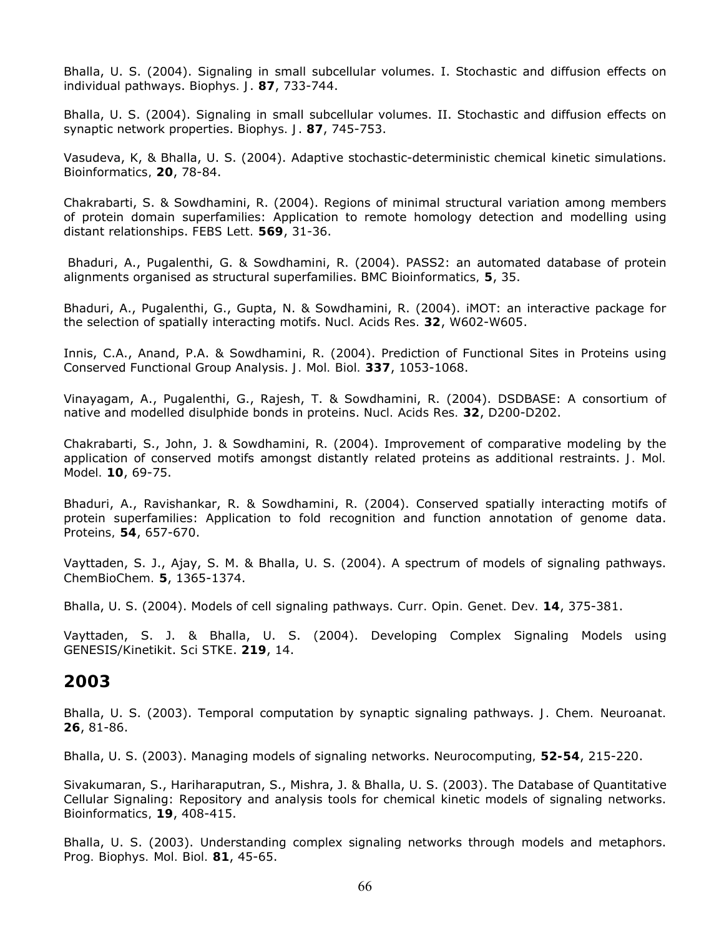Bhalla, U. S. (2004). Signaling in small subcellular volumes. I. Stochastic and diffusion effects on individual pathways. *Biophys. J*. **87**, 733-744.

Bhalla, U. S. (2004). Signaling in small subcellular volumes. II. Stochastic and diffusion effects on synaptic network properties. *Biophys. J*. **87**, 745-753.

Vasudeva, K, & Bhalla, U. S. (2004). Adaptive stochastic-deterministic chemical kinetic simulations. *Bioinformatics,* **20**, 78-84.

Chakrabarti, S. & Sowdhamini, R. (2004). Regions of minimal structural variation among members of protein domain superfamilies: Application to remote homology detection and modelling using distant relationships. *FEBS Lett.* **569**, 31-36.

 Bhaduri, A., Pugalenthi, G. & Sowdhamini, R. (2004). PASS2: an automated database of protein alignments organised as structural superfamilies. *BMC Bioinformatics,* **5**, 35.

Bhaduri, A., Pugalenthi, G., Gupta, N. & Sowdhamini, R. (2004). iMOT: an interactive package for the selection of spatially interacting motifs. *Nucl. Acids Res.* **32**, W602-W605.

Innis, C.A., Anand, P.A. & Sowdhamini, R. (2004). Prediction of Functional Sites in Proteins using Conserved Functional Group Analysis. *J. Mol. Biol.* **337**, 1053-1068.

Vinayagam, A., Pugalenthi, G., Rajesh, T. & Sowdhamini, R. (2004). DSDBASE: A consortium of native and modelled disulphide bonds in proteins. *Nucl. Acids Res.* **32**, D200-D202.

Chakrabarti, S., John, J. & Sowdhamini, R. (2004). Improvement of comparative modeling by the application of conserved motifs amongst distantly related proteins as additional restraints. *J. Mol. Model.* **10**, 69-75.

Bhaduri, A., Ravishankar, R. & Sowdhamini, R. (2004). Conserved spatially interacting motifs of protein superfamilies: Application to fold recognition and function annotation of genome data. *Proteins,* **54**, 657-670.

Vayttaden, S. J., Ajay, S. M. & Bhalla, U. S. (2004). A spectrum of models of signaling pathways. *ChemBioChem.* **5**, 1365-1374.

Bhalla, U. S. (2004). Models of cell signaling pathways. *Curr. Opin. Genet. Dev.* **14**, 375-381.

Vayttaden, S. J. & Bhalla, U. S. (2004). Developing Complex Signaling Models using GENESIS/Kinetikit. *Sci STKE*. **219**, 14.

**2003**

Bhalla, U. S. (2003). Temporal computation by synaptic signaling pathways. *J. Chem. Neuroanat.* **26**, 81-86.

Bhalla, U. S. (2003). Managing models of signaling networks. *Neurocomputing,* **52-54**, 215-220.

Sivakumaran, S., Hariharaputran, S., Mishra, J. & Bhalla, U. S. (2003). The Database of Quantitative Cellular Signaling: Repository and analysis tools for chemical kinetic models of signaling networks. *Bioinformatics,* **19**, 408-415.

Bhalla, U. S. (2003). Understanding complex signaling networks through models and metaphors. *Prog. Biophys. Mol. Biol.* **81**, 45-65.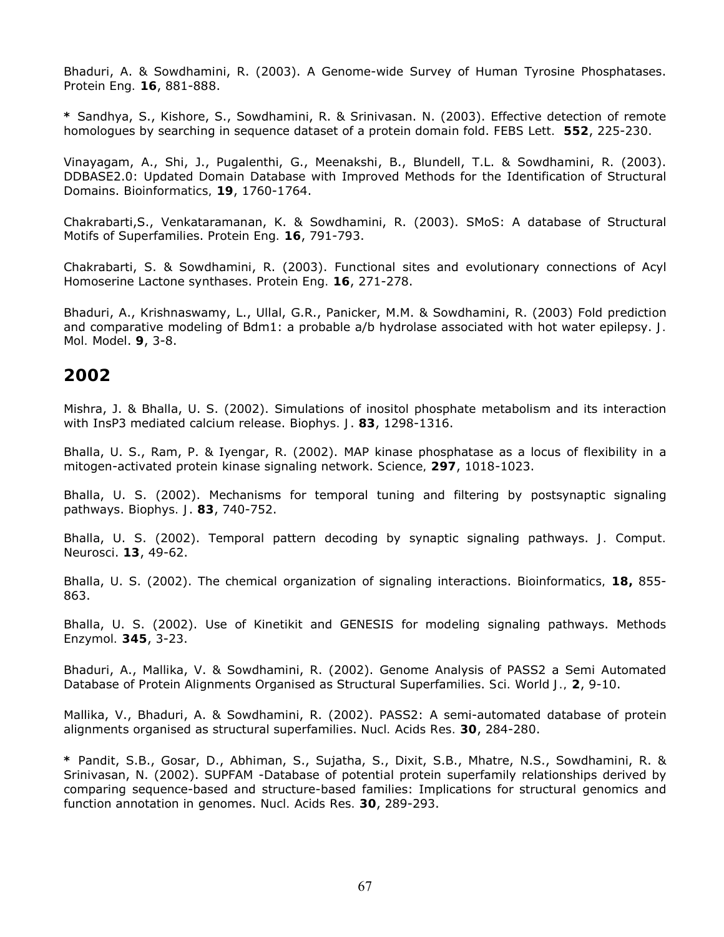Bhaduri, A. & Sowdhamini, R. (2003). A Genome-wide Survey of Human Tyrosine Phosphatases. *Protein Eng.* **16**, 881-888.

**\*** Sandhya, S., Kishore, S., Sowdhamini, R. & Srinivasan. N. (2003). Effective detection of remote homologues by searching in sequence dataset of a protein domain fold. *FEBS Lett.* **552**, 225-230.

Vinayagam, A., Shi, J., Pugalenthi, G., Meenakshi, B., Blundell, T.L. & Sowdhamini, R. (2003). DDBASE2.0: Updated Domain Database with Improved Methods for the Identification of Structural Domains. *Bioinformatics,* **19**, 1760-1764.

Chakrabarti,S., Venkataramanan, K. & Sowdhamini, R. (2003). SMoS: A database of Structural Motifs of Superfamilies. *Protein Eng.* **16**, 791-793.

Chakrabarti, S. & Sowdhamini, R. (2003). Functional sites and evolutionary connections of Acyl Homoserine Lactone synthases. *Protein Eng.* **16**, 271-278.

Bhaduri, A., Krishnaswamy, L., Ullal, G.R., Panicker, M.M. & Sowdhamini, R. (2003) Fold prediction and comparative modeling of Bdm1: a probable a/b hydrolase associated with hot water epilepsy. *J. Mol. Model*. **9**, 3-8.

#### **2002**

Mishra, J. & Bhalla, U. S. (2002). Simulations of inositol phosphate metabolism and its interaction with InsP3 mediated calcium release. *Biophys. J*. **83**, 1298-1316.

Bhalla, U. S., Ram, P. & Iyengar, R. (2002). MAP kinase phosphatase as a locus of flexibility in a mitogen-activated protein kinase signaling network. *Science,* **297**, 1018-1023.

Bhalla, U. S. (2002). Mechanisms for temporal tuning and filtering by postsynaptic signaling pathways. *Biophys. J*. **83**, 740-752.

Bhalla, U. S. (2002). Temporal pattern decoding by synaptic signaling pathways. *J. Comput. Neurosci*. **13**, 49-62.

Bhalla, U. S. (2002). The chemical organization of signaling interactions. *Bioinformatics,* **18,** 855- 863.

Bhalla, U. S. (2002). Use of Kinetikit and GENESIS for modeling signaling pathways. *Methods Enzymol.* **345**, 3-23.

Bhaduri, A., Mallika, V. & Sowdhamini, R. (2002). Genome Analysis of PASS2 a Semi Automated Database of Protein Alignments Organised as Structural Superfamilies. *Sci. World J.,* **2**, 9-10.

Mallika, V., Bhaduri, A. & Sowdhamini, R. (2002). PASS2: A semi-automated database of protein alignments organised as structural superfamilies. *Nucl. Acids Res.* **30**, 284-280.

**\*** Pandit, S.B., Gosar, D., Abhiman, S., Sujatha, S., Dixit, S.B., Mhatre, N.S., Sowdhamini, R. & Srinivasan, N. (2002). SUPFAM -Database of potential protein superfamily relationships derived by comparing sequence-based and structure-based families: Implications for structural genomics and function annotation in genomes. *Nucl. Acids Res.* **30**, 289-293.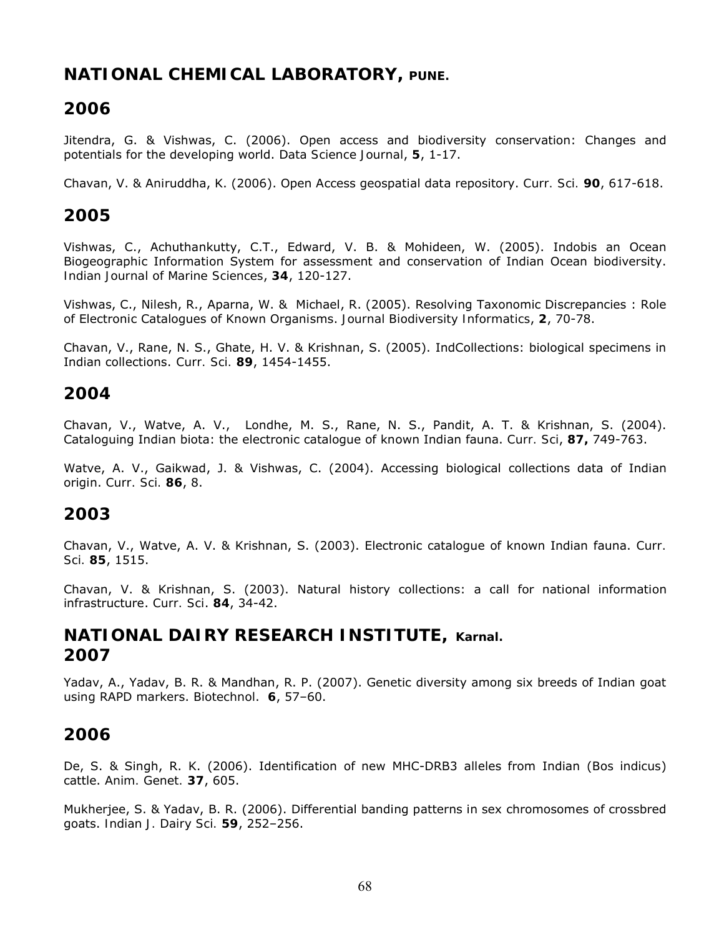## **NATIONAL CHEMICAL LABORATORY, PUNE.**

## **2006**

Jitendra, G. & Vishwas, C. (2006). Open access and biodiversity conservation: Changes and potentials for the developing world. *Data Science Journal*, **5**, 1-17.

Chavan, V. & Aniruddha, K. (2006). Open Access geospatial data repository. *Curr. Sci.* **90**, 617-618.

#### **2005**

Vishwas, C., Achuthankutty, C.T., Edward, V. B. & Mohideen, W. (2005). Indobis an Ocean Biogeographic Information System for assessment and conservation of Indian Ocean biodiversity. *Indian Journal of Marine Sciences*, **34**, 120-127.

Vishwas, C., Nilesh, R., Aparna, W. & Michael, R. (2005). Resolving Taxonomic Discrepancies : Role of Electronic Catalogues of Known Organisms. *Journal Biodiversity Informatics*, **2**, 70-78.

Chavan, V., Rane, N. S., Ghate, H. V. & Krishnan, S. (2005). IndCollections: biological specimens in Indian collections. *Curr. Sci.* **89**, 1454-1455.

#### **2004**

Chavan, V., Watve, A. V., Londhe, M. S., Rane, N. S., Pandit, A. T. & Krishnan, S. (2004). Cataloguing Indian biota: the electronic catalogue of known Indian fauna. *Curr. Sci*, **87,** 749-763.

Watve, A. V., Gaikwad, J. & Vishwas, C. (2004). Accessing biological collections data of Indian origin. *Curr. Sci.* **86**, 8.

#### **2003**

Chavan, V., Watve, A. V. & Krishnan, S. (2003). Electronic catalogue of known Indian fauna. *Curr. Sci.* **85**, 1515.

Chavan, V. & Krishnan, S. (2003). Natural history collections: a call for national information infrastructure. *Curr. Sci*. **84**, 34-42.

**NATIONAL DAIRY RESEARCH INSTITUTE, Karnal. 2007**

Yadav, A., Yadav, B. R. & Mandhan, R. P. (2007). Genetic diversity among six breeds of Indian goat using RAPD markers. *Biotechnol*. **6**, 57–60.

## **2006**

De, S. & Singh, R. K. (2006). Identification of new MHC-DRB3 alleles from Indian (*Bos indicus*) cattle. *Anim. Genet.* **37**, 605.

Mukherjee, S. & Yadav, B. R. (2006). Differential banding patterns in sex chromosomes of crossbred goats. *Indian J. Dairy Sci.* **59**, 252–256.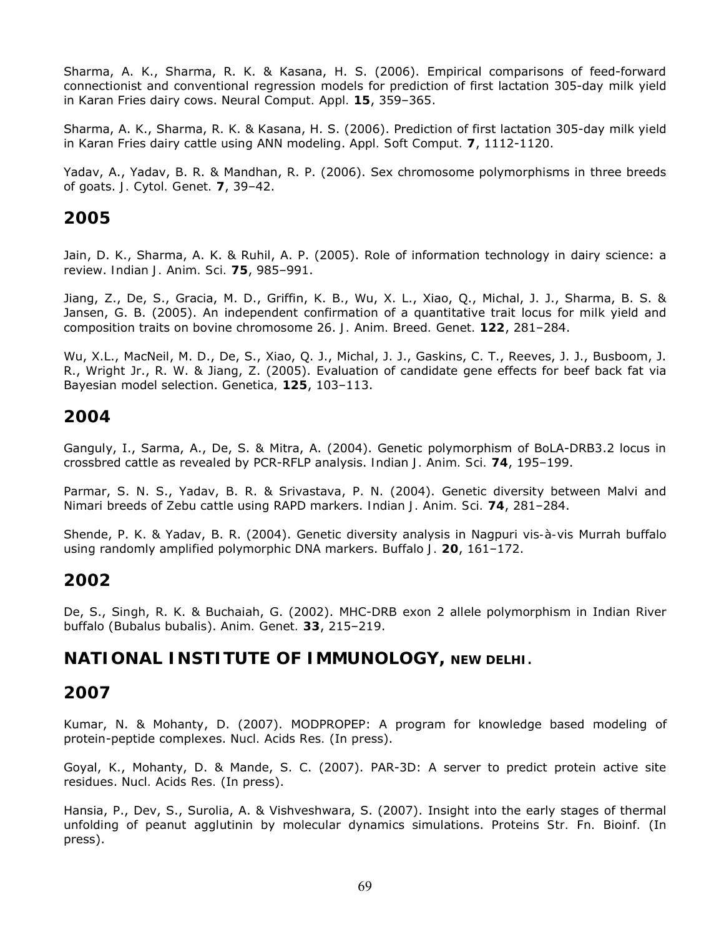Sharma, A. K., Sharma, R. K. & Kasana, H. S. (2006). Empirical comparisons of feed-forward connectionist and conventional regression models for prediction of first lactation 305-day milk yield in Karan Fries dairy cows. *Neural Comput. Appl.* **15**, 359–365.

Sharma, A. K., Sharma, R. K. & Kasana, H. S. (2006). Prediction of first lactation 305-day milk yield in Karan Fries dairy cattle using ANN modeling. *Appl. Soft Comput.* **7**, 1112-1120.

Yadav, A., Yadav, B. R. & Mandhan, R. P. (2006). Sex chromosome polymorphisms in three breeds of goats. *J. Cytol. Genet.* **7**, 39–42.

#### **2005**

Jain, D. K., Sharma, A. K. & Ruhil, A. P. (2005). Role of information technology in dairy science: a review. *Indian J. Anim. Sci.* **75**, 985–991.

Jiang, Z., De, S., Gracia, M. D., Griffin, K. B., Wu, X. L., Xiao, Q., Michal, J. J., Sharma, B. S. & Jansen, G. B. (2005). An independent confirmation of a quantitative trait locus for milk yield and composition traits on bovine chromosome 26. *J. Anim. Breed. Genet.* **122**, 281–284.

Wu, X.L., MacNeil, M. D., De, S., Xiao, Q. J., Michal, J. J., Gaskins, C. T., Reeves, J. J., Busboom, J. R., Wright Jr., R. W. & Jiang, Z. (2005). Evaluation of candidate gene effects for beef back fat via Bayesian model selection. *Genetica,* **125**, 103–113.

#### **2004**

Ganguly, I., Sarma, A., De, S. & Mitra, A. (2004). Genetic polymorphism of BoLA-DRB3.2 locus in crossbred cattle as revealed by PCR-RFLP analysis. *Indian J. Anim. Sci.* **74**, 195–199.

Parmar, S. N. S., Yadav, B. R. & Srivastava, P. N. (2004). Genetic diversity between Malvi and Nimari breeds of Zebu cattle using RAPD markers. *Indian J. Anim. Sci.* **74**, 281–284.

Shende, P. K. & Yadav, B. R. (2004). Genetic diversity analysis in Nagpuri *vis-à-vis* Murrah buffalo using randomly amplified polymorphic DNA markers. *Buffalo J.* **20**, 161–172.

## **2002**

De, S., Singh, R. K. & Buchaiah, G. (2002). MHC-DRB exon 2 allele polymorphism in Indian River buffalo (*Bubalus bubalis*). *Anim. Genet.* **33**, 215–219.

**NATIONAL INSTITUTE OF IMMUNOLOGY, NEW DELHI.**

#### **2007**

Kumar, N. & Mohanty, D. (2007). MODPROPEP: A program for knowledge based modeling of protein-peptide complexes. *Nucl. Acids Res.* (In press).

Goyal, K., Mohanty, D. & Mande, S. C. (2007). PAR-3D: A server to predict protein active site residues. *Nucl. Acids Res.* (In press).

Hansia, P., Dev, S., Surolia, A. & Vishveshwara, S. (2007). Insight into the early stages of thermal unfolding of peanut agglutinin by molecular dynamics simulations. *Proteins Str. Fn. Bioinf.* (In press).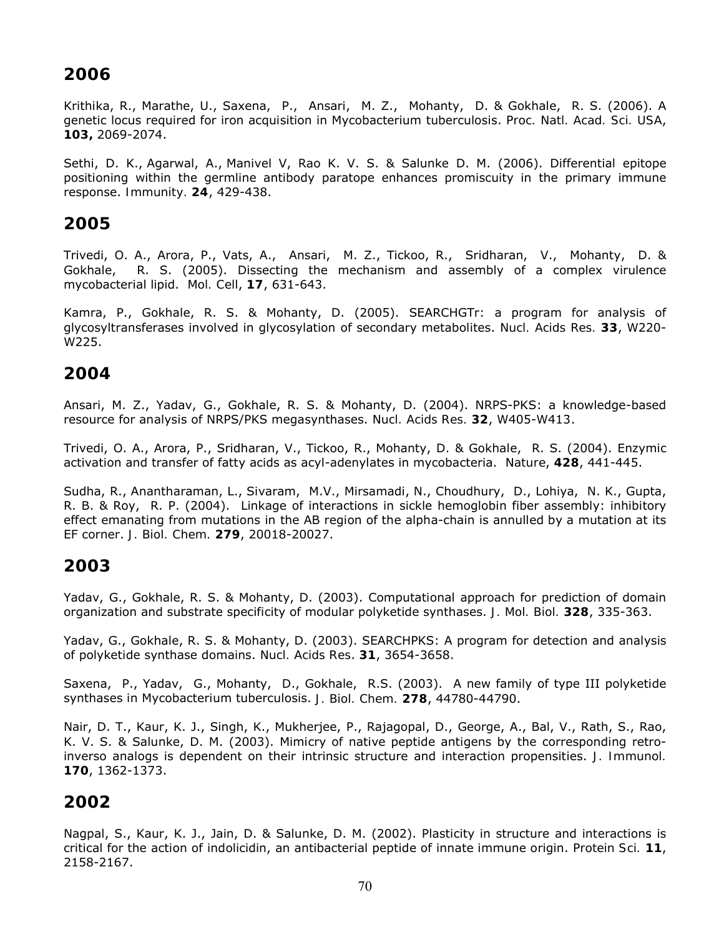Krithika, R., Marathe, U., Saxena, P., Ansari, M. Z., Mohanty, D. & Gokhale, R. S. (2006). A genetic locus required for iron acquisition in Mycobacterium tuberculosis. *Proc. Natl. Acad. Sci. USA*, **103,** 2069-2074.

Sethi, D. K., Agarwal, A., Manivel V, Rao K. V. S. & Salunke D. M. (2006). Differential epitope positioning within the germline antibody paratope enhances promiscuity in the primary immune response. *Immunity.* **24**, 429-438.

#### **2005**

Trivedi, O. A., Arora, P., Vats, A., Ansari, M. Z., Tickoo, R., Sridharan, V., Mohanty, D. & Gokhale, R. S. (2005). Dissecting the mechanism and assembly of a complex virulence mycobacterial lipid. *Mol. Cell*, **17**, 631-643.

Kamra, P., Gokhale, R. S. & Mohanty, D. (2005). SEARCHGTr: a program for analysis of glycosyltransferases involved in glycosylation of secondary metabolites. *Nucl. Acids Res.* **33**, W220- W225.

#### **2004**

Ansari, M. Z., Yadav, G., Gokhale, R. S. & Mohanty, D. (2004). NRPS-PKS: a knowledge-based resource for analysis of NRPS/PKS megasynthases. *Nucl. Acids Res.* **32**, W405-W413.

Trivedi, O. A., Arora, P., Sridharan, V., Tickoo, R., Mohanty, D. & Gokhale, R. S. (2004). Enzymic activation and transfer of fatty acids as acyl-adenylates in mycobacteria. *Nature*, **428**, 441-445.

Sudha, R., Anantharaman, L., Sivaram, M.V., Mirsamadi, N., Choudhury, D., Lohiya, N. K., Gupta, R. B. & Roy, R. P. (2004). Linkage of interactions in sickle hemoglobin fiber assembly: inhibitory effect emanating from mutations in the AB region of the alpha-chain is annulled by a mutation at its EF corner. *J. Biol. Chem.* **279**, 20018-20027.

## **2003**

Yadav, G., Gokhale, R. S. & Mohanty, D. (2003). Computational approach for prediction of domain organization and substrate specificity of modular polyketide synthases. *J. Mol. Biol.* **328**, 335-363.

Yadav, G., Gokhale, R. S. & Mohanty, D. (2003). SEARCHPKS: A program for detection and analysis of polyketide synthase domains. *Nucl. Acids Res*. **31**, 3654-3658.

Saxena, P., Yadav, G., Mohanty, D., Gokhale, R.S. (2003). A new family of type III polyketide synthases in Mycobacterium tuberculosis. *J. Biol. Chem.* **278**, 44780-44790.

Nair, D. T., Kaur, K. J., Singh, K., Mukherjee, P., Rajagopal, D., George, A., Bal, V., Rath, S., Rao, K. V. S. & Salunke, D. M. (2003). Mimicry of native peptide antigens by the corresponding retroinverso analogs is dependent on their intrinsic structure and interaction propensities. *J. Immunol.* **170**, 1362-1373.

## **2002**

Nagpal, S., Kaur, K. J., Jain, D. & Salunke, D. M. (2002). Plasticity in structure and interactions is critical for the action of indolicidin, an antibacterial peptide of innate immune origin. *Protein Sci.* **11**, 2158-2167.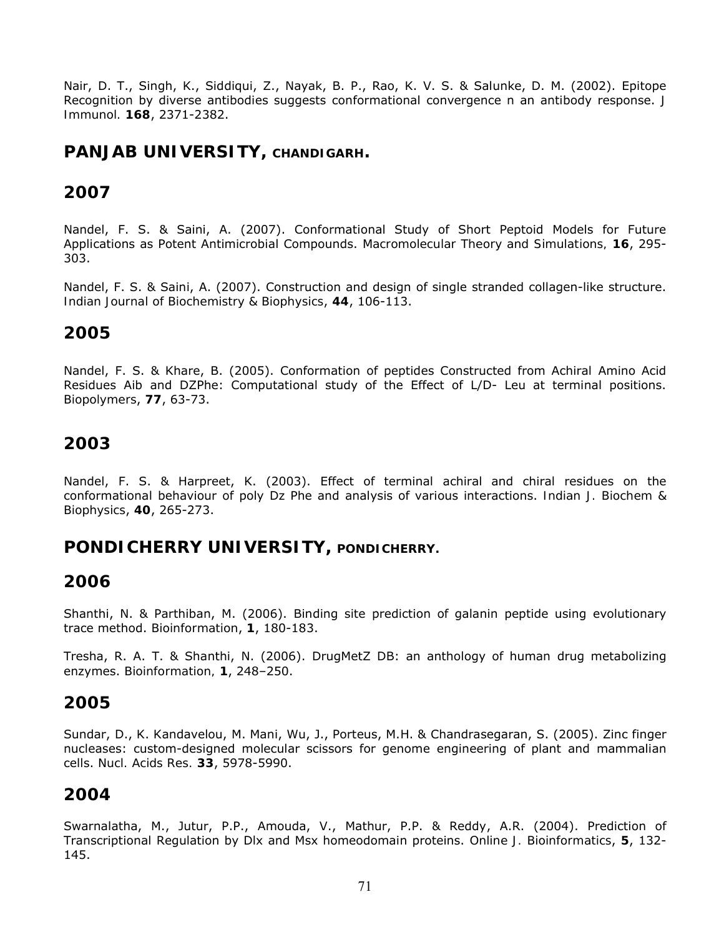Nair, D. T., Singh, K., Siddiqui, Z., Nayak, B. P., Rao, K. V. S. & Salunke, D. M. (2002). Epitope Recognition by diverse antibodies suggests conformational convergence n an antibody response. *J Immunol.* **168**, 2371-2382.

### **PANJAB UNIVERSITY, CHANDIGARH.**

### **2007**

Nandel, F. S. & Saini, A. (2007). Conformational Study of Short Peptoid Models for Future Applications as Potent Antimicrobial Compounds. *Macromolecular Theory and Simulations,* **16**, 295- 303.

Nandel, F. S. & Saini, A. (2007). Construction and design of single stranded collagen-like structure. *Indian Journal of Biochemistry & Biophysics*, **44**, 106-113.

#### **2005**

Nandel, F. S. & Khare, B. (2005). Conformation of peptides Constructed from Achiral Amino Acid Residues Aib and DZPhe: Computational study of the Effect of L/D- Leu at terminal positions. *Biopolymers*, **77**, 63-73.

## **2003**

Nandel, F. S. & Harpreet, K. (2003). Effect of terminal achiral and chiral residues on the conformational behaviour of poly Dz Phe and analysis of various interactions. *Indian J. Biochem & Biophysics*, **40**, 265-273.

## **PONDICHERRY UNIVERSITY, PONDICHERRY.**

#### **2006**

Shanthi, N. & Parthiban, M. (2006). Binding site prediction of galanin peptide using evolutionary trace method. *Bioinformation*, **1**, 180-183.

Tresha, R. A. T. & Shanthi, N. (2006). DrugMetZ DB: an anthology of human drug metabolizing enzymes. *Bioinformation,* **1**, 248–250.

#### **2005**

Sundar, D., K. Kandavelou, M. Mani, Wu, J., Porteus, M.H. & Chandrasegaran, S. (2005). Zinc finger nucleases: custom-designed molecular scissors for genome engineering of plant and mammalian cells. *Nucl. Acids Res.* **33**, 5978-5990.

#### **2004**

Swarnalatha, M., Jutur, P.P., Amouda, V., Mathur, P.P. & Reddy, A.R. (2004). Prediction of Transcriptional Regulation by Dlx and Msx homeodomain proteins. *Online J. Bioinformatics*, **5**, 132- 145.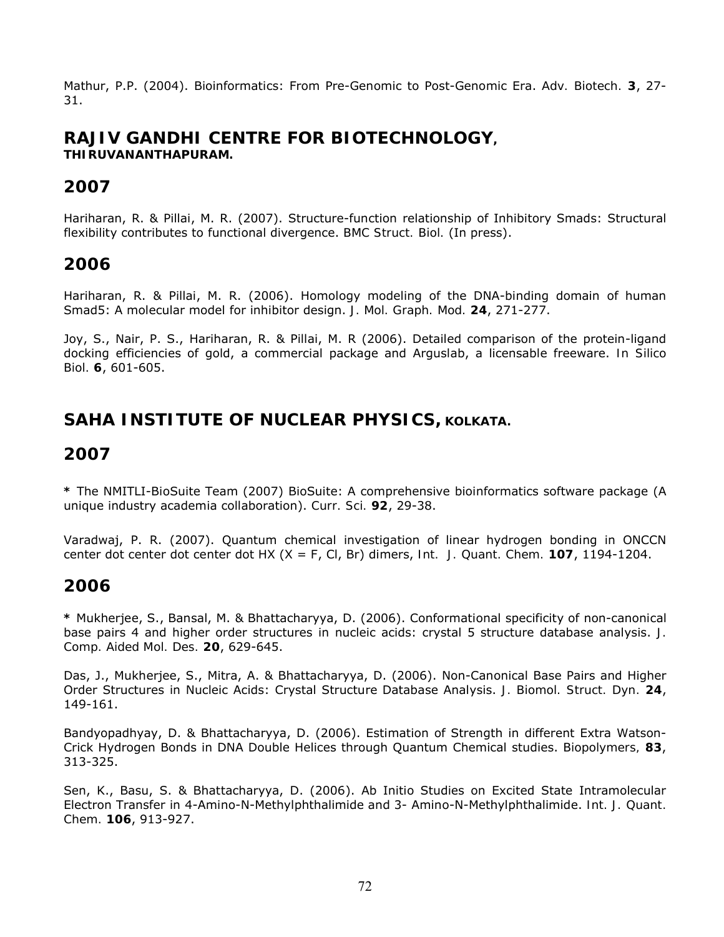Mathur, P.P. (2004). Bioinformatics: From Pre-Genomic to Post-Genomic Era. *Adv. Biotech.* **3**, 27- 31.

# **RAJIV GANDHI CENTRE FOR BIOTECHNOLOGY,**

**THIRUVANANTHAPURAM.**

## **2007**

Hariharan, R. & Pillai, M. R. (2007). Structure-function relationship of Inhibitory Smads: Structural flexibility contributes to functional divergence. *BMC Struct. Biol.* (In press).

#### **2006**

Hariharan, R. & Pillai, M. R. (2006). Homology modeling of the DNA-binding domain of human Smad5: A molecular model for inhibitor design. *J. Mol. Graph. Mod.* **24**, 271-277.

Joy, S., Nair, P. S., Hariharan, R. & Pillai, M. R (2006). Detailed comparison of the protein-ligand docking efficiencies of gold, a commercial package and Arguslab, a licensable freeware. *In Silico Biol.* **6**, 601-605.

## **SAHA INSTITUTE OF NUCLEAR PHYSICS, KOLKATA.**

## **2007**

**\*** The NMITLI-BioSuite Team (2007) BioSuite: A comprehensive bioinformatics software package (A unique industry academia collaboration). *Curr. Sci.* **92**, 29-38.

Varadwaj, P. R. (2007). Quantum chemical investigation of linear hydrogen bonding in ONCCN center dot center dot center dot HX (X = F, Cl, Br) dimers, *Int. J. Quant. Chem.* **107**, 1194-1204.

#### **2006**

**\*** Mukherjee, S., Bansal, M. & Bhattacharyya, D. (2006). Conformational specificity of non-canonical base pairs 4 and higher order structures in nucleic acids: crystal 5 structure database analysis. *J. Comp. Aided Mol. Des.* **20**, 629-645.

Das, J., Mukherjee, S., Mitra, A. & Bhattacharyya, D. (2006). Non-Canonical Base Pairs and Higher Order Structures in Nucleic Acids: Crystal Structure Database Analysis. *J. Biomol. Struct. Dyn.* **24**, 149-161.

Bandyopadhyay, D. & Bhattacharyya, D. (2006). Estimation of Strength in different Extra Watson-Crick Hydrogen Bonds in DNA Double Helices through Quantum Chemical studies. *Biopolymers,* **83**, 313-325.

Sen, K., Basu, S. & Bhattacharyya, D. (2006). Ab Initio Studies on Excited State Intramolecular Electron Transfer in 4-Amino-N-Methylphthalimide and 3- Amino-N-Methylphthalimide. *Int. J. Quant. Chem.* **106**, 913-927.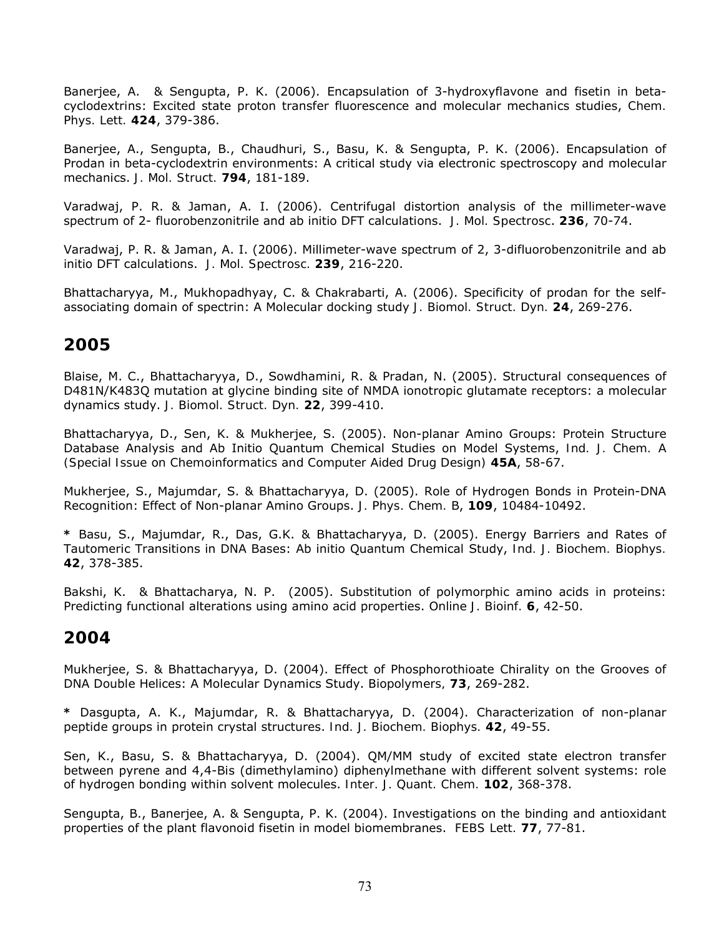Banerjee, A. & Sengupta, P. K. (2006). Encapsulation of 3-hydroxyflavone and fisetin in betacyclodextrins: Excited state proton transfer fluorescence and molecular mechanics studies, *Chem. Phys. Lett.* **424**, 379-386.

Banerjee, A., Sengupta, B., Chaudhuri, S., Basu, K. & Sengupta, P. K. (2006). Encapsulation of Prodan in beta-cyclodextrin environments: A critical study via electronic spectroscopy and molecular mechanics. *J. Mol. Struct.* **794**, 181-189.

Varadwaj, P. R. & Jaman, A. I. (2006). Centrifugal distortion analysis of the millimeter-wave spectrum of 2- fluorobenzonitrile and ab initio DFT calculations. *J. Mol. Spectrosc*. **236**, 70-74.

Varadwaj, P. R. & Jaman, A. I. (2006). Millimeter-wave spectrum of 2, 3-difluorobenzonitrile and ab initio DFT calculations. *J. Mol. Spectrosc.* **239**, 216-220.

Bhattacharyya, M., Mukhopadhyay, C. & Chakrabarti, A. (2006). Specificity of prodan for the selfassociating domain of spectrin: A Molecular docking study *J. Biomol. Struct. Dyn.* **24**, 269-276.

#### **2005**

Blaise, M. C., Bhattacharyya, D., Sowdhamini, R. & Pradan, N. (2005). Structural consequences of D481N/K483Q mutation at glycine binding site of NMDA ionotropic glutamate receptors: a molecular dynamics study. *J. Biomol. Struct. Dyn.* **22**, 399-410.

Bhattacharyya, D., Sen, K. & Mukherjee, S. (2005). Non-planar Amino Groups: Protein Structure Database Analysis and Ab Initio Quantum Chemical Studies on Model Systems, *Ind. J. Chem. A (Special Issue on Chemoinformatics and Computer Aided Drug Design)* **45A**, 58-67.

Mukherjee, S., Majumdar, S. & Bhattacharyya, D. (2005). Role of Hydrogen Bonds in Protein-DNA Recognition: Effect of Non-planar Amino Groups. *J. Phys. Chem.* B, **109**, 10484-10492.

**\*** Basu, S., Majumdar, R., Das, G.K. & Bhattacharyya, D. (2005). Energy Barriers and Rates of Tautomeric Transitions in DNA Bases: Ab initio Quantum Chemical Study, *Ind. J. Biochem. Biophys.* **42**, 378-385.

Bakshi, K. & Bhattacharya, N. P. (2005). Substitution of polymorphic amino acids in proteins: Predicting functional alterations using amino acid properties. *Online J. Bioinf.* **6**, 42-50.

#### **2004**

Mukherjee, S. & Bhattacharyya, D. (2004). Effect of Phosphorothioate Chirality on the Grooves of DNA Double Helices: A Molecular Dynamics Study. *Biopolymers,* **73**, 269-282.

**\*** Dasgupta, A. K., Majumdar, R. & Bhattacharyya, D. (2004). Characterization of non-planar peptide groups in protein crystal structures. *Ind. J. Biochem. Biophys.* **42**, 49-55.

Sen, K., Basu, S. & Bhattacharyya, D. (2004). QM/MM study of excited state electron transfer between pyrene and 4,4-Bis (dimethylamino) diphenylmethane with different solvent systems: role of hydrogen bonding within solvent molecules. *Inter. J. Quant. Chem.* **102**, 368-378.

Sengupta, B., Banerjee, A. & Sengupta, P. K. (2004). Investigations on the binding and antioxidant properties of the plant flavonoid fisetin in model biomembranes. *FEBS Lett.* **77**, 77-81.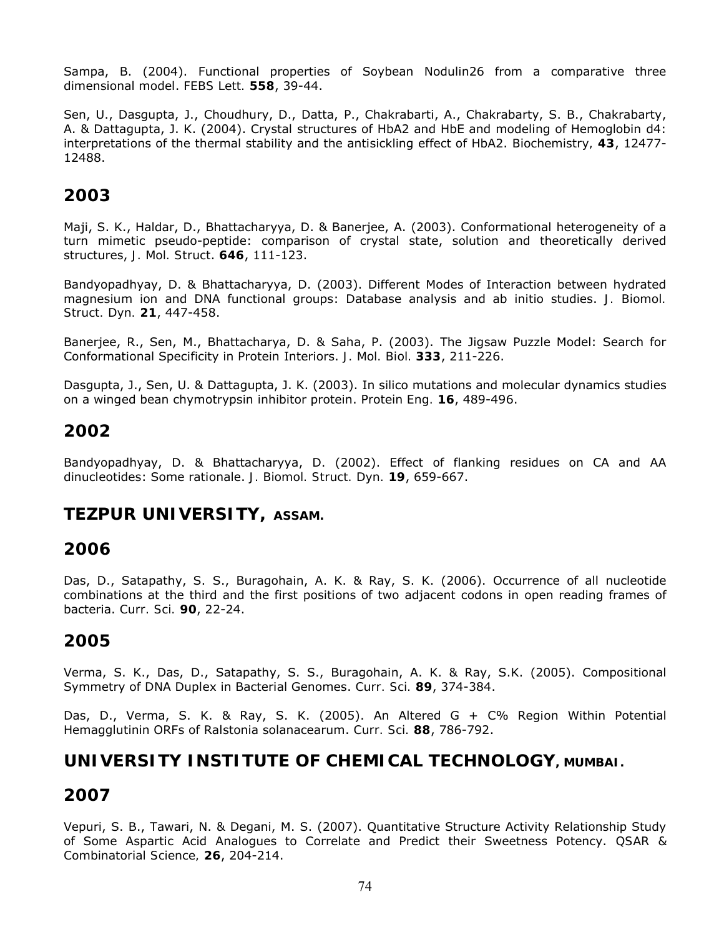Sampa, B. (2004). Functional properties of Soybean Nodulin26 from a comparative three dimensional model. *FEBS Lett.* **558**, 39-44.

Sen, U., Dasgupta, J., Choudhury, D., Datta, P., Chakrabarti, A., Chakrabarty, S. B., Chakrabarty, A. & Dattagupta, J. K. (2004). Crystal structures of HbA2 and HbE and modeling of Hemoglobin d4: interpretations of the thermal stability and the antisickling effect of HbA2. *Biochemistry,* **43**, 12477- 12488.

### **2003**

Maji, S. K., Haldar, D., Bhattacharyya, D. & Banerjee, A. (2003). Conformational heterogeneity of a turn mimetic pseudo-peptide: comparison of crystal state, solution and theoretically derived structures, *J. Mol. Struct*. **646**, 111-123.

Bandyopadhyay, D. & Bhattacharyya, D. (2003). Different Modes of Interaction between hydrated magnesium ion and DNA functional groups: Database analysis and ab initio studies. *J. Biomol. Struct. Dyn.* **21**, 447-458.

Banerjee, R., Sen, M., Bhattacharya, D. & Saha, P. (2003). The Jigsaw Puzzle Model: Search for Conformational Specificity in Protein Interiors. *J. Mol. Biol.* **333**, 211-226.

Dasgupta, J., Sen, U. & Dattagupta, J. K. (2003). In silico mutations and molecular dynamics studies on a winged bean chymotrypsin inhibitor protein. *Protein Eng.* **16**, 489-496.

### **2002**

Bandyopadhyay, D. & Bhattacharyya, D. (2002). Effect of flanking residues on CA and AA dinucleotides: Some rationale. *J. Biomol. Struct. Dyn.* **19**, 659-667.

#### **TEZPUR UNIVERSITY, ASSAM.**

#### **2006**

Das, D., Satapathy, S. S., Buragohain, A. K. & Ray, S. K. (2006). Occurrence of all nucleotide combinations at the third and the first positions of two adjacent codons in open reading frames of bacteria. *Curr. Sci.* **90**, 22-24.

#### **2005**

Verma, S. K., Das, D., Satapathy, S. S., Buragohain, A. K. & Ray, S.K. (2005). Compositional Symmetry of DNA Duplex in Bacterial Genomes. *Curr. Sci.* **89**, 374-384.

Das, D., Verma, S. K. & Ray, S. K. (2005). An Altered G + C% Region Within Potential Hemagglutinin ORFs of Ralstonia solanacearum. *Curr. Sci.* **88**, 786-792.

## **UNIVERSITY INSTITUTE OF CHEMICAL TECHNOLOGY, MUMBAI.**

## **2007**

Vepuri, S. B., Tawari, N. & Degani, M. S. (2007). Quantitative Structure Activity Relationship Study of Some Aspartic Acid Analogues to Correlate and Predict their Sweetness Potency. *QSAR & Combinatorial Science,* **26**, 204-214.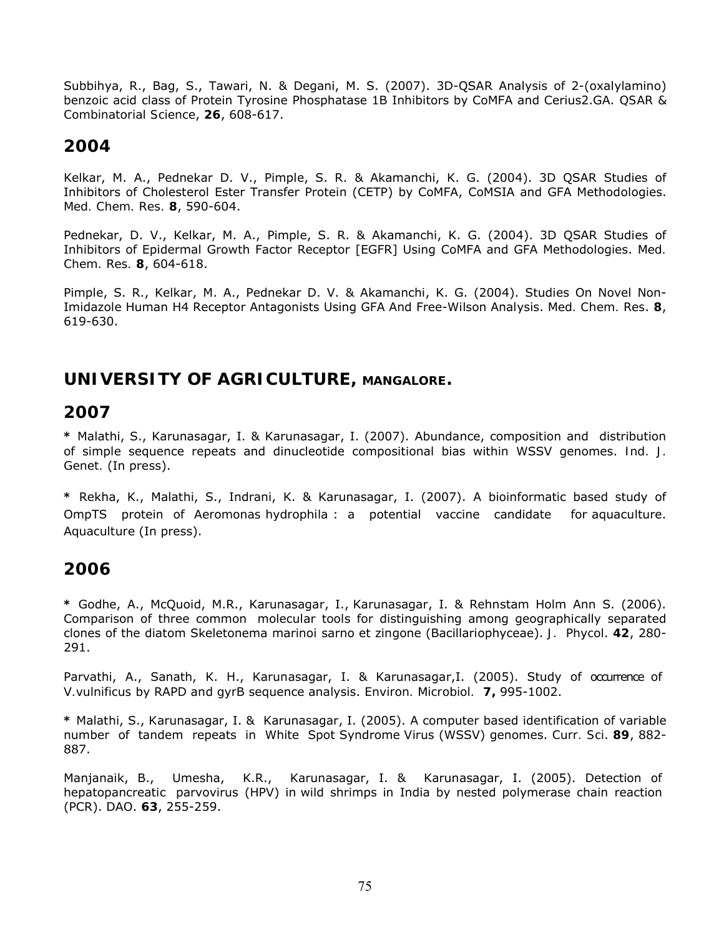Subbihya, R., Bag, S., Tawari, N. & Degani, M. S. (2007). 3D-QSAR Analysis of 2-(oxalylamino) benzoic acid class of Protein Tyrosine Phosphatase 1B Inhibitors by CoMFA and Cerius2.GA. *QSAR & Combinatorial Science*, **26**, 608-617.

#### **2004**

Kelkar, M. A., Pednekar D. V., Pimple, S. R. & Akamanchi, K. G. (2004). 3D QSAR Studies of Inhibitors of Cholesterol Ester Transfer Protein (CETP) by CoMFA, CoMSIA and GFA Methodologies. *Med. Chem. Res.* **8**, 590-604.

Pednekar, D. V., Kelkar, M. A., Pimple, S. R. & Akamanchi, K. G. (2004). 3D QSAR Studies of Inhibitors of Epidermal Growth Factor Receptor [EGFR] Using CoMFA and GFA Methodologies. *Med. Chem. Res.* **8**, 604-618.

Pimple, S. R., Kelkar, M. A., Pednekar D. V. & Akamanchi, K. G. (2004). Studies On Novel Non-Imidazole Human H4 Receptor Antagonists Using GFA And Free-Wilson Analysis. *Med. Chem. Res*. **8**, 619-630.

## **UNIVERSITY OF AGRICULTURE, MANGALORE.**

### **2007**

**\*** Malathi, S., Karunasagar, I. & Karunasagar, I. (2007). Abundance, composition and distribution of simple sequence repeats and dinucleotide compositional bias within WSSV genomes. *Ind. J. Genet.* (In press).

**\*** Rekha, K., Malathi, S., Indrani, K. & Karunasagar, I. (2007). A bioinformatic based study of OmpTS protein of *Aeromonas hydrophila* : a potential vaccine candidate for aquaculture. *Aquaculture* (In press).

#### **2006**

**\*** Godhe, A., McQuoid, M.R., Karunasagar, I., Karunasagar, I. & Rehnstam Holm Ann S. (2006). Comparison of three common molecular tools for distinguishing among geographically separated clones of the diatom Skeletonema marinoi sarno et zingone (Bacillariophyceae). *J. Phycol*. **42**, 280- 291.

Parvathi, A., Sanath, K. H., Karunasagar, I. & Karunasagar, I. (2005). Study of occurrence of *V.vulnificus* by RAPD and *gyr*B sequence analysis. *Environ. Microbiol.* **7,** 995-1002.

**\*** Malathi, S., Karunasagar, I. & Karunasagar, I. (2005). A computer based identification of variable number of tandem repeats in White Spot Syndrome Virus (WSSV) genomes. *Curr. Sci*. **89**, 882- 887.

Manjanaik, B., Umesha, K.R., Karunasagar, I. & Karunasagar, I. (2005). Detection of hepatopancreatic parvovirus (HPV) in wild shrimps in India by nested polymerase chain reaction (PCR). *DAO*. **63**, 255-259.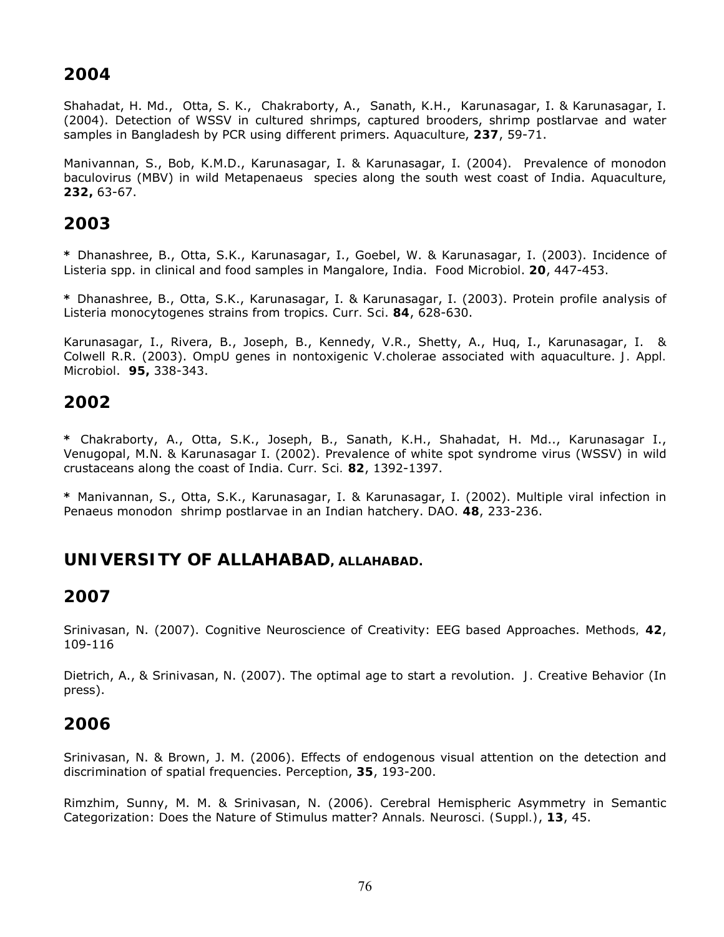Shahadat, H. Md., Otta, S. K., Chakraborty, A., Sanath, K.H., Karunasagar, I. & Karunasagar, I. (2004). Detection of WSSV in cultured shrimps, captured brooders, shrimp postlarvae and water samples in Bangladesh by PCR using different primers. *Aquaculture*, **237**, 59-71.

Manivannan, S., Bob, K.M.D., Karunasagar, I. & Karunasagar, I. (2004). Prevalence of monodon baculovirus (MBV) in wild Metapenaeus species along the south west coast of India. *Aquaculture*, **232,** 63-67.

## **2003**

**\*** Dhanashree, B., Otta, S.K., Karunasagar, I., Goebel, W. & Karunasagar, I. (2003). Incidence of *Listeria* spp. in clinical and food samples in Mangalore, India. *Food Microbiol*. **20**, 447-453.

**\*** Dhanashree, B., Otta, S.K., Karunasagar, I. & Karunasagar, I. (2003). Protein profile analysis of *Listeria monocytogenes* strains from tropics. *Curr. Sci*. **84**, 628-630.

Karunasagar, I., Rivera, B., Joseph, B., Kennedy, V.R., Shetty, A., Huq, I., Karunasagar, I. & Colwell R.R. (2003). *Omp*U genes in nontoxigenic *V.cholerae* associated with aquaculture. *J. Appl. Microbiol*. **95,** 338-343.

## **2002**

**\*** Chakraborty, A., Otta, S.K., Joseph, B., Sanath, K.H., Shahadat, H. Md.., Karunasagar I., Venugopal, M.N. & Karunasagar I. (2002). Prevalence of white spot syndrome virus (WSSV) in wild crustaceans along the coast of India. *Curr. Sci.* **82**, 1392-1397.

**\*** Manivannan, S., Otta, S.K., Karunasagar, I. & Karunasagar, I. (2002). Multiple viral infection in Penaeus monodon shrimp postlarvae in an Indian hatchery. DAO. **48**, 233-236.

## **UNIVERSITY OF ALLAHABAD, ALLAHABAD.**

## **2007**

Srinivasan, N. (2007). Cognitive Neuroscience of Creativity: EEG based Approaches. *Methods,* **42**, 109-116

Dietrich, A., & Srinivasan, N. (2007). The optimal age to start a revolution. *J. Creative Behavior* (In press).

## **2006**

Srinivasan, N. & Brown, J. M. (2006). Effects of endogenous visual attention on the detection and discrimination of spatial frequencies. *Perception*, **35**, 193-200.

Rimzhim, Sunny, M. M. & Srinivasan, N. (2006). Cerebral Hemispheric Asymmetry in Semantic Categorization: Does the Nature of Stimulus matter? *Annals. Neurosci. (Suppl.)*, **13**, 45.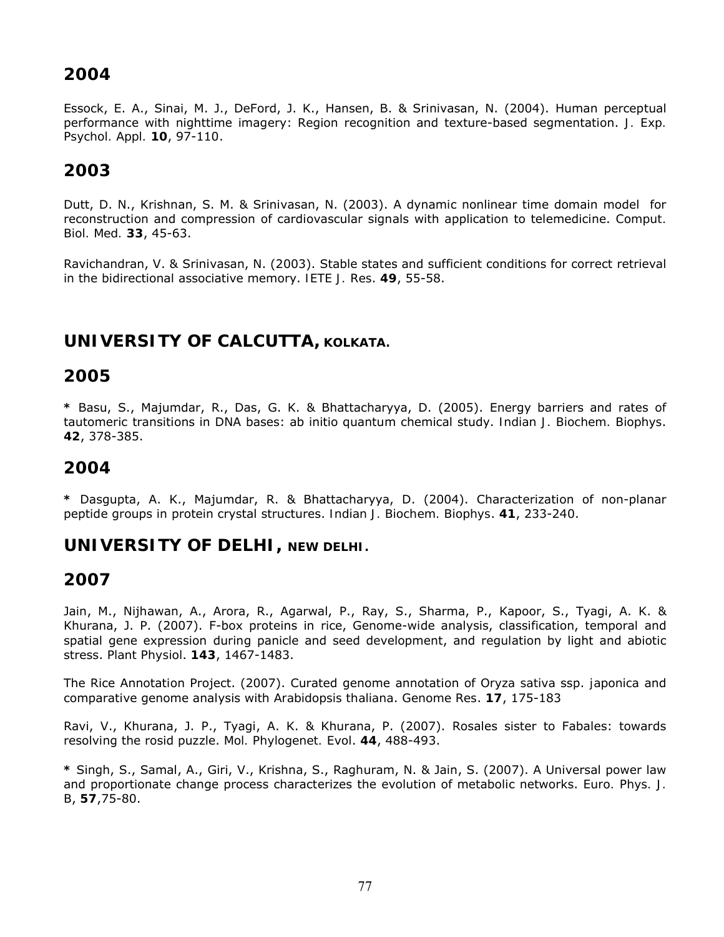Essock, E. A., Sinai, M. J., DeFord, J. K., Hansen, B. & Srinivasan, N. (2004). Human perceptual performance with nighttime imagery: Region recognition and texture-based segmentation. *J. Exp. Psychol. Appl.* **10**, 97-110.

## **2003**

Dutt, D. N., Krishnan, S. M. & Srinivasan, N. (2003). A dynamic nonlinear time domain model for reconstruction and compression of cardiovascular signals with application to telemedicine. *Comput. Biol. Med.* **33**, 45-63.

Ravichandran, V. & Srinivasan, N. (2003). Stable states and sufficient conditions for correct retrieval in the bidirectional associative memory. *IETE J. Res*. **49**, 55-58.

# **UNIVERSITY OF CALCUTTA, KOLKATA.**

## **2005**

**\*** Basu, S., Majumdar, R., Das, G. K. & Bhattacharyya, D. (2005). Energy barriers and rates of tautomeric transitions in DNA bases: ab initio quantum chemical study. *Indian J. Biochem. Biophys*. **42**, 378-385.

### **2004**

**\*** Dasgupta, A. K., Majumdar, R. & Bhattacharyya, D. (2004). Characterization of non-planar peptide groups in protein crystal structures. *Indian J. Biochem. Biophys*. **41**, 233-240.

**UNIVERSITY OF DELHI, NEW DELHI.**

## **2007**

Jain, M., Nijhawan, A., Arora, R., Agarwal, P., Ray, S., Sharma, P., Kapoor, S., Tyagi, A. K. & Khurana, J. P. (2007). F-box proteins in rice, Genome-wide analysis, classification, temporal and spatial gene expression during panicle and seed development, and regulation by light and abiotic stress. *Plant Physiol*. **143**, 1467-1483.

The Rice Annotation Project. (2007). Curated genome annotation of *Oryza sativa* ssp. *japonica* and comparative genome analysis with *Arabidopsis thaliana*. *Genome Res*. **17**, 175-183

Ravi, V., Khurana, J. P., Tyagi, A. K. & Khurana, P. (2007). Rosales sister to Fabales: towards resolving the rosid puzzle. *Mol. Phylogenet. Evol*. **44**, 488-493.

**\*** Singh, S., Samal, A., Giri, V., Krishna, S., Raghuram, N. & Jain, S. (2007). A Universal power law and proportionate change process characterizes the evolution of metabolic networks. *Euro. Phys. J. B*, **57**,75-80.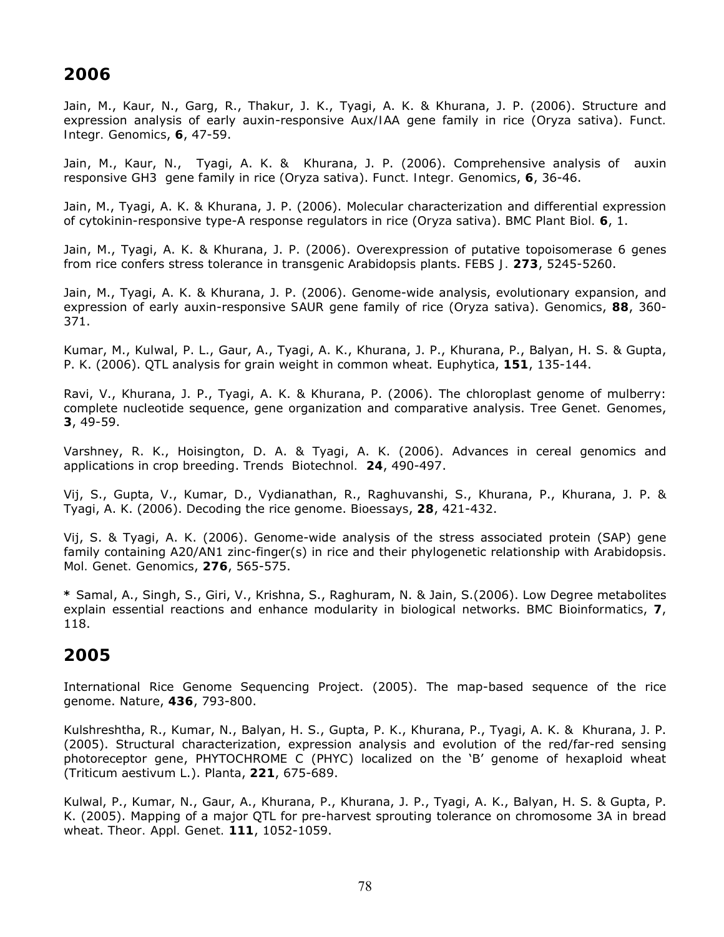Jain, M., Kaur, N., Garg, R., Thakur, J. K., Tyagi, A. K. & Khurana, J. P. (2006). Structure and expression analysis of early auxin-responsive *Aux/IAA* gene family in rice (*Oryza sativa*). *Funct. Integr. Genomics*, **6**, 47-59.

Jain, M., Kaur, N., Tyagi, A. K. & Khurana, J. P. (2006). Comprehensive analysis of auxin responsive *GH3* gene family in rice (*Oryza sativa*). *Funct. Integr. Genomics*, **6**, 36-46.

Jain, M., Tyagi, A. K. & Khurana, J. P. (2006). Molecular characterization and differential expression of cytokinin-responsive type-A response regulators in rice (*Oryza sativa*). *BMC Plant Biol.* **6**, 1.

Jain, M., Tyagi, A. K. & Khurana, J. P. (2006). Overexpression of putative topoisomerase 6 genes from rice confers stress tolerance in transgenic *Arabidopsis* plants. *FEBS J.* **273**, 5245-5260.

Jain, M., Tyagi, A. K. & Khurana, J. P. (2006). Genome-wide analysis, evolutionary expansion, and expression of early auxin-responsive *SAUR* gene family of rice (*Oryza sativa*). *Genomics*, **88**, 360- 371.

Kumar, M., Kulwal, P. L., Gaur, A., Tyagi, A. K., Khurana, J. P., Khurana, P., Balyan, H. S. & Gupta, P. K. (2006). QTL analysis for grain weight in common wheat. *Euphytica*, **151**, 135-144.

Ravi, V., Khurana, J. P., Tyagi, A. K. & Khurana, P. (2006). The chloroplast genome of mulberry: complete nucleotide sequence, gene organization and comparative analysis. *Tree Genet. Genomes*, **3**, 49-59.

Varshney, R. K., Hoisington, D. A. & Tyagi, A. K. (2006). Advances in cereal genomics and applications in crop breeding. *Trends Biotechnol.* **24**, 490-497.

Vij, S., Gupta, V., Kumar, D., Vydianathan, R., Raghuvanshi, S., Khurana, P., Khurana, J. P. & Tyagi, A. K. (2006). Decoding the rice genome. *Bioessays*, **28**, 421-432.

Vij, S. & Tyagi, A. K. (2006). Genome-wide analysis of the stress associated protein (SAP) gene family containing A20/AN1 zinc-finger(s) in rice and their phylogenetic relationship with *Arabidopsis*. *Mol. Genet. Genomics*, **276**, 565-575.

**\*** Samal, A., Singh, S., Giri, V., Krishna, S., Raghuram, N. & Jain, S.(2006). Low Degree metabolites explain essential reactions and enhance modularity in biological networks. *BMC Bioinformatics*, **7**, 118.

## **2005**

International Rice Genome Sequencing Project. (2005). The map-based sequence of the rice genome. *Nature*, **436**, 793-800.

Kulshreshtha, R., Kumar, N., Balyan, H. S., Gupta, P. K., Khurana, P., Tyagi, A. K. & Khurana, J. P. (2005). Structural characterization, expression analysis and evolution of the red/far-red sensing photoreceptor gene, *PHYTOCHROME C* (*PHYC*) localized on the 'B' genome of hexaploid wheat (*Triticum aestivum* L.). *Planta*, **221**, 675-689.

Kulwal, P., Kumar, N., Gaur, A., Khurana, P., Khurana, J. P., Tyagi, A. K., Balyan, H. S. & Gupta, P. K. (2005). Mapping of a major QTL for pre-harvest sprouting tolerance on chromosome 3A in bread wheat. *Theor. Appl. Genet.* **111**, 1052-1059.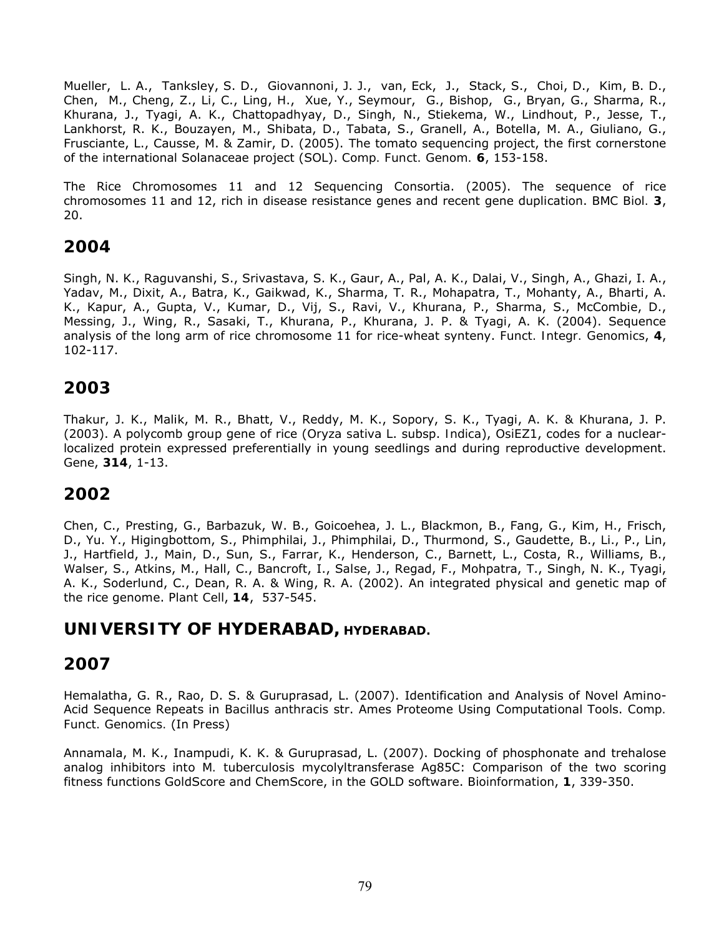Mueller, L. A., Tanksley, S. D., Giovannoni, J. J., van, Eck, J., Stack, S., Choi, D., Kim, B. D., Chen, M., Cheng, Z., Li, C., Ling, H., Xue, Y., Seymour, G., Bishop, G., Bryan, G., Sharma, R., Khurana, J., Tyagi, A. K., Chattopadhyay, D., Singh, N., Stiekema, W., Lindhout, P., Jesse, T., Lankhorst, R. K., Bouzayen, M., Shibata, D., Tabata, S., Granell, A., Botella, M. A., Giuliano, G., Frusciante, L., Causse, M. & Zamir, D. (2005). The tomato sequencing project, the first cornerstone of the international Solanaceae project (SOL). *Comp. Funct. Genom.* **6**, 153-158.

The Rice Chromosomes 11 and 12 Sequencing Consortia. (2005). The sequence of rice chromosomes 11 and 12, rich in disease resistance genes and recent gene duplication. *BMC Biol.* **3**, 20.

### **2004**

Singh, N. K., Raguvanshi, S., Srivastava, S. K., Gaur, A., Pal, A. K., Dalai, V., Singh, A., Ghazi, I. A., Yadav, M., Dixit, A., Batra, K., Gaikwad, K., Sharma, T. R., Mohapatra, T., Mohanty, A., Bharti, A. K., Kapur, A., Gupta, V., Kumar, D., Vij, S., Ravi, V., Khurana, P., Sharma, S., McCombie, D., Messing, J., Wing, R., Sasaki, T., Khurana, P., Khurana, J. P. & Tyagi, A. K. (2004). Sequence analysis of the long arm of rice chromosome 11 for rice-wheat synteny. *Funct. Integr. Genomics*, **4**, 102-117.

## **2003**

Thakur, J. K., Malik, M. R., Bhatt, V., Reddy, M. K., Sopory, S. K., Tyagi, A. K. & Khurana, J. P. (2003). A polycomb group gene of rice (*Oryza sativa* L. subsp. *Indica*), *OsiEZ1*, codes for a nuclearlocalized protein expressed preferentially in young seedlings and during reproductive development. *Gene*, **314**, 1-13.

## **2002**

Chen, C., Presting, G., Barbazuk, W. B., Goicoehea, J. L., Blackmon, B., Fang, G., Kim, H., Frisch, D., Yu. Y., Higingbottom, S., Phimphilai, J., Phimphilai, D., Thurmond, S., Gaudette, B., Li., P., Lin, J., Hartfield, J., Main, D., Sun, S., Farrar, K., Henderson, C., Barnett, L., Costa, R., Williams, B., Walser, S., Atkins, M., Hall, C., Bancroft, I., Salse, J., Regad, F., Mohpatra, T., Singh, N. K., Tyagi, A. K., Soderlund, C., Dean, R. A. & Wing, R. A. (2002). An integrated physical and genetic map of the rice genome. *Plant Cell*, **14**, 537-545.

## **UNIVERSITY OF HYDERABAD, HYDERABAD.**

## **2007**

Hemalatha, G. R., Rao, D. S. & Guruprasad, L. (2007). Identification and Analysis of Novel Amino-Acid Sequence Repeats in *Bacillus anthracis* str. Ames Proteome Using Computational Tools. *Comp. Funct. Genomics.* (In Press)

Annamala, M. K., Inampudi, K. K. & Guruprasad, L. (2007). Docking of phosphonate and trehalose analog inhibitors into *M. tuberculosis* mycolyltransferase Ag85C: Comparison of the two scoring fitness functions GoldScore and ChemScore, in the GOLD software. *Bioinformation*, **1**, 339-350.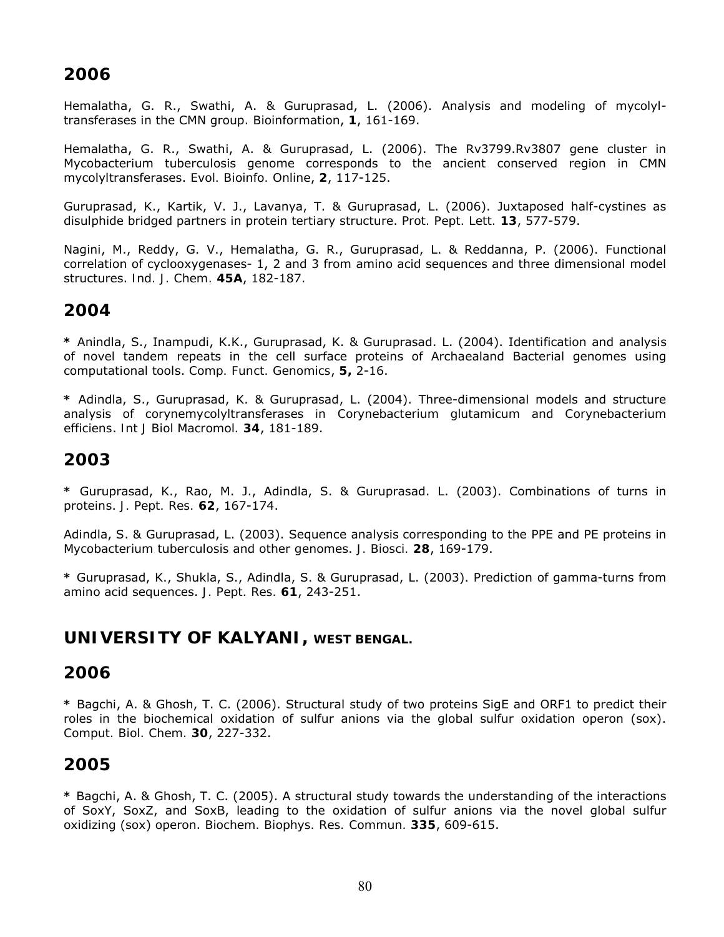Hemalatha, G. R., Swathi, A. & Guruprasad, L. (2006). Analysis and modeling of mycolyltransferases in the CMN group. *Bioinformation*, **1**, 161-169.

Hemalatha, G. R., Swathi, A. & Guruprasad, L. (2006). The Rv3799.Rv3807 gene cluster in Mycobacterium tuberculosis genome corresponds to the ancient conserved region in CMN mycolyltransferases. *Evol. Bioinfo. Online*, **2**, 117-125.

Guruprasad, K., Kartik, V. J., Lavanya, T. & Guruprasad, L. (2006). Juxtaposed half-cystines as disulphide bridged partners in protein tertiary structure. *Prot. Pept. Lett.* **13**, 577-579.

Nagini, M., Reddy, G. V., Hemalatha, G. R., Guruprasad, L. & Reddanna, P. (2006). Functional correlation of cyclooxygenases- 1, 2 and 3 from amino acid sequences and three dimensional model structures. *Ind. J. Chem.* **45A**, 182-187.

### **2004**

**\*** Anindla, S., Inampudi, K.K., Guruprasad, K. & Guruprasad. L. (2004). Identification and analysis of novel tandem repeats in the cell surface proteins of Archaealand Bacterial genomes using computational tools. *Comp. Funct. Genomics*, **5,** 2-16.

**\*** Adindla, S., Guruprasad, K. & Guruprasad, L. (2004). Three-dimensional models and structure analysis of corynemycolyltransferases in *Corynebacterium glutamicum* and *Corynebacterium efficiens*. *Int J Biol Macromol.* **34**, 181-189.

## **2003**

**\*** Guruprasad, K., Rao, M. J., Adindla, S. & Guruprasad. L. (2003). Combinations of turns in proteins. *J. Pept. Res.* **62**, 167-174.

Adindla, S. & Guruprasad, L. (2003). Sequence analysis corresponding to the PPE and PE proteins in *Mycobacterium tuberculosis* and other genomes. *J. Biosci.* **28**, 169-179.

**\*** Guruprasad, K., Shukla, S., Adindla, S. & Guruprasad, L. (2003). Prediction of gamma-turns from amino acid sequences. *J. Pept. Res.* **61**, 243-251.

## **UNIVERSITY OF KALYANI, WEST BENGAL.**

#### **2006**

**\*** Bagchi, A. & Ghosh, T. C. (2006). Structural study of two proteins SigE and ORF1 to predict their roles in the biochemical oxidation of sulfur anions via the global sulfur oxidation operon (sox). *Comput. Biol. Chem.* **30**, 227-332.

#### **2005**

**\*** Bagchi, A. & Ghosh, T. C. (2005). A structural study towards the understanding of the interactions of SoxY, SoxZ, and SoxB, leading to the oxidation of sulfur anions via the novel global sulfur oxidizing (sox) operon. *Biochem. Biophys. Res. Commun.* **335**, 609-615.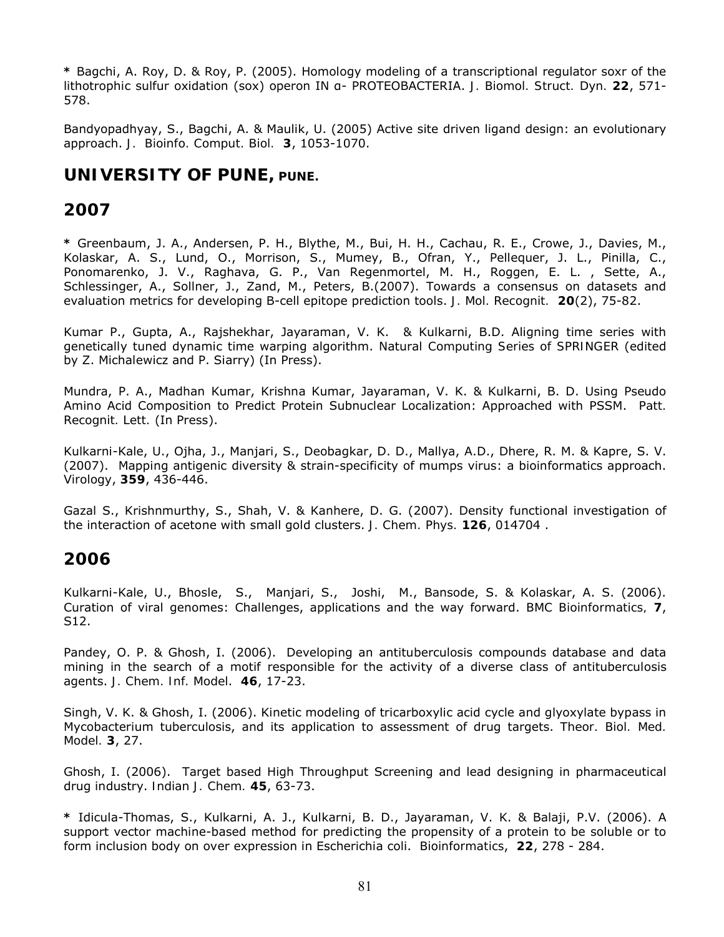**\*** Bagchi, A. Roy, D. & Roy, P. (2005). Homology modeling of a transcriptional regulator soxr of the lithotrophic sulfur oxidation (sox) operon IN α- PROTEOBACTERIA. *J. Biomol. Struct. Dyn.* **22**, 571- 578.

Bandyopadhyay, S., Bagchi, A. & Maulik, U. (2005) Active site driven ligand design: an evolutionary approach. *J. Bioinfo. Comput. Biol.* **3**, 1053-1070.

**UNIVERSITY OF PUNE, PUNE.**

#### **2007**

**\*** Greenbaum, J. A., Andersen, P. H., Blythe, M., Bui, H. H., Cachau, R. E., Crowe, J., Davies, M., Kolaskar, A. S., Lund, O., Morrison, S., Mumey, B., Ofran, Y., Pellequer, J. L., Pinilla, C., Ponomarenko, J. V., Raghava, G. P., Van Regenmortel, M. H., Roggen, E. L. , Sette, A., Schlessinger, A., Sollner, J., Zand, M., Peters, B.(2007). Towards a consensus on datasets and evaluation metrics for developing B-cell epitope prediction tools. *J. Mol. Recognit.* **20**(2), 75-82.

Kumar P., Gupta, A., Rajshekhar, Jayaraman, V. K. & Kulkarni, B.D. Aligning time series with genetically tuned dynamic time warping algorithm. Natural *Computing Series of SPRINGER* (edited by Z. Michalewicz and P. Siarry) (In Press).

Mundra, P. A., Madhan Kumar, Krishna Kumar, Jayaraman, V. K. & Kulkarni, B. D. Using Pseudo Amino Acid Composition to Predict Protein Subnuclear Localization: Approached with PSSM. *Patt. Recognit. Lett.* (In Press).

Kulkarni-Kale, U., Ojha, J., Manjari, S., Deobagkar, D. D., Mallya, A.D., Dhere, R. M. & Kapre, S. V. (2007). Mapping antigenic diversity & strain-specificity of mumps virus: a bioinformatics approach. *Virology*, **359**, 436-446.

Gazal S., Krishnmurthy, S., Shah, V. & Kanhere, D. G. (2007). Density functional investigation of the interaction of acetone with small gold clusters. *J. Chem. Phys.* **126**, 014704 .

#### **2006**

Kulkarni-Kale, U., Bhosle, S., Manjari, S., Joshi, M., Bansode, S. & Kolaskar, A. S. (2006). Curation of viral genomes: Challenges, applications and the way forward. *BMC Bioinformatics,* **7**, S12.

Pandey, O. P. & Ghosh, I. (2006). Developing an antituberculosis compounds database and data mining in the search of a motif responsible for the activity of a diverse class of antituberculosis agents. *J. Chem. Inf. Model*. **46**, 17-23.

Singh, V. K. & Ghosh, I. (2006). Kinetic modeling of tricarboxylic acid cycle and glyoxylate bypass in Mycobacterium tuberculosis, and its application to assessment of drug targets. *Theor. Biol. Med. Model.* **3**, 27.

Ghosh, I. (2006). Target based High Throughput Screening and lead designing in pharmaceutical drug industry. *Indian J. Chem.* **45**, 63-73.

**\*** Idicula-Thomas, S., Kulkarni, A. J., Kulkarni, B. D., Jayaraman, V. K. & Balaji, P.V. (2006). A support vector machine-based method for predicting the propensity of a protein to be soluble or to form inclusion body on over expression in Escherichia coli. *Bioinformatics*, **22**, 278 - 284.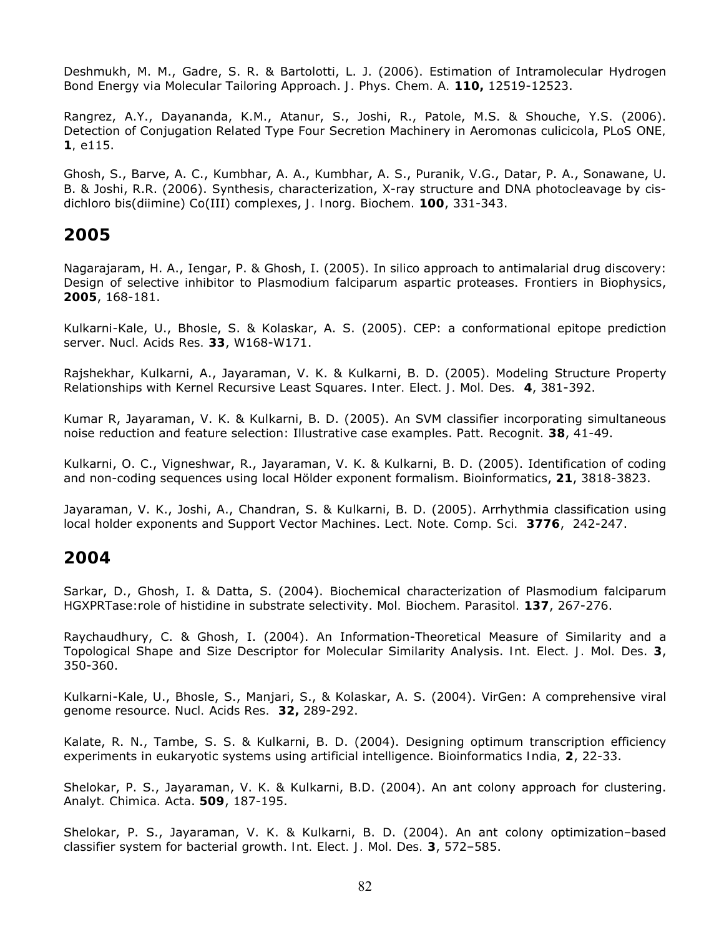Deshmukh, M. M., Gadre, S. R. & Bartolotti, L. J. (2006). Estimation of Intramolecular Hydrogen Bond Energy via Molecular Tailoring Approach. *J. Phys. Chem. A.* **110,** 12519-12523.

Rangrez, A.Y., Dayananda, K.M., Atanur, S., Joshi, R., Patole, M.S. & Shouche, Y.S. (2006). Detection of Conjugation Related Type Four Secretion Machinery in Aeromonas culicicola, *PLoS ONE,*  **1***,* e115.

Ghosh, S., Barve, A. C., Kumbhar, A. A., Kumbhar, A. S., Puranik, V.G., Datar, P. A., Sonawane, U. B. & Joshi, R.R. (2006). Synthesis, characterization, X-ray structure and DNA photocleavage by cisdichloro bis(diimine) Co(III) complexes, *J. Inorg. Biochem.* **100**, 331-343.

#### **2005**

Nagarajaram, H. A., Iengar, P. & Ghosh, I. (2005). In silico approach to antimalarial drug discovery: Design of selective inhibitor to *Plasmodium falciparum* aspartic proteases. *Frontiers in Biophysics*, **2005**, 168-181.

Kulkarni-Kale, U., Bhosle, S. & Kolaskar, A. S. (2005). CEP: a conformational epitope prediction server. *Nucl. Acids Res.* **33**, W168-W171.

Rajshekhar, Kulkarni, A., Jayaraman, V. K. & Kulkarni, B. D. (2005). Modeling Structure Property Relationships with Kernel Recursive Least Squares. *Inter. Elect. J. Mol. Des.* **4**, 381-392.

Kumar R, Jayaraman, V. K. & Kulkarni, B. D. (2005). An SVM classifier incorporating simultaneous noise reduction and feature selection: Illustrative case examples. *Patt. Recognit.* **38**, 41-49.

Kulkarni, O. C., Vigneshwar, R., Jayaraman, V. K. & Kulkarni, B. D. (2005). Identification of coding and non-coding sequences using local Hölder exponent formalism. *Bioinformatics*, **21**, 3818-3823.

Jayaraman, V. K., Joshi, A., Chandran, S. & Kulkarni, B. D. (2005). Arrhythmia classification using local holder exponents and Support Vector Machines. *Lect. Note. Comp. Sci.* **3776**, 242-247.

#### **2004**

Sarkar, D., Ghosh, I. & Datta, S. (2004). Biochemical characterization of Plasmodium falciparum HGXPRTase:role of histidine in substrate selectivity. *Mol. Biochem. Parasitol.* **137**, 267-276.

Raychaudhury, C. & Ghosh, I. (2004). An Information-Theoretical Measure of Similarity and a Topological Shape and Size Descriptor for Molecular Similarity Analysis. *Int. Elect. J. Mol. Des*. **3**, 350-360.

Kulkarni-Kale, U., Bhosle, S., Manjari, S., & Kolaskar, A. S. (2004). VirGen: A comprehensive viral genome resource. *Nucl. Acids Res.* **32,** 289-292.

Kalate, R. N., Tambe, S. S. & Kulkarni, B. D. (2004). Designing optimum transcription efficiency experiments in eukaryotic systems using artificial intelligence. *Bioinformatics India,* **2**, 22-33.

Shelokar, P. S., Jayaraman, V. K. & Kulkarni, B.D. (2004). An ant colony approach for clustering. *Analyt. Chimica. Acta*. **509**, 187-195.

Shelokar, P. S., Jayaraman, V. K. & Kulkarni, B. D. (2004). An ant colony optimization–based classifier system for bacterial growth. *Int. Elect. J. Mol. Des.* **3**, 572–585.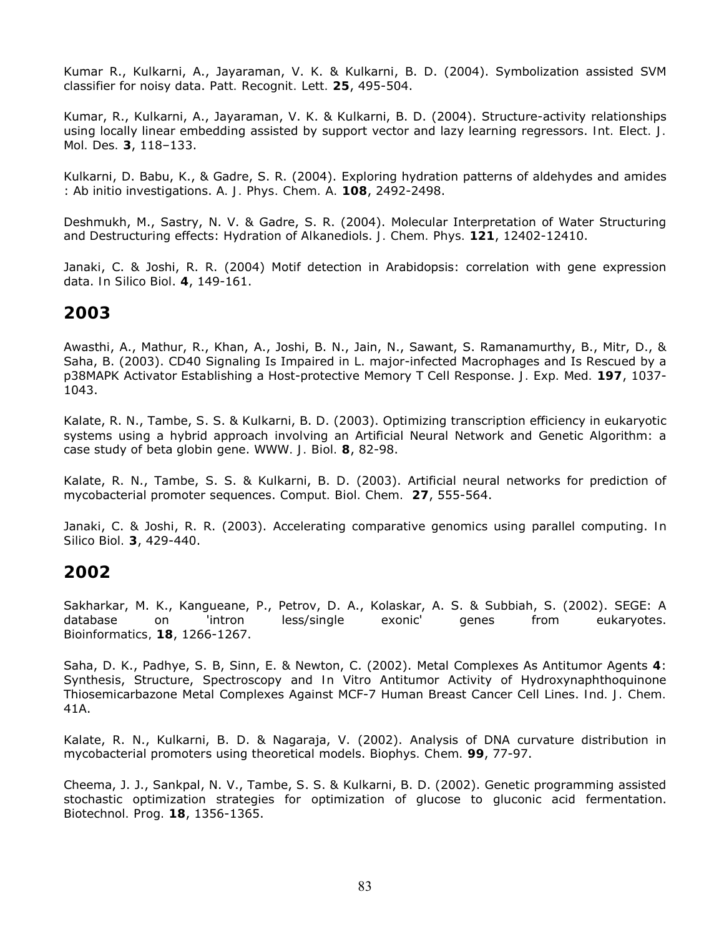Kumar R., Kulkarni, A., Jayaraman, V. K. & Kulkarni, B. D. (2004). Symbolization assisted SVM classifier for noisy data. *Patt. Recognit. Lett.* **25**, 495-504.

Kumar, R., Kulkarni, A., Jayaraman, V. K. & Kulkarni, B. D. (2004). Structure-activity relationships using locally linear embedding assisted by support vector and lazy learning regressors. *Int. Elect. J. Mol. Des.* **3**, 118–133.

Kulkarni, D. Babu, K., & Gadre, S. R. (2004). Exploring hydration patterns of aldehydes and amides : *Ab initio* investigations. *A. J. Phys. Chem. A.* **108**, 2492-2498.

Deshmukh, M., Sastry, N. V. & Gadre, S. R. (2004). Molecular Interpretation of Water Structuring and Destructuring effects: Hydration of Alkanediols. *J. Chem. Phys.* **121**, 12402-12410.

Janaki, C. & Joshi, R. R. (2004) Motif detection in Arabidopsis: correlation with gene expression data. *In Silico Biol*. **4**, 149-161.

#### **2003**

Awasthi, A., Mathur, R., Khan, A., Joshi, B. N., Jain, N., Sawant, S. Ramanamurthy, B., Mitr, D., & Saha, B. (2003). CD40 Signaling Is Impaired in L. major-infected Macrophages and Is Rescued by a p38MAPK Activator Establishing a Host-protective Memory T Cell Response. *J. Exp. Med.* **197**, 1037- 1043.

Kalate, R. N., Tambe, S. S. & Kulkarni, B. D. (2003). Optimizing transcription efficiency in eukaryotic systems using a hybrid approach involving an Artificial Neural Network and Genetic Algorithm: a case study of beta globin gene. *WWW. J. Biol.* **8**, 82-98.

Kalate, R. N., Tambe, S. S. & Kulkarni, B. D. (2003). Artificial neural networks for prediction of mycobacterial promoter sequences. *Comput. Biol. Chem.* **27**, 555-564.

Janaki, C. & Joshi, R. R. (2003). Accelerating comparative genomics using parallel computing. *In Silico Biol.* **3**, 429-440.

#### **2002**

Sakharkar, M. K., Kangueane, P., Petrov, D. A., Kolaskar, A. S. & Subbiah, S. (2002). SEGE: A database on 'intron less/single exonic' genes from eukaryotes. *Bioinformatics,* **18**, 1266-1267.

Saha, D. K., Padhye, S. B, Sinn, E. & Newton, C. (2002). Metal Complexes As Antitumor Agents **4**: Synthesis, Structure, Spectroscopy and *In Vitro* Antitumor Activity of Hydroxynaphthoquinone Thiosemicarbazone Metal Complexes Against MCF-7 Human Breast Cancer Cell Lines. *Ind. J. Chem.* 41A.

Kalate, R. N., Kulkarni, B. D. & Nagaraja, V. (2002). Analysis of DNA curvature distribution in mycobacterial promoters using theoretical models. *Biophys. Chem.* **99**, 77-97.

Cheema, J. J., Sankpal, N. V., Tambe, S. S. & Kulkarni, B. D. (2002). Genetic programming assisted stochastic optimization strategies for optimization of glucose to gluconic acid fermentation. *Biotechnol. Prog.* **18**, 1356-1365.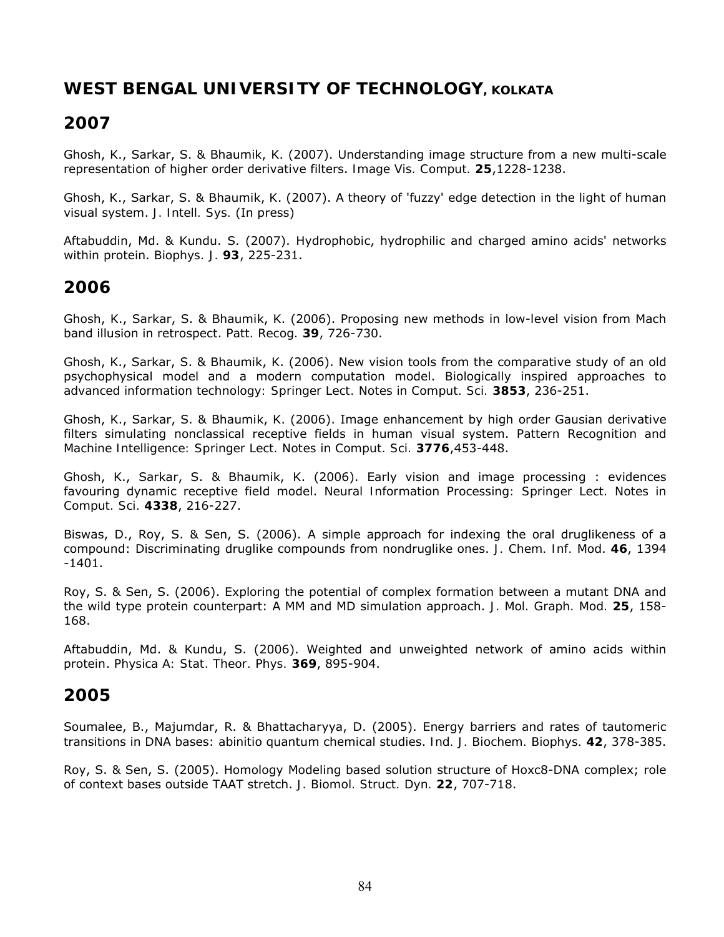# **WEST BENGAL UNIVERSITY OF TECHNOLOGY, KOLKATA**

## **2007**

Ghosh, K., Sarkar, S. & Bhaumik, K. (2007). Understanding image structure from a new multi-scale representation of higher order derivative filters. *Image Vis. Comput.* **25**,1228-1238.

Ghosh, K., Sarkar, S. & Bhaumik, K. (2007). A theory of 'fuzzy' edge detection in the light of human visual system. *J. Intell. Sys.* (In press)

Aftabuddin, Md. & Kundu. S. (2007). Hydrophobic, hydrophilic and charged amino acids' networks within protein. *Biophys. J.* **93**, 225-231.

#### **2006**

Ghosh, K., Sarkar, S. & Bhaumik, K. (2006). Proposing new methods in low-level vision from Mach band illusion in retrospect. *Patt. Recog.* **39**, 726-730.

Ghosh, K., Sarkar, S. & Bhaumik, K. (2006). New vision tools from the comparative study of an old psychophysical model and a modern computation model. *Biologically inspired approaches to advanced information technology: Springer Lect. Notes in Comput. Sci.* **3853**, 236-251.

Ghosh, K., Sarkar, S. & Bhaumik, K. (2006). Image enhancement by high order Gausian derivative filters simulating nonclassical receptive fields in human visual system. *Pattern Recognition and Machine Intelligence: Springer Lect. Notes in Comput. Sci.* **3776**,453-448.

Ghosh, K., Sarkar, S. & Bhaumik, K. (2006). Early vision and image processing : evidences favouring dynamic receptive field model. *Neural Information Processing: Springer Lect. Notes in Comput. Sci.* **4338**, 216-227.

Biswas, D., Roy, S. & Sen, S. (2006). A simple approach for indexing the oral druglikeness of a compound: Discriminating druglike compounds from nondruglike ones. *J. Chem. Inf. Mod*. **46**, 1394 -1401.

Roy, S. & Sen, S. (2006). Exploring the potential of complex formation between a mutant DNA and the wild type protein counterpart: A MM and MD simulation approach. *J. Mol. Graph. Mod.* **25**, 158- 168.

Aftabuddin, Md. & Kundu, S. (2006). Weighted and unweighted network of amino acids within protein. *Physica A: Stat. Theor. Phys.* **369**, 895-904.

#### **2005**

Soumalee, B., Majumdar, R. & Bhattacharyya, D. (2005). Energy barriers and rates of tautomeric transitions in DNA bases: *abinitio* quantum chemical studies. *Ind. J. Biochem. Biophys.* **42**, 378-385.

Roy, S. & Sen, S. (2005). Homology Modeling based solution structure of Hoxc8-DNA complex; role of context bases outside TAAT stretch. *J. Biomol. Struct. Dyn.* **22**, 707-718.